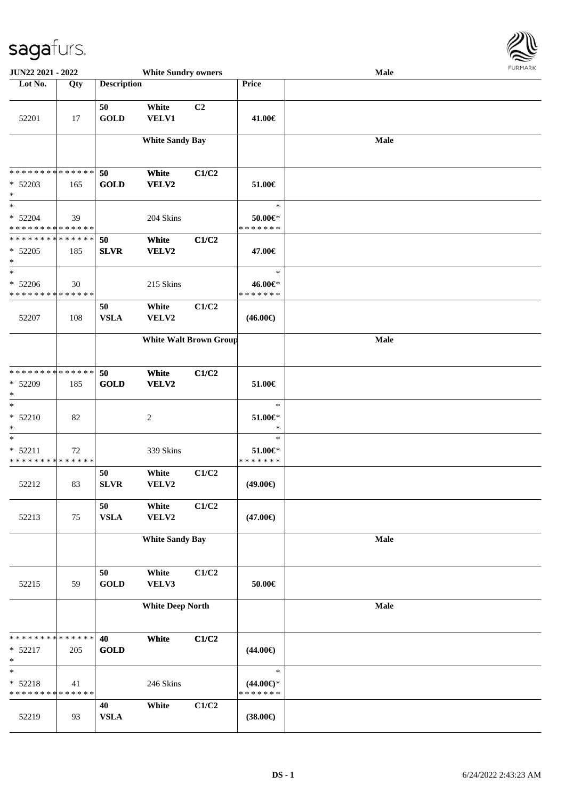

| JUN22 2021 - 2022                                  | <b>White Sundry owners</b> |                    |                               |                |                                                | Male | <b>FUNITANN</b> |
|----------------------------------------------------|----------------------------|--------------------|-------------------------------|----------------|------------------------------------------------|------|-----------------|
| Lot No.                                            | Qty                        | <b>Description</b> |                               |                | Price                                          |      |                 |
| 52201                                              | 17                         | 50<br><b>GOLD</b>  | White<br><b>VELV1</b>         | C <sub>2</sub> | 41.00€                                         |      |                 |
|                                                    |                            |                    | <b>White Sandy Bay</b>        |                |                                                | Male |                 |
| * * * * * * * * * * * * * *<br>$* 52203$<br>$\ast$ | 165                        | 50<br><b>GOLD</b>  | White<br>VELV2                | C1/C2          | 51.00€                                         |      |                 |
| $\ast$<br>$* 52204$<br>* * * * * * * * * * * * * * | 39                         |                    | 204 Skins                     |                | $\ast$<br>50.00€*<br>* * * * * * *             |      |                 |
| * * * * * * * * * * * * * *<br>$* 52205$<br>$\ast$ | 185                        | 50<br><b>SLVR</b>  | White<br>VELV2                | C1/C2          | 47.00€                                         |      |                 |
| $\ast$<br>$* 52206$<br>* * * * * * * * * * * * * * | 30                         |                    | 215 Skins                     |                | $\ast$<br>46.00€*<br>* * * * * * *             |      |                 |
| 52207                                              | 108                        | 50<br><b>VSLA</b>  | White<br>VELV2                | C1/C2          | $(46.00\epsilon)$                              |      |                 |
|                                                    |                            |                    | <b>White Walt Brown Group</b> |                |                                                | Male |                 |
| * * * * * * * * * * * * * *<br>* 52209<br>$\ast$   | 185                        | 50<br><b>GOLD</b>  | White<br>VELV2                | C1/C2          | 51.00€                                         |      |                 |
| $\ast$<br>* 52210<br>$\ast$                        | 82                         |                    | $\overline{c}$                |                | $\ast$<br>$51.00 \in$<br>$\ast$                |      |                 |
| $\ast$<br>$* 52211$<br>* * * * * * * * * * * * * * | 72                         |                    | 339 Skins                     |                | $\ast$<br>$51.00 \in$<br>* * * * * * *         |      |                 |
| 52212                                              | 83                         | 50<br><b>SLVR</b>  | White<br>VELV2                | C1/C2          | $(49.00\epsilon)$                              |      |                 |
| 52213                                              | 75                         | 50<br>${\bf VSLA}$ | White<br>VELV2                | C1/C2          | $(47.00\epsilon)$                              |      |                 |
|                                                    |                            |                    | <b>White Sandy Bay</b>        |                |                                                | Male |                 |
| 52215                                              | 59                         | 50<br><b>GOLD</b>  | White<br>VELV3                | C1/C2          | 50.00€                                         |      |                 |
|                                                    |                            |                    | <b>White Deep North</b>       |                |                                                | Male |                 |
| * * * * * * * * * * * * * *<br>* 52217<br>$\ast$   | 205                        | 40<br><b>GOLD</b>  | White                         | C1/C2          | $(44.00\epsilon)$                              |      |                 |
| $\ast$<br>$* 52218$<br>* * * * * * * * * * * * * * | 41                         |                    | 246 Skins                     |                | $\ast$<br>$(44.00\epsilon)$ *<br>* * * * * * * |      |                 |
| 52219                                              | 93                         | 40<br><b>VSLA</b>  | White                         | C1/C2          | $(38.00\epsilon)$                              |      |                 |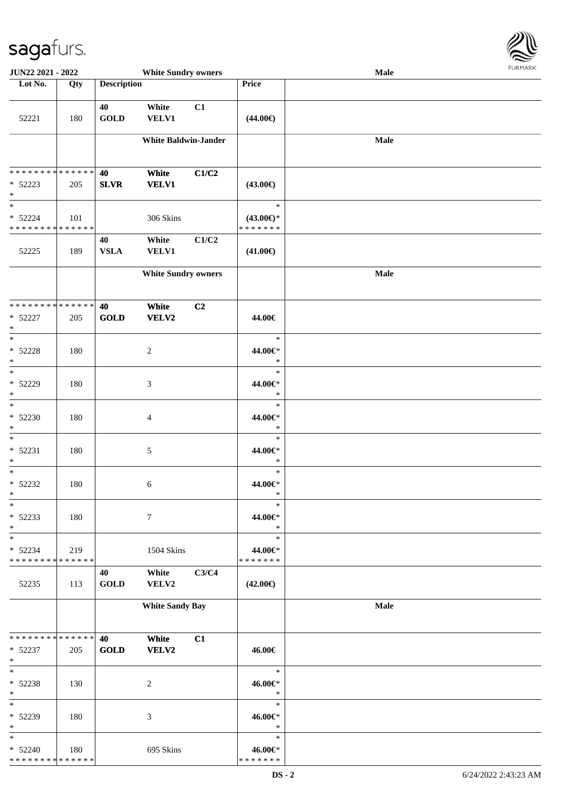

| JUN22 2021 - 2022                                  |     |                    | <b>White Sundry owners</b>  |       |                                                | Male |
|----------------------------------------------------|-----|--------------------|-----------------------------|-------|------------------------------------------------|------|
| Lot No.                                            | Qty | <b>Description</b> |                             |       | Price                                          |      |
| 52221                                              | 180 | 40<br><b>GOLD</b>  | White<br><b>VELV1</b>       | C1    | $(44.00\epsilon)$                              |      |
|                                                    |     |                    | <b>White Baldwin-Jander</b> |       |                                                | Male |
| * * * * * * * * * * * * * *<br>$* 52223$<br>$\ast$ | 205 | 40<br><b>SLVR</b>  | White<br><b>VELV1</b>       | C1/C2 | $(43.00\epsilon)$                              |      |
| $\ast$<br>$* 52224$<br>* * * * * * * * * * * * * * | 101 |                    | 306 Skins                   |       | $\ast$<br>$(43.00\epsilon)$ *<br>* * * * * * * |      |
| 52225                                              | 189 | 40<br>${\bf VSLA}$ | White<br><b>VELV1</b>       | C1/C2 | $(41.00\epsilon)$                              |      |
|                                                    |     |                    | <b>White Sundry owners</b>  |       |                                                | Male |
| **************<br>$* 52227$<br>$\ast$              | 205 | 40<br><b>GOLD</b>  | White<br><b>VELV2</b>       | C2    | 44.00€                                         |      |
| $\ast$<br>$* 52228$<br>$\ast$                      | 180 |                    | $\sqrt{2}$                  |       | $\ast$<br>44.00€*<br>$\ast$                    |      |
| $\ast$<br>* 52229<br>$\ast$                        | 180 |                    | 3                           |       | $\ast$<br>44.00€*<br>$\ast$                    |      |
| $\overline{\ast}$<br>$* 52230$<br>$\ast$           | 180 |                    | 4                           |       | $\ast$<br>44.00€*<br>$\ast$                    |      |
| $\ast$<br>$* 52231$<br>$\ast$                      | 180 |                    | 5                           |       | $\ast$<br>44.00€*<br>$\ast$                    |      |
| $\ast$<br>$* 52232$<br>$*$                         | 180 |                    | 6                           |       | $\ast$<br>44.00€*<br>$\ast$                    |      |
| $\ast$<br>$* 52233$<br>$\ast$                      | 180 |                    | $\tau$                      |       | $\ast$<br>44.00€*<br>$\ast$                    |      |
| $\ast$<br>$* 52234$<br>* * * * * * * * * * * * * * | 219 |                    | 1504 Skins                  |       | $\ast$<br>44.00€*<br>* * * * * * *             |      |
| 52235                                              | 113 | 40<br><b>GOLD</b>  | White<br>VELV2              | C3/C4 | $(42.00\epsilon)$                              |      |
|                                                    |     |                    | <b>White Sandy Bay</b>      |       |                                                | Male |
| * * * * * * * * * * * * * *<br>$* 52237$<br>$\ast$ | 205 | 40<br><b>GOLD</b>  | White<br><b>VELV2</b>       | C1    | 46.00€                                         |      |
| $\ast$<br>* 52238<br>$\ast$                        | 130 |                    | $\overline{c}$              |       | $\ast$<br>46.00€*<br>$\ast$                    |      |
| $\ast$<br>* 52239<br>$\ast$                        | 180 |                    | 3                           |       | $\ast$<br>46.00€*<br>$\ast$                    |      |
| $\ast$<br>$* 52240$<br>* * * * * * * * * * * * * * | 180 |                    | 695 Skins                   |       | $\ast$<br>46.00€*<br>* * * * * * *             |      |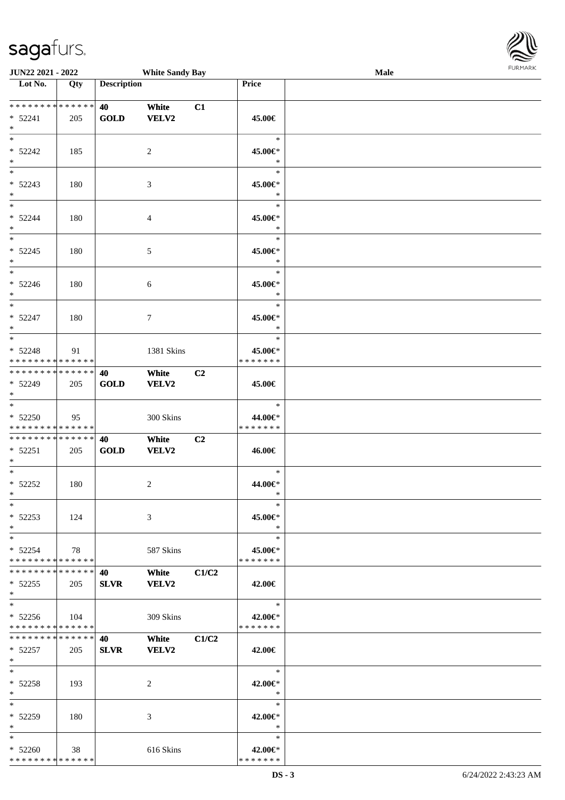| URMARK<br>F |
|-------------|

| JUN22 2021 - 2022                                        |             |                    | <b>White Sandy Bay</b> |       |                                       | Male | FURMARK |
|----------------------------------------------------------|-------------|--------------------|------------------------|-------|---------------------------------------|------|---------|
| Lot No.                                                  | Qty         | <b>Description</b> |                        |       | Price                                 |      |         |
| * * * * * * * * * * * * * *<br>$* 52241$<br>$\ast$       | 205         | 40<br>GOLD         | White<br><b>VELV2</b>  | C1    | 45.00€                                |      |         |
| $\ast$<br>$* 52242$<br>$*$                               | 185         |                    | $\overline{2}$         |       | $\ast$<br>45.00€*<br>$\ast$           |      |         |
| $*$<br>$* 52243$<br>$\ast$                               | 180         |                    | 3                      |       | $\ast$<br>45.00€*<br>$\ast$           |      |         |
| $*$<br>$* 52244$<br>$\ast$<br>$\overline{\phantom{a}^*}$ | 180         |                    | $\overline{4}$         |       | $\ast$<br>45.00€*<br>$\ast$           |      |         |
| $* 52245$<br>$\ast$                                      | 180         |                    | 5                      |       | $\ast$<br>45.00€*<br>$\ast$           |      |         |
| $*$<br>$* 52246$<br>$*$<br>$\overline{\phantom{0}}$      | 180         |                    | 6                      |       | $\ast$<br>45.00€*<br>$\ast$           |      |         |
| $* 52247$<br>$\ast$<br>$\overline{\ast}$                 | 180         |                    | $\tau$                 |       | $\ast$<br>45.00€*<br>$\ast$<br>$\ast$ |      |         |
| $* 52248$<br>* * * * * * * * * * * * * *                 | 91          |                    | 1381 Skins             |       | 45.00€*<br>* * * * * * *              |      |         |
| **************<br>* 52249<br>$*$                         | 205         | 40<br>GOLD         | White<br><b>VELV2</b>  | C2    | 45.00€                                |      |         |
| $*$<br>$* 52250$<br>* * * * * * * * * * * * * *          | 95          |                    | 300 Skins              |       | $\ast$<br>44.00€*<br>* * * * * * *    |      |         |
| **************<br>$* 52251$<br>$*$                       | 205         | 40<br>GOLD         | White<br><b>VELV2</b>  | C2    | 46.00€                                |      |         |
| $*$<br>$* 52252$<br>$*$<br>$\ast$                        | 180         |                    | $\overline{c}$         |       | $\ast$<br>44.00€*<br>$\ast$           |      |         |
| $* 52253$<br>$*$<br>$\ast$                               | 124         |                    | $\mathfrak{Z}$         |       | 45.00€*<br>$\ast$                     |      |         |
| $* 52254$<br>* * * * * * * * * * * * * *                 | 78          |                    | 587 Skins              |       | $\ast$<br>45.00€*<br>* * * * * * *    |      |         |
| **************<br>$* 52255$<br>$*$<br>$*$                | 205         | 40<br><b>SLVR</b>  | White<br><b>VELV2</b>  | C1/C2 | 42.00€<br>$\ast$                      |      |         |
| $* 52256$<br>**************                              | $\vert$ 104 |                    | 309 Skins              |       | 42.00€*<br>* * * * * * *              |      |         |
| * * * * * * * * * * * * * * *<br>$* 52257$<br>$*$        | 205         | 40<br><b>SLVR</b>  | White<br><b>VELV2</b>  | C1/C2 | 42.00€                                |      |         |
| $*$<br>$* 52258$<br>$*$                                  | 193         |                    | 2                      |       | $\ast$<br>42.00€*<br>$\ast$           |      |         |
| $*$<br>* 52259<br>$*$                                    | 180         |                    | 3                      |       | $\ast$<br>42.00€*<br>$\ast$           |      |         |
| $\ast$<br>$* 52260$<br>* * * * * * * * * * * * * *       | 38          |                    | 616 Skins              |       | $\ast$<br>42.00€*<br>* * * * * * *    |      |         |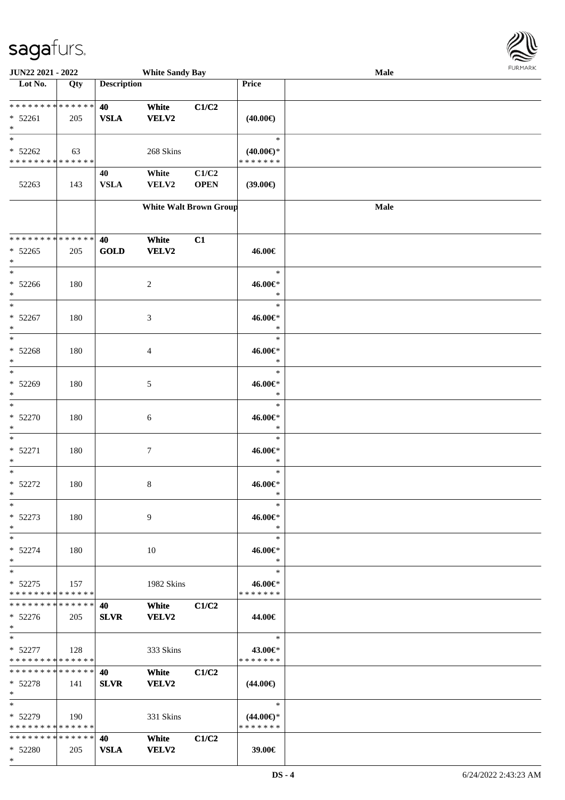\*



| JUN22 2021 - 2022             |     |                    | <b>White Sandy Bay</b> |                               |                     | Male        |  |
|-------------------------------|-----|--------------------|------------------------|-------------------------------|---------------------|-------------|--|
| Lot No.                       | Qty | <b>Description</b> |                        |                               | Price               |             |  |
|                               |     |                    |                        |                               |                     |             |  |
| **************                |     | 40                 | White                  | C1/C2                         |                     |             |  |
| $* 52261$                     | 205 | <b>VSLA</b>        | <b>VELV2</b>           |                               | $(40.00\epsilon)$   |             |  |
| $\ast$                        |     |                    |                        |                               |                     |             |  |
| $\ast$                        |     |                    |                        |                               | $\ast$              |             |  |
| $* 52262$                     | 63  |                    | 268 Skins              |                               | $(40.00\epsilon)$ * |             |  |
| * * * * * * * * * * * * * *   |     |                    |                        |                               | * * * * * * *       |             |  |
|                               |     | 40                 | White                  | C1/C2                         |                     |             |  |
| 52263                         | 143 | <b>VSLA</b>        | VELV2                  | <b>OPEN</b>                   | (39.00)             |             |  |
|                               |     |                    |                        |                               |                     |             |  |
|                               |     |                    |                        | <b>White Walt Brown Group</b> |                     | <b>Male</b> |  |
|                               |     |                    |                        |                               |                     |             |  |
|                               |     |                    |                        |                               |                     |             |  |
| * * * * * * * * * * * * * *   |     | 40                 | White                  | C1                            |                     |             |  |
| $* 52265$                     | 205 | <b>GOLD</b>        | <b>VELV2</b>           |                               | 46.00€              |             |  |
| $\ast$                        |     |                    |                        |                               |                     |             |  |
| $\ast$                        |     |                    |                        |                               | $\ast$              |             |  |
| $* 52266$                     | 180 |                    | 2                      |                               | 46.00€*             |             |  |
| $\ast$                        |     |                    |                        |                               | $\ast$              |             |  |
| $\ast$                        |     |                    |                        |                               | $\ast$              |             |  |
| $* 52267$                     | 180 |                    | 3                      |                               | 46.00€*             |             |  |
| $\ast$                        |     |                    |                        |                               | $\ast$              |             |  |
| $\ast$                        |     |                    |                        |                               | $\ast$              |             |  |
| $* 52268$                     | 180 |                    | 4                      |                               | 46.00€*             |             |  |
| $\ast$                        |     |                    |                        |                               | $\ast$              |             |  |
| $\ast$                        |     |                    |                        |                               | $\ast$              |             |  |
| * 52269                       | 180 |                    | 5                      |                               | 46.00€*             |             |  |
| $\ast$                        |     |                    |                        |                               | $\ast$              |             |  |
| $\ast$                        |     |                    |                        |                               | $\ast$              |             |  |
| * 52270                       | 180 |                    | 6                      |                               | 46.00€*             |             |  |
| $\ast$                        |     |                    |                        |                               | $\ast$              |             |  |
| $\ast$                        |     |                    |                        |                               | $\ast$              |             |  |
| $* 52271$                     | 180 |                    | $\tau$                 |                               | 46.00€*             |             |  |
| $\ast$                        |     |                    |                        |                               | $\ast$              |             |  |
| $\ast$                        |     |                    |                        |                               | $\ast$              |             |  |
| $* 52272$                     | 180 |                    | 8                      |                               | 46.00€*             |             |  |
| $\ast$                        |     |                    |                        |                               | $\ast$              |             |  |
| $*$                           |     |                    |                        |                               | $\ast$              |             |  |
| $* 52273$                     | 180 |                    | 9                      |                               | 46.00€*             |             |  |
| $\ast$                        |     |                    |                        |                               | $\ast$              |             |  |
| $*$                           |     |                    |                        |                               | $\ast$              |             |  |
| $* 52274$                     | 180 |                    | 10                     |                               | 46.00€*             |             |  |
| $*$                           |     |                    |                        |                               | $\ast$              |             |  |
| $\ast$                        |     |                    |                        |                               | $\ast$              |             |  |
| $* 52275$                     | 157 |                    | 1982 Skins             |                               | 46.00€*             |             |  |
| * * * * * * * * * * * * * *   |     |                    |                        |                               | * * * * * * *       |             |  |
| **************                |     | 40                 | White                  | C1/C2                         |                     |             |  |
| $* 52276$                     | 205 | <b>SLVR</b>        | <b>VELV2</b>           |                               | 44.00€              |             |  |
| $*$                           |     |                    |                        |                               |                     |             |  |
| $*$                           |     |                    |                        |                               | $\ast$              |             |  |
| $* 52277$                     | 128 |                    | 333 Skins              |                               | 43.00€*             |             |  |
| * * * * * * * * * * * * * *   |     |                    |                        |                               | * * * * * * *       |             |  |
| ******** <mark>******</mark>  |     | 40                 | White                  | C1/C2                         |                     |             |  |
| $* 52278$                     | 141 | <b>SLVR</b>        | <b>VELV2</b>           |                               | $(44.00\epsilon)$   |             |  |
| $*$                           |     |                    |                        |                               |                     |             |  |
| $*$                           |     |                    |                        |                               | $\ast$              |             |  |
| $* 52279$                     | 190 |                    | 331 Skins              |                               | $(44.00\epsilon)$ * |             |  |
| * * * * * * * * * * * * * *   |     |                    |                        |                               | * * * * * * *       |             |  |
| * * * * * * * * * * * * * * * |     | 40                 | White                  | C1/C2                         |                     |             |  |
| * 52280                       | 205 | <b>VSLA</b>        | <b>VELV2</b>           |                               | 39.00€              |             |  |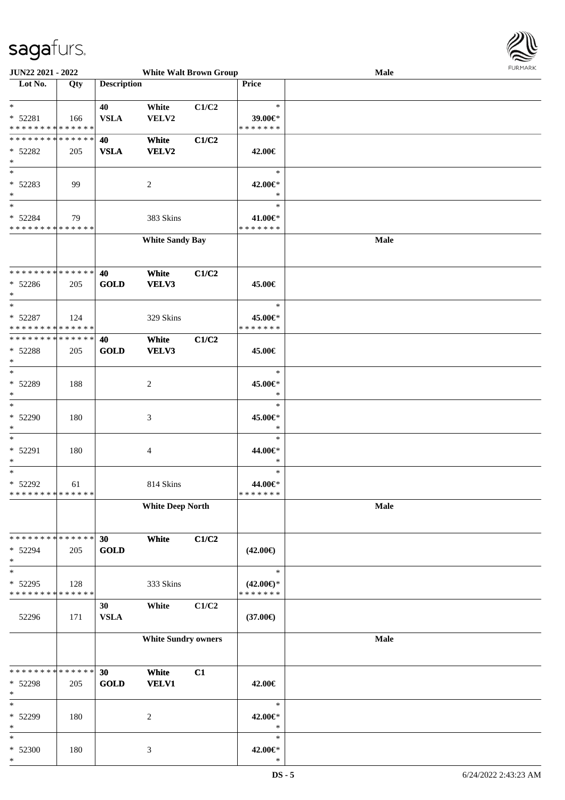

| JUN22 2021 - 2022                                                          |     |                    | <b>White Walt Brown Group</b> |       |                          | Male | <b>FURMARK</b> |
|----------------------------------------------------------------------------|-----|--------------------|-------------------------------|-------|--------------------------|------|----------------|
| $\overline{\phantom{1}}$ Lot No.                                           | Qty | <b>Description</b> |                               |       | Price                    |      |                |
|                                                                            |     |                    |                               |       |                          |      |                |
| $*$                                                                        |     | 40                 | White                         | C1/C2 | $\ast$                   |      |                |
| $* 52281$                                                                  | 166 | <b>VSLA</b>        | VELV2                         |       | 39.00€*<br>* * * * * * * |      |                |
| * * * * * * * * <mark>* * * * * * *</mark><br>******** <mark>******</mark> |     |                    |                               |       |                          |      |                |
|                                                                            |     | 40                 | White                         | C1/C2 |                          |      |                |
| $* 52282$<br>$*$                                                           | 205 | <b>VSLA</b>        | VELV2                         |       | 42.00€                   |      |                |
| $*$                                                                        |     |                    |                               |       | $\ast$                   |      |                |
| $* 52283$                                                                  | 99  |                    | 2                             |       | 42.00€*                  |      |                |
| $*$                                                                        |     |                    |                               |       | $\ast$                   |      |                |
| $*$                                                                        |     |                    |                               |       | $\ast$                   |      |                |
| * 52284                                                                    | 79  |                    | 383 Skins                     |       | 41.00€*                  |      |                |
| * * * * * * * * * * * * * *                                                |     |                    |                               |       | * * * * * * *            |      |                |
|                                                                            |     |                    | <b>White Sandy Bay</b>        |       |                          | Male |                |
|                                                                            |     |                    |                               |       |                          |      |                |
|                                                                            |     |                    |                               |       |                          |      |                |
| * * * * * * * * * * * * * * *                                              |     | 40                 | White                         | C1/C2 |                          |      |                |
| * 52286                                                                    | 205 | <b>GOLD</b>        | VELV3                         |       | 45.00€                   |      |                |
| $*$                                                                        |     |                    |                               |       |                          |      |                |
| $*$                                                                        |     |                    |                               |       | $\ast$                   |      |                |
| * 52287<br>* * * * * * * * * * * * * * *                                   | 124 |                    | 329 Skins                     |       | 45.00€*<br>* * * * * * * |      |                |
| * * * * * * * * * * * * * *                                                |     |                    |                               |       |                          |      |                |
| * 52288                                                                    |     | 40<br><b>GOLD</b>  | White<br>VELV3                | C1/C2 |                          |      |                |
| $*$                                                                        | 205 |                    |                               |       | 45.00€                   |      |                |
| $*$                                                                        |     |                    |                               |       | $\ast$                   |      |                |
| * 52289                                                                    | 188 |                    | 2                             |       | 45.00€*                  |      |                |
| $*$                                                                        |     |                    |                               |       | $\ast$                   |      |                |
| $*$                                                                        |     |                    |                               |       | $\ast$                   |      |                |
| $* 52290$                                                                  | 180 |                    | 3                             |       | 45.00€*                  |      |                |
| $\ast$                                                                     |     |                    |                               |       | $\ast$                   |      |                |
| $\ast$                                                                     |     |                    |                               |       | $\ast$                   |      |                |
| * 52291                                                                    | 180 |                    | 4                             |       | 44.00€*                  |      |                |
| $*$                                                                        |     |                    |                               |       | $\ast$                   |      |                |
| $*$                                                                        |     |                    |                               |       | $\ast$                   |      |                |
| $* 52292$<br>* * * * * * * * * * * * * *                                   | 61  |                    | 814 Skins                     |       | 44.00€*<br>* * * * * * * |      |                |
|                                                                            |     |                    | <b>White Deep North</b>       |       |                          | Male |                |
|                                                                            |     |                    |                               |       |                          |      |                |
|                                                                            |     |                    |                               |       |                          |      |                |
| * * * * * * * * * * * * * * *                                              |     | 30                 | White                         | C1/C2 |                          |      |                |
| * 52294                                                                    | 205 | <b>GOLD</b>        |                               |       | $(42.00\epsilon)$        |      |                |
| $*$                                                                        |     |                    |                               |       |                          |      |                |
| $\ast$                                                                     |     |                    |                               |       | $\ast$                   |      |                |
| * 52295                                                                    | 128 |                    | 333 Skins                     |       | $(42.00\epsilon)$ *      |      |                |
| * * * * * * * * * * * * * *                                                |     |                    |                               |       | * * * * * * *            |      |                |
|                                                                            |     | 30                 | White                         | C1/C2 |                          |      |                |
| 52296                                                                      | 171 | ${\bf VSLA}$       |                               |       | $(37.00\epsilon)$        |      |                |
|                                                                            |     |                    | <b>White Sundry owners</b>    |       |                          | Male |                |
|                                                                            |     |                    |                               |       |                          |      |                |
|                                                                            |     |                    |                               |       |                          |      |                |
| * * * * * * * * * * * * * *                                                |     | 30                 | White                         | C1    |                          |      |                |
| * 52298                                                                    | 205 | <b>GOLD</b>        | <b>VELV1</b>                  |       | 42.00€                   |      |                |
| $*$                                                                        |     |                    |                               |       |                          |      |                |
| $\ast$                                                                     |     |                    |                               |       | $\ast$                   |      |                |
| * 52299                                                                    | 180 |                    | $\sqrt{2}$                    |       | 42.00€*                  |      |                |
| $\ast$<br>$\ast$                                                           |     |                    |                               |       | $\ast$<br>$\ast$         |      |                |
| $* 52300$                                                                  | 180 |                    | $\mathfrak{Z}$                |       | 42.00€*                  |      |                |
| $\ast$                                                                     |     |                    |                               |       | $\ast$                   |      |                |
|                                                                            |     |                    |                               |       |                          |      |                |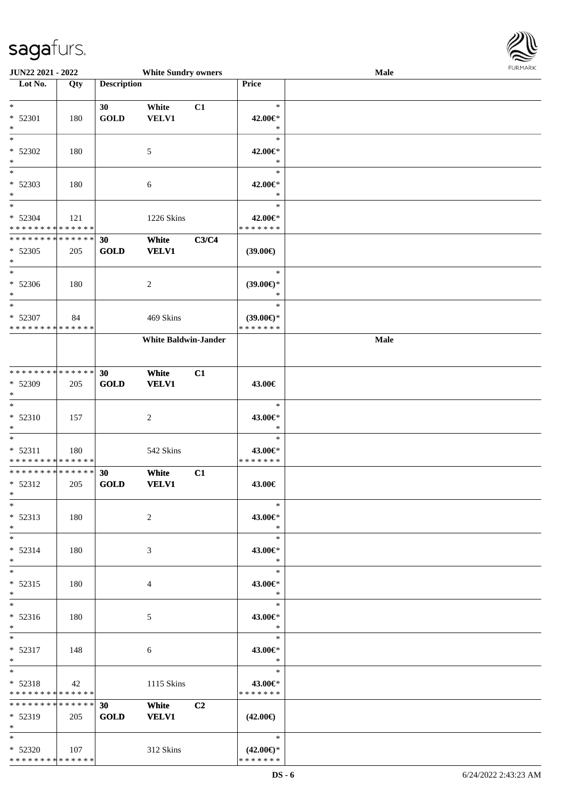

| JUN22 2021 - 2022             |             |                    | <b>White Sundry owners</b>  |       |                     | Male | <b>FUNITANN</b> |
|-------------------------------|-------------|--------------------|-----------------------------|-------|---------------------|------|-----------------|
| Lot No.                       | Qty         | <b>Description</b> |                             |       | Price               |      |                 |
|                               |             |                    |                             |       |                     |      |                 |
| $\ast$                        |             | 30                 | White                       | C1    | $\ast$              |      |                 |
| * 52301                       | 180         | <b>GOLD</b>        | VELV1                       |       | 42.00€*             |      |                 |
| $\ast$                        |             |                    |                             |       | $\ast$              |      |                 |
| $\ast$                        |             |                    |                             |       | $\ast$              |      |                 |
| $* 52302$                     | 180         |                    | $\sqrt{5}$                  |       | 42.00€*             |      |                 |
| $\ast$                        |             |                    |                             |       | $\ast$              |      |                 |
| $_{\ast}$                     |             |                    |                             |       | $\ast$              |      |                 |
| * 52303                       | 180         |                    | 6                           |       | 42.00€*             |      |                 |
| $\ast$                        |             |                    |                             |       | $\ast$              |      |                 |
| $\ast$                        |             |                    |                             |       | $\ast$              |      |                 |
| * 52304                       | 121         |                    | 1226 Skins                  |       | 42.00€*             |      |                 |
| * * * * * * * * * * * * * *   |             |                    |                             |       | * * * * * * *       |      |                 |
| * * * * * * * * * * * * * *   |             | 30                 | White                       | C3/C4 |                     |      |                 |
| * 52305                       | 205         | <b>GOLD</b>        | <b>VELV1</b>                |       | (39.00)             |      |                 |
| $\ast$                        |             |                    |                             |       |                     |      |                 |
| $\overline{\phantom{a}^*}$    |             |                    |                             |       | $\ast$              |      |                 |
| $* 52306$                     | 180         |                    | $\sqrt{2}$                  |       | $(39.00\epsilon)$ * |      |                 |
| $\ast$                        |             |                    |                             |       | $\ast$              |      |                 |
| $\ast$                        |             |                    |                             |       | $\ast$              |      |                 |
| * 52307                       | 84          |                    | 469 Skins                   |       | $(39.00\epsilon)$ * |      |                 |
| * * * * * * * * * * * * * *   |             |                    |                             |       | * * * * * * *       |      |                 |
|                               |             |                    | <b>White Baldwin-Jander</b> |       |                     | Male |                 |
|                               |             |                    |                             |       |                     |      |                 |
|                               |             |                    |                             |       |                     |      |                 |
| **************                |             | 30                 | White                       | C1    |                     |      |                 |
| * 52309                       | 205         | <b>GOLD</b>        | <b>VELV1</b>                |       | 43.00€              |      |                 |
| $\ast$                        |             |                    |                             |       |                     |      |                 |
| $\ast$                        |             |                    |                             |       | $\ast$              |      |                 |
| * 52310                       | 157         |                    | $\sqrt{2}$                  |       | 43.00€*             |      |                 |
| $\ast$                        |             |                    |                             |       | $\ast$              |      |                 |
| $\ast$                        |             |                    |                             |       | $\ast$              |      |                 |
| $* 52311$                     | 180         |                    | 542 Skins                   |       | 43.00€*             |      |                 |
| * * * * * * * * * * * * * * * |             |                    |                             |       | * * * * * * *       |      |                 |
| **************                |             | 30                 | White                       | C1    |                     |      |                 |
| $* 52312$                     | 205         | <b>GOLD</b>        | <b>VELV1</b>                |       | 43.00€              |      |                 |
| $*$                           |             |                    |                             |       |                     |      |                 |
| $*$                           |             |                    |                             |       | $\ast$              |      |                 |
| $* 52313$                     | 180         |                    | 2                           |       | 43.00€*             |      |                 |
| $*$                           |             |                    |                             |       | $\ast$              |      |                 |
| $*$                           |             |                    |                             |       | $\ast$              |      |                 |
| $* 52314$                     | 180         |                    | 3                           |       | 43.00€*             |      |                 |
| $\ast$                        |             |                    |                             |       | $\ast$              |      |                 |
| $\ast$                        |             |                    |                             |       | $\ast$              |      |                 |
| $* 52315$                     | 180         |                    | 4                           |       | 43.00€*             |      |                 |
| $*$                           |             |                    |                             |       | $\ast$              |      |                 |
| $*$                           |             |                    |                             |       | $\ast$              |      |                 |
| $* 52316$                     | 180         |                    | 5                           |       | 43.00€*             |      |                 |
| $*$                           |             |                    |                             |       | $*$                 |      |                 |
| $*$                           |             |                    |                             |       | $\ast$              |      |                 |
| $* 52317$                     | 148         |                    | 6                           |       | 43.00€*             |      |                 |
| $*$                           |             |                    |                             |       | $\ast$              |      |                 |
| $\ast$                        |             |                    |                             |       | $\ast$              |      |                 |
| $* 52318$                     | 42          |                    | 1115 Skins                  |       | 43.00€*             |      |                 |
| * * * * * * * * * * * * * *   |             |                    |                             |       | * * * * * * *       |      |                 |
| ******** <mark>******</mark>  |             | 30 <sup>1</sup>    | White                       | C2    |                     |      |                 |
| $* 52319$                     | 205         | <b>GOLD</b>        | <b>VELV1</b>                |       | $(42.00\epsilon)$   |      |                 |
| $*$                           |             |                    |                             |       |                     |      |                 |
| $*$                           |             |                    |                             |       | $\ast$              |      |                 |
| $* 52320$                     | $\vert$ 107 |                    | 312 Skins                   |       | $(42.00\epsilon)$ * |      |                 |
| **************                |             |                    |                             |       | * * * * * * *       |      |                 |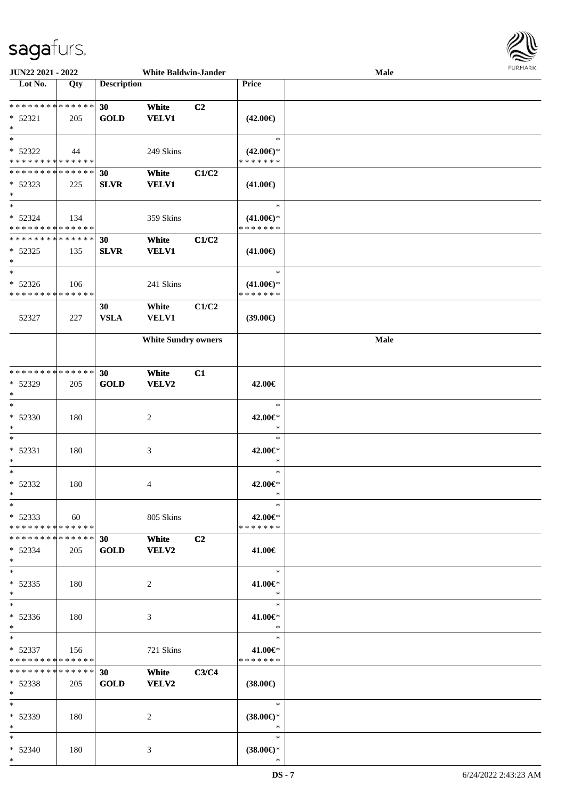

| JUN22 2021 - 2022             |     |                    | <b>White Baldwin-Jander</b> |       |                     | <b>Male</b> |  |
|-------------------------------|-----|--------------------|-----------------------------|-------|---------------------|-------------|--|
| Lot No.                       | Qty | <b>Description</b> |                             |       | <b>Price</b>        |             |  |
|                               |     |                    |                             |       |                     |             |  |
| * * * * * * * * * * * * * *   |     | 30                 | White                       | C2    |                     |             |  |
| $* 52321$                     | 205 | <b>GOLD</b>        | <b>VELV1</b>                |       | $(42.00\epsilon)$   |             |  |
| $\ast$                        |     |                    |                             |       |                     |             |  |
| $*$                           |     |                    |                             |       | $\ast$              |             |  |
| * 52322                       | 44  |                    | 249 Skins                   |       | $(42.00\epsilon)$ * |             |  |
| * * * * * * * * * * * * * *   |     |                    |                             |       | * * * * * * *       |             |  |
| * * * * * * * * * * * * * *   |     | 30                 | White                       | C1/C2 |                     |             |  |
| $* 52323$                     | 225 | <b>SLVR</b>        | <b>VELV1</b>                |       | $(41.00\epsilon)$   |             |  |
| $*$                           |     |                    |                             |       |                     |             |  |
| $*$                           |     |                    |                             |       | $\ast$              |             |  |
| $* 52324$                     | 134 |                    | 359 Skins                   |       | $(41.00\epsilon)$ * |             |  |
| * * * * * * * * * * * * * *   |     |                    |                             |       | * * * * * * *       |             |  |
| * * * * * * * * * * * * * *   |     | 30                 | White                       | C1/C2 |                     |             |  |
| $* 52325$                     | 135 | <b>SLVR</b>        | <b>VELV1</b>                |       | $(41.00\epsilon)$   |             |  |
| $\ast$                        |     |                    |                             |       |                     |             |  |
| $\ast$                        |     |                    |                             |       | $\ast$              |             |  |
| $* 52326$                     | 106 |                    | 241 Skins                   |       | $(41.00\epsilon)$ * |             |  |
| * * * * * * * * * * * * * *   |     |                    |                             |       | * * * * * * *       |             |  |
|                               |     | 30                 | White                       | C1/C2 |                     |             |  |
| 52327                         | 227 | <b>VSLA</b>        | <b>VELV1</b>                |       | $(39.00\epsilon)$   |             |  |
|                               |     |                    |                             |       |                     |             |  |
|                               |     |                    | <b>White Sundry owners</b>  |       |                     | <b>Male</b> |  |
|                               |     |                    |                             |       |                     |             |  |
|                               |     |                    |                             |       |                     |             |  |
| * * * * * * * * * * * * * *   |     | 30                 | White                       | C1    |                     |             |  |
| * 52329                       | 205 | <b>GOLD</b>        | VELV2                       |       | 42.00€              |             |  |
| $*$                           |     |                    |                             |       |                     |             |  |
| $\ast$                        |     |                    |                             |       | $\ast$              |             |  |
| $* 52330$                     | 180 |                    | $\overline{c}$              |       | 42.00€*             |             |  |
| $\ast$                        |     |                    |                             |       | $\ast$              |             |  |
| $\ast$                        |     |                    |                             |       | $\ast$              |             |  |
| * 52331                       | 180 |                    | $\mathfrak{Z}$              |       | 42.00€*             |             |  |
| $\ast$                        |     |                    |                             |       | $\ast$              |             |  |
| $\ast$                        |     |                    |                             |       | $\ast$              |             |  |
| $* 52332$                     | 180 |                    | 4                           |       | 42.00€*             |             |  |
| $*$                           |     |                    |                             |       | $\ast$              |             |  |
| $*$                           |     |                    |                             |       | $\ast$              |             |  |
| $* 52333$                     | 60  |                    | 805 Skins                   |       | 42.00€*             |             |  |
| * * * * * * * * * * * * * *   |     |                    |                             |       | * * * * * * *       |             |  |
| * * * * * * * * * * * * * * * |     | 30 <sup>°</sup>    | White                       | C2    |                     |             |  |
| $* 52334$                     | 205 | <b>GOLD</b>        | VELV2                       |       | 41.00€              |             |  |
| $*$                           |     |                    |                             |       |                     |             |  |
| $*$                           |     |                    |                             |       | $\ast$              |             |  |
| $* 52335$                     | 180 |                    | 2                           |       | $41.00 \in$         |             |  |
| $*$                           |     |                    |                             |       | $\ast$              |             |  |
| $*$                           |     |                    |                             |       | $\ast$              |             |  |
| $* 52336$                     | 180 |                    | 3                           |       | 41.00€*             |             |  |
| $*$                           |     |                    |                             |       | $\ast$              |             |  |
| $*$ and $*$                   |     |                    |                             |       | $\ast$              |             |  |
| $* 52337$                     | 156 |                    | 721 Skins                   |       | 41.00€*             |             |  |
| * * * * * * * * * * * * * *   |     |                    |                             |       | * * * * * * *       |             |  |
| * * * * * * * * * * * * * *   |     | 30                 | White                       | C3/C4 |                     |             |  |
| * 52338                       | 205 | <b>GOLD</b>        | <b>VELV2</b>                |       | $(38.00\epsilon)$   |             |  |
| $*$                           |     |                    |                             |       |                     |             |  |
| $*$                           |     |                    |                             |       | $\ast$              |             |  |
| * 52339                       | 180 |                    | 2                           |       | $(38.00€)$ *        |             |  |
| $*$                           |     |                    |                             |       | $\ast$              |             |  |
| $*$ $*$                       |     |                    |                             |       | $\ast$              |             |  |
| * 52340                       | 180 |                    | 3                           |       | $(38.00\epsilon)$ * |             |  |
| $*$                           |     |                    |                             |       | $\ast$              |             |  |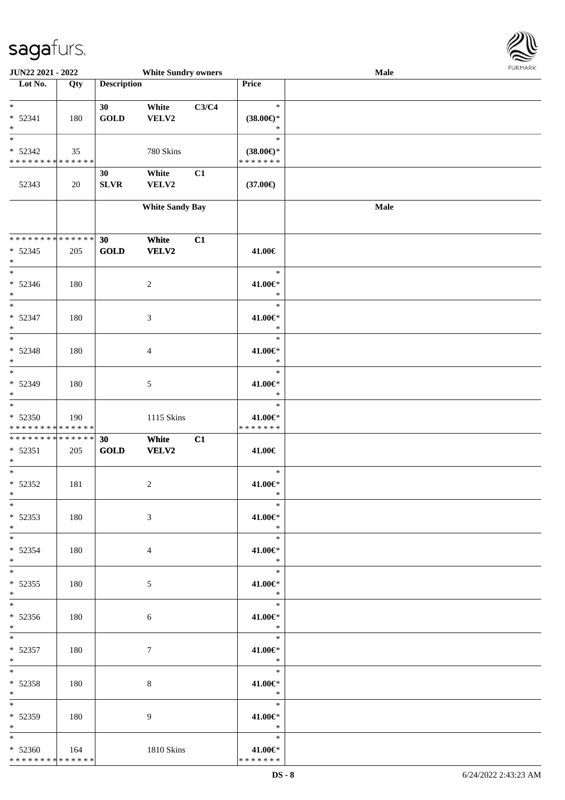

| JUN22 2021 - 2022            |             |                    | <b>White Sundry owners</b> |       |                     | Male |  |
|------------------------------|-------------|--------------------|----------------------------|-------|---------------------|------|--|
| Lot No.                      | Qty         | <b>Description</b> |                            |       | Price               |      |  |
|                              |             |                    |                            |       |                     |      |  |
| $\ast$                       |             | 30                 | White                      | C3/C4 | $\ast$              |      |  |
| $* 52341$                    | 180         | <b>GOLD</b>        | VELV2                      |       | $(38.00\epsilon)$ * |      |  |
| $\ast$                       |             |                    |                            |       | $\ast$              |      |  |
| $\overline{\ast}$            |             |                    |                            |       | $\ast$              |      |  |
| * 52342                      | 35          |                    | 780 Skins                  |       | $(38.00\epsilon)$ * |      |  |
| * * * * * * * * * * * * * *  |             |                    |                            |       | * * * * * * *       |      |  |
|                              |             | 30                 | White                      | C1    |                     |      |  |
| 52343                        | 20          | ${\bf SLVR}$       | VELV2                      |       | $(37.00\epsilon)$   |      |  |
|                              |             |                    |                            |       |                     |      |  |
|                              |             |                    | <b>White Sandy Bay</b>     |       |                     | Male |  |
|                              |             |                    |                            |       |                     |      |  |
|                              |             |                    |                            |       |                     |      |  |
| **************               |             | 30                 | White                      | C1    |                     |      |  |
| $* 52345$                    | 205         | <b>GOLD</b>        | <b>VELV2</b>               |       | 41.00€              |      |  |
| $\ast$                       |             |                    |                            |       |                     |      |  |
| $\overline{\phantom{a}^*}$   |             |                    |                            |       | $\ast$              |      |  |
| $* 52346$                    | 180         |                    | $\sqrt{2}$                 |       | 41.00€*             |      |  |
| $\ast$                       |             |                    |                            |       | $\ast$              |      |  |
| $\overline{\phantom{a}^*}$   |             |                    |                            |       | $\ast$              |      |  |
| $* 52347$                    | 180         |                    | $\mathfrak{Z}$             |       | 41.00€*             |      |  |
| $\ast$                       |             |                    |                            |       | $\ast$              |      |  |
| $\ast$                       |             |                    |                            |       | $\ast$              |      |  |
| $* 52348$                    | 180         |                    | $\overline{4}$             |       | 41.00€*             |      |  |
| $\ast$                       |             |                    |                            |       | $\ast$              |      |  |
| $_{\ast}^{-}$                |             |                    |                            |       | $\ast$              |      |  |
| * 52349                      | 180         |                    | $5\phantom{.0}$            |       | 41.00€*             |      |  |
| $\ast$                       |             |                    |                            |       | $\ast$              |      |  |
| $\overline{\ast}$            |             |                    |                            |       | $\ast$              |      |  |
| $* 52350$                    | 190         |                    | 1115 Skins                 |       | 41.00€*             |      |  |
| * * * * * * * * * * * * * *  |             |                    |                            |       | * * * * * * *       |      |  |
| ******** <mark>******</mark> |             | 30                 | White                      | C1    |                     |      |  |
| $* 52351$                    | 205         | <b>GOLD</b>        | <b>VELV2</b>               |       | 41.00€              |      |  |
| $\ast$<br>$\ast$             |             |                    |                            |       | $\ast$              |      |  |
|                              |             |                    |                            |       |                     |      |  |
| $* 52352$<br>$*$             | 181         |                    | $\overline{c}$             |       | 41.00€*<br>$\ast$   |      |  |
| $*$                          |             |                    |                            |       | $\ast$              |      |  |
|                              |             |                    |                            |       |                     |      |  |
| $* 52353$<br>$*$             | 180         |                    | 3                          |       | 41.00€*<br>$\ast$   |      |  |
| $*$                          |             |                    |                            |       | $\ast$              |      |  |
|                              |             |                    |                            |       |                     |      |  |
| $* 52354$<br>$*$             | 180         |                    | 4                          |       | 41.00€*<br>$\ast$   |      |  |
| $*$                          |             |                    |                            |       | $\ast$              |      |  |
| $* 52355$                    | 180         |                    | 5                          |       | 41.00€*             |      |  |
| $*$                          |             |                    |                            |       | $\mathbb{R}^n$      |      |  |
| $*$                          |             |                    |                            |       | $\ast$              |      |  |
| $* 52356$                    | 180         |                    | 6                          |       | 41.00€*             |      |  |
| $*$ $*$                      |             |                    |                            |       | $\ddot{x}$          |      |  |
| $*$ $*$                      |             |                    |                            |       | $\ast$              |      |  |
| $* 52357$                    | 180         |                    | 7                          |       | 41.00€*             |      |  |
| $*$ $*$                      |             |                    |                            |       | $\ast$              |      |  |
| $*$                          |             |                    |                            |       | $\ast$              |      |  |
| $* 52358$                    | 180         |                    | 8                          |       | 41.00€*             |      |  |
| $*$                          |             |                    |                            |       | $\ast$              |      |  |
| $*$                          |             |                    |                            |       | $\ast$              |      |  |
| * 52359                      | 180         |                    | 9                          |       | 41.00€*             |      |  |
| $*$ $*$                      |             |                    |                            |       | $\star$             |      |  |
| $*$                          |             |                    |                            |       | $\ast$              |      |  |
| $* 52360$                    | $\vert$ 164 |                    | 1810 Skins                 |       | 41.00€*             |      |  |
| * * * * * * * * * * * * * *  |             |                    |                            |       | * * * * * * *       |      |  |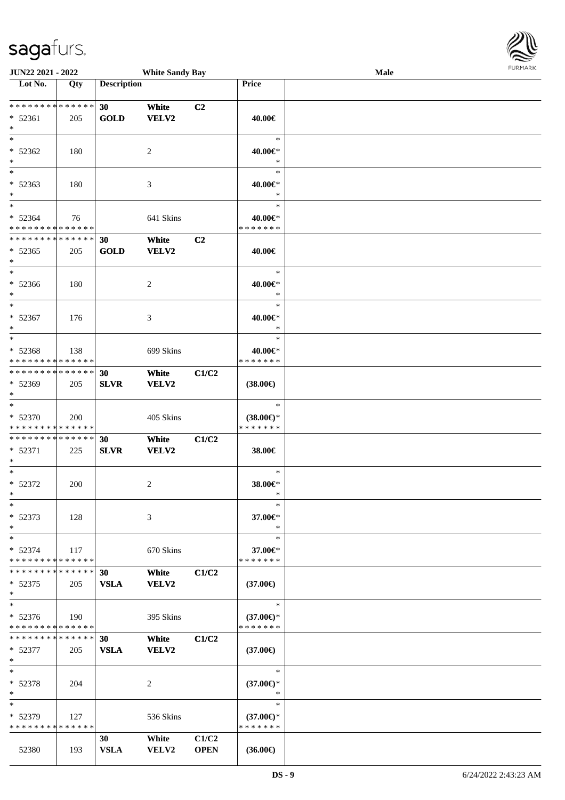

| JUN22 2021 - 2022                          |     |                    | <b>White Sandy Bay</b> |             |                     | <b>Male</b> |  |
|--------------------------------------------|-----|--------------------|------------------------|-------------|---------------------|-------------|--|
| Lot No.                                    | Qty | <b>Description</b> |                        |             | Price               |             |  |
|                                            |     |                    |                        |             |                     |             |  |
| * * * * * * * * <mark>* * * * * * *</mark> |     | 30                 | White                  | C2          |                     |             |  |
| * 52361                                    | 205 | <b>GOLD</b>        | <b>VELV2</b>           |             | 40.00€              |             |  |
| $*$                                        |     |                    |                        |             |                     |             |  |
| $*$                                        |     |                    |                        |             | $\ast$              |             |  |
| * 52362                                    | 180 |                    | 2                      |             | 40.00€*             |             |  |
| $\ast$                                     |     |                    |                        |             | $\ast$              |             |  |
| $\overline{\ast}$                          |     |                    |                        |             | $\ast$              |             |  |
| * 52363                                    | 180 |                    | 3                      |             | 40.00€*             |             |  |
| $*$                                        |     |                    |                        |             | $\ast$              |             |  |
| $*$                                        |     |                    |                        |             | $\ast$              |             |  |
| * 52364                                    | 76  |                    | 641 Skins              |             | 40.00€*             |             |  |
| * * * * * * * * * * * * * *                |     |                    |                        |             | * * * * * * *       |             |  |
| * * * * * * * * * * * * * *                |     |                    |                        |             |                     |             |  |
|                                            |     | 30                 | White                  | C2          |                     |             |  |
| $* 52365$                                  | 205 | <b>GOLD</b>        | VELV2                  |             | 40.00€              |             |  |
| $*$                                        |     |                    |                        |             |                     |             |  |
| $*$                                        |     |                    |                        |             | $\ast$              |             |  |
| * 52366                                    | 180 |                    | $\overline{c}$         |             | 40.00€*             |             |  |
| $*$                                        |     |                    |                        |             | $\ast$              |             |  |
| $*$                                        |     |                    |                        |             | $\ast$              |             |  |
| * 52367                                    | 176 |                    | 3                      |             | 40.00€*             |             |  |
| $*$                                        |     |                    |                        |             | $\ast$              |             |  |
| $*$                                        |     |                    |                        |             | $\ast$              |             |  |
| * 52368                                    | 138 |                    | 699 Skins              |             | 40.00€*             |             |  |
| * * * * * * * * * * * * * *                |     |                    |                        |             | * * * * * * *       |             |  |
| * * * * * * * * * * * * * * *              |     | 30                 | White                  | C1/C2       |                     |             |  |
| * 52369                                    | 205 | <b>SLVR</b>        | VELV2                  |             | $(38.00\epsilon)$   |             |  |
| $*$                                        |     |                    |                        |             |                     |             |  |
| $*$                                        |     |                    |                        |             | $\ast$              |             |  |
| $* 52370$                                  | 200 |                    | 405 Skins              |             | $(38.00\epsilon)$ * |             |  |
| * * * * * * * * * * * * * *                |     |                    |                        |             | * * * * * * *       |             |  |
| * * * * * * * * <mark>* * * * * * *</mark> |     | 30                 | White                  | C1/C2       |                     |             |  |
| * 52371                                    | 225 | <b>SLVR</b>        | VELV2                  |             | 38.00€              |             |  |
| $*$                                        |     |                    |                        |             |                     |             |  |
| $*$                                        |     |                    |                        |             | $\ast$              |             |  |
| $* 52372$                                  | 200 |                    | 2                      |             | 38.00€*             |             |  |
| $*$                                        |     |                    |                        |             | $\ast$              |             |  |
| $\ast$                                     |     |                    |                        |             | $\ast$              |             |  |
|                                            |     |                    |                        |             |                     |             |  |
| * 52373                                    | 128 |                    | 3                      |             | 37.00€*             |             |  |
| $*$                                        |     |                    |                        |             | $\ast$              |             |  |
| $\ast$                                     |     |                    |                        |             | $\ast$              |             |  |
| * 52374                                    | 117 |                    | 670 Skins              |             | 37.00€*             |             |  |
| * * * * * * * * * * * * * *                |     |                    |                        |             | * * * * * * *       |             |  |
| * * * * * * * * * * * * * * *              |     | 30                 | White                  | C1/C2       |                     |             |  |
| $* 52375$                                  | 205 | <b>VSLA</b>        | <b>VELV2</b>           |             | $(37.00\epsilon)$   |             |  |
| $*$                                        |     |                    |                        |             |                     |             |  |
| $\ast$                                     |     |                    |                        |             | $\ast$              |             |  |
| $* 52376$                                  | 190 |                    | 395 Skins              |             | $(37.00\epsilon)$ * |             |  |
| * * * * * * * * * * * * * *                |     |                    |                        |             | * * * * * * *       |             |  |
| * * * * * * * * * * * * * * *              |     | 30                 | White                  | C1/C2       |                     |             |  |
| $* 52377$                                  | 205 | <b>VSLA</b>        | VELV2                  |             | $(37.00\epsilon)$   |             |  |
| $*$                                        |     |                    |                        |             |                     |             |  |
| $*$                                        |     |                    |                        |             | $\ast$              |             |  |
| * 52378                                    | 204 |                    | 2                      |             | $(37.00\epsilon)$ * |             |  |
| $*$                                        |     |                    |                        |             | $\ast$              |             |  |
| $\ast$                                     |     |                    |                        |             | $\ast$              |             |  |
| * 52379                                    | 127 |                    | 536 Skins              |             | $(37.00\epsilon)$ * |             |  |
| * * * * * * * * * * * * * *                |     |                    |                        |             | * * * * * * *       |             |  |
|                                            |     | 30                 | White                  | C1/C2       |                     |             |  |
| 52380                                      | 193 | <b>VSLA</b>        | VELV2                  | <b>OPEN</b> | $(36.00\epsilon)$   |             |  |
|                                            |     |                    |                        |             |                     |             |  |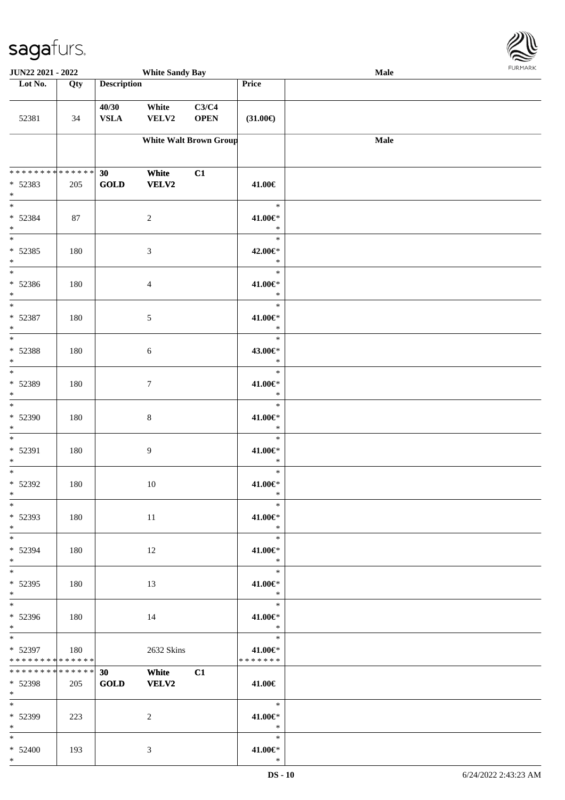

| JUN22 2021 - 2022                                                                       |     |                      | <b>White Sandy Bay</b>      |                               |                                               | <b>Male</b> |  |
|-----------------------------------------------------------------------------------------|-----|----------------------|-----------------------------|-------------------------------|-----------------------------------------------|-------------|--|
| Lot No.                                                                                 | Qty | <b>Description</b>   |                             |                               | Price                                         |             |  |
| 52381                                                                                   | 34  | 40/30<br><b>VSLA</b> | White<br>VELV2              | C3/C4<br><b>OPEN</b>          | $(31.00\epsilon)$                             |             |  |
|                                                                                         |     |                      |                             | <b>White Walt Brown Group</b> |                                               | <b>Male</b> |  |
| * * * * * * * * * * * * * * *<br>* 52383<br>$*$                                         | 205 | 30<br><b>GOLD</b>    | White<br>VELV2              | C1                            | 41.00€                                        |             |  |
| $\overline{\ast}$<br>* 52384<br>$*$                                                     | 87  |                      | $\overline{c}$              |                               | $\ast$<br>41.00€*<br>$\ast$                   |             |  |
| $\overline{\phantom{0}}$<br>* 52385<br>$*$                                              | 180 |                      | $\ensuremath{\mathfrak{Z}}$ |                               | $\ast$<br>42.00€*<br>$\ast$                   |             |  |
| $\overline{\phantom{0}}$<br>$* 52386$<br>$*$                                            | 180 |                      | $\overline{4}$              |                               | $\ast$<br>41.00€*<br>$\ast$                   |             |  |
| $\ast$<br>* 52387<br>$*$                                                                | 180 |                      | 5                           |                               | $\ast$<br>41.00€*<br>$\ast$                   |             |  |
| $\overline{\phantom{0}}$<br>* 52388<br>$\ast$                                           | 180 |                      | $\sqrt{6}$                  |                               | $\ast$<br>43.00€*<br>$\ast$                   |             |  |
| $\overline{\ast}$<br>* 52389<br>$*$                                                     | 180 |                      | $\tau$                      |                               | $\ast$<br>$41.00 \in$<br>$\ast$               |             |  |
| $*$<br>* 52390<br>$*$                                                                   | 180 |                      | $\,8\,$                     |                               | $\ast$<br>41.00€*<br>$\ast$                   |             |  |
| $*$<br>* 52391<br>$*$                                                                   | 180 |                      | 9                           |                               | $\ast$<br>41.00€*<br>$\ast$                   |             |  |
| $*$<br>$* 52392$<br>$*$                                                                 | 180 |                      | $10\,$                      |                               | $\ast$<br>41.00€*<br>$\ast$                   |             |  |
| $*$<br>* 52393<br>$*$                                                                   | 180 |                      | 11                          |                               | $\ast$<br>41.00€*<br>$\ast$                   |             |  |
| $*$<br>* 52394<br>$*$<br>$*$                                                            | 180 |                      | 12                          |                               | $\ast$<br>41.00€*<br>$\ast$                   |             |  |
| $* 52395$<br>$*$                                                                        | 180 |                      | 13                          |                               | $\ast$<br>41.00€*<br>$\mathbb{R}^n$<br>$\ast$ |             |  |
| * 52396<br>$*$ $*$                                                                      | 180 |                      | 14                          |                               | 41.00€*<br>$\ast$                             |             |  |
| $*$ and $*$<br>* 52397<br>* * * * * * * * * * * * * * *<br>******** <mark>******</mark> | 180 |                      | 2632 Skins                  |                               | $\ast$<br>41.00€*<br>*******                  |             |  |
| * 52398<br>$*$ $*$                                                                      | 205 | 30<br><b>GOLD</b>    | White<br><b>VELV2</b>       | C1                            | 41.00€<br>$\rightarrow$                       |             |  |
| * 52399<br>$*$                                                                          | 223 |                      | 2                           |                               | 41.00€*<br>$\ast$                             |             |  |
| $*$ and $*$<br>$* 52400$<br>$*$                                                         | 193 |                      | 3                           |                               | $\ast$<br>41.00€*<br>$\ast$                   |             |  |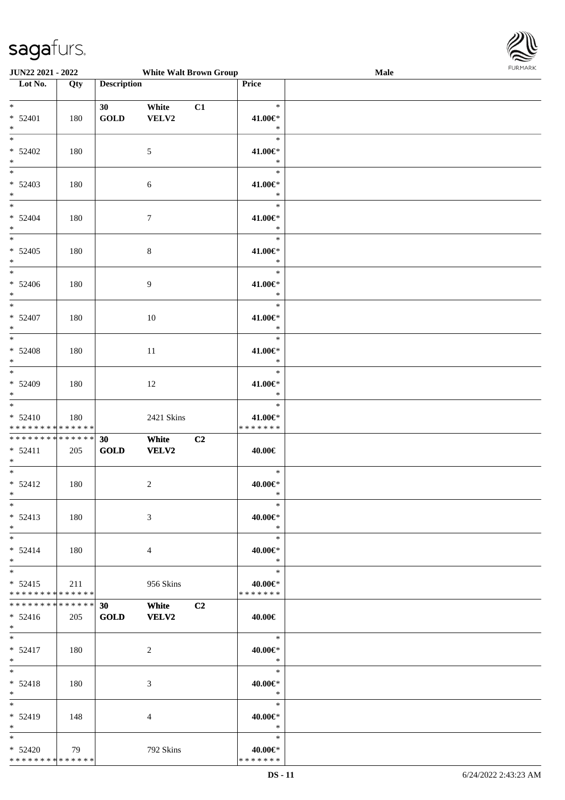

| <b>White Walt Brown Group</b><br>JUN22 2021 - 2022 |                   |                    |                  |                |               | Male | <b>FURMARK</b> |
|----------------------------------------------------|-------------------|--------------------|------------------|----------------|---------------|------|----------------|
| Lot No.                                            | $\overline{Q}$ ty | <b>Description</b> |                  |                | Price         |      |                |
|                                                    |                   |                    |                  |                |               |      |                |
| $\ast$                                             |                   | 30                 | White            | C1             | $\ast$        |      |                |
| $* 52401$                                          | 180               | <b>GOLD</b>        | VELV2            |                | 41.00€*       |      |                |
| $\ast$                                             |                   |                    |                  |                | $\ast$        |      |                |
| $\overline{\phantom{0}}$                           |                   |                    |                  |                | $\ast$        |      |                |
| $* 52402$                                          | 180               |                    | 5                |                | 41.00€*       |      |                |
| $\ast$                                             |                   |                    |                  |                | $\ast$        |      |                |
| $\overline{\phantom{0}}$                           |                   |                    |                  |                | $\ast$        |      |                |
|                                                    |                   |                    |                  |                |               |      |                |
| $* 52403$                                          | 180               |                    | 6                |                | 41.00€*       |      |                |
| $*$<br>$\overline{\ast}$                           |                   |                    |                  |                | $\ast$        |      |                |
|                                                    |                   |                    |                  |                | $\ast$        |      |                |
| $* 52404$                                          | 180               |                    | $\boldsymbol{7}$ |                | 41.00€*       |      |                |
| $*$                                                |                   |                    |                  |                | $\ast$        |      |                |
| $\overline{\ast}$                                  |                   |                    |                  |                | $\ast$        |      |                |
| $* 52405$                                          | 180               |                    | $\,8\,$          |                | 41.00€*       |      |                |
| $*$                                                |                   |                    |                  |                | $\ast$        |      |                |
| $*$                                                |                   |                    |                  |                | $\ast$        |      |                |
| $* 52406$                                          | 180               |                    | 9                |                | 41.00€*       |      |                |
| $*$                                                |                   |                    |                  |                | $\ast$        |      |                |
| $\frac{1}{1}$                                      |                   |                    |                  |                | $\ast$        |      |                |
|                                                    |                   |                    |                  |                |               |      |                |
| $* 52407$<br>$\ast$                                | 180               |                    | $10\,$           |                | 41.00€*       |      |                |
|                                                    |                   |                    |                  |                | $\ast$        |      |                |
|                                                    |                   |                    |                  |                | $\ast$        |      |                |
| $* 52408$                                          | 180               |                    | $11\,$           |                | 41.00€*       |      |                |
| $\ast$                                             |                   |                    |                  |                | $\ast$        |      |                |
|                                                    |                   |                    |                  |                | $\ast$        |      |                |
| * 52409                                            | 180               |                    | 12               |                | 41.00€*       |      |                |
| $*$                                                |                   |                    |                  |                | $\ast$        |      |                |
| $\overline{\phantom{0}}$                           |                   |                    |                  |                | $\ast$        |      |                |
| $* 52410$                                          | 180               |                    | 2421 Skins       |                | 41.00€*       |      |                |
| * * * * * * * * * * * * * *                        |                   |                    |                  |                | * * * * * * * |      |                |
| **************                                     |                   | 30                 | White            | C <sub>2</sub> |               |      |                |
| $* 52411$                                          | 205               | <b>GOLD</b>        | <b>VELV2</b>     |                | 40.00€        |      |                |
| $*$                                                |                   |                    |                  |                |               |      |                |
| $\overline{\ast}$                                  |                   |                    |                  |                | $\ast$        |      |                |
|                                                    |                   |                    |                  |                | 40.00€*       |      |                |
| $* 52412$                                          | 180               |                    | $\sqrt{2}$       |                |               |      |                |
| $\ast$                                             |                   |                    |                  |                | $\ast$        |      |                |
| $\ast$                                             |                   |                    |                  |                | $\ast$        |      |                |
| $* 52413$                                          | 180               |                    | 3                |                | 40.00€*       |      |                |
| $*$                                                |                   |                    |                  |                | $\ast$        |      |                |
| $\ast$                                             |                   |                    |                  |                | $\ast$        |      |                |
| $* 52414$                                          | 180               |                    | 4                |                | 40.00€*       |      |                |
| $*$                                                |                   |                    |                  |                | $\ast$        |      |                |
| $\overline{\phantom{0}}$                           |                   |                    |                  |                | $\ast$        |      |                |
| $* 52415$                                          | 211               |                    | 956 Skins        |                | 40.00€*       |      |                |
| * * * * * * * * * * * * * *                        |                   |                    |                  |                | * * * * * * * |      |                |
| * * * * * * * * * * * * * *                        |                   | 30                 | White            | C <sub>2</sub> |               |      |                |
| $* 52416$                                          |                   | <b>GOLD</b>        | <b>VELV2</b>     |                |               |      |                |
| $*$                                                | 205               |                    |                  |                | 40.00€        |      |                |
| $*$                                                |                   |                    |                  |                | $\ast$        |      |                |
|                                                    |                   |                    |                  |                |               |      |                |
| $* 52417$                                          | 180               |                    | $\overline{c}$   |                | 40.00€*       |      |                |
| $*$<br>$\overline{\phantom{a}^*}$                  |                   |                    |                  |                | $\ast$        |      |                |
|                                                    |                   |                    |                  |                | $\ast$        |      |                |
| $* 52418$                                          | 180               |                    | 3                |                | 40.00€*       |      |                |
| $\ast$                                             |                   |                    |                  |                | $\ast$        |      |                |
| $_{\ast}^{-}$                                      |                   |                    |                  |                | $\ast$        |      |                |
| * 52419                                            | 148               |                    | 4                |                | 40.00€*       |      |                |
| $\ast$                                             |                   |                    |                  |                | $\ast$        |      |                |
| $*$                                                |                   |                    |                  |                | $\ast$        |      |                |
| $* 52420$                                          | 79                |                    | 792 Skins        |                | 40.00€*       |      |                |
| ******** <mark>******</mark>                       |                   |                    |                  |                | * * * * * * * |      |                |
|                                                    |                   |                    |                  |                |               |      |                |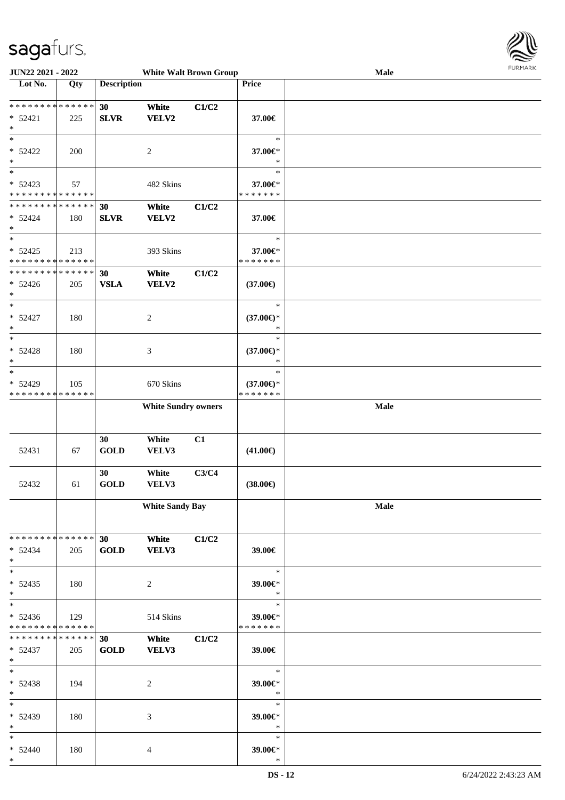

| JUN22 2021 - 2022                          |     |                    | <b>White Walt Brown Group</b> |       |                     | Male | <b>FURITARK</b> |
|--------------------------------------------|-----|--------------------|-------------------------------|-------|---------------------|------|-----------------|
| Lot No.                                    | Qty | <b>Description</b> |                               |       | Price               |      |                 |
|                                            |     |                    |                               |       |                     |      |                 |
| * * * * * * * * * * * * * * *              |     | 30                 | White                         | C1/C2 |                     |      |                 |
| $* 52421$                                  | 225 | <b>SLVR</b>        | VELV2                         |       | 37.00€              |      |                 |
| $*$                                        |     |                    |                               |       |                     |      |                 |
| $*$                                        |     |                    |                               |       | $\ast$              |      |                 |
| $* 52422$                                  | 200 |                    | $\overline{c}$                |       | 37.00€*             |      |                 |
| $*$                                        |     |                    |                               |       | $\ast$              |      |                 |
| $*$                                        |     |                    |                               |       | $\ast$              |      |                 |
|                                            |     |                    |                               |       |                     |      |                 |
| $* 52423$                                  | 57  |                    | 482 Skins                     |       | 37.00€*             |      |                 |
| * * * * * * * * <mark>* * * * * * *</mark> |     |                    |                               |       | * * * * * * *       |      |                 |
| * * * * * * * * * * * * * * *              |     | 30                 | White                         | C1/C2 |                     |      |                 |
| $* 52424$                                  | 180 | <b>SLVR</b>        | VELV2                         |       | 37.00€              |      |                 |
| $*$                                        |     |                    |                               |       |                     |      |                 |
| $*$                                        |     |                    |                               |       | $\ast$              |      |                 |
| $* 52425$                                  | 213 |                    | 393 Skins                     |       | 37.00€*             |      |                 |
| * * * * * * * * * * * * * *                |     |                    |                               |       | * * * * * * *       |      |                 |
| ******** <mark>******</mark>               |     | 30                 | White                         | C1/C2 |                     |      |                 |
| $* 52426$                                  | 205 | <b>VSLA</b>        | VELV2                         |       | $(37.00\epsilon)$   |      |                 |
| $\ast$                                     |     |                    |                               |       |                     |      |                 |
| $\ast$                                     |     |                    |                               |       | $\ast$              |      |                 |
| $* 52427$                                  | 180 |                    | 2                             |       | $(37.00\epsilon)$ * |      |                 |
| $\ast$                                     |     |                    |                               |       | $\ast$              |      |                 |
| $*$                                        |     |                    |                               |       | $\ast$              |      |                 |
|                                            |     |                    |                               |       |                     |      |                 |
| $* 52428$                                  | 180 |                    | $\mathfrak{Z}$                |       | $(37.00\epsilon)$ * |      |                 |
| $\ast$                                     |     |                    |                               |       | $\ast$              |      |                 |
| $*$                                        |     |                    |                               |       | $\ast$              |      |                 |
| * 52429                                    | 105 |                    | 670 Skins                     |       | $(37.00\epsilon)$ * |      |                 |
| * * * * * * * * * * * * * *                |     |                    |                               |       | * * * * * * *       |      |                 |
|                                            |     |                    | <b>White Sundry owners</b>    |       |                     | Male |                 |
|                                            |     |                    |                               |       |                     |      |                 |
|                                            |     |                    |                               |       |                     |      |                 |
|                                            |     | 30                 | White                         | C1    |                     |      |                 |
| 52431                                      | 67  | <b>GOLD</b>        | VELV3                         |       | $(41.00\epsilon)$   |      |                 |
|                                            |     |                    |                               |       |                     |      |                 |
|                                            |     | 30                 | White                         | C3/C4 |                     |      |                 |
| 52432                                      | 61  | <b>GOLD</b>        | VELV3                         |       | $(38.00\epsilon)$   |      |                 |
|                                            |     |                    |                               |       |                     |      |                 |
|                                            |     |                    | <b>White Sandy Bay</b>        |       |                     | Male |                 |
|                                            |     |                    |                               |       |                     |      |                 |
|                                            |     |                    |                               |       |                     |      |                 |
| ******** <mark>******</mark>               |     |                    |                               |       |                     |      |                 |
|                                            |     | 30                 | White                         | C1/C2 |                     |      |                 |
| $* 52434$                                  | 205 | <b>GOLD</b>        | VELV3                         |       | 39.00€              |      |                 |
| $*$                                        |     |                    |                               |       |                     |      |                 |
| $*$                                        |     |                    |                               |       | $\ast$              |      |                 |
| $* 52435$                                  | 180 |                    | 2                             |       | 39.00€*             |      |                 |
| $*$                                        |     |                    |                               |       | $\ast$              |      |                 |
| $*$                                        |     |                    |                               |       | $\ast$              |      |                 |
| $* 52436$                                  | 129 |                    | 514 Skins                     |       | 39.00€*             |      |                 |
| * * * * * * * * * * * * * * *              |     |                    |                               |       | * * * * * * *       |      |                 |
| * * * * * * * * * * * * * * *              |     | 30                 | White                         | C1/C2 |                     |      |                 |
| $* 52437$                                  | 205 | <b>GOLD</b>        | VELV3                         |       | 39.00€              |      |                 |
| $*$                                        |     |                    |                               |       |                     |      |                 |
| $*$                                        |     |                    |                               |       | $\ast$              |      |                 |
|                                            |     |                    |                               |       |                     |      |                 |
| * 52438<br>$*$                             | 194 |                    | 2                             |       | 39.00€*<br>$\ast$   |      |                 |
|                                            |     |                    |                               |       |                     |      |                 |
| $*$                                        |     |                    |                               |       | $\ast$              |      |                 |
| * 52439                                    | 180 |                    | 3                             |       | 39.00€*             |      |                 |
| $*$                                        |     |                    |                               |       | $\ast$              |      |                 |
| $*$                                        |     |                    |                               |       | $\ast$              |      |                 |
| $* 52440$                                  | 180 |                    | 4                             |       | 39.00€*             |      |                 |
| $*$                                        |     |                    |                               |       | $\ast$              |      |                 |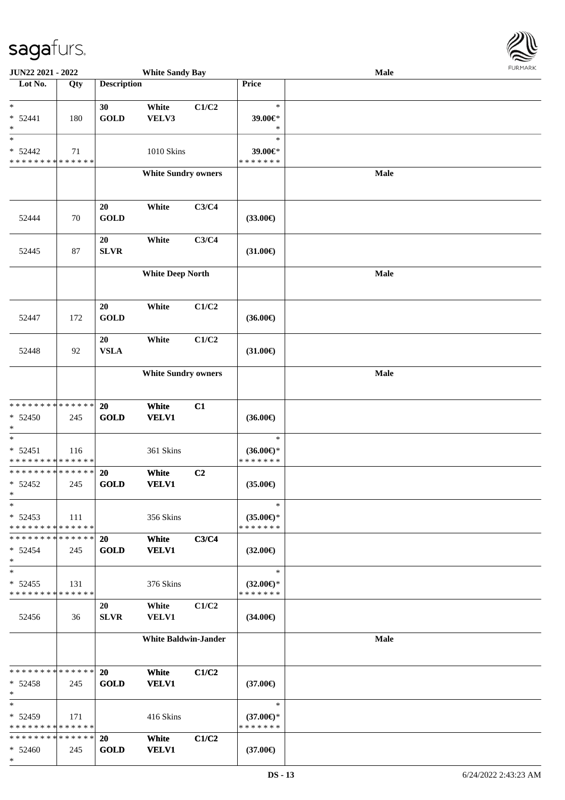

| <b>JUN22 2021 - 2022</b>                                                  |     |                    | <b>White Sandy Bay</b>      |       |                          | Male |  |
|---------------------------------------------------------------------------|-----|--------------------|-----------------------------|-------|--------------------------|------|--|
| Lot No.                                                                   | Qty | <b>Description</b> |                             |       | Price                    |      |  |
|                                                                           |     |                    |                             |       |                          |      |  |
| $\ast$                                                                    |     | 30                 | White                       | C1/C2 | $\ast$                   |      |  |
| $* 52441$                                                                 | 180 | <b>GOLD</b>        | VELV3                       |       | 39.00€*                  |      |  |
| $\ast$<br>$_{*}^{-}$                                                      |     |                    |                             |       | $\ast$<br>$\ast$         |      |  |
|                                                                           |     |                    |                             |       |                          |      |  |
| $* 52442$<br>* * * * * * * * * * * * * *                                  | 71  |                    | 1010 Skins                  |       | 39.00€*<br>* * * * * * * |      |  |
|                                                                           |     |                    | <b>White Sundry owners</b>  |       |                          | Male |  |
|                                                                           |     |                    |                             |       |                          |      |  |
|                                                                           |     |                    |                             |       |                          |      |  |
|                                                                           |     | $20\,$             | White                       | C3/C4 |                          |      |  |
| 52444                                                                     | 70  | <b>GOLD</b>        |                             |       | $(33.00\epsilon)$        |      |  |
|                                                                           |     |                    |                             |       |                          |      |  |
|                                                                           |     | 20                 | White                       | C3/C4 |                          |      |  |
| 52445                                                                     | 87  | <b>SLVR</b>        |                             |       | $(31.00\epsilon)$        |      |  |
|                                                                           |     |                    |                             |       |                          |      |  |
|                                                                           |     |                    | <b>White Deep North</b>     |       |                          | Male |  |
|                                                                           |     |                    |                             |       |                          |      |  |
|                                                                           |     |                    |                             |       |                          |      |  |
|                                                                           |     | $20\,$             | White                       | C1/C2 |                          |      |  |
| 52447                                                                     | 172 | <b>GOLD</b>        |                             |       | $(36.00\epsilon)$        |      |  |
|                                                                           |     | 20                 | White                       | C1/C2 |                          |      |  |
| 52448                                                                     | 92  | <b>VSLA</b>        |                             |       | $(31.00\epsilon)$        |      |  |
|                                                                           |     |                    |                             |       |                          |      |  |
|                                                                           |     |                    | <b>White Sundry owners</b>  |       |                          | Male |  |
|                                                                           |     |                    |                             |       |                          |      |  |
|                                                                           |     |                    |                             |       |                          |      |  |
| * * * * * * * * * * * * * *                                               |     | 20                 | White                       | C1    |                          |      |  |
| $* 52450$                                                                 | 245 | <b>GOLD</b>        | <b>VELV1</b>                |       | $(36.00\epsilon)$        |      |  |
| $\ast$                                                                    |     |                    |                             |       |                          |      |  |
| $\ast$                                                                    |     |                    |                             |       | $\ast$                   |      |  |
| $* 52451$                                                                 | 116 |                    | 361 Skins                   |       | $(36.00\epsilon)$ *      |      |  |
| * * * * * * * * <mark>* * * * * * *</mark><br>* * * * * * * * * * * * * * |     |                    |                             |       | * * * * * * *            |      |  |
| $* 52452$                                                                 | 245 | 20<br><b>GOLD</b>  | White<br><b>VELV1</b>       | C2    | $(35.00\epsilon)$        |      |  |
| $*$                                                                       |     |                    |                             |       |                          |      |  |
| $\ast$                                                                    |     |                    |                             |       | $\ast$                   |      |  |
| $* 52453$                                                                 | 111 |                    | 356 Skins                   |       | $(35.00\epsilon)$ *      |      |  |
| * * * * * * * * * * * * * *                                               |     |                    |                             |       | * * * * * * *            |      |  |
| * * * * * * * * * * * * * * *                                             |     | <b>20</b>          | White                       | C3/C4 |                          |      |  |
| $* 52454$                                                                 | 245 | <b>GOLD</b>        | <b>VELV1</b>                |       | $(32.00\epsilon)$        |      |  |
| $\ast$                                                                    |     |                    |                             |       |                          |      |  |
| $\ast$                                                                    |     |                    |                             |       | $\ast$                   |      |  |
| $* 52455$                                                                 | 131 |                    | 376 Skins                   |       | $(32.00\epsilon)$ *      |      |  |
| * * * * * * * * * * * * * *                                               |     |                    |                             |       | * * * * * * *            |      |  |
|                                                                           |     | 20                 | White                       | C1/C2 |                          |      |  |
| 52456                                                                     | 36  | <b>SLVR</b>        | <b>VELV1</b>                |       | $(34.00\epsilon)$        |      |  |
|                                                                           |     |                    |                             |       |                          |      |  |
|                                                                           |     |                    | <b>White Baldwin-Jander</b> |       |                          | Male |  |
|                                                                           |     |                    |                             |       |                          |      |  |
| * * * * * * * * * * * * * * *                                             |     | 20                 | White                       | C1/C2 |                          |      |  |
| $* 52458$                                                                 | 245 | <b>GOLD</b>        | <b>VELV1</b>                |       | $(37.00\epsilon)$        |      |  |
| $*$                                                                       |     |                    |                             |       |                          |      |  |
| $\ast$                                                                    |     |                    |                             |       | $\ast$                   |      |  |
| $* 52459$                                                                 | 171 |                    | 416 Skins                   |       | $(37.00\epsilon)$ *      |      |  |
| * * * * * * * * * * * * * *                                               |     |                    |                             |       | * * * * * * *            |      |  |
| * * * * * * * * <mark>* * * * * *</mark> *                                |     | <b>20</b>          | White                       | C1/C2 |                          |      |  |
| $* 52460$                                                                 | 245 | <b>GOLD</b>        | <b>VELV1</b>                |       | $(37.00\epsilon)$        |      |  |
| $\ast$                                                                    |     |                    |                             |       |                          |      |  |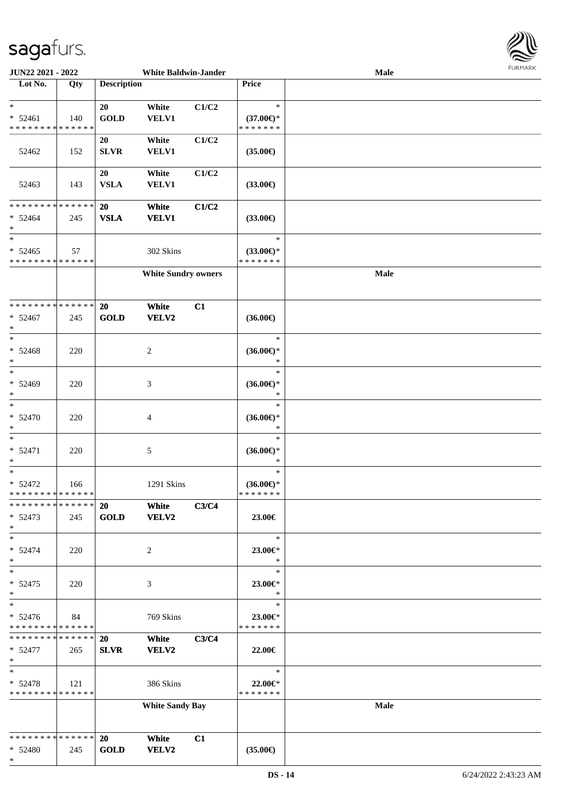\*



| <b>JUN22 2021 - 2022</b>                   |     |                    | <b>White Baldwin-Jander</b> |       |                     | <b>Male</b> |  |
|--------------------------------------------|-----|--------------------|-----------------------------|-------|---------------------|-------------|--|
| Lot No.                                    | Qty | <b>Description</b> |                             |       | Price               |             |  |
|                                            |     |                    |                             |       |                     |             |  |
| $*$                                        |     | 20                 | White                       | C1/C2 | $\ast$              |             |  |
| $* 52461$                                  | 140 | <b>GOLD</b>        | <b>VELV1</b>                |       | $(37.00\epsilon)$ * |             |  |
| * * * * * * * * * * * * * *                |     |                    |                             |       | * * * * * * *       |             |  |
|                                            |     | 20                 | White                       | C1/C2 |                     |             |  |
| 52462                                      | 152 | <b>SLVR</b>        | <b>VELV1</b>                |       | $(35.00\epsilon)$   |             |  |
|                                            |     |                    |                             |       |                     |             |  |
|                                            |     |                    |                             |       |                     |             |  |
|                                            |     | 20                 | White                       | C1/C2 |                     |             |  |
| 52463                                      | 143 | <b>VSLA</b>        | <b>VELV1</b>                |       | $(33.00\epsilon)$   |             |  |
|                                            |     |                    |                             |       |                     |             |  |
| * * * * * * * * * * * * * *                |     | 20                 | White                       | C1/C2 |                     |             |  |
| $* 52464$                                  | 245 | <b>VSLA</b>        | <b>VELV1</b>                |       | $(33.00\epsilon)$   |             |  |
| $\ast$                                     |     |                    |                             |       |                     |             |  |
| $\ast$                                     |     |                    |                             |       | $\ast$              |             |  |
| $* 52465$                                  | 57  |                    | 302 Skins                   |       | $(33.00\epsilon)$ * |             |  |
| * * * * * * * * * * * * * *                |     |                    |                             |       | * * * * * * *       |             |  |
|                                            |     |                    | <b>White Sundry owners</b>  |       |                     | Male        |  |
|                                            |     |                    |                             |       |                     |             |  |
|                                            |     |                    |                             |       |                     |             |  |
|                                            |     |                    |                             |       |                     |             |  |
| * * * * * * * * <mark>* * * * * * *</mark> |     | 20                 | White                       | C1    |                     |             |  |
| $* 52467$                                  | 245 | <b>GOLD</b>        | <b>VELV2</b>                |       | $(36.00\epsilon)$   |             |  |
| $\ast$                                     |     |                    |                             |       |                     |             |  |
| $*$                                        |     |                    |                             |       | $\ast$              |             |  |
| $* 52468$                                  | 220 |                    | $\overline{c}$              |       | $(36.00\epsilon)$ * |             |  |
| $\ast$                                     |     |                    |                             |       | $\ast$              |             |  |
| $*$                                        |     |                    |                             |       | $\ast$              |             |  |
| $* 52469$                                  | 220 |                    | 3                           |       | $(36.00\epsilon)$ * |             |  |
| $\ast$                                     |     |                    |                             |       | $\ast$              |             |  |
| $*$                                        |     |                    |                             |       | $\ast$              |             |  |
|                                            |     |                    |                             |       |                     |             |  |
| $* 52470$                                  | 220 |                    | $\overline{4}$              |       | $(36.00\epsilon)$ * |             |  |
| $\ast$                                     |     |                    |                             |       | $\ast$              |             |  |
| $*$                                        |     |                    |                             |       | $\ast$              |             |  |
| $* 52471$                                  | 220 |                    | $\sqrt{5}$                  |       | $(36.00\epsilon)$ * |             |  |
| *                                          |     |                    |                             |       | $\ast$              |             |  |
| $*$                                        |     |                    |                             |       | $\ast$              |             |  |
| $* 52472$                                  | 166 |                    | 1291 Skins                  |       | $(36.00€)$ *        |             |  |
| * * * * * * * * <mark>* * * * * *</mark>   |     |                    |                             |       | *******             |             |  |
| * * * * * * * * * * * * * * *              |     | <b>20</b>          | White                       | C3/C4 |                     |             |  |
| $* 52473$                                  | 245 | <b>GOLD</b>        | <b>VELV2</b>                |       | 23.00€              |             |  |
| $*$                                        |     |                    |                             |       |                     |             |  |
| $*$                                        |     |                    |                             |       | $\ast$              |             |  |
|                                            |     |                    |                             |       |                     |             |  |
| $* 52474$<br>$\ast$                        | 220 |                    | 2                           |       | 23.00€*<br>$\ast$   |             |  |
| $*$                                        |     |                    |                             |       | $\ast$              |             |  |
|                                            |     |                    |                             |       |                     |             |  |
| $* 52475$                                  | 220 |                    | 3                           |       | 23.00€*             |             |  |
| $*$                                        |     |                    |                             |       | $\ast$              |             |  |
| $*$                                        |     |                    |                             |       | $\ast$              |             |  |
| $* 52476$                                  | 84  |                    | 769 Skins                   |       | 23.00€*             |             |  |
| * * * * * * * * * * * * * *                |     |                    |                             |       | * * * * * * *       |             |  |
| * * * * * * * * <mark>* * * * * *</mark> * |     | <b>20</b>          | White                       | C3/C4 |                     |             |  |
| $* 52477$                                  | 265 | <b>SLVR</b>        | VELV2                       |       | 22.00€              |             |  |
| $\ast$                                     |     |                    |                             |       |                     |             |  |
| $*$                                        |     |                    |                             |       | $\ast$              |             |  |
| $* 52478$                                  | 121 |                    | 386 Skins                   |       | 22.00€*             |             |  |
| * * * * * * * * * * * * * * *              |     |                    |                             |       | * * * * * * *       |             |  |
|                                            |     |                    |                             |       |                     |             |  |
|                                            |     |                    | <b>White Sandy Bay</b>      |       |                     | Male        |  |
|                                            |     |                    |                             |       |                     |             |  |
|                                            |     |                    |                             |       |                     |             |  |
| * * * * * * * * <mark>* * * * * *</mark> * |     | <b>20</b>          | White                       | C1    |                     |             |  |
| $* 52480$                                  | 245 | <b>GOLD</b>        | <b>VELV2</b>                |       | $(35.00\epsilon)$   |             |  |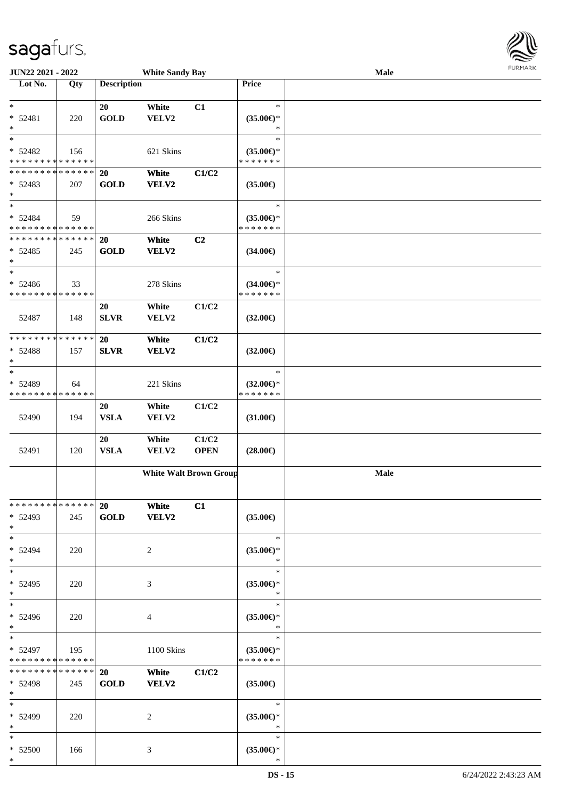| JUN22 2021 - 2022                                                    |     |                          | <b>White Sandy Bay</b>        |                      |                                                | Male | <b>FURMAR</b> |
|----------------------------------------------------------------------|-----|--------------------------|-------------------------------|----------------------|------------------------------------------------|------|---------------|
| Lot No.                                                              | Qty | <b>Description</b>       |                               |                      | <b>Price</b>                                   |      |               |
| $\ast$<br>$* 52481$                                                  | 220 | 20<br>GOLD               | White<br>VELV2                | C1                   | $\ast$<br>$(35.00\epsilon)$ *                  |      |               |
| $\ast$<br>$\ast$<br>$* 52482$                                        | 156 |                          | 621 Skins                     |                      | $\ast$<br>$\ast$<br>$(35.00\epsilon)$ *        |      |               |
| * * * * * * * * * * * * * *                                          |     |                          |                               |                      | * * * * * * *                                  |      |               |
| * * * * * * * * * * * * * * *<br>$* 52483$<br>$\ast$                 | 207 | 20<br><b>GOLD</b>        | White<br><b>VELV2</b>         | C1/C2                | $(35.00\epsilon)$                              |      |               |
| $\ast$<br>$* 52484$                                                  | 59  |                          | 266 Skins                     |                      | $\ast$<br>$(35.00\epsilon)$ *<br>* * * * * * * |      |               |
| * * * * * * * * * * * * * *<br>**************<br>$* 52485$<br>$\ast$ | 245 | <b>20</b><br>GOLD        | White<br>VELV2                | C2                   | $(34.00\epsilon)$                              |      |               |
| $\overline{\phantom{0}}$<br>$* 52486$<br>* * * * * * * * * * * * * * | 33  |                          | 278 Skins                     |                      | $\ast$<br>$(34.00\epsilon)$ *<br>* * * * * * * |      |               |
| 52487                                                                | 148 | 20<br><b>SLVR</b>        | White<br>VELV2                | C1/C2                | $(32.00\epsilon)$                              |      |               |
| * * * * * * * * * * * * * *<br>$* 52488$<br>$\ast$                   | 157 | 20<br><b>SLVR</b>        | White<br>VELV2                | C1/C2                | $(32.00\epsilon)$                              |      |               |
| $\ast$<br>$* 52489$<br>* * * * * * * * * * * * * *                   | 64  |                          | 221 Skins                     |                      | $\ast$<br>$(32.00\epsilon)$ *<br>* * * * * * * |      |               |
| 52490                                                                | 194 | 20<br><b>VSLA</b>        | White<br>VELV2                | C1/C2                | $(31.00\epsilon)$                              |      |               |
| 52491                                                                | 120 | 20<br><b>VSLA</b>        | White<br>VELV2                | C1/C2<br><b>OPEN</b> | $(28.00\epsilon)$                              |      |               |
|                                                                      |     |                          | <b>White Walt Brown Group</b> |                      |                                                | Male |               |
| * * * * * * * * * * * * * *<br>$* 52493$<br>$\ast$                   | 245 | 20<br>GOLD               | White<br>VELV2                | C1                   | $(35.00\epsilon)$                              |      |               |
| $\ast$<br>* 52494<br>$\ast$                                          | 220 |                          | 2                             |                      | $\ast$<br>$(35.00\epsilon)$ *<br>$\ast$        |      |               |
| $\ast$<br>$* 52495$<br>$\ast$                                        | 220 |                          | 3                             |                      | $\ast$<br>$(35.00\epsilon)$ *<br>$\ast$        |      |               |
| $\ast$<br>* 52496<br>$*$                                             | 220 |                          | 4                             |                      | $\ast$<br>$(35.00\epsilon)$ *<br>$\ast$        |      |               |
| $\ast$<br>* 52497<br>* * * * * * * * * * * * * *                     | 195 |                          | 1100 Skins                    |                      | $\ast$<br>$(35.00\epsilon)$ *<br>* * * * * * * |      |               |
| * * * * * * * * * * * * * * *<br>$* 52498$<br>$*$                    | 245 | <b>20</b><br><b>GOLD</b> | White<br><b>VELV2</b>         | C1/C2                | $(35.00\epsilon)$                              |      |               |
| $\overline{\phantom{1}}$<br>$* 52499$<br>$\ast$                      | 220 |                          | 2                             |                      | $\ast$<br>$(35.00\epsilon)$ *<br>$\ast$        |      |               |
| $\ast$<br>$* 52500$<br>$*$                                           | 166 |                          | 3                             |                      | $\ast$<br>$(35.00\epsilon)$ *<br>$\ast$        |      |               |

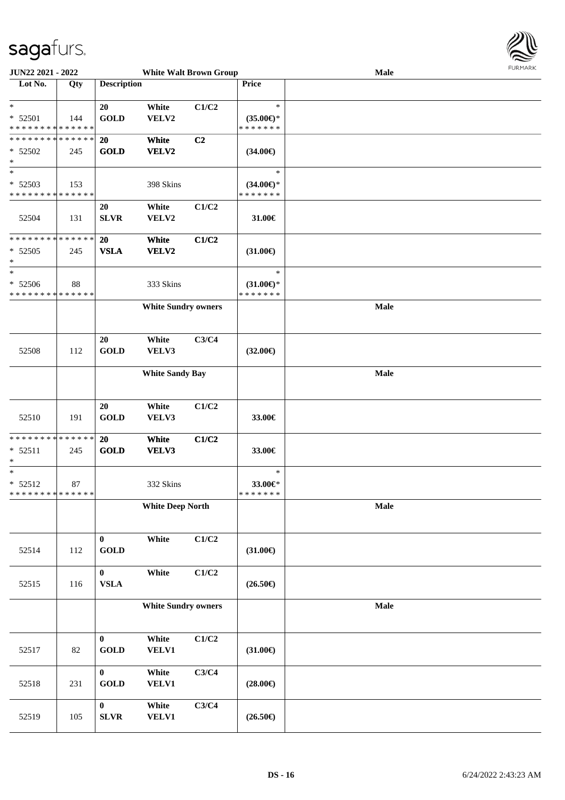

| <b>JUN22 2021 - 2022</b>                   |     |                    | <b>White Walt Brown Group</b> |                |                     | Male        | <b>LOKI-INKV</b> |
|--------------------------------------------|-----|--------------------|-------------------------------|----------------|---------------------|-------------|------------------|
| Lot No.                                    | Qty | <b>Description</b> |                               |                | Price               |             |                  |
| $*$                                        |     | 20                 | White                         | C1/C2          | $\ast$              |             |                  |
| $* 52501$                                  | 144 | <b>GOLD</b>        | VELV2                         |                | $(35.00\epsilon)$ * |             |                  |
| * * * * * * * * * * * * * *                |     |                    |                               |                | * * * * * * *       |             |                  |
| * * * * * * * * * * * * * *                |     | 20                 | White                         | C <sub>2</sub> |                     |             |                  |
| * 52502                                    | 245 | <b>GOLD</b>        | VELV2                         |                | $(34.00\epsilon)$   |             |                  |
| $\ast$                                     |     |                    |                               |                |                     |             |                  |
| $\ast$                                     |     |                    |                               |                | $\ast$              |             |                  |
| $* 52503$                                  | 153 |                    | 398 Skins                     |                | $(34.00€)$ *        |             |                  |
| * * * * * * * * <mark>* * * * * * *</mark> |     |                    | White                         | C1/C2          | * * * * * * *       |             |                  |
| 52504                                      | 131 | 20<br><b>SLVR</b>  | VELV2                         |                | 31.00€              |             |                  |
|                                            |     |                    |                               |                |                     |             |                  |
| * * * * * * * * * * * * * *                |     | 20                 | White                         | C1/C2          |                     |             |                  |
| $*52505$                                   | 245 | <b>VSLA</b>        | VELV2                         |                | $(31.00\epsilon)$   |             |                  |
| $\ast$                                     |     |                    |                               |                |                     |             |                  |
| $*$                                        |     |                    |                               |                | $\ast$              |             |                  |
| $* 52506$                                  | 88  |                    | 333 Skins                     |                | $(31.00\epsilon)$ * |             |                  |
| * * * * * * * * * * * * * *                |     |                    |                               |                | * * * * * * *       |             |                  |
|                                            |     |                    | <b>White Sundry owners</b>    |                |                     | Male        |                  |
|                                            |     |                    |                               |                |                     |             |                  |
|                                            |     | 20                 | White                         | C3/C4          |                     |             |                  |
| 52508                                      | 112 | <b>GOLD</b>        | VELV3                         |                | $(32.00\epsilon)$   |             |                  |
|                                            |     |                    |                               |                |                     |             |                  |
|                                            |     |                    | <b>White Sandy Bay</b>        |                |                     | <b>Male</b> |                  |
|                                            |     |                    |                               |                |                     |             |                  |
|                                            |     |                    |                               |                |                     |             |                  |
|                                            |     | 20                 | White                         | C1/C2          |                     |             |                  |
| 52510                                      | 191 | <b>GOLD</b>        | VELV3                         |                | 33.00€              |             |                  |
| * * * * * * * * <mark>* * * * * * *</mark> |     | 20                 | White                         | C1/C2          |                     |             |                  |
| $* 52511$                                  | 245 | <b>GOLD</b>        | VELV3                         |                | 33.00€              |             |                  |
| $\ast$                                     |     |                    |                               |                |                     |             |                  |
| $*$                                        |     |                    |                               |                | $\ast$              |             |                  |
| $* 52512$                                  | 87  |                    | 332 Skins                     |                | 33.00€*             |             |                  |
| * * * * * * * * <mark>* * * * * * *</mark> |     |                    |                               |                | * * * * * * *       |             |                  |
|                                            |     |                    | <b>White Deep North</b>       |                |                     | Male        |                  |
|                                            |     |                    |                               |                |                     |             |                  |
|                                            |     | $\bf{0}$           | White                         | C1/C2          |                     |             |                  |
| 52514                                      | 112 | <b>GOLD</b>        |                               |                | $(31.00\epsilon)$   |             |                  |
|                                            |     |                    |                               |                |                     |             |                  |
|                                            |     | $\bf{0}$           | White                         | C1/C2          |                     |             |                  |
| 52515                                      | 116 | ${\bf VSLA}$       |                               |                | $(26.50\epsilon)$   |             |                  |
|                                            |     |                    |                               |                |                     |             |                  |
|                                            |     |                    | <b>White Sundry owners</b>    |                |                     | Male        |                  |
|                                            |     |                    |                               |                |                     |             |                  |
|                                            |     | $\bf{0}$           | White                         | C1/C2          |                     |             |                  |
| 52517                                      | 82  | <b>GOLD</b>        | VELV1                         |                | $(31.00\epsilon)$   |             |                  |
|                                            |     |                    |                               |                |                     |             |                  |
|                                            |     | $\bf{0}$           | White                         | C3/C4          |                     |             |                  |
| 52518                                      | 231 | <b>GOLD</b>        | <b>VELV1</b>                  |                | $(28.00\epsilon)$   |             |                  |
|                                            |     |                    |                               |                |                     |             |                  |
|                                            |     | $\bf{0}$           | White                         | C3/C4          |                     |             |                  |
| 52519                                      | 105 | ${\bf SLVR}$       | VELV1                         |                | $(26.50\epsilon)$   |             |                  |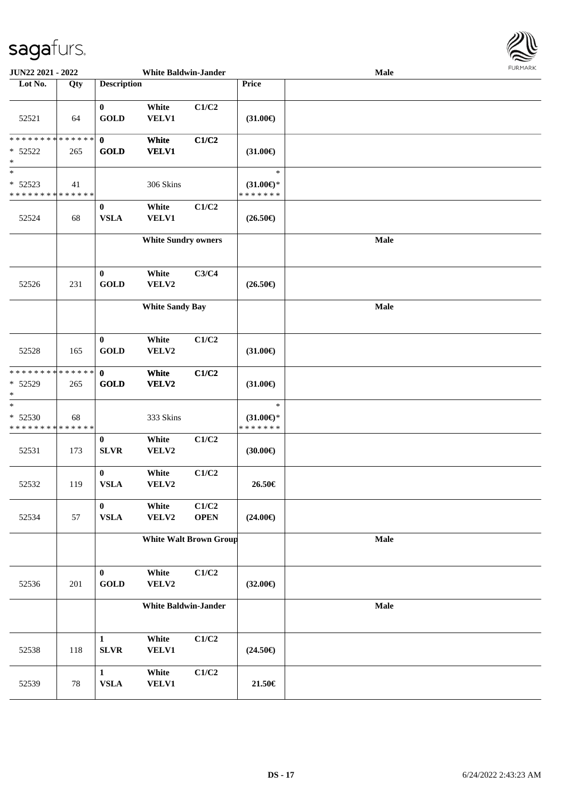

| JUN22 2021 - 2022                                               |     |                              | <b>White Baldwin-Jander</b> |                               |                                                | Male        | <b>LOKINKV</b> |
|-----------------------------------------------------------------|-----|------------------------------|-----------------------------|-------------------------------|------------------------------------------------|-------------|----------------|
| Lot No.                                                         | Qty | <b>Description</b>           |                             |                               | Price                                          |             |                |
| 52521                                                           | 64  | $\mathbf{0}$<br><b>GOLD</b>  | White<br><b>VELV1</b>       | C1/C2                         | $(31.00\epsilon)$                              |             |                |
| ******** <mark>******</mark><br>$* 52522$<br>$*$                | 265 | $\mathbf{0}$<br><b>GOLD</b>  | White<br><b>VELV1</b>       | C1/C2                         | $(31.00\epsilon)$                              |             |                |
| $\ast$<br>* 52523<br>* * * * * * * * <mark>* * * * * * *</mark> | 41  |                              | 306 Skins                   |                               | $\ast$<br>$(31.00\epsilon)$ *<br>* * * * * * * |             |                |
| 52524                                                           | 68  | $\bf{0}$<br><b>VSLA</b>      | White<br><b>VELV1</b>       | C1/C2                         | $(26.50\epsilon)$                              |             |                |
|                                                                 |     |                              | <b>White Sundry owners</b>  |                               |                                                | Male        |                |
| 52526                                                           | 231 | $\bf{0}$<br><b>GOLD</b>      | White<br>VELV2              | C3/C4                         | $(26.50\epsilon)$                              |             |                |
|                                                                 |     |                              | <b>White Sandy Bay</b>      |                               |                                                | Male        |                |
| 52528                                                           | 165 | $\mathbf{0}$<br><b>GOLD</b>  | White<br>VELV2              | C1/C2                         | $(31.00\epsilon)$                              |             |                |
| ******** <mark>******</mark><br>$* 52529$<br>$\ast$             | 265 | $\mathbf{0}$<br>GOLD         | White<br><b>VELV2</b>       | C1/C2                         | $(31.00\epsilon)$                              |             |                |
| $*$<br>* 52530<br>* * * * * * * * * * * * * *                   | 68  |                              | 333 Skins                   |                               | $\ast$<br>$(31.00\epsilon)$ *<br>* * * * * * * |             |                |
| 52531                                                           | 173 | $\bf{0}$<br><b>SLVR</b>      | White<br>VELV2              | C1/C2                         | (30.00)                                        |             |                |
| 52532                                                           | 119 | $\bf{0}$<br><b>VSLA</b>      | White<br>VELV2              | C1/C2                         | 26.50€                                         |             |                |
| 52534                                                           | 57  | $\bf{0}$<br><b>VSLA</b>      | White<br>VELV2              | C1/C2<br><b>OPEN</b>          | $(24.00\epsilon)$                              |             |                |
|                                                                 |     |                              |                             | <b>White Walt Brown Group</b> |                                                | <b>Male</b> |                |
| 52536                                                           | 201 | $\bf{0}$<br>GOLD             | White<br>VELV2              | C1/C2                         | $(32.00\epsilon)$                              |             |                |
|                                                                 |     |                              | <b>White Baldwin-Jander</b> |                               |                                                | <b>Male</b> |                |
| 52538                                                           | 118 | $\mathbf{1}$<br><b>SLVR</b>  | White<br><b>VELV1</b>       | C1/C2                         | $(24.50\epsilon)$                              |             |                |
| 52539                                                           | 78  | $\mathbf{1}$<br>${\bf VSLA}$ | White<br><b>VELV1</b>       | C1/C2                         | $21.50\in$                                     |             |                |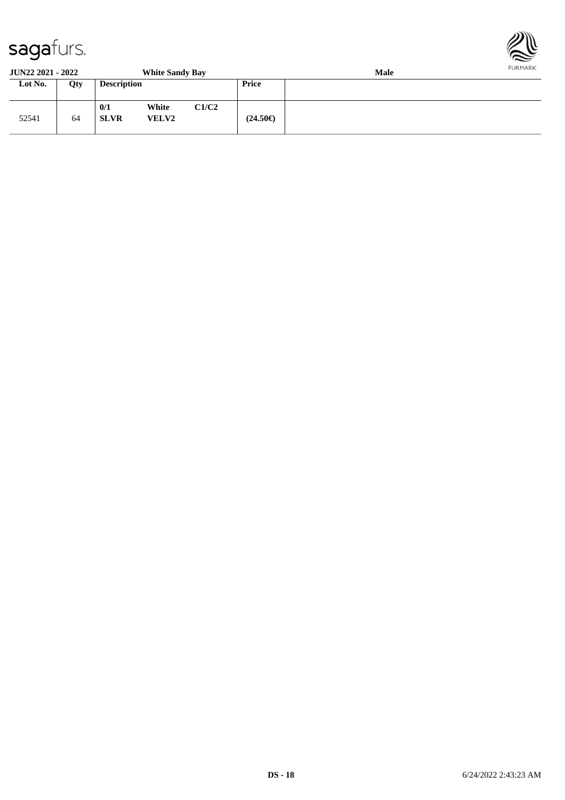

**JUN22 2021 - 2022 White Sandy Bay Male**

| JUIN <i>aa A</i> UAL - AUAA |     |                    | <b>WHILE SAIRLY DAY</b> |       |                   | waic |
|-----------------------------|-----|--------------------|-------------------------|-------|-------------------|------|
| Lot No.                     | Qty | <b>Description</b> |                         |       | <b>Price</b>      |      |
| 52541                       | 64  | 0/1<br><b>SLVR</b> | White<br><b>VELV2</b>   | C1/C2 | $(24.50\epsilon)$ |      |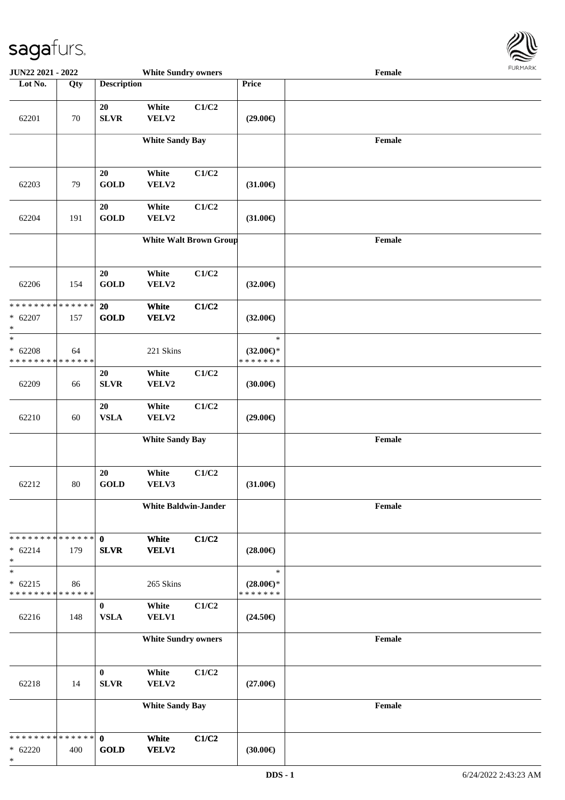

| JUN22 2021 - 2022                                    |        |                            | <b>White Sundry owners</b>  |                               |                                                | Female |
|------------------------------------------------------|--------|----------------------------|-----------------------------|-------------------------------|------------------------------------------------|--------|
| Lot No.                                              | Qty    | <b>Description</b>         |                             |                               | Price                                          |        |
| 62201                                                | $70\,$ | 20<br><b>SLVR</b>          | White<br>VELV2              | C1/C2                         | $(29.00\epsilon)$                              |        |
|                                                      |        |                            | <b>White Sandy Bay</b>      |                               |                                                | Female |
| 62203                                                | 79     | 20<br><b>GOLD</b>          | White<br>VELV2              | C1/C2                         | $(31.00\epsilon)$                              |        |
| 62204                                                | 191    | 20<br><b>GOLD</b>          | White<br>VELV2              | C1/C2                         | $(31.00\epsilon)$                              |        |
|                                                      |        |                            |                             | <b>White Walt Brown Group</b> |                                                | Female |
| 62206                                                | 154    | 20<br><b>GOLD</b>          | White<br>VELV2              | C1/C2                         | $(32.00\epsilon)$                              |        |
| * * * * * * * * * * * * * *<br>$* 62207$<br>$\ast$   | 157    | 20<br><b>GOLD</b>          | White<br>VELV2              | C1/C2                         | $(32.00\epsilon)$                              |        |
| $\ast$<br>$* 62208$<br>* * * * * * * * * * * * * *   | 64     |                            | 221 Skins                   |                               | $\ast$<br>$(32.00\epsilon)$ *<br>* * * * * * * |        |
| 62209                                                | 66     | 20<br><b>SLVR</b>          | White<br>VELV2              | C1/C2                         | $(30.00\epsilon)$                              |        |
| 62210                                                | 60     | 20<br><b>VSLA</b>          | White<br>VELV2              | C1/C2                         | $(29.00\epsilon)$                              |        |
|                                                      |        |                            | <b>White Sandy Bay</b>      |                               |                                                | Female |
| 62212                                                | $80\,$ | 20<br><b>GOLD</b>          | White<br>VELV3              | C1/C2                         | $(31.00\epsilon)$                              |        |
|                                                      |        |                            | <b>White Baldwin-Jander</b> |                               |                                                | Female |
| * * * * * * * * * * * * * * *<br>$* 62214$<br>$\ast$ | 179    | $\mathbf 0$<br><b>SLVR</b> | White<br><b>VELV1</b>       | C1/C2                         | $(28.00\epsilon)$                              |        |
| $\ast$<br>$* 62215$<br>* * * * * * * * * * * * * *   | 86     |                            | 265 Skins                   |                               | $\ast$<br>$(28.00\epsilon)$ *<br>* * * * * * * |        |
| 62216                                                | 148    | $\bf{0}$<br><b>VSLA</b>    | White<br>VELV1              | C1/C2                         | $(24.50\epsilon)$                              |        |
|                                                      |        |                            | <b>White Sundry owners</b>  |                               |                                                | Female |
| 62218                                                | 14     | $\bf{0}$<br><b>SLVR</b>    | White<br>VELV2              | C1/C2                         | $(27.00\epsilon)$                              |        |
|                                                      |        |                            | <b>White Sandy Bay</b>      |                               |                                                | Female |
| * * * * * * * * * * * * * * *<br>$* 62220$<br>$\ast$ | 400    | $\mathbf 0$<br><b>GOLD</b> | White<br>VELV2              | C1/C2                         | (30.00)                                        |        |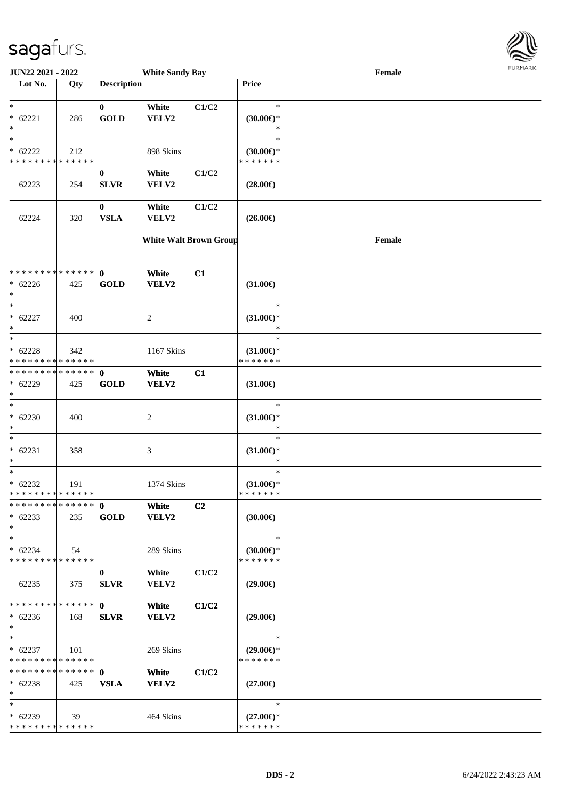

| JUN22 2021 - 2022             |     |                    | <b>White Sandy Bay</b>        |                |                         | Female |  |
|-------------------------------|-----|--------------------|-------------------------------|----------------|-------------------------|--------|--|
| Lot No.                       | Qty | <b>Description</b> |                               |                | Price                   |        |  |
|                               |     |                    |                               |                |                         |        |  |
| $*$                           |     | $\bf{0}$           | White                         | C1/C2          | $\ast$                  |        |  |
| $* 62221$                     | 286 | <b>GOLD</b>        | VELV2                         |                | $(30.00€)$ *            |        |  |
| $\ast$                        |     |                    |                               |                | ∗                       |        |  |
| $\ast$                        |     |                    |                               |                | $\ast$                  |        |  |
| $* 62222$                     | 212 |                    | 898 Skins                     |                | $(30.00\epsilon)$ *     |        |  |
| * * * * * * * * * * * * * *   |     |                    |                               |                | * * * * * * *           |        |  |
|                               |     | $\bf{0}$           | White                         | C1/C2          |                         |        |  |
| 62223                         | 254 | <b>SLVR</b>        | VELV2                         |                | $(28.00\epsilon)$       |        |  |
|                               |     |                    |                               |                |                         |        |  |
|                               |     | $\bf{0}$           | White                         | C1/C2          |                         |        |  |
| 62224                         | 320 | <b>VSLA</b>        | VELV2                         |                | $(26.00\epsilon)$       |        |  |
|                               |     |                    |                               |                |                         |        |  |
|                               |     |                    | <b>White Walt Brown Group</b> |                |                         | Female |  |
|                               |     |                    |                               |                |                         |        |  |
|                               |     |                    |                               |                |                         |        |  |
| * * * * * * * * * * * * * * * |     | $\mathbf 0$        | White                         | C1             |                         |        |  |
| $* 62226$                     | 425 | <b>GOLD</b>        | VELV2                         |                | $(31.00\epsilon)$       |        |  |
| $*$                           |     |                    |                               |                |                         |        |  |
| $\ast$                        |     |                    |                               |                | $\ast$                  |        |  |
| $* 62227$                     | 400 |                    | 2                             |                | $(31.00€)$ *            |        |  |
| $\ast$                        |     |                    |                               |                | $\ast$                  |        |  |
| $\ast$                        |     |                    |                               |                | $\ast$                  |        |  |
| $* 62228$                     | 342 |                    | 1167 Skins                    |                | $(31.00\epsilon)$ *     |        |  |
| * * * * * * * * * * * * * *   |     |                    |                               |                | * * * * * * *           |        |  |
| * * * * * * * * * * * * * * * |     | $\mathbf 0$        | White                         | C1             |                         |        |  |
| $* 62229$                     | 425 | <b>GOLD</b>        | VELV2                         |                | $(31.00\epsilon)$       |        |  |
| $*$                           |     |                    |                               |                |                         |        |  |
| $_{*}^{-}$                    |     |                    |                               |                | $\ast$                  |        |  |
| $* 62230$                     | 400 |                    | $\overline{c}$                |                | $(31.00\epsilon)$ *     |        |  |
| $*$                           |     |                    |                               |                | $\ast$                  |        |  |
| $*$                           |     |                    |                               |                | $\ast$                  |        |  |
| $* 62231$                     | 358 |                    | $\ensuremath{\mathfrak{Z}}$   |                | $(31.00\epsilon)$ *     |        |  |
| $*$                           |     |                    |                               |                | $\ast$                  |        |  |
| $\ast$                        |     |                    |                               |                | $\ast$                  |        |  |
| $* 62232$                     | 191 |                    | 1374 Skins                    |                | $(31.00\epsilon)$ *     |        |  |
| * * * * * * * * * * * * * *   |     |                    |                               |                | * * * * * * *           |        |  |
| * * * * * * * * * * * * * * * |     | $\mathbf{0}$       | White                         | C <sub>2</sub> |                         |        |  |
| $* 62233$                     | 235 | <b>GOLD</b>        | VELV2                         |                | $(30.00\epsilon)$       |        |  |
| $*$                           |     |                    |                               |                |                         |        |  |
| $*$                           |     |                    |                               |                | $\ast$                  |        |  |
| $* 62234$                     | 54  |                    | 289 Skins                     |                | $(30.00€)$ <sup>*</sup> |        |  |
| * * * * * * * * * * * * * *   |     |                    |                               |                | * * * * * * *           |        |  |
|                               |     | $\bf{0}$           | White                         | C1/C2          |                         |        |  |
| 62235                         | 375 | <b>SLVR</b>        | <b>VELV2</b>                  |                | $(29.00\epsilon)$       |        |  |
|                               |     |                    |                               |                |                         |        |  |
| * * * * * * * * * * * * * * * |     | $\mathbf{0}$       | White                         | C1/C2          |                         |        |  |
| $* 62236$                     | 168 | <b>SLVR</b>        | VELV2                         |                | $(29.00\epsilon)$       |        |  |
| $*$                           |     |                    |                               |                |                         |        |  |
| $*$                           |     |                    |                               |                | $\ast$                  |        |  |
| $* 62237$                     | 101 |                    | 269 Skins                     |                | $(29.00\epsilon)$ *     |        |  |
| * * * * * * * * * * * * * *   |     |                    |                               |                | * * * * * * *           |        |  |
| * * * * * * * * * * * * * * * |     | $\mathbf{0}$       | White                         | C1/C2          |                         |        |  |
| $* 62238$                     | 425 | <b>VSLA</b>        | VELV2                         |                | $(27.00\epsilon)$       |        |  |
| $*$                           |     |                    |                               |                |                         |        |  |
| $*$                           |     |                    |                               |                | $\ast$                  |        |  |
| $* 62239$                     | 39  |                    | 464 Skins                     |                | $(27.00\epsilon)$ *     |        |  |
| * * * * * * * * * * * * * *   |     |                    |                               |                | * * * * * * *           |        |  |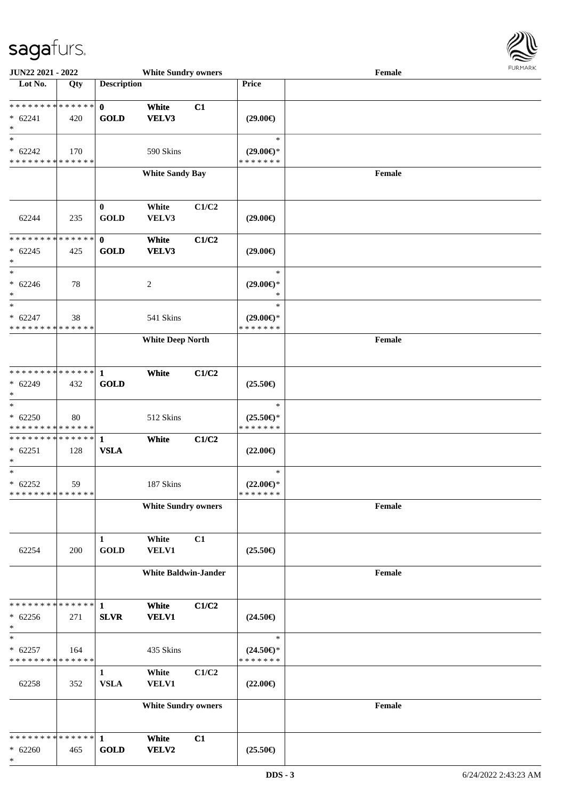

| JUN22 2021 - 2022                                              |     |                             | <b>White Sundry owners</b>  |       |                                                   | Female                                      | <b>FURPIARA</b> |
|----------------------------------------------------------------|-----|-----------------------------|-----------------------------|-------|---------------------------------------------------|---------------------------------------------|-----------------|
| Lot No.                                                        | Qty | <b>Description</b>          |                             |       | Price                                             |                                             |                 |
| **************<br>$* 62241$<br>$\ast$                          | 420 | $\mathbf{0}$<br><b>GOLD</b> | White<br>VELV3              | C1    | $(29.00\epsilon)$                                 |                                             |                 |
| $\ast$<br>$* 62242$<br>* * * * * * * * * * * * * *             | 170 |                             | 590 Skins                   |       | $\ast$<br>$(29.00\epsilon)$ *<br>* * * * * * *    |                                             |                 |
|                                                                |     |                             | <b>White Sandy Bay</b>      |       |                                                   | Female                                      |                 |
| 62244                                                          | 235 | $\bf{0}$<br><b>GOLD</b>     | White<br>VELV3              | C1/C2 | $(29.00\epsilon)$                                 |                                             |                 |
| **************<br>$* 62245$<br>$\ast$                          | 425 | $\mathbf{0}$<br><b>GOLD</b> | White<br>VELV3              | C1/C2 | $(29.00\epsilon)$                                 |                                             |                 |
| $\overline{\phantom{0}}$<br>$* 62246$<br>$\ast$<br>$\ast$      | 78  |                             | $\boldsymbol{2}$            |       | $\ast$<br>$(29.00\epsilon)$ *<br>$\ast$<br>$\ast$ |                                             |                 |
| $* 62247$<br>* * * * * * * * * * * * * *                       | 38  |                             | 541 Skins                   |       | $(29.00\epsilon)$ *<br>* * * * * * *              |                                             |                 |
|                                                                |     |                             | <b>White Deep North</b>     |       |                                                   | Female                                      |                 |
| * * * * * * * * * * * * * * *<br>$* 62249$<br>$\ast$           | 432 | $\mathbf 1$<br><b>GOLD</b>  | White                       | C1/C2 | $(25.50\epsilon)$                                 |                                             |                 |
| $\ast$<br>$* 62250$<br>* * * * * * * * * * * * * *             | 80  |                             | 512 Skins                   |       | $\ast$<br>$(25.50\epsilon)$ *<br>* * * * * * *    |                                             |                 |
| * * * * * * * * * * * * * * *<br>$* 62251$<br>$\ast$           | 128 | $\mathbf{1}$<br><b>VSLA</b> | White                       | C1/C2 | $(22.00\epsilon)$                                 |                                             |                 |
| $\overline{\ast}$<br>$* 62252$<br>******** <mark>******</mark> | 59  |                             | 187 Skins                   |       | $\ast$<br>$(22.00\epsilon)$ *<br>* * * * * * *    |                                             |                 |
|                                                                |     |                             | <b>White Sundry owners</b>  |       |                                                   | Female                                      |                 |
| 62254                                                          | 200 | $\mathbf{1}$<br><b>GOLD</b> | White<br><b>VELV1</b>       | C1    | $(25.50\epsilon)$                                 |                                             |                 |
|                                                                |     |                             | <b>White Baldwin-Jander</b> |       |                                                   | $\ensuremath{\textnormal{\textbf{Female}}}$ |                 |
| * * * * * * * * * * * * * *<br>$* 62256$<br>$\ast$             | 271 | 1<br><b>SLVR</b>            | White<br><b>VELV1</b>       | C1/C2 | $(24.50\epsilon)$                                 |                                             |                 |
| $\ast$<br>$* 62257$<br>* * * * * * * * * * * * * *             | 164 |                             | 435 Skins                   |       | $\ast$<br>$(24.50\epsilon)$ *<br>* * * * * * *    |                                             |                 |
| 62258                                                          | 352 | 1<br><b>VSLA</b>            | White<br><b>VELV1</b>       | C1/C2 | $(22.00\epsilon)$                                 |                                             |                 |
|                                                                |     |                             | <b>White Sundry owners</b>  |       |                                                   | Female                                      |                 |
| * * * * * * * * * * * * * *<br>$* 62260$<br>$\ast$             | 465 | $\mathbf{1}$<br><b>GOLD</b> | White<br>VELV2              | C1    | $(25.50\epsilon)$                                 |                                             |                 |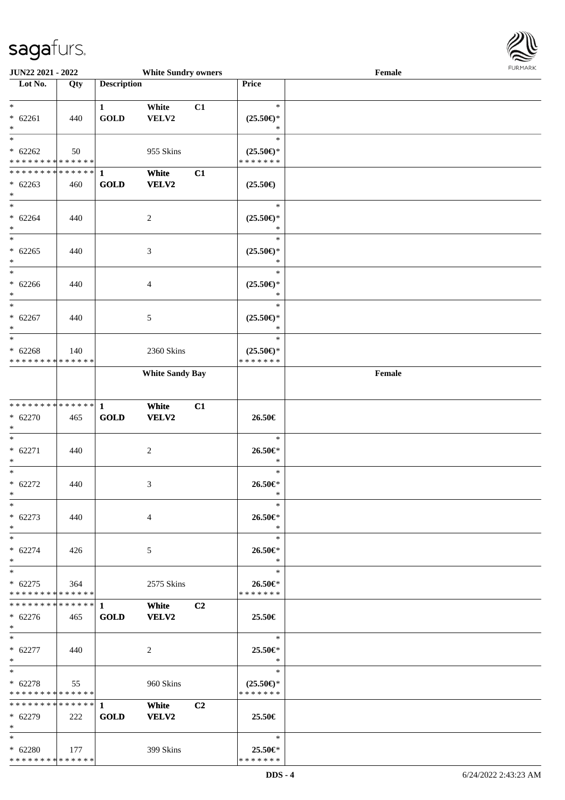

| JUN22 2021 - 2022                        |             |                    | <b>White Sundry owners</b> |                |                          | Female |  |
|------------------------------------------|-------------|--------------------|----------------------------|----------------|--------------------------|--------|--|
| Lot No.                                  | Qty         | <b>Description</b> |                            |                | Price                    |        |  |
|                                          |             |                    |                            |                |                          |        |  |
| $*$                                      |             | $\mathbf{1}$       | White                      | C1             | $\ast$                   |        |  |
| $* 62261$                                | 440         | <b>GOLD</b>        | VELV2                      |                | $(25.50\epsilon)$ *      |        |  |
| $*$                                      |             |                    |                            |                | *                        |        |  |
| $\overline{\ast}$                        |             |                    |                            |                | $\ast$                   |        |  |
| $* 62262$                                | 50          |                    | 955 Skins                  |                | $(25.50\epsilon)$ *      |        |  |
| * * * * * * * * * * * * * *              |             |                    |                            |                | * * * * * * *            |        |  |
|                                          |             |                    | White                      | C1             |                          |        |  |
| $* 62263$                                | 460         | <b>GOLD</b>        | <b>VELV2</b>               |                | $(25.50\epsilon)$        |        |  |
| $*$                                      |             |                    |                            |                |                          |        |  |
| $*$                                      |             |                    |                            |                | $\ast$                   |        |  |
| $* 62264$                                | 440         |                    | $\overline{c}$             |                | $(25.50\epsilon)$ *      |        |  |
| $*$                                      |             |                    |                            |                | $\ast$                   |        |  |
| $*$                                      |             |                    |                            |                | $\ast$                   |        |  |
| $* 62265$                                | 440         |                    | 3                          |                | $(25.50\epsilon)$ *      |        |  |
| $\ast$                                   |             |                    |                            |                | $\ast$                   |        |  |
| $\ast$                                   |             |                    |                            |                | $\ast$                   |        |  |
| $* 62266$                                | 440         |                    | 4                          |                | $(25.50\epsilon)$ *      |        |  |
| $*$                                      |             |                    |                            |                | $\ast$                   |        |  |
| $\ast$                                   |             |                    |                            |                | $\ast$                   |        |  |
| $* 62267$                                | 440         |                    | 5                          |                | $(25.50\epsilon)$ *      |        |  |
| $*$                                      |             |                    |                            |                | $\ast$                   |        |  |
| $\ast$                                   |             |                    |                            |                | $\ast$                   |        |  |
| $* 62268$                                | 140         |                    | 2360 Skins                 |                | $(25.50\epsilon)$ *      |        |  |
| * * * * * * * * * * * * * *              |             |                    |                            |                | * * * * * * *            |        |  |
|                                          |             |                    | <b>White Sandy Bay</b>     |                |                          | Female |  |
|                                          |             |                    |                            |                |                          |        |  |
|                                          |             |                    |                            |                |                          |        |  |
| * * * * * * * * * * * * * * *            |             | $\mathbf{1}$       | White                      | C1             |                          |        |  |
| $* 62270$                                | 465         | GOLD               | VELV2                      |                | $26.50\in$               |        |  |
| $*$                                      |             |                    |                            |                |                          |        |  |
| $*$                                      |             |                    |                            |                | $\ast$                   |        |  |
| $* 62271$                                | 440         |                    | $\overline{c}$             |                | 26.50€*                  |        |  |
| $*$                                      |             |                    |                            |                | $\ast$                   |        |  |
| $*$                                      |             |                    |                            |                | $\ast$                   |        |  |
| $* 62272$                                | 440         |                    | 3                          |                | 26.50€*                  |        |  |
| $*$                                      |             |                    |                            |                | $\ast$                   |        |  |
| $*$                                      |             |                    |                            |                | $\ast$                   |        |  |
| $* 62273$                                | 440         |                    | 4                          |                | 26.50€*                  |        |  |
| $*$                                      |             |                    |                            |                | ∗                        |        |  |
| $*$                                      |             |                    |                            |                | $\ast$                   |        |  |
| $* 62274$                                | 426         |                    | 5                          |                | 26.50€*                  |        |  |
| $*$<br>$*$                               |             |                    |                            |                | $\ast$<br>$\ast$         |        |  |
|                                          |             |                    |                            |                |                          |        |  |
| $* 62275$<br>* * * * * * * * * * * * * * | 364         |                    | 2575 Skins                 |                | 26.50€*<br>* * * * * * * |        |  |
| * * * * * * * * * * * * * * *            |             | $\mathbf{1}$       |                            | C <sub>2</sub> |                          |        |  |
|                                          |             |                    | White                      |                |                          |        |  |
| $* 62276$<br>$*$                         | 465         | <b>GOLD</b>        | <b>VELV2</b>               |                | 25.50€                   |        |  |
| $*$                                      |             |                    |                            |                | $\ast$                   |        |  |
| $* 62277$                                | 440         |                    |                            |                | 25.50€*                  |        |  |
| $*$                                      |             |                    | 2                          |                | $\ast$                   |        |  |
| $*$                                      |             |                    |                            |                | $\ast$                   |        |  |
| $* 62278$                                | 55          |                    | 960 Skins                  |                | $(25.50\epsilon)$ *      |        |  |
| * * * * * * * * * * * * * * *            |             |                    |                            |                | * * * * * * *            |        |  |
| ************** 1                         |             |                    | White                      | C <sub>2</sub> |                          |        |  |
| $* 62279$                                | 222         | <b>GOLD</b>        | <b>VELV2</b>               |                | 25.50€                   |        |  |
| $*$                                      |             |                    |                            |                |                          |        |  |
| $*$                                      |             |                    |                            |                | $\ast$                   |        |  |
| $* 62280$                                | $\vert$ 177 |                    | 399 Skins                  |                | 25.50€*                  |        |  |
| * * * * * * * * * * * * * *              |             |                    |                            |                | * * * * * * *            |        |  |
|                                          |             |                    |                            |                |                          |        |  |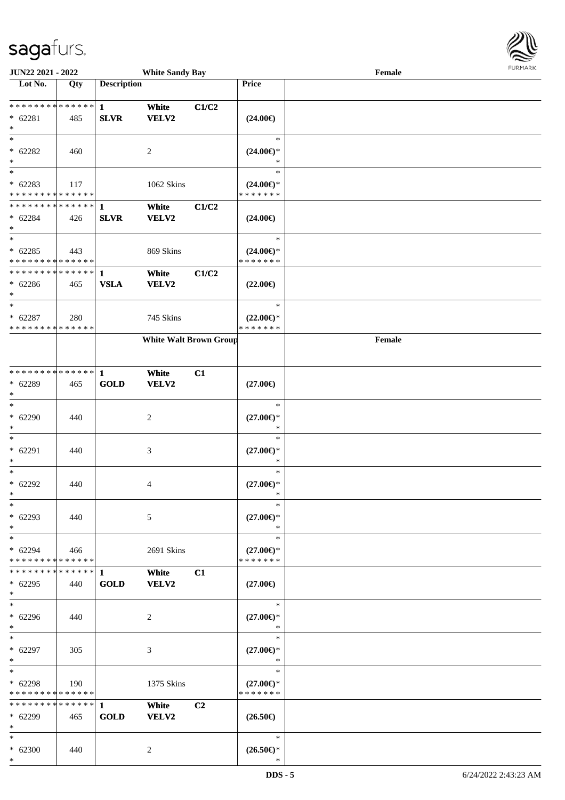

| JUN22 2021 - 2022                        |             |                    | <b>White Sandy Bay</b>        |       |                                      | Female |  |
|------------------------------------------|-------------|--------------------|-------------------------------|-------|--------------------------------------|--------|--|
| Lot No.                                  | Qty         | <b>Description</b> |                               |       | Price                                |        |  |
|                                          |             |                    |                               |       |                                      |        |  |
| ******** <mark>******</mark>             |             | $\mathbf{1}$       | White                         | C1/C2 |                                      |        |  |
| $* 62281$                                | 485         | <b>SLVR</b>        | VELV2                         |       | $(24.00\epsilon)$                    |        |  |
| $\ast$                                   |             |                    |                               |       |                                      |        |  |
| $*$                                      |             |                    |                               |       | $\ast$                               |        |  |
| $* 62282$                                | 460         |                    | 2                             |       | $(24.00\epsilon)$ *                  |        |  |
| $\ast$                                   |             |                    |                               |       | ∗                                    |        |  |
| $\overline{\ast}$                        |             |                    |                               |       | $\ast$                               |        |  |
| $* 62283$                                | 117         |                    | 1062 Skins                    |       | $(24.00\epsilon)$ *                  |        |  |
| * * * * * * * * * * * * * *              |             |                    |                               |       | * * * * * * *                        |        |  |
| * * * * * * * * * * * * * *              |             | $\mathbf{1}$       | White                         | C1/C2 |                                      |        |  |
| $* 62284$                                | 426         | <b>SLVR</b>        | <b>VELV2</b>                  |       | $(24.00\epsilon)$                    |        |  |
| $*$<br>$\ast$                            |             |                    |                               |       | $\ast$                               |        |  |
|                                          |             |                    |                               |       |                                      |        |  |
| $* 62285$<br>* * * * * * * * * * * * * * | 443         |                    | 869 Skins                     |       | $(24.00\epsilon)$ *<br>* * * * * * * |        |  |
| * * * * * * * * * * * * * *              |             |                    |                               |       |                                      |        |  |
|                                          |             | 1<br><b>VSLA</b>   | White                         | C1/C2 |                                      |        |  |
| $* 62286$<br>$*$                         | 465         |                    | <b>VELV2</b>                  |       | $(22.00\epsilon)$                    |        |  |
| $\ast$                                   |             |                    |                               |       | $\ast$                               |        |  |
| $* 62287$                                | 280         |                    | 745 Skins                     |       | $(22.00\epsilon)$ *                  |        |  |
| * * * * * * * * * * * * * *              |             |                    |                               |       | * * * * * * *                        |        |  |
|                                          |             |                    | <b>White Walt Brown Group</b> |       |                                      | Female |  |
|                                          |             |                    |                               |       |                                      |        |  |
|                                          |             |                    |                               |       |                                      |        |  |
| * * * * * * * * * * * * * * *            |             | 1                  | White                         | C1    |                                      |        |  |
| * 62289                                  | 465         | <b>GOLD</b>        | VELV2                         |       | $(27.00\epsilon)$                    |        |  |
| $\ast$                                   |             |                    |                               |       |                                      |        |  |
| $\ast$                                   |             |                    |                               |       | $\ast$                               |        |  |
| $* 62290$                                | 440         |                    | 2                             |       | $(27.00\epsilon)$ *                  |        |  |
| $\ast$                                   |             |                    |                               |       | $\ast$                               |        |  |
| $\ast$                                   |             |                    |                               |       | $\ast$                               |        |  |
| $* 62291$                                | 440         |                    | $\mathfrak{Z}$                |       | $(27.00\epsilon)$ *                  |        |  |
| $\ast$                                   |             |                    |                               |       | $\ast$                               |        |  |
| $*$                                      |             |                    |                               |       | $\ast$                               |        |  |
| $* 62292$                                | 440         |                    | 4                             |       | $(27.00\epsilon)$ *                  |        |  |
| $*$                                      |             |                    |                               |       | $\ast$                               |        |  |
| $\ast$                                   |             |                    |                               |       | $\ast$                               |        |  |
| $* 62293$                                | 440         |                    | 5                             |       | $(27.00\epsilon)$ *                  |        |  |
| $*$                                      |             |                    |                               |       | $\ast$                               |        |  |
| $*$                                      |             |                    |                               |       | $\ast$                               |        |  |
| $* 62294$                                | 466         |                    | 2691 Skins                    |       | $(27.00\epsilon)$ *                  |        |  |
| * * * * * * * * * * * * * *              |             |                    |                               |       | * * * * * * *                        |        |  |
| * * * * * * * *                          | * * * * * * | 1                  | White                         | C1    |                                      |        |  |
| $* 62295$                                | 440         | <b>GOLD</b>        | VELV2                         |       | $(27.00\in)$                         |        |  |
| $*$                                      |             |                    |                               |       |                                      |        |  |
| $\ast$                                   |             |                    |                               |       | $\ast$                               |        |  |
| $* 62296$                                | 440         |                    | 2                             |       | $(27.00\epsilon)$ *                  |        |  |
| $*$                                      |             |                    |                               |       | $\ast$                               |        |  |
| $*$ $*$                                  |             |                    |                               |       | $\ast$                               |        |  |
| $* 62297$                                | 305         |                    | 3                             |       | $(27.00\epsilon)$ *                  |        |  |
| $*$                                      |             |                    |                               |       | $\ast$                               |        |  |
| $*$                                      |             |                    |                               |       | $\ast$                               |        |  |
| $* 62298$                                | 190         |                    | 1375 Skins                    |       | $(27.00\epsilon)$ *                  |        |  |
| * * * * * * * * * * * * * *              |             |                    |                               |       | * * * * * * *                        |        |  |
| ******** <mark>******</mark>             |             | $\mathbf{1}$       | White                         | C2    |                                      |        |  |
| * 62299                                  | 465         | <b>GOLD</b>        | <b>VELV2</b>                  |       | $(26.50\epsilon)$                    |        |  |
| $*$                                      |             |                    |                               |       |                                      |        |  |
| $*$                                      |             |                    |                               |       | $\ast$                               |        |  |
| $* 62300$<br>$*$                         | 440         |                    | 2                             |       | $(26.50\epsilon)$ *<br>$\ast$        |        |  |
|                                          |             |                    |                               |       |                                      |        |  |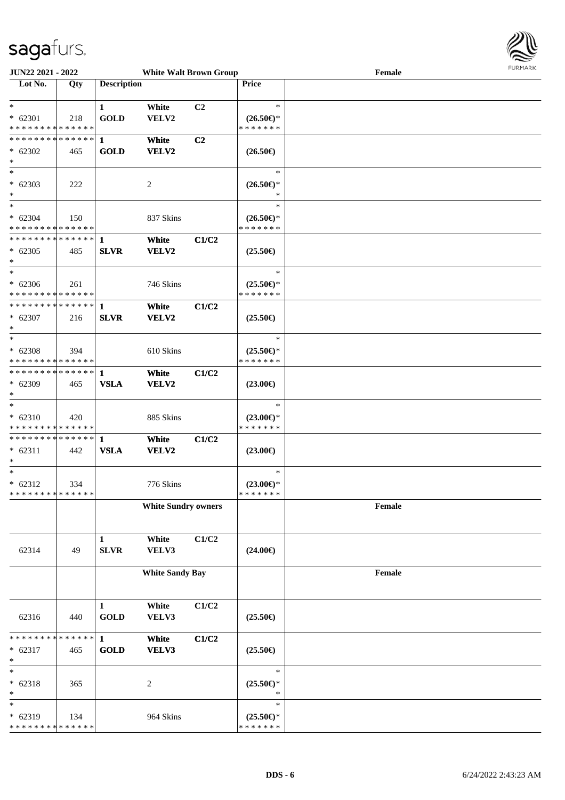

| <b>JUN22 2021 - 2022</b>                   |     |                    | <b>White Walt Brown Group</b> |                |                     | Female | <b>FURPIARA</b> |
|--------------------------------------------|-----|--------------------|-------------------------------|----------------|---------------------|--------|-----------------|
| Lot No.                                    | Qty | <b>Description</b> |                               |                | <b>Price</b>        |        |                 |
|                                            |     |                    |                               |                |                     |        |                 |
| $\ast$                                     |     | 1                  | White                         | C <sub>2</sub> | $\ast$              |        |                 |
| $* 62301$                                  | 218 | <b>GOLD</b>        | VELV2                         |                | $(26.50\epsilon)$ * |        |                 |
| * * * * * * * * <mark>* * * * * *</mark>   |     |                    |                               |                | * * * * * * *       |        |                 |
|                                            |     |                    | White                         | C2             |                     |        |                 |
| $* 62302$                                  | 465 | <b>GOLD</b>        | VELV2                         |                | $(26.50\epsilon)$   |        |                 |
| $\ast$                                     |     |                    |                               |                |                     |        |                 |
| $\ast$                                     |     |                    |                               |                | $\ast$              |        |                 |
| $* 62303$                                  | 222 |                    | 2                             |                | $(26.50\epsilon)$ * |        |                 |
| $\ast$                                     |     |                    |                               |                | ∗                   |        |                 |
| $\overline{\ast}$                          |     |                    |                               |                | $\ast$              |        |                 |
| $* 62304$                                  | 150 |                    | 837 Skins                     |                | $(26.50\epsilon)$ * |        |                 |
| * * * * * * * * * * * * * * *              |     |                    |                               |                | * * * * * * *       |        |                 |
|                                            |     |                    | White                         | C1/C2          |                     |        |                 |
| $* 62305$                                  | 485 | <b>SLVR</b>        | VELV2                         |                | $(25.50\epsilon)$   |        |                 |
| $\ast$                                     |     |                    |                               |                |                     |        |                 |
| $\ddot{x}$                                 |     |                    |                               |                | $\ast$              |        |                 |
| $* 62306$                                  | 261 |                    | 746 Skins                     |                | $(25.50\epsilon)$ * |        |                 |
| * * * * * * * * <mark>* * * * * * *</mark> |     |                    |                               |                | * * * * * * *       |        |                 |
|                                            |     |                    | White                         | C1/C2          |                     |        |                 |
| $* 62307$                                  | 216 | <b>SLVR</b>        | <b>VELV2</b>                  |                | $(25.50\epsilon)$   |        |                 |
| $\ast$                                     |     |                    |                               |                |                     |        |                 |
| $\ast$                                     |     |                    |                               |                | $\ast$              |        |                 |
| $* 62308$                                  | 394 |                    | 610 Skins                     |                | $(25.50\epsilon)$ * |        |                 |
| * * * * * * * * <mark>* * * * * * *</mark> |     |                    |                               |                | * * * * * * *       |        |                 |
|                                            |     |                    | White                         | C1/C2          |                     |        |                 |
| $* 62309$                                  | 465 | <b>VSLA</b>        | <b>VELV2</b>                  |                | $(23.00\epsilon)$   |        |                 |
| $\ast$                                     |     |                    |                               |                |                     |        |                 |
| $\ast$                                     |     |                    |                               |                | $\ast$              |        |                 |
| $* 62310$                                  | 420 |                    | 885 Skins                     |                | $(23.00\epsilon)$ * |        |                 |
| * * * * * * * * <mark>* * * * * *</mark>   |     |                    |                               |                | * * * * * * *       |        |                 |
|                                            |     |                    | White                         | C1/C2          |                     |        |                 |
| $* 62311$                                  | 442 | <b>VSLA</b>        | VELV2                         |                | $(23.00\epsilon)$   |        |                 |
| $\ast$                                     |     |                    |                               |                |                     |        |                 |
| $*$                                        |     |                    |                               |                | $\ast$              |        |                 |
| $* 62312$                                  | 334 |                    | 776 Skins                     |                | $(23.00\epsilon)$ * |        |                 |
| * * * * * * * * * * * * * * <mark>*</mark> |     |                    |                               |                | * * * * * * *       |        |                 |
|                                            |     |                    | <b>White Sundry owners</b>    |                |                     | Female |                 |
|                                            |     |                    |                               |                |                     |        |                 |
|                                            |     |                    |                               |                |                     |        |                 |
|                                            |     | $\mathbf{1}$       | White                         | C1/C2          |                     |        |                 |
| 62314                                      | 49  | ${\bf SLVR}$       | VELV3                         |                | $(24.00\epsilon)$   |        |                 |
|                                            |     |                    |                               |                |                     |        |                 |
|                                            |     |                    | <b>White Sandy Bay</b>        |                |                     | Female |                 |
|                                            |     |                    |                               |                |                     |        |                 |
|                                            |     |                    |                               |                |                     |        |                 |
|                                            |     | $\mathbf{1}$       | White                         | C1/C2          |                     |        |                 |
| 62316                                      | 440 | <b>GOLD</b>        | VELV3                         |                | $(25.50\epsilon)$   |        |                 |
|                                            |     |                    |                               |                |                     |        |                 |
| * * * * * * * * * * * * * * <mark>*</mark> |     | $\mathbf{1}$       | White                         | C1/C2          |                     |        |                 |
| $* 62317$                                  | 465 | <b>GOLD</b>        | VELV3                         |                | $(25.50\epsilon)$   |        |                 |
| $\ast$<br>$\ast$                           |     |                    |                               |                | $\ast$              |        |                 |
|                                            |     |                    |                               |                |                     |        |                 |
| $* 62318$                                  | 365 |                    | $\overline{c}$                |                | $(25.50\epsilon)$ * |        |                 |
| $\ast$<br>$\ast$                           |     |                    |                               |                | $\ast$<br>$\ast$    |        |                 |
|                                            |     |                    |                               |                |                     |        |                 |
| $* 62319$                                  | 134 |                    | 964 Skins                     |                | $(25.50\epsilon)$ * |        |                 |
| * * * * * * * * * * * * * * *              |     |                    |                               |                | * * * * * * *       |        |                 |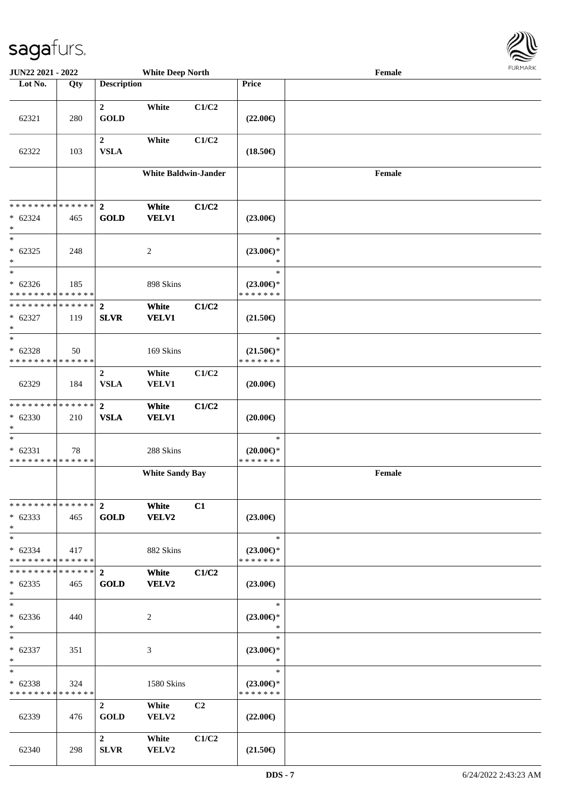62340 298

**2 White C1/C2**

**SLVR VELV2 (21.50€)**

**JUN22 2021 - 2022 White Deep North Female**

| Lot No.                                            | Qty | <b>Description</b>              |                             |                | Price                                          |        |
|----------------------------------------------------|-----|---------------------------------|-----------------------------|----------------|------------------------------------------------|--------|
| 62321                                              | 280 | $\overline{2}$<br><b>GOLD</b>   | White                       | C1/C2          | $(22.00\epsilon)$                              |        |
| 62322                                              | 103 | $\boldsymbol{2}$<br><b>VSLA</b> | White                       | C1/C2          | $(18.50\epsilon)$                              |        |
|                                                    |     |                                 | <b>White Baldwin-Jander</b> |                |                                                | Female |
| **************<br>$* 62324$<br>$\ast$              | 465 | $\mathbf{2}$<br><b>GOLD</b>     | White<br><b>VELV1</b>       | C1/C2          | $(23.00\epsilon)$                              |        |
| $\ast$<br>$* 62325$<br>$\ast$<br>$_{\ast}^{-}$     | 248 |                                 | 2                           |                | $\ast$<br>$(23.00\epsilon)$ *<br>$\ast$        |        |
| $* 62326$<br>* * * * * * * * * * * * * *           | 185 |                                 | 898 Skins                   |                | $\ast$<br>$(23.00\epsilon)$ *<br>* * * * * * * |        |
| **************<br>$* 62327$<br>$\ast$              | 119 | $\mathbf{2}$<br><b>SLVR</b>     | White<br><b>VELV1</b>       | C1/C2          | $(21.50\epsilon)$                              |        |
| $\ast$<br>$* 62328$<br>* * * * * * * * * * * * * * | 50  |                                 | 169 Skins                   |                | $\ast$<br>$(21.50\epsilon)$ *<br>* * * * * * * |        |
| 62329                                              | 184 | $\overline{2}$<br><b>VSLA</b>   | White<br>VELV1              | C1/C2          | $(20.00\epsilon)$                              |        |
| **************<br>$* 62330$<br>$\ast$              | 210 | $\mathbf{2}$<br><b>VSLA</b>     | White<br><b>VELV1</b>       | C1/C2          | $(20.00\epsilon)$                              |        |
| $\ast$<br>$* 62331$<br>* * * * * * * * * * * * * * | 78  |                                 | 288 Skins                   |                | $\ast$<br>$(20.00\epsilon)$ *<br>* * * * * * * |        |
|                                                    |     |                                 | <b>White Sandy Bay</b>      |                |                                                | Female |
| ************** 2<br>$* 62333$<br>$\ast$            | 465 | GOLD                            | White C1<br><b>VELV2</b>    |                | $(23.00\epsilon)$                              |        |
| $\ast$<br>$* 62334$<br>* * * * * * * * * * * * * * | 417 |                                 | 882 Skins                   |                | $\ast$<br>$(23.00\epsilon)$ *<br>* * * * * * * |        |
| * * * * * * * * * * * * * *<br>$* 62335$<br>$*$    | 465 | $\mathbf{2}$<br><b>GOLD</b>     | White<br><b>VELV2</b>       | C1/C2          | $(23.00\epsilon)$                              |        |
| $\overline{\ast}$<br>$* 62336$<br>$\ast$           | 440 |                                 | $\overline{2}$              |                | $\ast$<br>$(23.00\epsilon)$ *<br>$\ast$        |        |
| $\ast$<br>$* 62337$<br>$\ast$                      | 351 |                                 | 3                           |                | $\ast$<br>$(23.00\epsilon)$ *<br>$\ast$        |        |
| $\ast$<br>$* 62338$<br>* * * * * * * * * * * * * * | 324 |                                 | 1580 Skins                  |                | $\ast$<br>$(23.00\epsilon)$ *<br>* * * * * * * |        |
| 62339                                              | 476 | $\overline{2}$<br>GOLD          | White<br>VELV2              | C <sub>2</sub> | $(22.00\epsilon)$                              |        |

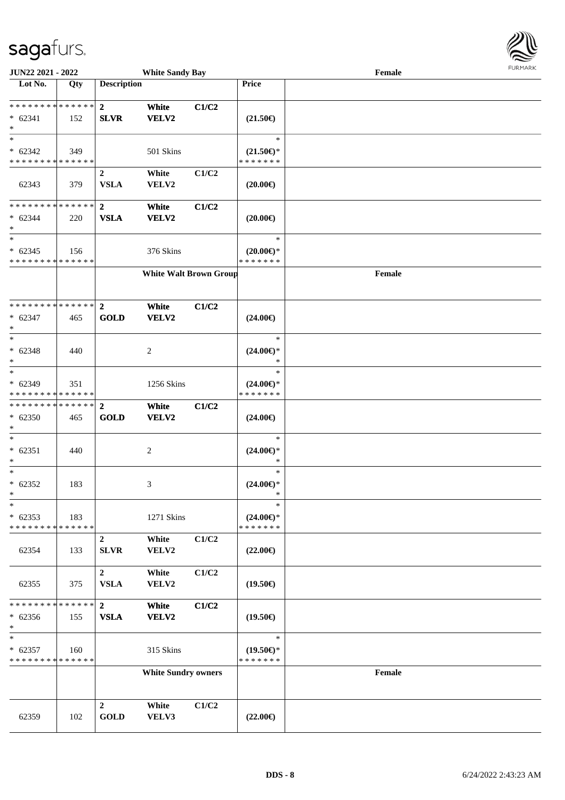

| JUN22 2021 - 2022                                                 |     |                                 | <b>White Sandy Bay</b>        |       |                                                   | Female | <b>LOKINKV</b> |
|-------------------------------------------------------------------|-----|---------------------------------|-------------------------------|-------|---------------------------------------------------|--------|----------------|
| $\overline{\text{Lot No.}}$                                       | Qty | <b>Description</b>              |                               |       | Price                                             |        |                |
| * * * * * * * * * * * * * * *<br>$* 62341$<br>$\ast$              | 152 | $\mathbf{2}$<br><b>SLVR</b>     | White<br>VELV2                | C1/C2 | $(21.50\epsilon)$                                 |        |                |
| $\ast$<br>$* 62342$<br>* * * * * * * * * * * * * *                | 349 |                                 | 501 Skins                     |       | $\ast$<br>$(21.50\epsilon)$ *<br>* * * * * * *    |        |                |
| 62343                                                             | 379 | $\overline{2}$<br><b>VSLA</b>   | White<br>VELV2                | C1/C2 | $(20.00\epsilon)$                                 |        |                |
| * * * * * * * * * * * * * *<br>$* 62344$<br>$\ast$                | 220 | $\overline{2}$<br><b>VSLA</b>   | White<br><b>VELV2</b>         | C1/C2 | $(20.00\epsilon)$                                 |        |                |
| $\overline{\ast}$<br>$* 62345$<br>* * * * * * * * * * * * * *     | 156 |                                 | 376 Skins                     |       | $\ast$<br>$(20.00\varepsilon)$ *<br>* * * * * * * |        |                |
|                                                                   |     |                                 | <b>White Walt Brown Group</b> |       |                                                   | Female |                |
| * * * * * * * * * * * * * *<br>$* 62347$<br>$\ast$                | 465 | $\mathbf{2}$<br><b>GOLD</b>     | White<br>VELV2                | C1/C2 | $(24.00\epsilon)$                                 |        |                |
| $\ast$<br>$* 62348$<br>$\ast$                                     | 440 |                                 | 2                             |       | $\ast$<br>$(24.00\epsilon)$ *<br>$\ast$           |        |                |
| $\ast$<br>$* 62349$<br>* * * * * * * * * * * * * *                | 351 |                                 | 1256 Skins                    |       | $\ast$<br>$(24.00\epsilon)$ *<br>* * * * * * *    |        |                |
| **************<br>$* 62350$<br>$\ast$                             | 465 | $\overline{2}$<br><b>GOLD</b>   | White<br><b>VELV2</b>         | C1/C2 | $(24.00\epsilon)$                                 |        |                |
| $\ast$<br>$* 62351$<br>$\ast$                                     | 440 |                                 | 2                             |       | $\ast$<br>$(24.00\epsilon)$ *<br>$\ast$           |        |                |
| $\ast$<br>$* 62352$<br>$\star$                                    | 183 |                                 | 3                             |       | $\ast$<br>$(24.00\epsilon)$ *<br>$\rightarrow$    |        |                |
| $\ast$<br>$* 62353$<br>* * * * * * * * * * * * * *                | 183 |                                 | 1271 Skins                    |       | $\ast$<br>$(24.00\epsilon)$ *<br>* * * * * * *    |        |                |
| 62354                                                             | 133 | $\overline{2}$<br>SLVR          | White<br>VELV2                | C1/C2 | $(22.00\epsilon)$                                 |        |                |
| 62355                                                             | 375 | $\overline{2}$<br><b>VSLA</b>   | White<br>VELV2                | C1/C2 | $(19.50\epsilon)$                                 |        |                |
| * * * * * * * * * * * * * *<br>$* 62356$<br>$\ast$                | 155 | $\mathbf{2}$<br><b>VSLA</b>     | White<br>VELV2                | C1/C2 | $(19.50\epsilon)$                                 |        |                |
| $\ast$<br>$* 62357$<br>* * * * * * * * <mark>* * * * * * *</mark> | 160 |                                 | 315 Skins                     |       | $\ast$<br>$(19.50\epsilon)$ *<br>* * * * * * *    |        |                |
|                                                                   |     |                                 | <b>White Sundry owners</b>    |       |                                                   | Female |                |
| 62359                                                             | 102 | $\boldsymbol{2}$<br><b>GOLD</b> | White<br>VELV3                | C1/C2 | $(22.00\epsilon)$                                 |        |                |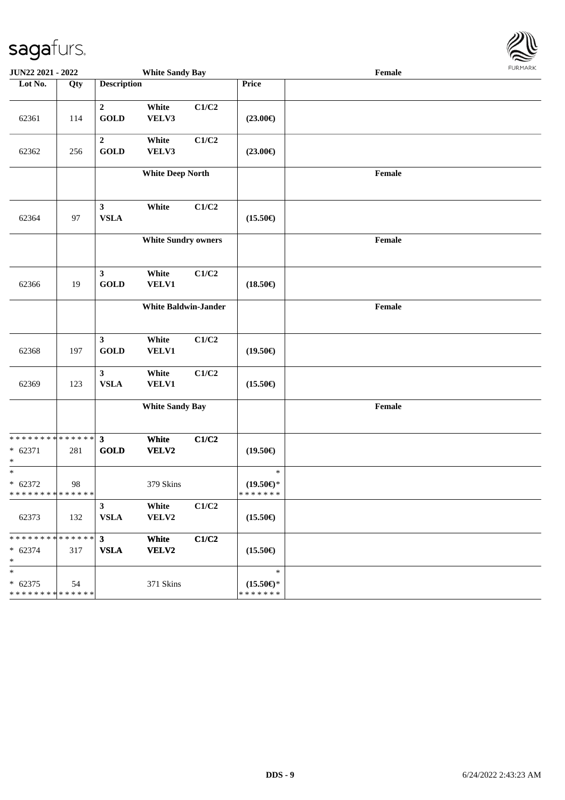

| <b>JUN22 2021 - 2022</b>                                          |     |                               | <b>White Sandy Bay</b>      |       |                                                | י איריי יציע<br>$\ensuremath{\textnormal{\textbf{Female}}}$ |  |  |  |  |
|-------------------------------------------------------------------|-----|-------------------------------|-----------------------------|-------|------------------------------------------------|-------------------------------------------------------------|--|--|--|--|
| Lot No.                                                           | Qty | <b>Description</b>            |                             |       | Price                                          |                                                             |  |  |  |  |
| 62361                                                             | 114 | $\overline{2}$<br><b>GOLD</b> | White<br>VELV3              | C1/C2 | $(23.00\epsilon)$                              |                                                             |  |  |  |  |
| 62362                                                             | 256 | $\overline{2}$<br><b>GOLD</b> | White<br>VELV3              | C1/C2 | $(23.00\epsilon)$                              |                                                             |  |  |  |  |
|                                                                   |     |                               | <b>White Deep North</b>     |       |                                                | Female                                                      |  |  |  |  |
| 62364                                                             | 97  | $\mathbf{3}$<br><b>VSLA</b>   | White                       | C1/C2 | $(15.50\epsilon)$                              |                                                             |  |  |  |  |
|                                                                   |     |                               | <b>White Sundry owners</b>  |       |                                                | Female                                                      |  |  |  |  |
| 62366                                                             | 19  | $\mathbf{3}$<br><b>GOLD</b>   | White<br><b>VELV1</b>       | C1/C2 | $(18.50\epsilon)$                              |                                                             |  |  |  |  |
|                                                                   |     |                               | <b>White Baldwin-Jander</b> |       |                                                | Female                                                      |  |  |  |  |
| 62368                                                             | 197 | $\mathbf{3}$<br><b>GOLD</b>   | White<br><b>VELV1</b>       | C1/C2 | $(19.50\epsilon)$                              |                                                             |  |  |  |  |
| 62369                                                             | 123 | $\mathbf{3}$<br><b>VSLA</b>   | White<br><b>VELV1</b>       | C1/C2 | $(15.50\epsilon)$                              |                                                             |  |  |  |  |
|                                                                   |     |                               | <b>White Sandy Bay</b>      |       |                                                | Female                                                      |  |  |  |  |
| * * * * * * * * <mark>* * * * * * *</mark><br>$* 62371$<br>$\ast$ | 281 | $\mathbf{3}$<br><b>GOLD</b>   | White<br>VELV2              | C1/C2 | $(19.50\epsilon)$                              |                                                             |  |  |  |  |
| $\overline{\ast}$<br>$* 62372$<br>* * * * * * * * * * * * * * *   | 98  |                               | 379 Skins                   |       | $\ast$<br>$(19.50\epsilon)$ *<br>* * * * * * * |                                                             |  |  |  |  |
| 62373                                                             | 132 | $\mathbf{3}$<br><b>VSLA</b>   | White<br>VELV2              | C1/C2 | $(15.50\epsilon)$                              |                                                             |  |  |  |  |
| * * * * * * * * <mark>* * * * * *</mark><br>$* 62374$<br>$\ast$   | 317 | 3 <sup>1</sup><br><b>VSLA</b> | White<br><b>VELV2</b>       | C1/C2 | $(15.50\epsilon)$                              |                                                             |  |  |  |  |
| $\ast$<br>$* 62375$<br>* * * * * * * * <mark>* * * * * * *</mark> | 54  |                               | 371 Skins                   |       | $\ast$<br>$(15.50\epsilon)$ *<br>* * * * * * * |                                                             |  |  |  |  |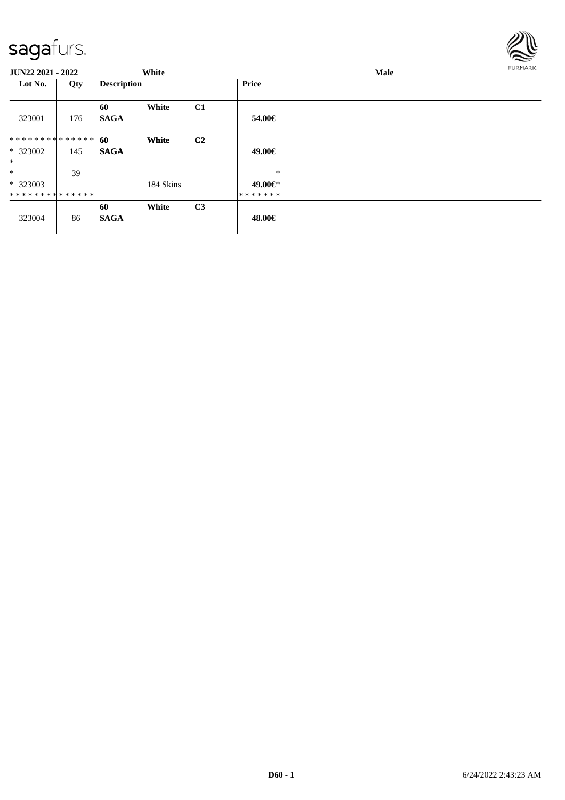

| <b>JUN22 2021 - 2022</b>              |     |                    | White     |                |                              | Male |  |  |  |
|---------------------------------------|-----|--------------------|-----------|----------------|------------------------------|------|--|--|--|
| Lot No.                               | Qty | <b>Description</b> |           |                | Price                        |      |  |  |  |
| 323001                                | 176 | 60<br><b>SAGA</b>  | White     | C1             | 54.00€                       |      |  |  |  |
| **************<br>$*323002$<br>$\ast$ | 145 | 60<br><b>SAGA</b>  | White     | C <sub>2</sub> | 49.00€                       |      |  |  |  |
| $\ast$<br>$*323003$<br>************** | 39  |                    | 184 Skins |                | $\ast$<br>49.00€*<br>******* |      |  |  |  |
| 323004                                | 86  | 60<br><b>SAGA</b>  | White     | C3             | 48.00€                       |      |  |  |  |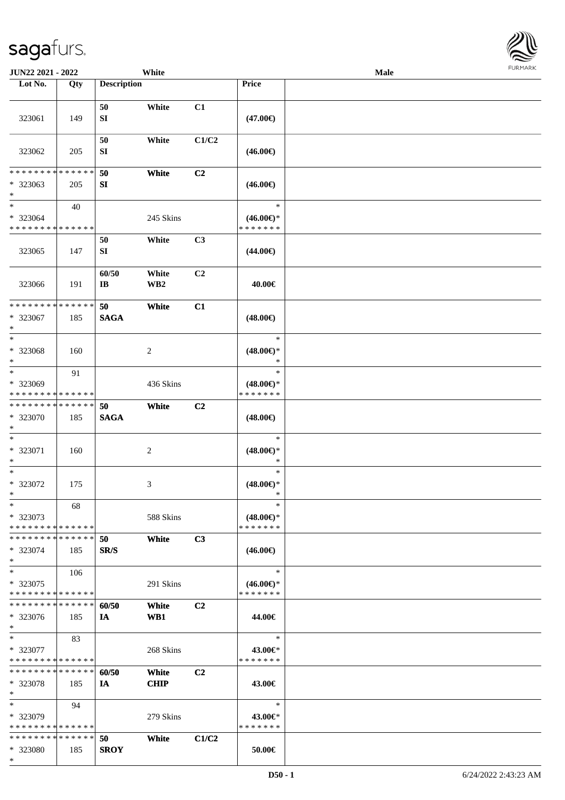\*

| <b>JUN22 2021 - 2022</b>      |             |                        | White           |                |                     | <b>Male</b> |  |
|-------------------------------|-------------|------------------------|-----------------|----------------|---------------------|-------------|--|
| Lot No.                       | Qty         | <b>Description</b>     |                 |                | <b>Price</b>        |             |  |
|                               |             |                        |                 |                |                     |             |  |
|                               |             | 50                     | White           | C1             |                     |             |  |
| 323061                        | 149         | SI                     |                 |                | $(47.00\epsilon)$   |             |  |
|                               |             |                        |                 |                |                     |             |  |
|                               |             | 50                     | White           | C1/C2          |                     |             |  |
| 323062                        | 205         | SI                     |                 |                | $(46.00\epsilon)$   |             |  |
|                               |             |                        |                 |                |                     |             |  |
| * * * * * * * *               | * * * * * * | 50                     | White           | C <sub>2</sub> |                     |             |  |
| * 323063                      | 205         | SI                     |                 |                | $(46.00\epsilon)$   |             |  |
| $\ast$                        |             |                        |                 |                |                     |             |  |
| $*$                           | 40          |                        |                 |                | $\ast$              |             |  |
| * 323064                      |             |                        | 245 Skins       |                | $(46.00\epsilon)$ * |             |  |
| * * * * * * * * * * * * * *   |             |                        |                 |                | * * * * * * *       |             |  |
|                               |             | 50                     | White           | C <sub>3</sub> |                     |             |  |
| 323065                        | 147         | SI                     |                 |                | $(44.00\epsilon)$   |             |  |
|                               |             |                        |                 |                |                     |             |  |
|                               |             | 60/50                  | White           | C <sub>2</sub> |                     |             |  |
| 323066                        | 191         | $\mathbf{I}\mathbf{B}$ | WB <sub>2</sub> |                | 40.00€              |             |  |
|                               |             |                        |                 |                |                     |             |  |
| * * * * * * * * * * * * * *   |             | 50                     | White           | C1             |                     |             |  |
| * 323067                      | 185         | <b>SAGA</b>            |                 |                | $(48.00\epsilon)$   |             |  |
| $\ast$                        |             |                        |                 |                |                     |             |  |
| $*$                           |             |                        |                 |                | $\ast$              |             |  |
| * 323068                      | 160         |                        | 2               |                | $(48.00\epsilon)$ * |             |  |
| $\ast$                        |             |                        |                 |                | $\ast$              |             |  |
| $\ast$                        | 91          |                        |                 |                | $\ast$              |             |  |
| * 323069                      |             |                        | 436 Skins       |                | $(48.00\epsilon)$ * |             |  |
| * * * * * * * * * * * * * *   |             |                        |                 |                | * * * * * * *       |             |  |
| * * * * * * * * * * * * * *   |             | 50                     | White           | C <sub>2</sub> |                     |             |  |
| * 323070                      | 185         | <b>SAGA</b>            |                 |                | $(48.00\epsilon)$   |             |  |
| $*$                           |             |                        |                 |                |                     |             |  |
| $*$                           |             |                        |                 |                | $\ast$              |             |  |
| * 323071                      | 160         |                        | $\overline{c}$  |                | $(48.00\epsilon)$ * |             |  |
| $\ast$                        |             |                        |                 |                | $\ast$              |             |  |
| $*$                           |             |                        |                 |                | $\ast$              |             |  |
| * 323072                      | 175         |                        | 3               |                | $(48.00\epsilon)$ * |             |  |
| $*$                           |             |                        |                 |                | $\ast$              |             |  |
| $\ast$                        | 68          |                        |                 |                | $\ast$              |             |  |
| * 323073                      |             |                        | 588 Skins       |                | $(48.00€)$ *        |             |  |
| * * * * * * * * * * * * * *   |             |                        |                 |                | * * * * * * *       |             |  |
| * * * * * * * * * * * * * * * |             | 50                     | White           | C3             |                     |             |  |
| * 323074                      | 185         | SR/S                   |                 |                | $(46.00\epsilon)$   |             |  |
| *                             |             |                        |                 |                |                     |             |  |
| $*$                           | 106         |                        |                 |                | $\ast$              |             |  |
| * 323075                      |             |                        | 291 Skins       |                | $(46.00\epsilon)$ * |             |  |
| * * * * * * * * * * * * * *   |             |                        |                 |                | * * * * * * *       |             |  |
| * * * * * * * * * * * * * * * |             | 60/50                  | White           | C <sub>2</sub> |                     |             |  |
| * 323076                      | 185         | IA                     | WB1             |                | 44.00€              |             |  |
| $*$                           |             |                        |                 |                |                     |             |  |
| $*$ $-$                       | 83          |                        |                 |                | $\ast$              |             |  |
| * 323077                      |             |                        | 268 Skins       |                | 43.00€*             |             |  |
| * * * * * * * * * * * * * *   |             |                        |                 |                | * * * * * * *       |             |  |
| * * * * * * * * * * * * * * * |             | 60/50                  | White           | C <sub>2</sub> |                     |             |  |
| * 323078                      | 185         | IA                     | <b>CHIP</b>     |                | 43.00€              |             |  |
| $\ast$                        |             |                        |                 |                |                     |             |  |
| $*$                           | 94          |                        |                 |                | $\ast$              |             |  |
| * 323079                      |             |                        | 279 Skins       |                | 43.00€*             |             |  |
| * * * * * * * * * * * * * *   |             |                        |                 |                | * * * * * * *       |             |  |
| * * * * * * * * * * * * * *   |             | 50                     | White           | C1/C2          |                     |             |  |
| * 323080                      | 185         | <b>SROY</b>            |                 |                | 50.00€              |             |  |
|                               |             |                        |                 |                |                     |             |  |

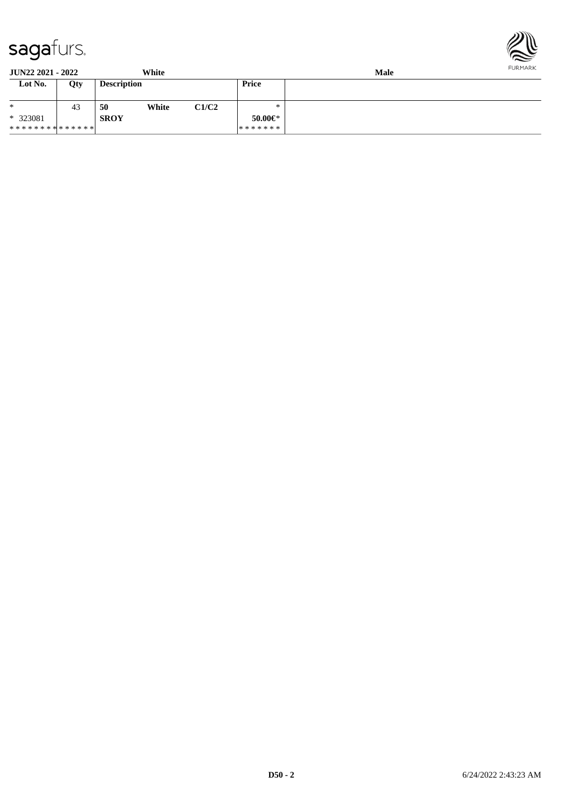

| <b>JUN22 2021 - 2022</b><br>White |     |                    |       |       | Male          |  |  |
|-----------------------------------|-----|--------------------|-------|-------|---------------|--|--|
| Lot No.                           | Qty | <b>Description</b> |       |       | Price         |  |  |
| $\ast$                            | 43  | 50                 | White | C1/C2 | ∗             |  |  |
| $*323081$                         |     | <b>SROY</b>        |       |       | $50.00 \in$ * |  |  |
| **************                    |     |                    |       |       | *******       |  |  |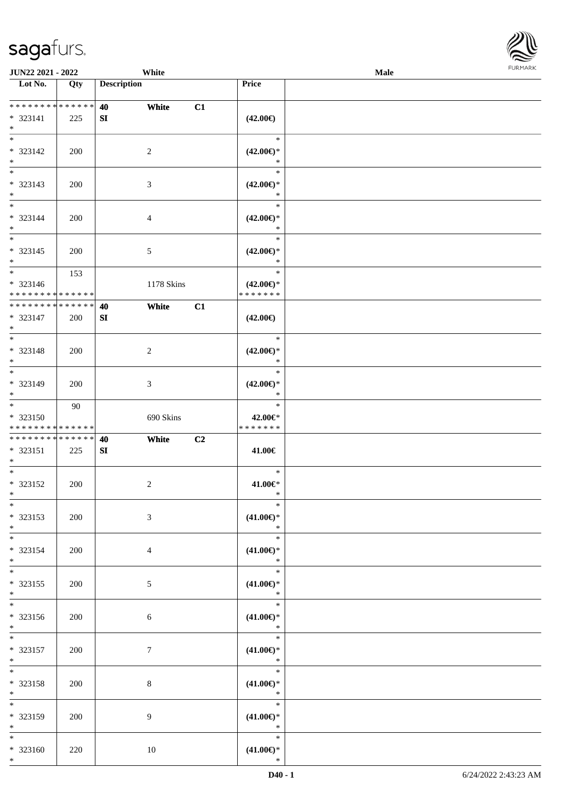

| <b>JUN22 2021 - 2022</b>                         |     | White                     |                                                | Male   |  |
|--------------------------------------------------|-----|---------------------------|------------------------------------------------|--------|--|
| Lot No.                                          | Qty | <b>Description</b>        | Price                                          |        |  |
|                                                  |     |                           |                                                |        |  |
| ******** <mark>******</mark><br>* 323141<br>$*$  | 225 | White<br>40<br>SI         | C1<br>$(42.00\epsilon)$                        |        |  |
| $* 323142$<br>$\ast$                             | 200 | $\overline{2}$            | $\ast$<br>$(42.00\epsilon)$ *<br>$\ast$        |        |  |
| $\overline{\phantom{0}}$<br>* 323143<br>$*$      | 200 | $\mathfrak{Z}$            | $\ast$<br>$(42.00\epsilon)$ *<br>$\ast$        |        |  |
| $*$<br>* 323144<br>$*$                           | 200 | $\overline{4}$            | $\ast$<br>$(42.00\epsilon)$ *<br>$\ast$        |        |  |
| $\overline{\phantom{0}}$<br>$* 323145$<br>$*$    | 200 | $\mathfrak{S}$            | $\ast$<br>$(42.00\epsilon)$ *<br>$\ast$        |        |  |
| $*$<br>* 323146<br>* * * * * * * * * * * * * *   | 153 | 1178 Skins                | $\ast$<br>$(42.00\epsilon)$ *<br>* * * * * * * |        |  |
| * * * * * * * * * * * * * *<br>* 323147<br>$*$   | 200 | White<br>40<br>${\bf SI}$ | C1<br>$(42.00\epsilon)$                        |        |  |
| $\overline{\phantom{0}}$<br>* 323148<br>$*$      | 200 | $\sqrt{2}$                | $\ast$<br>$(42.00\epsilon)$ *<br>$\ast$        |        |  |
| $\overline{\ast}$<br>* 323149<br>$*$             | 200 | $\mathfrak{Z}$            | $\ast$<br>$(42.00\epsilon)$ *<br>$\ast$        |        |  |
| $*$<br>$* 323150$<br>* * * * * * * * * * * * * * | 90  | 690 Skins                 | $\ast$<br>42.00€*<br>* * * * * * *             |        |  |
| * * * * * * * * * * * * * *<br>* 323151<br>$*$   | 225 | 40<br>White<br>SI         | C2<br>41.00€                                   |        |  |
| $*$<br>$* 323152$<br>$*$                         | 200 | $\overline{c}$            | $\ast$<br>41.00€*                              | $\ast$ |  |
| $\ast$<br>* 323153<br>$*$                        | 200 | $\mathfrak{Z}$            | $\ast$<br>$(41.00\epsilon)$ *<br>$\ast$        |        |  |
| $*$<br>* 323154<br>$*$                           | 200 | $\overline{4}$            | $\ast$<br>$(41.00\epsilon)$ *<br>$\ast$        |        |  |
| $*$<br>* 323155<br>$*$                           | 200 | $5\overline{)}$           | $\ast$<br>$(41.00 \in )^*$<br>$\ast$           |        |  |
| $*$<br>* 323156<br>$*$ $-$                       | 200 | 6                         | $\ast$<br>$(41.00\epsilon)$ *<br>$\ast$        |        |  |
| $*$<br>* 323157<br>$*$ $-$                       | 200 | 7                         | $\ast$<br>$(41.00\epsilon)$ *<br>$\ast$        |        |  |
| $*$<br>* 323158<br>$*$                           | 200 | 8                         | $\ast$<br>$(41.00\epsilon)$ *<br>$\ast$        |        |  |
| $*$<br>* 323159<br>$*$                           | 200 | 9                         | $\ast$<br>$(41.00\epsilon)$ *<br>$\ast$        |        |  |
| $*$<br>* 323160<br>$*$                           | 220 | $10\,$                    | $\ast$<br>$(41.00\epsilon)$ *<br>$\ast$        |        |  |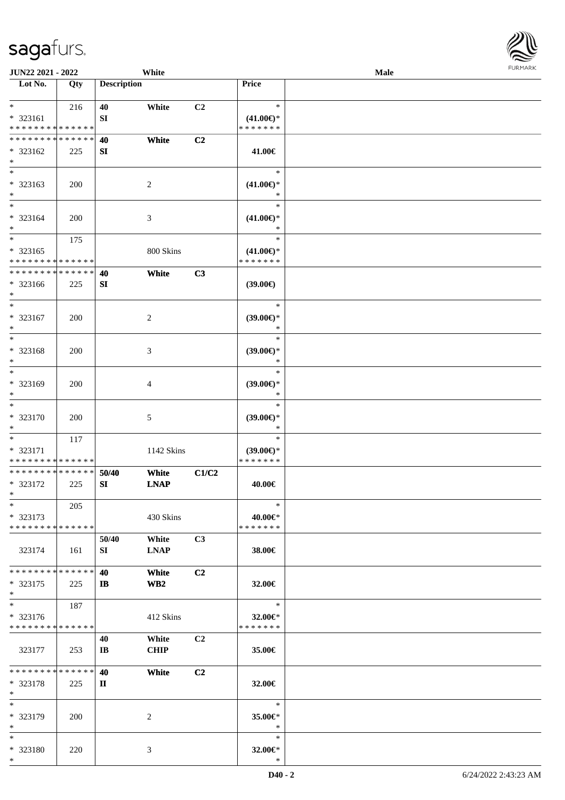

| JUN22 2021 - 2022             |     |                    | White           |                |                                      | Male |  |
|-------------------------------|-----|--------------------|-----------------|----------------|--------------------------------------|------|--|
| Lot No.                       | Qty | <b>Description</b> |                 |                | Price                                |      |  |
|                               |     |                    |                 |                |                                      |      |  |
| $*$                           | 216 | 40                 | White           | C2             | $\ast$                               |      |  |
| * 323161                      |     | SI                 |                 |                | $(41.00\epsilon)$ *                  |      |  |
| * * * * * * * * * * * * * *   |     |                    |                 |                | * * * * * * *                        |      |  |
| * * * * * * * * * * * * * *   |     | 40                 | White           | C <sub>2</sub> |                                      |      |  |
| * 323162                      | 225 | SI                 |                 |                | 41.00€                               |      |  |
| $\ast$                        |     |                    |                 |                |                                      |      |  |
| $\overline{\phantom{0}}$      |     |                    |                 |                | $\ast$                               |      |  |
| * 323163                      | 200 |                    | $\overline{c}$  |                | $(41.00\epsilon)$ *                  |      |  |
| $*$                           |     |                    |                 |                | *                                    |      |  |
| $*$                           |     |                    |                 |                | $\ast$                               |      |  |
|                               |     |                    |                 |                |                                      |      |  |
| * 323164                      | 200 |                    | 3               |                | $(41.00\epsilon)$ *<br>$\ast$        |      |  |
| $*$<br>$*$                    |     |                    |                 |                | $\ast$                               |      |  |
|                               | 175 |                    |                 |                |                                      |      |  |
| $* 323165$                    |     |                    | 800 Skins       |                | $(41.00\epsilon)$ *                  |      |  |
| * * * * * * * * * * * * * *   |     |                    |                 |                | * * * * * * *                        |      |  |
| * * * * * * * * * * * * * *   |     | 40                 | White           | C3             |                                      |      |  |
| * 323166                      | 225 | SI                 |                 |                | (39.00)                              |      |  |
| $*$                           |     |                    |                 |                |                                      |      |  |
| $*$                           |     |                    |                 |                | $\ast$                               |      |  |
| $* 323167$                    | 200 |                    | $\overline{c}$  |                | $(39.00\epsilon)$ *                  |      |  |
| $*$                           |     |                    |                 |                | $\ast$                               |      |  |
| $*$                           |     |                    |                 |                | $\ast$                               |      |  |
| * 323168                      | 200 |                    | 3               |                | $(39.00\epsilon)$ *                  |      |  |
| $\ast$                        |     |                    |                 |                | ∗                                    |      |  |
| $*$                           |     |                    |                 |                | $\ast$                               |      |  |
| * 323169                      | 200 |                    | 4               |                | $(39.00\epsilon)$ *                  |      |  |
| $*$                           |     |                    |                 |                | *                                    |      |  |
| $\ast$                        |     |                    |                 |                | $\ast$                               |      |  |
| $* 323170$                    | 200 |                    | 5               |                | $(39.00\epsilon)$ *                  |      |  |
| $*$                           |     |                    |                 |                | $\ast$                               |      |  |
| $*$                           | 117 |                    |                 |                | $\ast$                               |      |  |
| * 323171                      |     |                    |                 |                |                                      |      |  |
| * * * * * * * * * * * * * *   |     |                    | 1142 Skins      |                | $(39.00\epsilon)$ *<br>* * * * * * * |      |  |
| * * * * * * * * * * * * * *   |     |                    |                 |                |                                      |      |  |
|                               |     | 50/40              | White           | C1/C2          |                                      |      |  |
| * 323172                      | 225 | SI                 | <b>LNAP</b>     |                | 40.00€                               |      |  |
| $*$                           |     |                    |                 |                |                                      |      |  |
| $*$                           | 205 |                    |                 |                | $\ast$                               |      |  |
| $*323173$                     |     |                    | 430 Skins       |                | 40.00€*                              |      |  |
| * * * * * * * * * * * * * *   |     |                    |                 |                | * * * * * * *                        |      |  |
|                               |     | 50/40              | White           | C3             |                                      |      |  |
| 323174                        | 161 | SI                 | <b>LNAP</b>     |                | 38.00€                               |      |  |
|                               |     |                    |                 |                |                                      |      |  |
| * * * * * * * * * * * * * * * |     | 40                 | White           | C <sub>2</sub> |                                      |      |  |
| $*323175$                     | 225 | $\mathbf{I}$       | WB <sub>2</sub> |                | 32.00€                               |      |  |
| $*$                           |     |                    |                 |                |                                      |      |  |
| $*$                           | 187 |                    |                 |                | $\ast$                               |      |  |
| * 323176                      |     |                    | 412 Skins       |                | 32.00€*                              |      |  |
| * * * * * * * * * * * * * *   |     |                    |                 |                | * * * * * * *                        |      |  |
|                               |     | 40                 | White           | C2             |                                      |      |  |
| 323177                        | 253 | IB                 | <b>CHIP</b>     |                | 35.00€                               |      |  |
|                               |     |                    |                 |                |                                      |      |  |
| * * * * * * * * * * * * * * * |     | 40                 | White           | C2             |                                      |      |  |
| * 323178                      | 225 | П                  |                 |                | $32.00 \in$                          |      |  |
| $*$                           |     |                    |                 |                |                                      |      |  |
| $*$                           |     |                    |                 |                | $\ast$                               |      |  |
| * 323179                      | 200 |                    | 2               |                | 35.00 $\in$ *                        |      |  |
| $*$                           |     |                    |                 |                | $\ast$                               |      |  |
| $*$                           |     |                    |                 |                | $\ast$                               |      |  |
| * 323180                      |     |                    |                 |                |                                      |      |  |
| $*$                           | 220 |                    | 3               |                | 32.00€*<br>$\ast$                    |      |  |
|                               |     |                    |                 |                |                                      |      |  |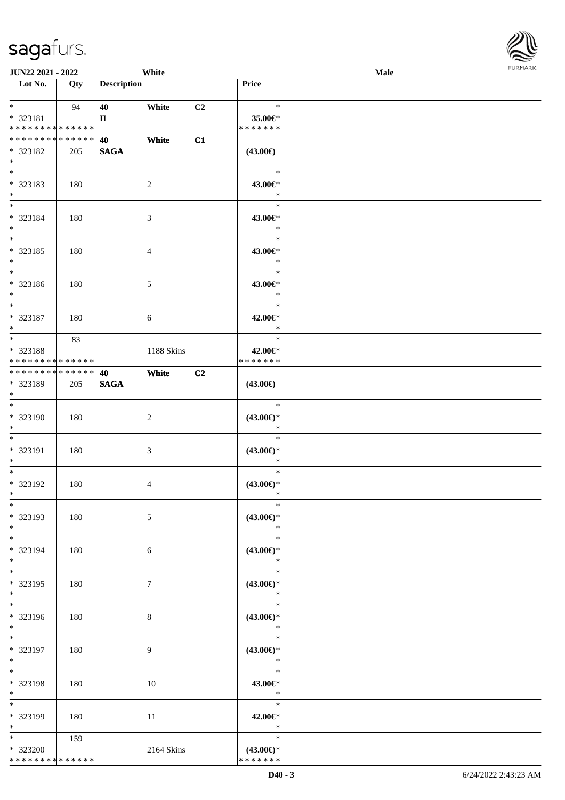| JUN22 2021 - 2022                                                          |     |                       | White          |    |                                                | <b>Male</b> | <b>FURMAR</b> |
|----------------------------------------------------------------------------|-----|-----------------------|----------------|----|------------------------------------------------|-------------|---------------|
| Lot No.                                                                    | Qty | <b>Description</b>    |                |    | Price                                          |             |               |
| $\ast$<br>* 323181<br>* * * * * * * * * * * * * *                          | 94  | 40<br>$\mathbf{I}$    | White          | C2 | $\ast$<br>35.00€*<br>* * * * * * *             |             |               |
| ******** <mark>******</mark><br>* 323182<br>$*$                            | 205 | 40<br>$\mathbf{SAGA}$ | White          | C1 | $(43.00\epsilon)$                              |             |               |
| $\ast$<br>* 323183<br>$*$                                                  | 180 |                       | $\sqrt{2}$     |    | $\ast$<br>43.00€*<br>$\ast$                    |             |               |
| $*$<br>* 323184<br>$*$                                                     | 180 |                       | 3              |    | $\ast$<br>43.00€*<br>$\ast$                    |             |               |
| $*$<br>* 323185<br>$\ast$                                                  | 180 |                       | $\overline{4}$ |    | $\ast$<br>43.00€*<br>$\ast$                    |             |               |
| $\overline{\phantom{0}}$<br>* 323186<br>$\ast$<br>$\overline{\phantom{0}}$ | 180 |                       | $\sqrt{5}$     |    | $\ast$<br>43.00€*<br>$\ast$                    |             |               |
| * 323187<br>$\ast$                                                         | 180 |                       | $\sqrt{6}$     |    | $\ast$<br>42.00€*<br>$\ast$                    |             |               |
| $*$<br>* 323188<br>* * * * * * * * * * * * * *                             | 83  |                       | 1188 Skins     |    | $\ast$<br>42.00€*<br>* * * * * * *             |             |               |
| ******** <mark>******</mark><br>* 323189<br>$*$                            | 205 | 40<br><b>SAGA</b>     | White          | C2 | $(43.00\epsilon)$                              |             |               |
| $*$<br>* 323190<br>$\ast$                                                  | 180 |                       | $\sqrt{2}$     |    | $\ast$<br>$(43.00\epsilon)$ *<br>$\ast$        |             |               |
| $*$<br>* 323191<br>$\ast$                                                  | 180 |                       | $\mathfrak{Z}$ |    | $\ast$<br>$(43.00\epsilon)$ *<br>$\ast$        |             |               |
| $*$<br>* 323192                                                            | 180 |                       | $\overline{4}$ |    | $\ast$<br>$(43.00\epsilon)$ *                  |             |               |
| $\ast$<br>* 323193<br>$*$                                                  | 180 |                       | $\sqrt{5}$     |    | $\ast$<br>$(43.00\epsilon)$ *<br>$\ast$        |             |               |
| $*$<br>* 323194<br>$*$                                                     | 180 |                       | 6              |    | $\ast$<br>$(43.00\epsilon)$ *<br>$\ast$        |             |               |
| $\ast$<br>* 323195<br>$*$<br>$\overline{\phantom{a}^*}$                    | 180 |                       | $\tau$         |    | $\ast$<br>$(43.00\epsilon)$ *<br>$\ast$        |             |               |
| * 323196<br>$*$                                                            | 180 |                       | 8              |    | $\ast$<br>$(43.00\epsilon)$ *<br>$\ast$        |             |               |
| $*$<br>* 323197<br>$*$                                                     | 180 |                       | 9              |    | $\ast$<br>$(43.00\epsilon)$ *<br>$\ast$        |             |               |
| $*$<br>* 323198<br>$*$<br>$\overline{\ast}$                                | 180 |                       | 10             |    | $\ast$<br>43.00€*<br>$\mathbb{R}^n$            |             |               |
| * 323199<br>$*$                                                            | 180 |                       | 11             |    | $\ast$<br>42.00€*<br>$\mathbb{R}^2$            |             |               |
| $*$ $*$<br>$*323200$<br>**************                                     | 159 |                       | 2164 Skins     |    | $\ast$<br>$(43.00\epsilon)$ *<br>* * * * * * * |             |               |

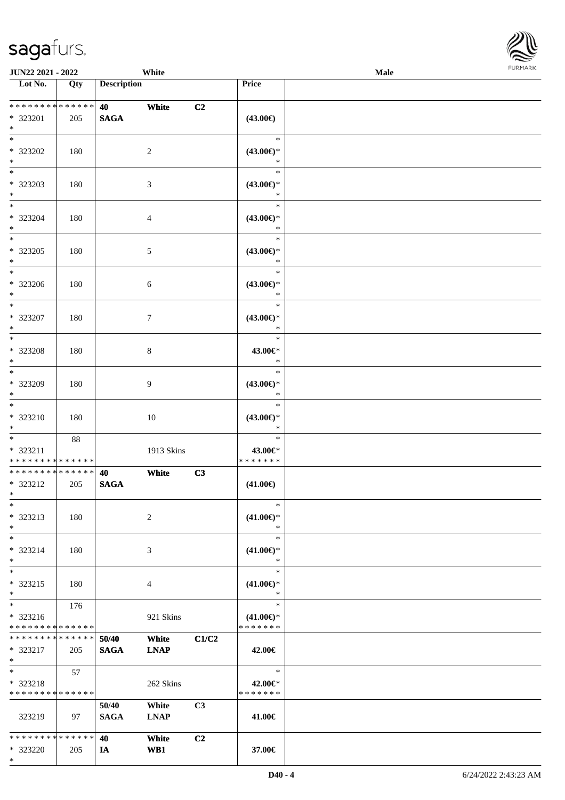\*



| <b>JUN22 2021 - 2022</b>                                           |     |                                                  | White                |                |                                                | <b>Male</b> |  |
|--------------------------------------------------------------------|-----|--------------------------------------------------|----------------------|----------------|------------------------------------------------|-------------|--|
| Lot No.                                                            | Qty | <b>Description</b>                               |                      |                | Price                                          |             |  |
| * * * * * * * * <mark>* * * * * *</mark><br>* 323201<br>$*$        | 205 | <b>40</b> and the set of $\theta$<br><b>SAGA</b> | White                | C <sub>2</sub> | $(43.00\epsilon)$                              |             |  |
| $\overline{\ast}$<br>* 323202<br>$\ast$                            | 180 |                                                  | 2                    |                | $\ast$<br>$(43.00\epsilon)$ *<br>$\ast$        |             |  |
| $*$<br>* 323203<br>$\ast$                                          | 180 |                                                  | 3                    |                | $\ast$<br>$(43.00\epsilon)$ *<br>$\ast$        |             |  |
| $\ddot{x}$<br>* 323204<br>$*$                                      | 180 |                                                  | $\overline{4}$       |                | $\ast$<br>$(43.00\epsilon)$ *<br>$\ast$        |             |  |
| $*$<br>* 323205<br>$\ast$                                          | 180 |                                                  | $\sqrt{5}$           |                | $\ast$<br>$(43.00\epsilon)$ *<br>$\ast$        |             |  |
| $\ast$<br>* 323206<br>$\ddot{x}$                                   | 180 |                                                  | 6                    |                | $\ast$<br>$(43.00\epsilon)$ *<br>$\ast$        |             |  |
| $\overline{\ast}$<br>* 323207<br>$*$                               | 180 |                                                  | $7\phantom{.0}$      |                | $\ast$<br>$(43.00\epsilon)$ *<br>$\ast$        |             |  |
| $\overline{\ast}$<br>* 323208<br>$\ast$                            | 180 |                                                  | $8\,$                |                | $\ast$<br>43.00€*<br>$\ast$                    |             |  |
| $*$<br>* 323209<br>$\ast$                                          | 180 |                                                  | 9                    |                | $\ast$<br>$(43.00\epsilon)$ *<br>$\ast$        |             |  |
| $*$<br>$* 323210$<br>$*$                                           | 180 |                                                  | 10                   |                | $\ast$<br>$(43.00\epsilon)$ *<br>$\ast$        |             |  |
| $\ast$<br>* 323211<br>* * * * * * * * <mark>* * * * * * *</mark>   | 88  |                                                  | 1913 Skins           |                | $\ast$<br>43.00€*<br>* * * * * * *             |             |  |
| * * * * * * * * <mark>* * * * * * *</mark><br>* 323212<br>$*$ $-$  | 205 | 40<br><b>SAGA</b>                                | White                | C3             | $(41.00\epsilon)$                              |             |  |
| $\ast$<br>* 323213<br>$\ast$                                       | 180 |                                                  | 2                    |                | $\ast$<br>$(41.00\epsilon)$ *<br>$\ast$        |             |  |
| $*$<br>* 323214<br>$\ast$                                          | 180 |                                                  | 3                    |                | $\ast$<br>$(41.00\epsilon)$ *<br>$\ast$        |             |  |
| $\ast$<br>* 323215<br>$\ast$                                       | 180 |                                                  | $\overline{4}$       |                | $\ast$<br>$(41.00\epsilon)$ *<br>$\ast$        |             |  |
| $\ddot{x}$<br>* 323216<br>* * * * * * * * <mark>* * * * * *</mark> | 176 |                                                  | 921 Skins            |                | $\ast$<br>$(41.00\epsilon)$ *<br>* * * * * * * |             |  |
| * * * * * * * * <mark>* * * * * *</mark> *<br>* 323217<br>$*$ $-$  | 205 | 50/40<br><b>SAGA</b>                             | White<br><b>LNAP</b> | C1/C2          | 42.00€                                         |             |  |
| $*$ and $*$<br>$* 323218$<br>* * * * * * * * * * * * * * *         | 57  |                                                  | 262 Skins            |                | $\ast$<br>42.00€*<br>* * * * * * *             |             |  |
| 323219                                                             | 97  | 50/40<br><b>SAGA</b>                             | White<br><b>LNAP</b> | C <sub>3</sub> | 41.00€                                         |             |  |
| * * * * * * * * <mark>* * * * * *</mark> *<br>* 323220             | 205 | 40<br><b>IA</b>                                  | White<br>WB1         | C2             | 37.00€                                         |             |  |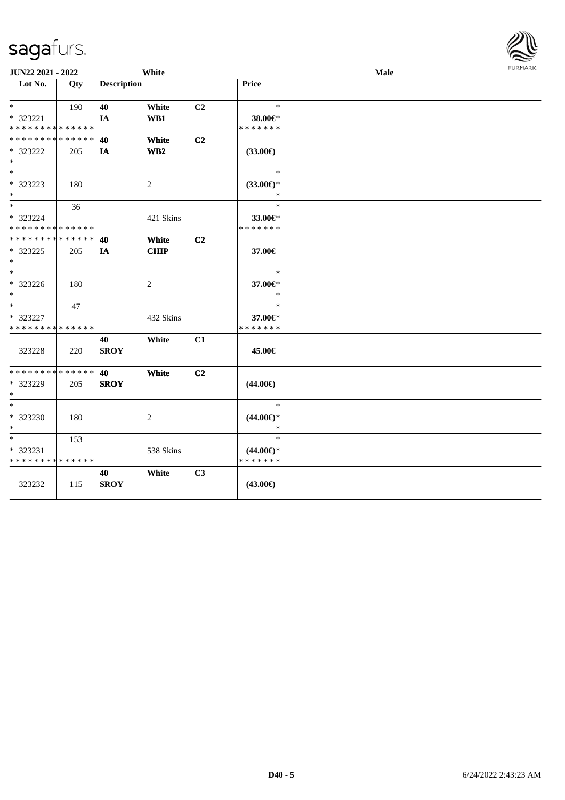| JUN22 2021 - 2022                                          |     |                    | White                |                |                                                | <b>Male</b> | FURMARK |
|------------------------------------------------------------|-----|--------------------|----------------------|----------------|------------------------------------------------|-------------|---------|
| Lot No.                                                    | Qty | <b>Description</b> |                      |                | Price                                          |             |         |
| $*$ $*$<br>* 323221                                        | 190 | 40<br>IA           | White<br>WB1         | C <sub>2</sub> | $\ast$<br>38.00€*                              |             |         |
| * * * * * * * * * * * * * *<br>* * * * * * * * * * * * * * |     | 40                 | White                | C2             | * * * * * * *                                  |             |         |
| * 323222<br>$*$<br>$\ast$                                  | 205 | IA                 | WB <sub>2</sub>      |                | $(33.00\epsilon)$<br>$\ast$                    |             |         |
| * 323223<br>$*$                                            | 180 |                    | 2                    |                | $(33.00\epsilon)$ *<br>$\ast$                  |             |         |
| $*$<br>* 323224<br>* * * * * * * * * * * * * *             | 36  |                    | 421 Skins            |                | $\ast$<br>33.00€*<br>* * * * * * *             |             |         |
| * * * * * * * * * * * * * * *<br>* 323225<br>$*$           | 205 | 40<br>IA           | White<br><b>CHIP</b> | C <sub>2</sub> | 37.00€                                         |             |         |
| $*$<br>$* 323226$<br>$*$                                   | 180 |                    | 2                    |                | $\ast$<br>37.00€*<br>$\ast$                    |             |         |
| $*$<br>* 323227<br>* * * * * * * * * * * * * *             | 47  |                    | 432 Skins            |                | $\ast$<br>37.00€*<br>* * * * * * *             |             |         |
| 323228                                                     | 220 | 40<br><b>SROY</b>  | White                | C1             | 45.00€                                         |             |         |
| * * * * * * * * * * * * * *<br>* 323229<br>$*$             | 205 | 40<br><b>SROY</b>  | White                | C2             | $(44.00\epsilon)$                              |             |         |
| $*$<br>* 323230<br>$*$                                     | 180 |                    | 2                    |                | $\ast$<br>$(44.00\epsilon)$ *<br>$\ast$        |             |         |
| $*$<br>* 323231<br>* * * * * * * * * * * * * *             | 153 |                    | 538 Skins            |                | $\ast$<br>$(44.00\epsilon)$ *<br>* * * * * * * |             |         |
| 323232                                                     | 115 | 40<br><b>SROY</b>  | White                | C <sub>3</sub> | $(43.00\epsilon)$                              |             |         |

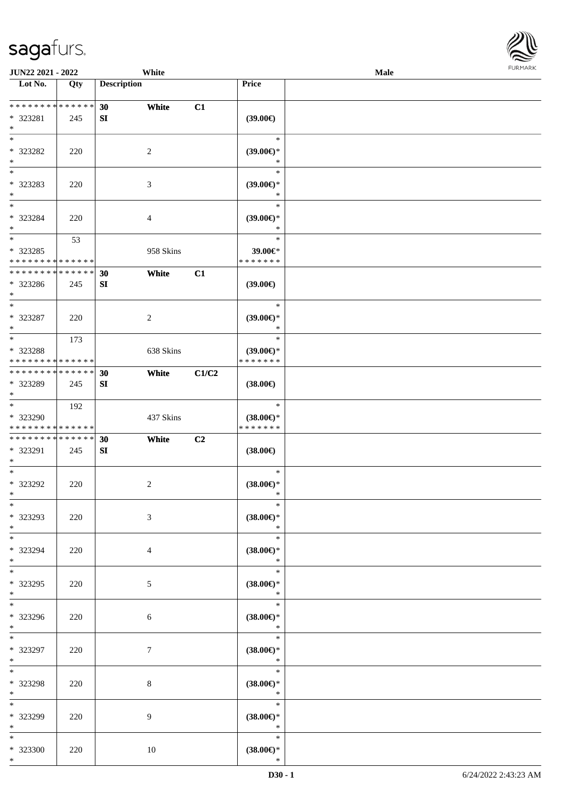

| <b>JUN22 2021 - 2022</b>                                                    |     |                    | White          |                |                               | Male |  |
|-----------------------------------------------------------------------------|-----|--------------------|----------------|----------------|-------------------------------|------|--|
| Lot No.                                                                     | Qty | <b>Description</b> |                |                | Price                         |      |  |
|                                                                             |     |                    |                |                |                               |      |  |
| ******** <mark>******</mark>                                                |     | 30                 | White          | C1             |                               |      |  |
| * 323281                                                                    | 245 | SI                 |                |                | $(39.00\epsilon)$             |      |  |
| $*$                                                                         |     |                    |                |                |                               |      |  |
| $*$                                                                         |     |                    |                |                | $\ast$                        |      |  |
| * 323282                                                                    | 220 |                    | 2              |                | $(39.00\epsilon)$ *           |      |  |
| $*$                                                                         |     |                    |                |                | ∗                             |      |  |
|                                                                             |     |                    |                |                | $\ast$                        |      |  |
| * 323283                                                                    | 220 |                    | 3              |                | $(39.00\epsilon)$ *           |      |  |
| $*$                                                                         |     |                    |                |                | $\ast$                        |      |  |
| $*$                                                                         |     |                    |                |                | $\ast$                        |      |  |
| * 323284                                                                    | 220 |                    | 4              |                | $(39.00\epsilon)$ *           |      |  |
| $*$                                                                         |     |                    |                |                | $\ast$                        |      |  |
| $*$                                                                         | 53  |                    |                |                | $\ast$                        |      |  |
| * 323285                                                                    |     |                    | 958 Skins      |                | 39.00€*                       |      |  |
| * * * * * * * * * * * * * *                                                 |     |                    |                |                | * * * * * * *                 |      |  |
| * * * * * * * * <mark>* * * * * * *</mark>                                  |     | 30                 | White          | C1             |                               |      |  |
| * 323286                                                                    | 245 | SI                 |                |                | (39.00)                       |      |  |
| $*$                                                                         |     |                    |                |                |                               |      |  |
| $*$                                                                         |     |                    |                |                | $\ast$                        |      |  |
| * 323287                                                                    | 220 |                    | 2              |                | $(39.00\epsilon)$ *           |      |  |
| $*$                                                                         |     |                    |                |                | $\ast$<br>$\ast$              |      |  |
|                                                                             | 173 |                    |                |                |                               |      |  |
| * 323288                                                                    |     |                    | 638 Skins      |                | $(39.00€)$ *<br>* * * * * * * |      |  |
| * * * * * * * * <mark>* * * * * * *</mark><br>* * * * * * * * * * * * * * * |     |                    |                |                |                               |      |  |
|                                                                             |     | 30                 | White          | C1/C2          |                               |      |  |
| * 323289<br>$*$                                                             | 245 | SI                 |                |                | $(38.00\in)$                  |      |  |
| $*$                                                                         | 192 |                    |                |                | $\ast$                        |      |  |
| * 323290                                                                    |     |                    | 437 Skins      |                | $(38.00\epsilon)$ *           |      |  |
| * * * * * * * * * * * * * *                                                 |     |                    |                |                | * * * * * * *                 |      |  |
| * * * * * * * * * * * * * * *                                               |     | 30                 | White          | C <sub>2</sub> |                               |      |  |
| * 323291                                                                    | 245 | SI                 |                |                | $(38.00\epsilon)$             |      |  |
| $*$                                                                         |     |                    |                |                |                               |      |  |
| $*$                                                                         |     |                    |                |                | $\ast$                        |      |  |
| * 323292                                                                    | 220 |                    | $\overline{c}$ |                | $(38.00\epsilon)$ *           |      |  |
| $*$                                                                         |     |                    |                |                | $\ast$                        |      |  |
| $*$                                                                         |     |                    |                |                | $\ast$                        |      |  |
| * 323293                                                                    | 220 |                    | 3              |                | $(38.00\epsilon)$ *           |      |  |
| $*$                                                                         |     |                    |                |                | $\ast$                        |      |  |
| $*$                                                                         |     |                    |                |                | $\ast$                        |      |  |
| * 323294                                                                    | 220 |                    | 4              |                | $(38.00\epsilon)$ *           |      |  |
| $*$                                                                         |     |                    |                |                | $\ast$                        |      |  |
| $*$                                                                         |     |                    |                |                | $\ast$                        |      |  |
| * 323295                                                                    | 220 |                    | 5              |                | $(38.00\epsilon)$ *           |      |  |
| $*$                                                                         |     |                    |                |                | $\ast$                        |      |  |
| $*$                                                                         |     |                    |                |                | $\ast$                        |      |  |
| * 323296                                                                    | 220 |                    | 6              |                | $(38.00\epsilon)$ *           |      |  |
| $*$                                                                         |     |                    |                |                | $\ast$                        |      |  |
| $*$                                                                         |     |                    |                |                | $\equiv$<br>$\ast$            |      |  |
| * 323297                                                                    | 220 |                    | 7              |                | $(38.00\epsilon)$ *           |      |  |
| $*$                                                                         |     |                    |                |                | $\ast$                        |      |  |
| $*$                                                                         |     |                    |                |                | $\ast$                        |      |  |
| * 323298                                                                    | 220 |                    | 8              |                | $(38.00\epsilon)$ *           |      |  |
| $*$                                                                         |     |                    |                |                | $\ast$                        |      |  |
| $*$                                                                         |     |                    |                |                | $\ast$                        |      |  |
| * 323299                                                                    | 220 |                    | 9              |                | $(38.00\epsilon)$ *           |      |  |
| $*$                                                                         |     |                    |                |                | $\ast$                        |      |  |
| $*$                                                                         |     |                    |                |                | $\ast$                        |      |  |
| * 323300                                                                    | 220 |                    | 10             |                | $(38.00\epsilon)$ *           |      |  |
| $*$                                                                         |     |                    |                |                | $\ast$                        |      |  |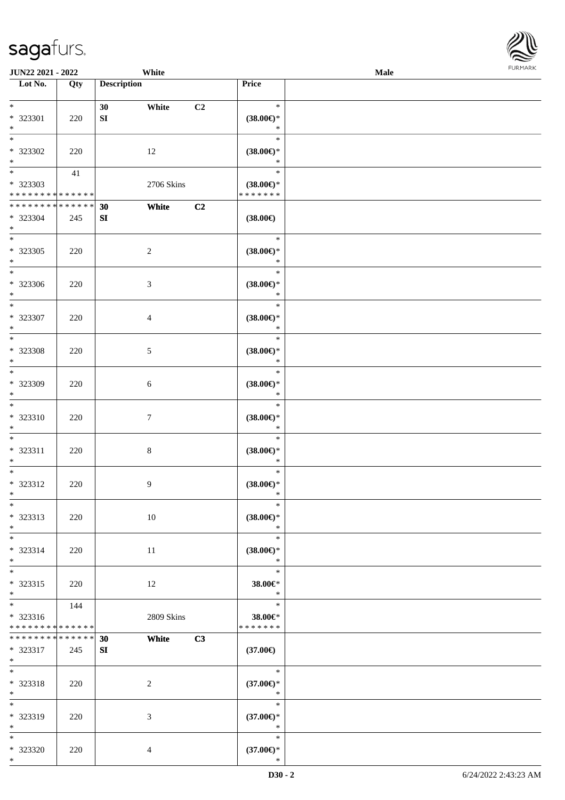| <b>JUN22 2021 - 2022</b>                   |     |                    | White          |                |                               | Male |  |
|--------------------------------------------|-----|--------------------|----------------|----------------|-------------------------------|------|--|
| Lot No.                                    | Qty | <b>Description</b> |                |                | Price                         |      |  |
|                                            |     |                    |                |                |                               |      |  |
| $*$                                        |     | 30                 | White          | C <sub>2</sub> | $\ast$                        |      |  |
| * 323301                                   | 220 | SI                 |                |                | $(38.00\epsilon)$ *           |      |  |
| $\ast$                                     |     |                    |                |                | $\ast$                        |      |  |
|                                            |     |                    |                |                | $\ast$                        |      |  |
| * 323302                                   | 220 |                    | 12             |                | $(38.00\epsilon)$ *           |      |  |
| $*$                                        |     |                    |                |                | $\ast$                        |      |  |
|                                            | 41  |                    |                |                | $\ast$                        |      |  |
| * 323303                                   |     |                    | 2706 Skins     |                | $(38.00\epsilon)$ *           |      |  |
| * * * * * * * * * * * * * *                |     |                    |                |                | * * * * * * *                 |      |  |
| * * * * * * * * <mark>* * * * * * *</mark> |     | 30                 | White          | C2             |                               |      |  |
| * 323304                                   | 245 | SI                 |                |                | $(38.00\epsilon)$             |      |  |
| $*$                                        |     |                    |                |                |                               |      |  |
| $*$                                        |     |                    |                |                | $\ast$                        |      |  |
| * 323305                                   | 220 |                    | $\sqrt{2}$     |                | $(38.00\epsilon)$ *           |      |  |
| $*$<br>$\overline{\phantom{0}}$            |     |                    |                |                | $\ast$                        |      |  |
|                                            |     |                    |                |                | $\ast$                        |      |  |
| * 323306                                   | 220 |                    | $\mathfrak{Z}$ |                | $(38.00\epsilon)$ *           |      |  |
| $*$<br>$*$                                 |     |                    |                |                | $\ast$<br>$\ast$              |      |  |
|                                            |     |                    |                |                |                               |      |  |
| * 323307<br>$*$                            | 220 |                    | $\overline{4}$ |                | $(38.00\epsilon)$ *<br>$\ast$ |      |  |
|                                            |     |                    |                |                | $\ast$                        |      |  |
|                                            |     |                    |                |                |                               |      |  |
| * 323308<br>$*$                            | 220 |                    | 5              |                | $(38.00\epsilon)$ *<br>$\ast$ |      |  |
| $\overline{\phantom{0}}$                   |     |                    |                |                | $\ast$                        |      |  |
| * 323309                                   |     |                    |                |                |                               |      |  |
| $*$                                        | 220 |                    | 6              |                | $(38.00\epsilon)$ *<br>$\ast$ |      |  |
| $*$                                        |     |                    |                |                | $\ast$                        |      |  |
| * 323310                                   | 220 |                    | 7              |                | $(38.00\epsilon)$ *           |      |  |
| $*$                                        |     |                    |                |                | $\ast$                        |      |  |
| $*$                                        |     |                    |                |                | $\ast$                        |      |  |
| * 323311                                   | 220 |                    | $\,8\,$        |                | $(38.00\epsilon)$ *           |      |  |
| $\ast$                                     |     |                    |                |                | $\ast$                        |      |  |
| $*$                                        |     |                    |                |                | $\ast$                        |      |  |
| * 323312                                   | 220 |                    | 9              |                | $(38.00\epsilon)$ *           |      |  |
| $*$                                        |     |                    |                |                | $\ast$                        |      |  |
| $*$                                        |     |                    |                |                | $\ast$                        |      |  |
| * 323313                                   | 220 |                    | 10             |                | $(38.00\epsilon)$ *           |      |  |
| $*$                                        |     |                    |                |                | $\ast$                        |      |  |
| $*$                                        |     |                    |                |                | $\ast$                        |      |  |
| * 323314                                   | 220 |                    | 11             |                | $(38.00\epsilon)$ *           |      |  |
| $\ast$                                     |     |                    |                |                | $\ast$                        |      |  |
| $*$                                        |     |                    |                |                | $\ast$                        |      |  |
| * 323315                                   | 220 |                    | 12             |                | 38.00€*                       |      |  |
| $*$                                        |     |                    |                |                | $\ast$                        |      |  |
| $*$                                        | 144 |                    |                |                | $\ast$                        |      |  |
| * 323316                                   |     |                    | 2809 Skins     |                | 38.00€*                       |      |  |
| * * * * * * * * * * * * * *                |     |                    |                |                | * * * * * * *                 |      |  |
| * * * * * * * * <mark>* * * * * *</mark>   |     | 30                 | White          | C3             |                               |      |  |
| * 323317                                   | 245 | SI                 |                |                | $(37.00\epsilon)$             |      |  |
| $*$ $-$                                    |     |                    |                |                |                               |      |  |
| $*$                                        |     |                    |                |                | $\ast$                        |      |  |
| * 323318                                   | 220 |                    | 2              |                | $(37.00\epsilon)$ *           |      |  |
| $*$                                        |     |                    |                |                | $\ast$<br>$\ast$              |      |  |
| $*$                                        |     |                    |                |                |                               |      |  |
| * 323319<br>$*$ $-$                        | 220 |                    | 3              |                | $(37.00\epsilon)$ *<br>$\ast$ |      |  |
| $*$                                        |     |                    |                |                | $\ast$                        |      |  |
| * 323320                                   | 220 |                    | $\overline{4}$ |                | $(37.00\epsilon)$ *           |      |  |
| $*$                                        |     |                    |                |                | $\ast$                        |      |  |
|                                            |     |                    |                |                |                               |      |  |

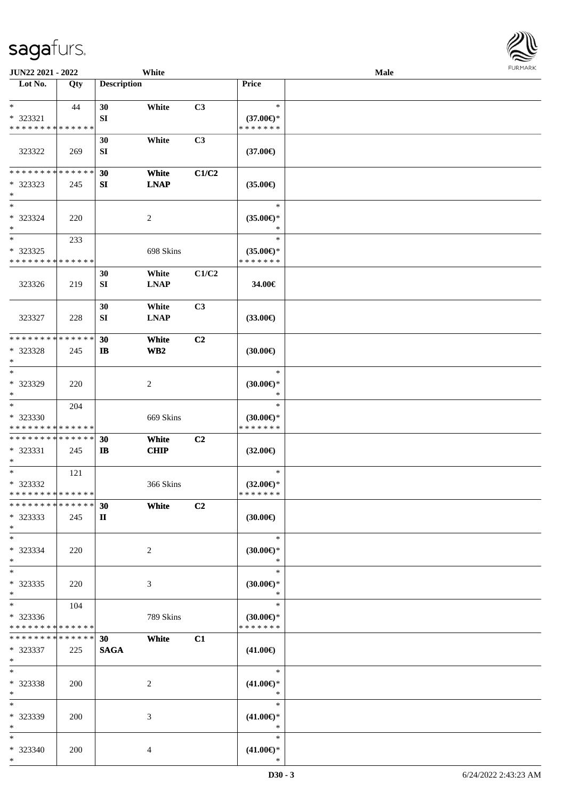| JUN22 2021 - 2022                                  |            |                    | White                    |                |                                                | Male |  |
|----------------------------------------------------|------------|--------------------|--------------------------|----------------|------------------------------------------------|------|--|
| Lot No.                                            | Qty        | <b>Description</b> |                          |                | <b>Price</b>                                   |      |  |
| $*$<br>* 323321<br>* * * * * * * * * * * * * *     | 44         | 30<br>SI           | White                    | C3             | $\ast$<br>$(37.00€)$ *<br>* * * * * * *        |      |  |
| 323322                                             | 269        | 30<br>SI           | White                    | C3             | $(37.00\epsilon)$                              |      |  |
| * * * * * * * * * * * * * *<br>* 323323<br>$*$     | 245        | 30<br>SI           | White<br><b>LNAP</b>     | C1/C2          | $(35.00\epsilon)$                              |      |  |
| $\ast$<br>$* 323324$<br>$*$                        | 220        |                    | $\overline{c}$           |                | $\ast$<br>$(35.00\epsilon)$ *<br>$\ast$        |      |  |
| $*$<br>* 323325<br>* * * * * * * * * * * * * *     | 233        |                    | 698 Skins                |                | $\ast$<br>$(35.00\epsilon)$ *<br>* * * * * * * |      |  |
| 323326                                             | 219        | 30<br>SI           | White<br><b>LNAP</b>     | C1/C2          | 34.00€                                         |      |  |
| 323327                                             | 228        | 30<br>SI           | White<br><b>LNAP</b>     | C3             | $(33.00\epsilon)$                              |      |  |
| * * * * * * * * * * * * * *<br>* 323328<br>$*$     | 245        | 30<br>$\mathbf{I}$ | White<br>WB <sub>2</sub> | C <sub>2</sub> | (30.00)                                        |      |  |
| $*$<br>* 323329<br>$*$                             | 220        |                    | $\boldsymbol{2}$         |                | $\ast$<br>$(30.00\epsilon)$ *<br>$\ast$        |      |  |
| $*$<br>* 323330<br>* * * * * * * * * * * * * *     | 204        |                    | 669 Skins                |                | $\ast$<br>$(30.00\epsilon)$ *<br>* * * * * * * |      |  |
| * * * * * * * * * * * * * *<br>* 323331<br>$*$     | 245        | 30<br>$\mathbf{I}$ | White<br><b>CHIP</b>     | C2             | $(32.00\epsilon)$                              |      |  |
| $*$<br>* 323332<br>* * * * * * * * * * * * * *     | 121        |                    | 366 Skins                |                | $\ast$<br>$(32.00\epsilon)$ *<br>* * * * * * * |      |  |
| * * * * * * * * * * * * * *<br>* 323333<br>$*$     | 245        | 30<br>$\mathbf{I}$ | White                    | C <sub>2</sub> | (30.00)                                        |      |  |
| $*$<br>* 323334<br>$*$                             | 220        |                    | 2                        |                | $\ast$<br>$(30.00 \in )^*$<br>$\ast$           |      |  |
| $*$<br>* 323335<br>$*$                             | 220        |                    | 3                        |                | $\ast$<br>$(30.00\epsilon)$ *<br>$\ast$        |      |  |
| $*$ $*$<br>* 323336<br>* * * * * * * * * * * * * * | 104        |                    | 789 Skins                |                | $\ast$<br>$(30.00\epsilon)$ *<br>* * * * * * * |      |  |
| * * * * * * * * * * * * * * *<br>* 323337<br>$*$   | 225        | 30<br><b>SAGA</b>  | White                    | C1             | $(41.00\epsilon)$                              |      |  |
| $*$<br>* 323338<br>$*$                             | <b>200</b> |                    | $\overline{c}$           |                | $\ast$<br>$(41.00\epsilon)$ *<br>$\ast$        |      |  |
| $*$<br>* 323339<br>$*$                             | 200        |                    | 3                        |                | $\ast$<br>$(41.00\epsilon)$ *<br>$\ast$        |      |  |
| $*$<br>* 323340<br>$*$                             | 200        |                    | $\overline{4}$           |                | $\ast$<br>$(41.00\epsilon)$ *<br>$\ast$        |      |  |

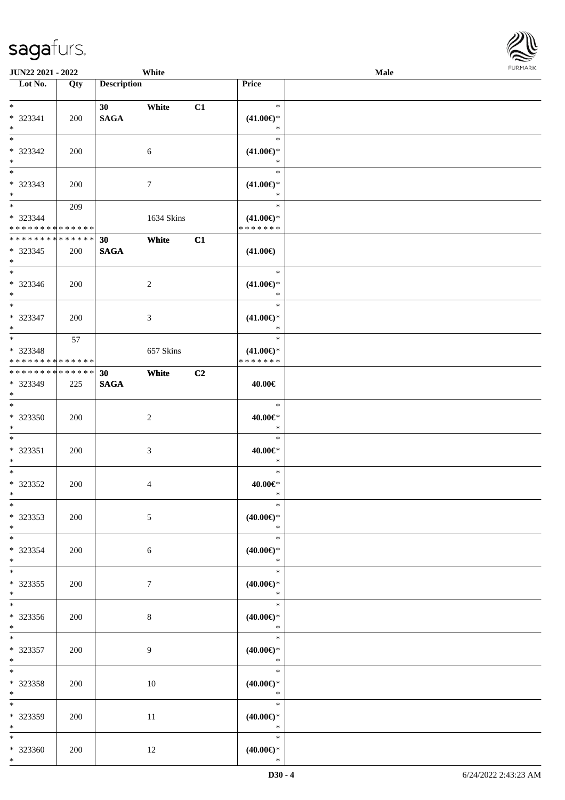| JUN22 2021 - 2022                                                     |     |                                | White            |    |                                                      | Male | <b>FURMARK</b> |
|-----------------------------------------------------------------------|-----|--------------------------------|------------------|----|------------------------------------------------------|------|----------------|
| Lot No.                                                               | Qty | <b>Description</b>             |                  |    | Price                                                |      |                |
| $*$<br>* 323341<br>$\ast$                                             | 200 | 30 <sup>1</sup><br><b>SAGA</b> | White            | C1 | $\ast$<br>$(41.00\epsilon)$ *<br>$\ast$              |      |                |
| $_{\ast}^{-}$<br>$* 323342$<br>$*$<br>$_{\ast}^{-}$                   | 200 |                                | 6                |    | $\ast$<br>$(41.00\epsilon)$ *<br>$\ast$              |      |                |
| * 323343<br>$*$                                                       | 200 |                                | $\boldsymbol{7}$ |    | $\ast$<br>$(41.00\epsilon)$ *<br>$\ast$              |      |                |
| $*$ and $*$<br>* 323344<br>* * * * * * * * <mark>* * * * * * *</mark> | 209 |                                | 1634 Skins       |    | $\ast$<br>$(41.00\epsilon)$ *<br>* * * * * * *       |      |                |
| **************<br>* 323345<br>$*$                                     | 200 | 30<br><b>SAGA</b>              | White            | C1 | $(41.00\epsilon)$                                    |      |                |
| $*$<br>* 323346<br>$\ast$<br>$*$                                      | 200 |                                | $\overline{c}$   |    | $\ast$<br>$(41.00\epsilon)$ *<br>$\ast$<br>$\ast$    |      |                |
| * 323347<br>$\ast$<br>$\overline{\phantom{0}}$                        | 200 |                                | $\mathfrak{Z}$   |    | $(41.00\epsilon)$ *<br>$\ast$<br>$\ast$              |      |                |
| * 323348<br>* * * * * * * * * * * * * *                               | 57  |                                | 657 Skins        |    | $(41.00\epsilon)$ *<br>* * * * * * *                 |      |                |
| **************<br>* 323349<br>$\ast$<br>$*$                           | 225 | 30<br><b>SAGA</b>              | White            | C2 | 40.00€<br>$\ast$                                     |      |                |
| $*323350$<br>$\ast$<br>$\overline{\phantom{0}}$                       | 200 |                                | $\overline{2}$   |    | $40.00 \in$ *<br>$\ast$<br>$\ast$                    |      |                |
| $* 323351$<br>$\ast$<br>$\overline{\phantom{a}^*}$                    | 200 |                                | 3                |    | 40.00€*<br>$\ast$<br>$\ast$                          |      |                |
| * 323352<br>$*$<br>$\ast$                                             | 200 |                                | $\overline{4}$   |    | 40.00€*<br>$\ast$                                    |      |                |
| * 323353<br>$\ast$<br>$\overline{\phantom{0}}$                        | 200 |                                | $5\,$            |    | $(40.00\epsilon)$ *<br>$\ast$<br>$\ast$              |      |                |
| * 323354<br>$*$<br>$\overline{\phantom{0}}$                           | 200 |                                | $\sqrt{6}$       |    | $(40.00\epsilon)$ *<br>$\ast$<br>$\ast$              |      |                |
| $*323355$<br>$*$<br>$\overline{\phantom{0}}$                          | 200 |                                | $\boldsymbol{7}$ |    | $(40.00\epsilon)$ *<br>$\ast$<br>$\ast$              |      |                |
| $*323356$<br>$*$<br>$\overline{\phantom{0}}$                          | 200 |                                | $8\,$            |    | $(40.00\epsilon)$ *<br>$\ast$<br>$\ast$              |      |                |
| * 323357<br>$*$<br>$\overline{\phantom{0}}$                           | 200 |                                | 9                |    | $(40.00\epsilon)$ *<br>$\ast$                        |      |                |
| $*323358$<br>$\ast$<br>$\overline{\phantom{a}^*}$                     | 200 |                                | 10               |    | $\ast$<br>$(40.00\varepsilon)$ *<br>$\ast$<br>$\ast$ |      |                |
| * 323359<br>$\ast$<br>$\ast$                                          | 200 |                                | 11               |    | $(40.00\epsilon)$ *<br>$\ast$                        |      |                |
| $*323360$<br>$*$                                                      | 200 |                                | 12               |    | $\ast$<br>$(40.00\epsilon)$ *<br>$\ast$              |      |                |

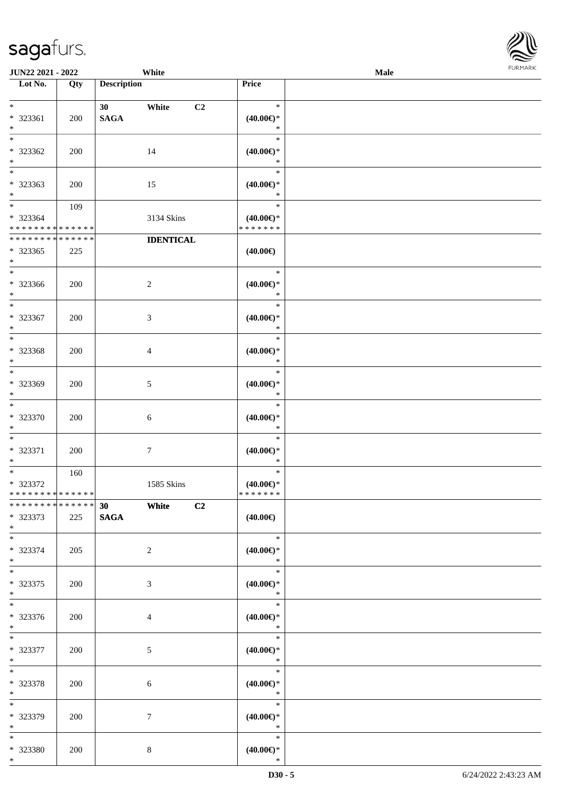| <b>JUN22 2021 - 2022</b>                   |     |                    | White            |                               | Male | 1.91111111 |
|--------------------------------------------|-----|--------------------|------------------|-------------------------------|------|------------|
| Lot No.                                    | Qty | <b>Description</b> |                  | Price                         |      |            |
|                                            |     |                    |                  |                               |      |            |
| $*$                                        |     | 30                 | White<br>C2      | $\ast$                        |      |            |
| * 323361<br>$*$                            | 200 | <b>SAGA</b>        |                  | $(40.00\epsilon)$ *<br>$\ast$ |      |            |
| $\overline{\ast}$                          |     |                    |                  | $\ast$                        |      |            |
| * 323362                                   | 200 |                    | 14               | $(40.00\epsilon)$ *           |      |            |
| $*$                                        |     |                    |                  | $\ast$                        |      |            |
| $*$                                        |     |                    |                  | $\ast$                        |      |            |
| * 323363                                   | 200 |                    | 15               | $(40.00\epsilon)$ *           |      |            |
| $*$                                        |     |                    |                  | $\ast$                        |      |            |
|                                            | 109 |                    |                  | $\ast$                        |      |            |
| * 323364                                   |     |                    | 3134 Skins       | $(40.00\epsilon)$ *           |      |            |
| * * * * * * * * * * * * * *                |     |                    |                  | * * * * * * *                 |      |            |
| * * * * * * * * <mark>* * * * * * *</mark> |     |                    | <b>IDENTICAL</b> |                               |      |            |
| * 323365                                   | 225 |                    |                  | $(40.00\epsilon)$             |      |            |
| $*$<br>$*$                                 |     |                    |                  | $\ast$                        |      |            |
| * 323366                                   | 200 |                    | $\sqrt{2}$       | $(40.00\epsilon)$ *           |      |            |
| $*$                                        |     |                    |                  | $\ast$                        |      |            |
| $\overline{\ast}$                          |     |                    |                  | $\ast$                        |      |            |
| * 323367                                   | 200 |                    | 3                | $(40.00\epsilon)$ *           |      |            |
| $*$                                        |     |                    |                  | $\ast$                        |      |            |
| $*$                                        |     |                    |                  | $\ast$                        |      |            |
| * 323368                                   | 200 |                    | $\overline{4}$   | $(40.00\epsilon)$ *           |      |            |
| $*$                                        |     |                    |                  | $\ast$                        |      |            |
| $*$                                        |     |                    |                  | $\ast$                        |      |            |
| * 323369                                   | 200 |                    | 5                | $(40.00\epsilon)$ *           |      |            |
| $\ast$                                     |     |                    |                  | $\ast$<br>$\ast$              |      |            |
| * 323370                                   | 200 |                    |                  | $(40.00\epsilon)$ *           |      |            |
| $\ast$                                     |     |                    | 6                | $\ast$                        |      |            |
| $\ast$                                     |     |                    |                  | $\ast$                        |      |            |
| * 323371                                   | 200 |                    | 7                | $(40.00\epsilon)$ *           |      |            |
| $*$                                        |     |                    |                  | $\ast$                        |      |            |
| $*$                                        | 160 |                    |                  | $\ast$                        |      |            |
| * 323372                                   |     |                    | 1585 Skins       | $(40.00\epsilon)$ *           |      |            |
| * * * * * * * * * * * * * * *              |     |                    |                  | * * * * * * *                 |      |            |
| * * * * * * * * <mark>* * * * * *</mark>   |     | 30                 | White<br>C2      |                               |      |            |
| $*323373$<br>$*$                           | 225 | <b>SAGA</b>        |                  | $(40.00\epsilon)$             |      |            |
| $*$                                        |     |                    |                  | $\ast$                        |      |            |
| * 323374                                   | 205 |                    | 2                | $(40.00\epsilon)$ *           |      |            |
| $*$                                        |     |                    |                  | $\ast$                        |      |            |
| $*$                                        |     |                    |                  | $\ast$                        |      |            |
| * 323375                                   | 200 |                    | 3                | $(40.00\epsilon)$ *           |      |            |
| $\ast$                                     |     |                    |                  | $\ast$                        |      |            |
| $*$                                        |     |                    |                  | $\ast$                        |      |            |
| * 323376                                   | 200 |                    | 4                | $(40.00\epsilon)$ *           |      |            |
| $*$<br>$*$                                 |     |                    |                  | $\ast$<br>$\ast$              |      |            |
| * 323377                                   | 200 |                    | 5                | $(40.00\epsilon)$ *           |      |            |
| $*$                                        |     |                    |                  | $\ast$                        |      |            |
| $*$                                        |     |                    |                  | $\ast$                        |      |            |
| * 323378                                   | 200 |                    | 6                | $(40.00\epsilon)$ *           |      |            |
| $*$                                        |     |                    |                  | $\ast$                        |      |            |
| $*$                                        |     |                    |                  | $\ast$                        |      |            |
| * 323379                                   | 200 |                    | 7                | $(40.00\epsilon)$ *           |      |            |
| $*$                                        |     |                    |                  | $\ast$                        |      |            |
| $*$                                        |     |                    |                  | $\ast$                        |      |            |
| * 323380                                   | 200 |                    | $\bf 8$          | $(40.00\epsilon)$ *           |      |            |
| $*$                                        |     |                    |                  | $\ast$                        |      |            |

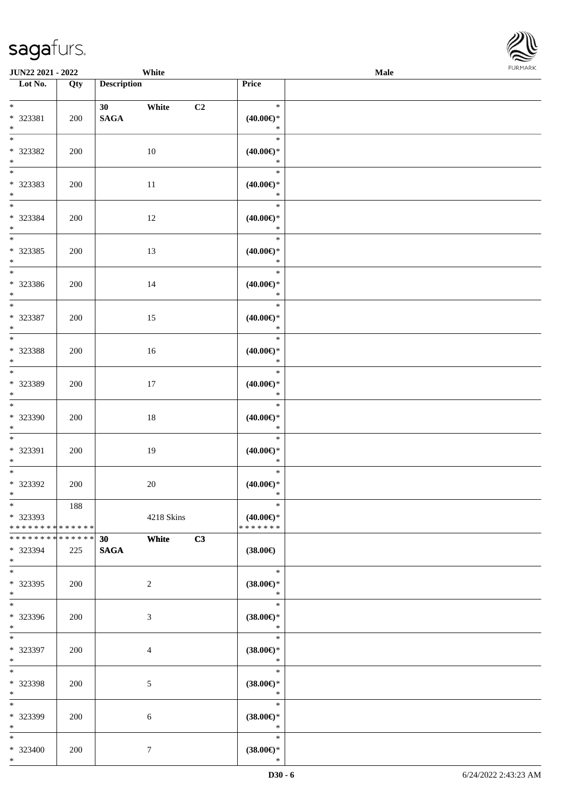|                                         | White<br>JUN22 2021 - 2022 |                    |                |    |                                      | Male | <b>FURMAI</b> |  |
|-----------------------------------------|----------------------------|--------------------|----------------|----|--------------------------------------|------|---------------|--|
| $\overline{\text{Lot No.}}$             | Qty                        | <b>Description</b> |                |    | Price                                |      |               |  |
| $\ast$                                  |                            |                    | 30 White       | C2 | $\ast$                               |      |               |  |
| * 323381                                | 200                        | <b>SAGA</b>        |                |    | $(40.00\epsilon)$ *                  |      |               |  |
| $\ast$<br>$\overline{\phantom{a}^*}$    |                            |                    |                |    | $\ast$                               |      |               |  |
| * 323382                                | 200                        |                    | 10             |    | $\ast$<br>$(40.00\epsilon)$ *        |      |               |  |
| $\ast$                                  |                            |                    |                |    | $\ast$                               |      |               |  |
| $\overline{\phantom{a}^*}$              |                            |                    |                |    | $\ast$                               |      |               |  |
| * 323383<br>$\ast$                      | 200                        |                    | $11\,$         |    | $(40.00\epsilon)$ *<br>$\ast$        |      |               |  |
| $\overline{\ast}$                       |                            |                    |                |    | $\ast$                               |      |               |  |
| * 323384                                | 200                        |                    | 12             |    | $(40.00\epsilon)$ *                  |      |               |  |
| $\ast$<br>$\ast$                        |                            |                    |                |    | $\ast$<br>$\ast$                     |      |               |  |
| * 323385                                | 200                        |                    | 13             |    | $(40.00\epsilon)$ *                  |      |               |  |
| $\ast$                                  |                            |                    |                |    | $\ast$                               |      |               |  |
| $\ast$                                  |                            |                    |                |    | $\ast$                               |      |               |  |
| * 323386<br>$*$                         | 200                        |                    | 14             |    | $(40.00\epsilon)$ *<br>$\ast$        |      |               |  |
| $\ast$                                  |                            |                    |                |    | $\ast$                               |      |               |  |
| * 323387                                | 200                        |                    | 15             |    | $(40.00\epsilon)$ *                  |      |               |  |
| $\ast$<br>$\ast$                        |                            |                    |                |    | $\ast$<br>$\ast$                     |      |               |  |
| * 323388                                | 200                        |                    | 16             |    | $(40.00\epsilon)$ *                  |      |               |  |
| $\ast$<br>$\overline{\phantom{0}}$      |                            |                    |                |    | $\ast$                               |      |               |  |
| * 323389                                | 200                        |                    | 17             |    | $\ast$<br>$(40.00\epsilon)$ *        |      |               |  |
| $\ast$                                  |                            |                    |                |    | $\ast$                               |      |               |  |
| $\overline{\phantom{a}^*}$              |                            |                    |                |    | $\ast$                               |      |               |  |
| * 323390<br>$\ast$                      | 200                        |                    | 18             |    | $(40.00\epsilon)$ *<br>$\ast$        |      |               |  |
| $\overline{\phantom{a}^*}$              |                            |                    |                |    | $\ast$                               |      |               |  |
| * 323391                                | 200                        |                    | 19             |    | $(40.00\epsilon)$ *                  |      |               |  |
| $\ast$<br>$_{\ast}^{-}$                 |                            |                    |                |    | $\ast$<br>$\ast$                     |      |               |  |
| * 323392                                | 200                        |                    | 20             |    | $(40.00\epsilon)$ *                  |      |               |  |
| $\ast$                                  |                            |                    |                |    | $\ast$                               |      |               |  |
| $\ast$                                  | 188                        |                    |                |    | $\ast$                               |      |               |  |
| * 323393<br>* * * * * * * * * * * * * * |                            |                    | 4218 Skins     |    | $(40.00\epsilon)$ *<br>* * * * * * * |      |               |  |
| **************                          |                            | 30                 | White          | C3 |                                      |      |               |  |
| * 323394                                | 225                        | <b>SAGA</b>        |                |    | $(38.00\epsilon)$                    |      |               |  |
| $\ast$<br>$\ast$                        |                            |                    |                |    | $\ast$                               |      |               |  |
| * 323395                                | 200                        |                    | $\sqrt{2}$     |    | $(38.00 \in )$ *                     |      |               |  |
| $\ast$<br>$\overline{\phantom{a}^*}$    |                            |                    |                |    | $\ast$                               |      |               |  |
| * 323396                                | 200                        |                    | $\sqrt{3}$     |    | $\ast$<br>$(38.00\epsilon)$ *        |      |               |  |
| $\ast$                                  |                            |                    |                |    | $\ast$                               |      |               |  |
| $\overline{\phantom{a}}$                |                            |                    |                |    | $\ast$                               |      |               |  |
| * 323397<br>$\ast$                      | 200                        |                    | $\overline{4}$ |    | $(38.00\epsilon)$ *<br>$\ast$        |      |               |  |
| $\ast$                                  |                            |                    |                |    | $\ast$                               |      |               |  |
| * 323398                                | 200                        |                    | 5              |    | $(38.00\epsilon)$ *                  |      |               |  |
| $\ast$<br>$\ast$                        |                            |                    |                |    | $\ast$<br>$\ast$                     |      |               |  |
| * 323399                                | 200                        |                    | $\sqrt{6}$     |    | $(38.00\epsilon)$ *                  |      |               |  |
| $\ast$                                  |                            |                    |                |    | $\ast$                               |      |               |  |
| $\ast$                                  |                            |                    |                |    | $\ast$                               |      |               |  |
| * 323400<br>$*$                         | 200                        |                    | $\tau$         |    | $(38.00\epsilon)$ *<br>$\ast$        |      |               |  |

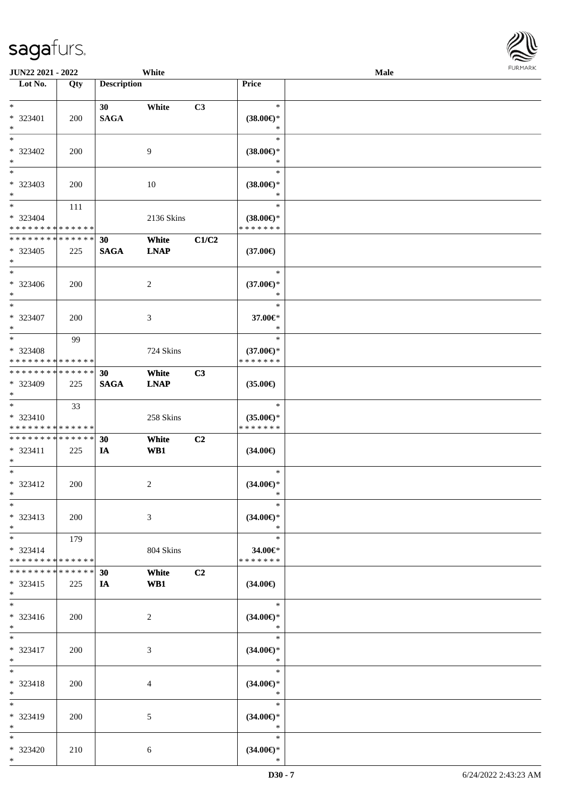| <b>JUN22 2021 - 2022</b>                   |             |                    | White       |                |                     | Male |  |
|--------------------------------------------|-------------|--------------------|-------------|----------------|---------------------|------|--|
| Lot No.                                    | Qty         | <b>Description</b> |             |                | Price               |      |  |
|                                            |             |                    |             |                |                     |      |  |
| $\ast$                                     |             | 30 <sub>1</sub>    | White       | C3             | $\ast$              |      |  |
| * 323401                                   | 200         | <b>SAGA</b>        |             |                | $(38.00\epsilon)$ * |      |  |
| $\ast$                                     |             |                    |             |                | $\ast$              |      |  |
| $*$                                        |             |                    |             |                | $\ast$              |      |  |
| * 323402                                   | 200         |                    | 9           |                | $(38.00\epsilon)$ * |      |  |
| $\ast$                                     |             |                    |             |                | $\ast$              |      |  |
|                                            |             |                    |             |                | $\ast$              |      |  |
| * 323403                                   | 200         |                    | 10          |                | $(38.00\epsilon)$ * |      |  |
| $\ast$                                     |             |                    |             |                | $\ast$              |      |  |
| $\ddot{x}$                                 | 111         |                    |             |                | $\ast$              |      |  |
| * 323404                                   |             |                    | 2136 Skins  |                | $(38.00\epsilon)$ * |      |  |
| * * * * * * * * * * * * * *                |             |                    |             |                | * * * * * * *       |      |  |
| * * * * * * * * * * * * * *                |             | 30                 | White       | C1/C2          |                     |      |  |
| * 323405                                   | 225         | <b>SAGA</b>        | <b>LNAP</b> |                | $(37.00\epsilon)$   |      |  |
| $\ast$                                     |             |                    |             |                |                     |      |  |
| $\ast$                                     |             |                    |             |                | $\ast$              |      |  |
| * 323406                                   | 200         |                    | 2           |                | $(37.00\epsilon)$ * |      |  |
| $\ast$                                     |             |                    |             |                | $\ast$              |      |  |
| $\ast$                                     |             |                    |             |                | $\ast$              |      |  |
|                                            |             |                    |             |                |                     |      |  |
| * 323407                                   | 200         |                    | 3           |                | 37.00€*<br>$\ast$   |      |  |
| $\ast$                                     |             |                    |             |                | $\ast$              |      |  |
|                                            | 99          |                    |             |                |                     |      |  |
| * 323408                                   |             |                    | 724 Skins   |                | $(37.00€)$ *        |      |  |
| * * * * * * * * <mark>* * * * * *</mark>   |             |                    |             |                | * * * * * * *       |      |  |
| * * * * * * * * * * * * * * *              |             | 30                 | White       | C3             |                     |      |  |
| * 323409                                   | 225         | <b>SAGA</b>        | <b>LNAP</b> |                | $(35.00\epsilon)$   |      |  |
| $\ast$                                     |             |                    |             |                |                     |      |  |
| $\ast$                                     | 33          |                    |             |                | $\ast$              |      |  |
| $* 323410$                                 |             |                    | 258 Skins   |                | $(35.00\epsilon)$ * |      |  |
| * * * * * * * * <mark>* * * * * * *</mark> |             |                    |             |                | * * * * * * *       |      |  |
| * * * * * * * * <mark>* * * * * *</mark>   |             | 30                 | White       | C <sub>2</sub> |                     |      |  |
| $* 323411$                                 | 225         | IA                 | WB1         |                | $(34.00\epsilon)$   |      |  |
| $\ast$                                     |             |                    |             |                |                     |      |  |
| $\ast$                                     |             |                    |             |                | $\ast$              |      |  |
| * 323412                                   | 200         |                    | 2           |                | $(34.00\epsilon)$ * |      |  |
| $\ast$                                     |             |                    |             |                | $\ast$              |      |  |
| $*$                                        |             |                    |             |                | $\ast$              |      |  |
| * 323413                                   | 200         |                    | 3           |                | $(34.00\epsilon)$ * |      |  |
| $*$                                        |             |                    |             |                | $\ast$              |      |  |
| $*$ $-$                                    | 179         |                    |             |                | $\ast$              |      |  |
| $* 323414$                                 |             |                    | 804 Skins   |                | 34.00€*             |      |  |
| * * * * * * * * <mark>* * * * * * *</mark> |             |                    |             |                | * * * * * * *       |      |  |
| * * * * * * * *                            | * * * * * * | 30                 | White       | C <sub>2</sub> |                     |      |  |
| $* 323415$                                 | 225         | IA                 | WB1         |                | $(34.00\epsilon)$   |      |  |
| $\ddot{x}$                                 |             |                    |             |                |                     |      |  |
| $\ddot{x}$                                 |             |                    |             |                | $*$                 |      |  |
| $* 323416$                                 | 200         |                    | 2           |                | $(34.00\epsilon)$ * |      |  |
| $*$                                        |             |                    |             |                | $\ast$              |      |  |
| $*$ $*$                                    |             |                    |             |                | $\ast$              |      |  |
| * 323417                                   | 200         |                    | 3           |                | $(34.00\epsilon)$ * |      |  |
| $*$                                        |             |                    |             |                | $\ast$              |      |  |
| $\ddot{x}$                                 |             |                    |             |                | $\ast$              |      |  |
| * 323418                                   | 200         |                    |             |                | $(34.00\epsilon)$ * |      |  |
| $\ast$                                     |             |                    | 4           |                | $\ast$              |      |  |
| $\overline{\phantom{0}}$                   |             |                    |             |                | $\ast$              |      |  |
|                                            |             |                    |             |                |                     |      |  |
| * 323419                                   | 200         |                    | 5           |                | $(34.00\epsilon)$ * |      |  |
| $*$                                        |             |                    |             |                | $\ast$              |      |  |
| $*$                                        |             |                    |             |                | $\ast$              |      |  |
| * 323420                                   | 210         |                    | 6           |                | $(34.00\epsilon)$ * |      |  |
| $\ast$                                     |             |                    |             |                | $\ast$              |      |  |

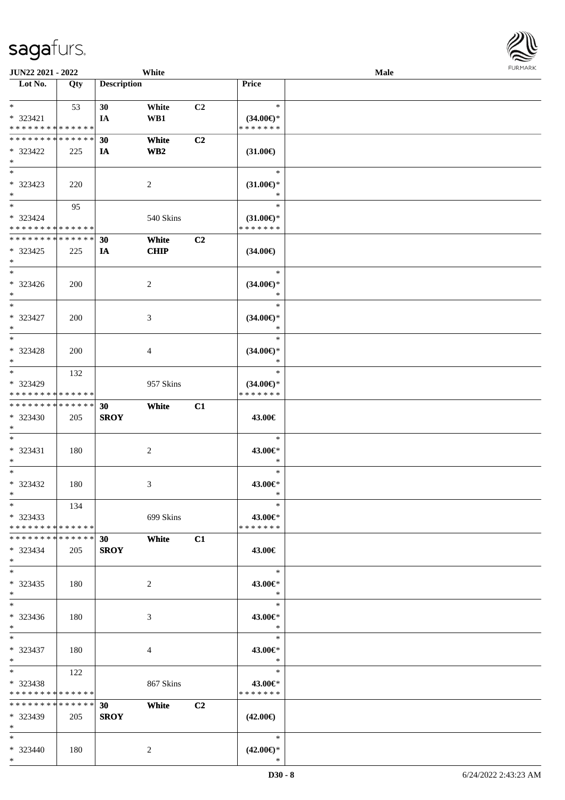\*

| <b>JUN22 2021 - 2022</b>                                   |     |                    | White           |                |                                      | Male |  |
|------------------------------------------------------------|-----|--------------------|-----------------|----------------|--------------------------------------|------|--|
| Lot No.                                                    | Qty | <b>Description</b> |                 |                | Price                                |      |  |
|                                                            |     |                    |                 |                |                                      |      |  |
| $*$                                                        | 53  | 30                 | White           | C2             | $\ast$                               |      |  |
| * 323421                                                   |     | IA                 | WB1             |                | $(34.00€)$ *<br>* * * * * * *        |      |  |
| * * * * * * * * * * * * * *<br>* * * * * * * * * * * * * * |     |                    |                 |                |                                      |      |  |
|                                                            |     | 30                 | White           | C <sub>2</sub> |                                      |      |  |
| * 323422                                                   | 225 | IA                 | WB <sub>2</sub> |                | $(31.00\epsilon)$                    |      |  |
| $\ast$                                                     |     |                    |                 |                | $\ast$                               |      |  |
|                                                            |     |                    |                 |                |                                      |      |  |
| * 323423<br>$*$                                            | 220 |                    | 2               |                | $(31.00\epsilon)$ *<br>*             |      |  |
| $*$                                                        |     |                    |                 |                | $\ast$                               |      |  |
| * 323424                                                   | 95  |                    |                 |                |                                      |      |  |
| * * * * * * * * * * * * * *                                |     |                    | 540 Skins       |                | $(31.00\epsilon)$ *<br>* * * * * * * |      |  |
| * * * * * * * * * * * * * *                                |     | 30                 | White           | C <sub>2</sub> |                                      |      |  |
| * 323425                                                   | 225 | IA                 | <b>CHIP</b>     |                | $(34.00\epsilon)$                    |      |  |
| $\ast$                                                     |     |                    |                 |                |                                      |      |  |
| $*$                                                        |     |                    |                 |                | $\ast$                               |      |  |
| $* 323426$                                                 | 200 |                    | 2               |                | $(34.00\epsilon)$ *                  |      |  |
| $*$                                                        |     |                    |                 |                | $\ast$                               |      |  |
| $*$                                                        |     |                    |                 |                | $\ast$                               |      |  |
| * 323427                                                   | 200 |                    | 3               |                | $(34.00\epsilon)$ *                  |      |  |
| $*$                                                        |     |                    |                 |                | $\ast$                               |      |  |
| $*$                                                        |     |                    |                 |                | $\ast$                               |      |  |
| * 323428                                                   | 200 |                    | 4               |                | $(34.00\epsilon)$ *                  |      |  |
| $*$                                                        |     |                    |                 |                | $\ast$                               |      |  |
| $\overline{\ast}$                                          | 132 |                    |                 |                | $\ast$                               |      |  |
| * 323429                                                   |     |                    | 957 Skins       |                | $(34.00\epsilon)$ *                  |      |  |
| * * * * * * * * * * * * * *                                |     |                    |                 |                | * * * * * * *                        |      |  |
| * * * * * * * * <mark>* * * * * * *</mark>                 |     | 30                 | White           | C1             |                                      |      |  |
| * 323430                                                   | 205 | <b>SROY</b>        |                 |                | 43.00€                               |      |  |
| $\ast$                                                     |     |                    |                 |                |                                      |      |  |
| $*$                                                        |     |                    |                 |                | $\ast$                               |      |  |
| * 323431                                                   | 180 |                    | $\overline{c}$  |                | 43.00€*                              |      |  |
| $\ast$                                                     |     |                    |                 |                | $\ast$                               |      |  |
| $*$                                                        |     |                    |                 |                | $\ast$                               |      |  |
| * 323432                                                   | 180 |                    | 3               |                | 43.00€*                              |      |  |
| $*$                                                        |     |                    |                 |                | $\ast$                               |      |  |
| $*$                                                        | 134 |                    |                 |                | $\ast$                               |      |  |
| $* 323433$                                                 |     |                    | 699 Skins       |                | 43.00€*                              |      |  |
| * * * * * * * * <mark>* * * * * *</mark> *                 |     |                    |                 |                | * * * * * * *                        |      |  |
| * * * * * * * * * * * * * * *                              |     | 30                 | White           | C1             |                                      |      |  |
| * 323434                                                   | 205 | <b>SROY</b>        |                 |                | 43.00€                               |      |  |
| $\ast$<br>$*$                                              |     |                    |                 |                | $\ast$                               |      |  |
|                                                            |     |                    |                 |                |                                      |      |  |
| $* 323435$<br>$*$                                          | 180 |                    | 2               |                | 43.00€*<br>$\ast$                    |      |  |
| $*$                                                        |     |                    |                 |                | $\ast$                               |      |  |
| $* 323436$                                                 | 180 |                    | 3               |                | 43.00€*                              |      |  |
| $*$                                                        |     |                    |                 |                | $\ast$                               |      |  |
| $*$ $-$                                                    |     |                    |                 |                | $\ast$                               |      |  |
| * 323437                                                   | 180 |                    | 4               |                | 43.00€*                              |      |  |
| $*$ $-$                                                    |     |                    |                 |                | $\ast$                               |      |  |
| $*$ and $*$                                                | 122 |                    |                 |                | $\ast$                               |      |  |
| $* 323438$                                                 |     |                    | 867 Skins       |                | 43.00€*                              |      |  |
| * * * * * * * * * * * * * *                                |     |                    |                 |                | * * * * * * *                        |      |  |
| * * * * * * * * <mark>* * * * * *</mark>                   |     | 30                 | White           | C2             |                                      |      |  |
| $* 323439$                                                 | 205 | <b>SROY</b>        |                 |                | $(42.00\epsilon)$                    |      |  |
| $*$                                                        |     |                    |                 |                |                                      |      |  |
| $*$                                                        |     |                    |                 |                | $\ast$                               |      |  |
| * 323440                                                   | 180 |                    | 2               |                | $(42.00\epsilon)$ *                  |      |  |
| $*$                                                        |     |                    |                 |                | $\ast$                               |      |  |

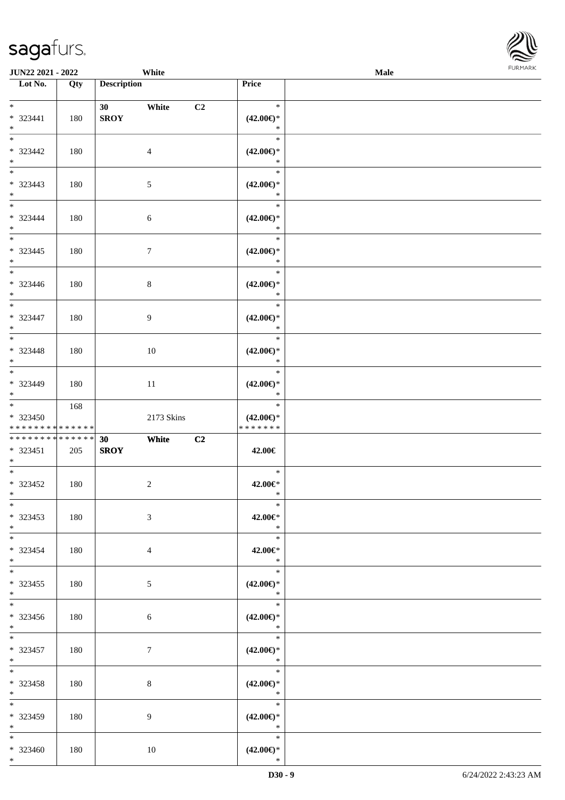

| <b>JUN22 2021 - 2022</b>                         |     | White                      |                                                   | Male |  |
|--------------------------------------------------|-----|----------------------------|---------------------------------------------------|------|--|
| Lot No.                                          | Qty | <b>Description</b>         | Price                                             |      |  |
| $*$<br>$* 323441$                                | 180 | 30<br>White<br><b>SROY</b> | $\ast$<br>C2<br>$(42.00\epsilon)$ *               |      |  |
| $*$<br>* 323442                                  | 180 | $\overline{4}$             | $\ast$<br>$\ast$<br>$(42.00\epsilon)$ *           |      |  |
| $*$<br>$* 323443$<br>$*$                         | 180 | 5                          | $\ast$<br>$\ast$<br>$(42.00\epsilon)$ *<br>$\ast$ |      |  |
| $*$<br>* 323444<br>$*$                           | 180 | 6                          | $\ast$<br>$(42.00\epsilon)$ *<br>$\ast$           |      |  |
| $* 323445$<br>$*$                                | 180 | $7\phantom{.0}$            | $\ast$<br>$(42.00\epsilon)$ *<br>$\ast$           |      |  |
| $* 323446$<br>$*$                                | 180 | 8                          | $\ast$<br>$(42.00\epsilon)$ *<br>$\ast$           |      |  |
| * 323447<br>$*$                                  | 180 | 9                          | $\ast$<br>$(42.00\epsilon)$ *<br>$\ast$           |      |  |
| * 323448<br>$*$                                  | 180 | 10                         | $\ast$<br>$(42.00\epsilon)$ *<br>$\ast$           |      |  |
| $\overline{\ast}$<br>* 323449<br>$*$             | 180 | 11                         | $\ast$<br>$(42.00\epsilon)$ *<br>$\ast$           |      |  |
| $*$<br>$* 323450$<br>* * * * * * * * * * * * * * | 168 | 2173 Skins                 | $\ast$<br>$(42.00\epsilon)$ *<br>* * * * * * *    |      |  |
| * * * * * * * * * * * * * *<br>* 323451<br>$*$   | 205 | 30<br>White<br><b>SROY</b> | C2<br>42.00€                                      |      |  |
| $*$<br>* 323452<br>$*$ $*$                       | 180 | $\overline{c}$             | $\ast$<br>42.00€*<br>$\ast$                       |      |  |
| $*$<br>$* 323453$<br>$*$                         | 180 | 3                          | $\ast$<br>42.00€*<br>$\ast$                       |      |  |
| $*$<br>* 323454<br>$*$<br>$*$                    | 180 | $\overline{4}$             | $\ast$<br>42.00€*<br>$\ast$                       |      |  |
| $* 323455$<br>$*$                                | 180 | 5                          | $\ast$<br>$(42.00\epsilon)$ *<br>$\ast$<br>$\ast$ |      |  |
| $* 323456$<br>$*$<br>$*$ and $*$                 | 180 | 6                          | $(42.00\epsilon)$ *<br>$\mathbb{R}^2$             |      |  |
| * 323457<br>$*$ $-$<br>$*$ $*$                   | 180 | $\tau$                     | $\ast$<br>$(42.00\epsilon)$ *<br>$\ast$<br>$\ast$ |      |  |
| * 323458<br>$*$<br>$*$                           | 180 | 8                          | $(42.00\epsilon)$ *<br>$\ast$<br>$\ast$           |      |  |
| * 323459<br>$*$                                  | 180 | 9                          | $(42.00\epsilon)$ *<br>$\ast$                     |      |  |
| $*$<br>* 323460<br>$*$                           | 180 | 10                         | $\ast$<br>$(42.00\epsilon)$ *<br>$\ast$           |      |  |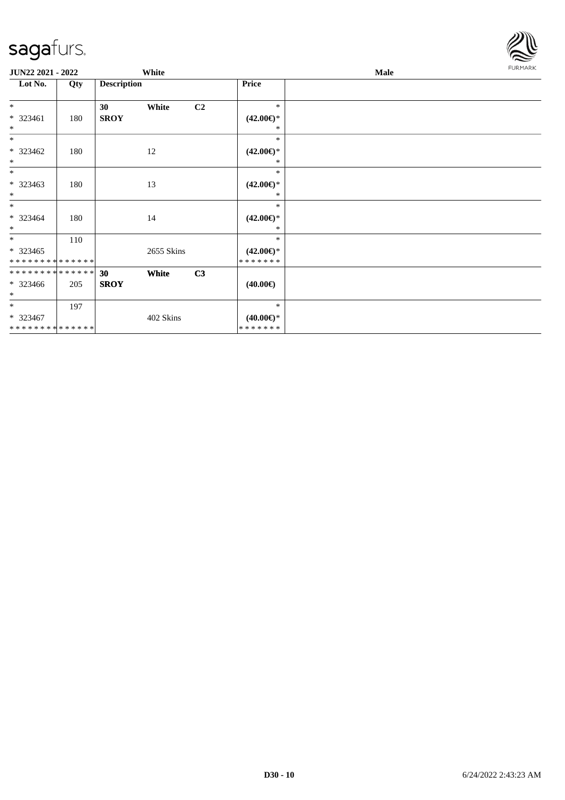

| JUN22 2021 - 2022                                  |     |                    | White      |                |                                          | <b>Male</b> | <b>FURMARK</b> |
|----------------------------------------------------|-----|--------------------|------------|----------------|------------------------------------------|-------------|----------------|
| Lot No.                                            | Qty | <b>Description</b> |            |                | Price                                    |             |                |
| $*$                                                |     | 30                 | White      | C <sub>2</sub> | $\ast$                                   |             |                |
| * 323461<br>$*$                                    | 180 | <b>SROY</b>        |            |                | $(42.00\epsilon)$ *<br>∗                 |             |                |
| $*$                                                |     |                    |            |                | $\ast$                                   |             |                |
| * 323462<br>$*$                                    | 180 |                    | 12         |                | $(42.00\epsilon)$ *<br>∗                 |             |                |
| $*$                                                |     |                    |            |                | $\ast$                                   |             |                |
| * 323463<br>$*$                                    | 180 |                    | 13         |                | $(42.00\epsilon)$ *<br>∗                 |             |                |
| $*$<br>$* 323464$<br>$*$                           | 180 |                    | 14         |                | $\ast$<br>$(42.00\epsilon)$ *<br>∗       |             |                |
| $*$                                                | 110 |                    |            |                | $\ast$                                   |             |                |
| $* 323465$<br>* * * * * * * * * * * * * *          |     |                    | 2655 Skins |                | $(42.00\epsilon)$ *<br>*******           |             |                |
| * * * * * * * * * * * * * *                        |     | 30                 | White      | C3             |                                          |             |                |
| $* 323466$<br>$*$                                  | 205 | <b>SROY</b>        |            |                | $(40.00\epsilon)$                        |             |                |
| $*$<br>$* 323467$<br>* * * * * * * * * * * * * * * | 197 |                    | 402 Skins  |                | $\ast$<br>$(40.00\epsilon)$ *<br>******* |             |                |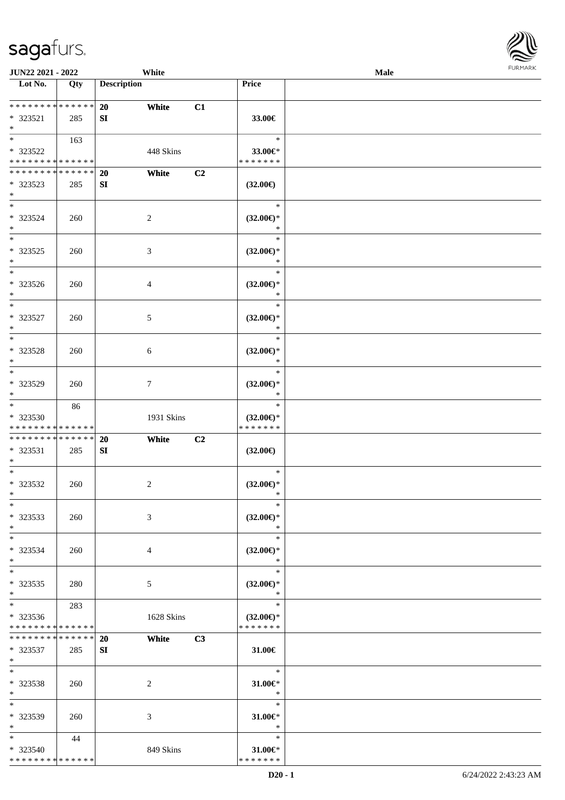| Lot No.                      | Qty | <b>Description</b> | <b>Price</b>                  |  |
|------------------------------|-----|--------------------|-------------------------------|--|
|                              |     |                    |                               |  |
| * * * * * * * * * * * * * *  |     | 20<br>White        | C1                            |  |
| * 323521                     | 285 | SI                 | 33.00€                        |  |
| $*$                          |     |                    |                               |  |
| $*$                          | 163 |                    | $\ast$                        |  |
| * 323522                     |     | 448 Skins          | 33.00€*                       |  |
| * * * * * * * * * * * * * *  |     |                    | * * * * * * *                 |  |
| ******** <mark>******</mark> |     | White<br>20        | C2                            |  |
| * 323523                     | 285 | SI                 | $(32.00\epsilon)$             |  |
| $*$                          |     |                    |                               |  |
| $*$                          |     |                    | $\ast$                        |  |
| * 323524                     | 260 | $\overline{c}$     | $(32.00\epsilon)$ *           |  |
| $*$                          |     |                    | $\ast$                        |  |
|                              |     |                    | $\ast$                        |  |
| * 323525                     | 260 | 3                  | $(32.00\epsilon)$ *           |  |
| $*$<br>$*$                   |     |                    | $\ast$<br>$\ast$              |  |
|                              |     |                    |                               |  |
| * 323526<br>$*$              | 260 | $\overline{4}$     | $(32.00\epsilon)$ *<br>$\ast$ |  |
| $\overline{\ast}$            |     |                    | $\ast$                        |  |
| * 323527                     | 260 | $5\,$              | $(32.00\epsilon)$ *           |  |
| $*$                          |     |                    | $\ast$                        |  |
| $\overline{\phantom{0}}$     |     |                    | $\ast$                        |  |
| * 323528                     | 260 | 6                  | $(32.00\epsilon)$ *           |  |
| $*$                          |     |                    | $\ast$                        |  |
| $*$                          |     |                    | $\ast$                        |  |
| * 323529                     | 260 | $\tau$             | $(32.00\epsilon)$ *           |  |
| $*$                          |     |                    | $\ast$                        |  |
| $*$                          | 86  |                    | $\ast$                        |  |
| * 323530                     |     | 1931 Skins         | $(32.00\epsilon)$ *           |  |
| * * * * * * * * * * * * * *  |     |                    | * * * * * * *                 |  |
| * * * * * * * * * * * * * *  |     | <b>20</b><br>White | C2                            |  |
| * 323531                     | 285 | SI                 | $(32.00\epsilon)$             |  |
| $*$                          |     |                    |                               |  |
| $*$                          |     |                    | $\ast$                        |  |
| $* 323532$<br>$*$            | 260 | $\overline{c}$     | $(32.00\epsilon)$ *<br>$\ast$ |  |
| $*$                          |     |                    | $\ast$                        |  |
| * 323533                     | 260 | 3                  | $(32.00\epsilon)$ *           |  |
| $*$                          |     |                    | $\ast$                        |  |
| $*$                          |     |                    | $\ast$                        |  |
| * 323534                     | 260 | 4                  | $(32.00\epsilon)$ *           |  |
| $*$                          |     |                    | $\ast$                        |  |
| $*$                          |     |                    | $\ast$                        |  |
| * 323535                     | 280 | 5                  | $(32.00\epsilon)$ *           |  |
| $*$                          |     |                    | $\ast$                        |  |
| $*$                          | 283 |                    | $\ast$                        |  |
| * 323536                     |     | 1628 Skins         | $(32.00\epsilon)$ *           |  |
| * * * * * * * * * * * * * *  |     |                    | * * * * * * *                 |  |
| * * * * * * * * * * * * * *  |     | <b>20</b><br>White | C3                            |  |
| * 323537                     | 285 | SI                 | $31.00 \in$                   |  |
| $*$<br>$*$                   |     |                    | $\ast$                        |  |
| * 323538                     |     |                    | $31.00 \in$                   |  |
| $*$                          | 260 | $\overline{c}$     | $\ast$                        |  |
| $*$                          |     |                    | $\ast$                        |  |
| * 323539                     | 260 | 3                  | $31.00 \in$ *                 |  |
| $*$                          |     |                    | $\ast$                        |  |
| $*$                          | 44  |                    | $\ast$                        |  |
| $* 323540$                   |     | 849 Skins          | $31.00 \in$                   |  |
| * * * * * * * * * * * * * *  |     |                    | * * * * * * *                 |  |

**JUN22 2021 - 2022 White Male**

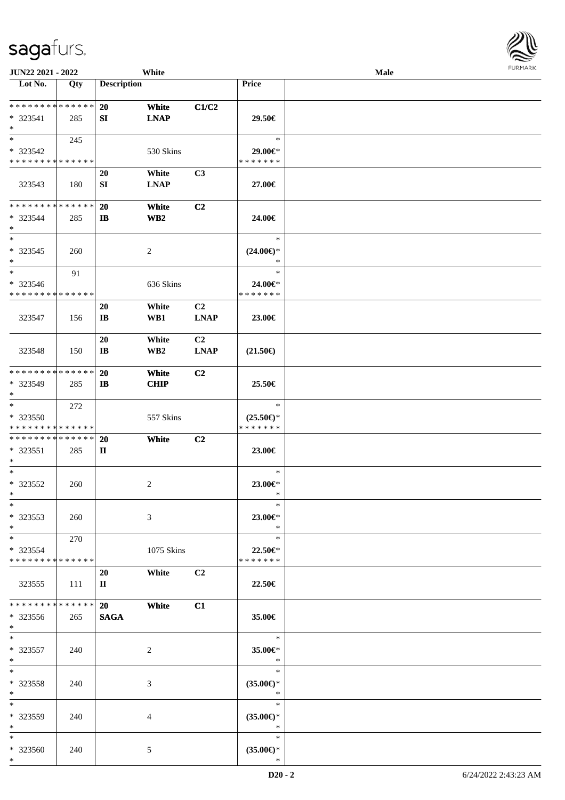| <b>JUN22 2021 - 2022</b>                   |       |                        | White           |                |                                      | Male | <b>FURPIARA</b> |
|--------------------------------------------|-------|------------------------|-----------------|----------------|--------------------------------------|------|-----------------|
| Lot No.                                    | Qty   | <b>Description</b>     |                 |                | Price                                |      |                 |
|                                            |       |                        |                 |                |                                      |      |                 |
| * * * * * * * * * * * * * * *              |       | 20                     | White           | C1/C2          |                                      |      |                 |
| * 323541<br>$*$                            | 285   | SI                     | <b>LNAP</b>     |                | 29.50€                               |      |                 |
| $*$                                        | 245   |                        |                 |                | $\ast$                               |      |                 |
| * 323542                                   |       |                        | 530 Skins       |                | 29.00€*                              |      |                 |
| * * * * * * * * * * * * * *                |       |                        |                 |                | * * * * * * *                        |      |                 |
|                                            |       | 20                     | White           | C <sub>3</sub> |                                      |      |                 |
| 323543                                     | 180   | SI                     | <b>LNAP</b>     |                | 27.00€                               |      |                 |
|                                            |       |                        |                 |                |                                      |      |                 |
| * * * * * * * * * * * * * * *              |       | 20                     | White           | C2             |                                      |      |                 |
| * 323544                                   | 285   | IB                     | WB <sub>2</sub> |                | 24.00€                               |      |                 |
| $*$                                        |       |                        |                 |                |                                      |      |                 |
| $\overline{\phantom{0}}$                   |       |                        |                 |                | $\ast$                               |      |                 |
| * 323545                                   | 260   |                        | 2               |                | $(24.00\epsilon)$ *                  |      |                 |
| $*$<br>$*$                                 |       |                        |                 |                | *<br>$\ast$                          |      |                 |
| * 323546                                   | 91    |                        |                 |                |                                      |      |                 |
| * * * * * * * * * * * * * *                |       |                        | 636 Skins       |                | 24.00€*<br>* * * * * * *             |      |                 |
|                                            |       | 20                     | White           | C <sub>2</sub> |                                      |      |                 |
| 323547                                     | 156   | $\mathbf{I}\mathbf{B}$ | WB1             | <b>LNAP</b>    | 23.00€                               |      |                 |
|                                            |       |                        |                 |                |                                      |      |                 |
|                                            |       | 20                     | White           | C <sub>2</sub> |                                      |      |                 |
| 323548                                     | 150   | IB                     | WB <sub>2</sub> | <b>LNAP</b>    | $(21.50\epsilon)$                    |      |                 |
|                                            |       |                        |                 |                |                                      |      |                 |
| * * * * * * * * * * * * * *                |       | 20                     | White           | C2             |                                      |      |                 |
| * 323549                                   | 285   | $\mathbf{I}$           | <b>CHIP</b>     |                | 25.50€                               |      |                 |
| $\ast$                                     |       |                        |                 |                |                                      |      |                 |
| $*$                                        | 272   |                        |                 |                | $\ast$                               |      |                 |
| * 323550<br>* * * * * * * * * * * * * *    |       |                        | 557 Skins       |                | $(25.50\epsilon)$ *<br>* * * * * * * |      |                 |
| * * * * * * * * * * * * * *                |       | <b>20</b>              | White           | C <sub>2</sub> |                                      |      |                 |
| * 323551                                   | 285   | П                      |                 |                | 23.00€                               |      |                 |
| $*$                                        |       |                        |                 |                |                                      |      |                 |
| $*$                                        |       |                        |                 |                | $\ast$                               |      |                 |
| * 323552                                   | 260   |                        | 2               |                | 23.00€*                              |      |                 |
| $*$ $-$                                    |       |                        |                 |                | $\sim$                               |      |                 |
| $*$                                        |       |                        |                 |                | $\ast$                               |      |                 |
| $*323553$                                  | 260   |                        | 3               |                | 23.00€*                              |      |                 |
| $*$<br>$*$ $-$                             | 270   |                        |                 |                | $\ast$<br>$\ast$                     |      |                 |
| * 323554                                   |       |                        | 1075 Skins      |                | 22.50€*                              |      |                 |
| * * * * * * * * <mark>* * * * * * *</mark> |       |                        |                 |                | * * * * * * *                        |      |                 |
|                                            |       | 20                     | White           | C <sub>2</sub> |                                      |      |                 |
| 323555                                     | - 111 | $\mathbf{I}$           |                 |                | 22.50€                               |      |                 |
|                                            |       |                        |                 |                |                                      |      |                 |
| * * * * * * * * * * * * * * *              |       | 20                     | White           | C1             |                                      |      |                 |
| $*323556$                                  | 265   | <b>SAGA</b>            |                 |                | 35.00€                               |      |                 |
| $\ast$<br>$*$                              |       |                        |                 |                |                                      |      |                 |
|                                            |       |                        |                 |                | $\ast$                               |      |                 |
| $* 323557$<br>$*$                          | 240   |                        | 2               |                | 35.00€*<br>$\ast$                    |      |                 |
| $*$                                        |       |                        |                 |                | $\ast$                               |      |                 |
| * 323558                                   | 240   |                        | 3               |                | $(35.00\epsilon)$ *                  |      |                 |
| $*$                                        |       |                        |                 |                | $*$                                  |      |                 |
| $*$                                        |       |                        |                 |                | $\ast$                               |      |                 |
| * 323559                                   | 240   |                        | 4               |                | $(35.00\epsilon)$ *                  |      |                 |
| $\ast$                                     |       |                        |                 |                | $\ast$                               |      |                 |
| $*$                                        |       |                        |                 |                | $\ast$                               |      |                 |
| * 323560                                   | 240   |                        | 5               |                | $(35.00\epsilon)$ *<br>$\ast$        |      |                 |
| $\ast$                                     |       |                        |                 |                |                                      |      |                 |

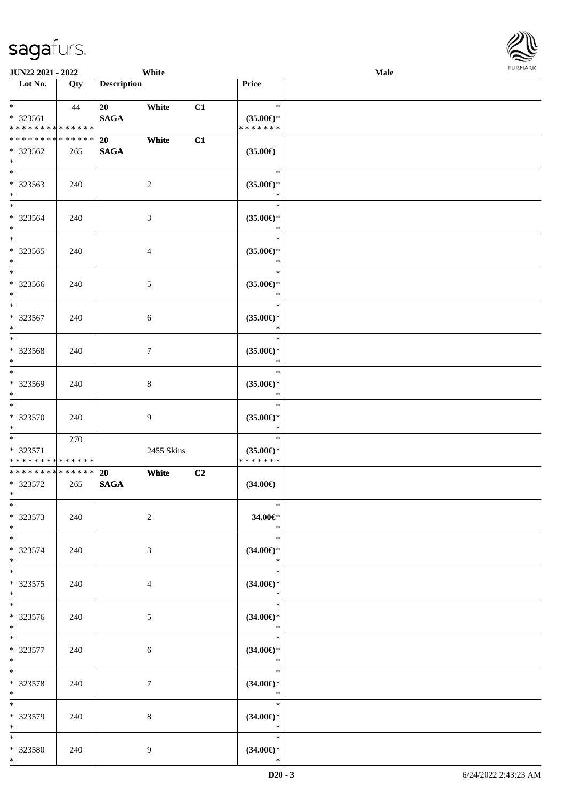

| JUN22 2021 - 2022                                  |     |                              | White          |    |                                                | Male | <b>FURMARK</b> |
|----------------------------------------------------|-----|------------------------------|----------------|----|------------------------------------------------|------|----------------|
| $\overline{\phantom{1}}$ Lot No.                   | Qty | <b>Description</b>           |                |    | Price                                          |      |                |
| $*$ $*$<br>* 323561<br>* * * * * * * * * * * * * * | 44  | 20<br><b>SAGA</b>            | White          | C1 | $\ast$<br>$(35.00\epsilon)$ *<br>* * * * * * * |      |                |
| * * * * * * * * * * * * * *<br>* 323562<br>$*$     | 265 | <b>20</b><br>$\mathbf{SAGA}$ | White          | C1 | $(35.00\in)$                                   |      |                |
| $\overline{\phantom{a}^*}$<br>* 323563<br>$*$      | 240 |                              | $\sqrt{2}$     |    | $\ast$<br>$(35.00\epsilon)$ *<br>$\ast$        |      |                |
| $*$<br>* 323564<br>$*$                             | 240 |                              | $\mathfrak{Z}$ |    | $\ast$<br>$(35.00\epsilon)$ *<br>$\ast$        |      |                |
| $\ast$<br>$*323565$<br>$*$                         | 240 |                              | $\overline{4}$ |    | $\ast$<br>$(35.00\epsilon)$ *<br>$\ast$        |      |                |
| $\overline{\phantom{0}}$<br>* 323566<br>$*$        | 240 |                              | $\mathfrak{S}$ |    | $\ast$<br>$(35.00\epsilon)$ *<br>$\ast$        |      |                |
| $*$<br>* 323567<br>$\ast$                          | 240 |                              | 6              |    | $\ast$<br>$(35.00\epsilon)$ *<br>$\ast$        |      |                |
| $\ast$<br>* 323568<br>$\ast$                       | 240 |                              | $\tau$         |    | $\ast$<br>$(35.00\epsilon)$ *<br>$\ast$        |      |                |
| $\overline{\phantom{0}}$<br>* 323569<br>$\ast$     | 240 |                              | $\,8\,$        |    | $\ast$<br>$(35.00\epsilon)$ *<br>$\ast$        |      |                |
| $\ast$<br>$* 323570$<br>$\ast$                     | 240 |                              | 9              |    | $\ast$<br>$(35.00\epsilon)$ *<br>$\ast$        |      |                |
| $*$<br>* 323571<br>******** <mark>******</mark>    | 270 |                              | 2455 Skins     |    | $\ast$<br>$(35.00\epsilon)$ *<br>* * * * * * * |      |                |
| ******** <mark>******</mark><br>* 323572<br>$\ast$ | 265 | 20<br><b>SAGA</b>            | White          | C2 | $(34.00\epsilon)$                              |      |                |
| $\ast$<br>$* 323573$<br>$\ast$                     | 240 |                              | $\overline{c}$ |    | $\ast$<br>34.00€*<br>$\ast$                    |      |                |
| $\ast$<br>* 323574<br>$*$                          | 240 |                              | $\mathfrak{Z}$ |    | $\ast$<br>$(34.00\epsilon)$ *<br>$\ast$        |      |                |
| $\overline{\phantom{0}}$<br>$* 323575$<br>$*$      | 240 |                              | $\overline{4}$ |    | $\ast$<br>$(34.00\epsilon)$ *<br>$\ast$        |      |                |
| $\overline{\phantom{a}^*}$<br>* 323576<br>$\ast$   | 240 |                              | $\sqrt{5}$     |    | $\ast$<br>$(34.00\in)\!\!^*$<br>$\ast$         |      |                |
| $\ast$<br>$* 323577$<br>$\ast$                     | 240 |                              | 6              |    | $\ast$<br>$(34.00\epsilon)$ *<br>$\ast$        |      |                |
| $\overline{\phantom{0}}$<br>* 323578<br>$*$        | 240 |                              | $\tau$         |    | $\ast$<br>$(34.00\epsilon)$ *<br>$\ast$        |      |                |
| $\overline{\phantom{a}^*}$<br>* 323579<br>$\ast$   | 240 |                              | 8              |    | $\ast$<br>$(34.00\epsilon)$ *<br>$\ast$        |      |                |
| $*$<br>* 323580<br>$*$                             | 240 |                              | 9              |    | $\ast$<br>$(34.00\epsilon)$ *<br>$\ast$        |      |                |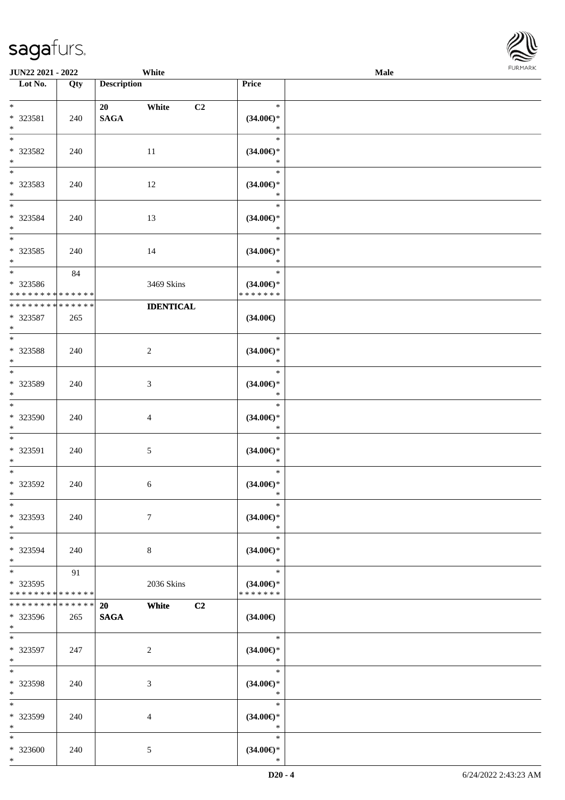| JUN22 2021 - 2022                       |     |                    | White            |                                      | Male | <b>FURMAR</b> |
|-----------------------------------------|-----|--------------------|------------------|--------------------------------------|------|---------------|
| $\overline{\phantom{1}}$ Lot No.        | Qty | <b>Description</b> |                  | Price                                |      |               |
| $*$ $*$                                 |     | 20                 | White<br>C2      | $\ast$                               |      |               |
| * 323581                                | 240 | <b>SAGA</b>        |                  | $(34.00\epsilon)$ *                  |      |               |
| $\ast$                                  |     |                    |                  | $*$                                  |      |               |
| $\ast$                                  |     |                    |                  | $\ast$                               |      |               |
| * 323582                                | 240 |                    | 11               | $(34.00\epsilon)$ *                  |      |               |
| $\ast$                                  |     |                    |                  | $\ast$                               |      |               |
| $\overline{\phantom{0}}$                |     |                    |                  | $\ast$                               |      |               |
| * 323583                                | 240 |                    | 12               | $(34.00\epsilon)$ *                  |      |               |
| $\ast$                                  |     |                    |                  | $\ast$                               |      |               |
| $\overline{\phantom{a}^*}$              |     |                    |                  | $\ast$                               |      |               |
| * 323584                                | 240 |                    | 13               | $(34.00\epsilon)$ *                  |      |               |
| $*$<br>$\overline{\phantom{a}^*}$       |     |                    |                  | $\ast$                               |      |               |
|                                         |     |                    |                  | $\ast$                               |      |               |
| $*323585$                               | 240 |                    | 14               | $(34.00\epsilon)$ *                  |      |               |
| $*$<br>$*$                              |     |                    |                  | $\ast$<br>$\ast$                     |      |               |
|                                         | 84  |                    |                  |                                      |      |               |
| * 323586<br>* * * * * * * * * * * * * * |     |                    | 3469 Skins       | $(34.00\epsilon)$ *<br>* * * * * * * |      |               |
| **************                          |     |                    | <b>IDENTICAL</b> |                                      |      |               |
| $* 323587$                              | 265 |                    |                  | $(34.00\epsilon)$                    |      |               |
| $*$                                     |     |                    |                  |                                      |      |               |
| $*$                                     |     |                    |                  | $\ast$                               |      |               |
| * 323588                                | 240 |                    | $\overline{c}$   | $(34.00\epsilon)$ *                  |      |               |
| $\ast$                                  |     |                    |                  | $\ast$                               |      |               |
| $*$                                     |     |                    |                  | $\ast$                               |      |               |
| * 323589                                | 240 |                    | 3                | $(34.00\epsilon)$ *                  |      |               |
| $\ast$                                  |     |                    |                  | $\ast$                               |      |               |
| $\overline{\phantom{a}^*}$              |     |                    |                  | $\ast$                               |      |               |
| * 323590                                | 240 |                    | $\overline{4}$   | $(34.00\epsilon)$ *                  |      |               |
| $\ast$                                  |     |                    |                  | $\ast$                               |      |               |
| $\frac{1}{*}$                           |     |                    |                  | $\ast$                               |      |               |
| * 323591                                | 240 |                    | 5                | $(34.00\epsilon)$ *                  |      |               |
| $\ast$<br>$*$                           |     |                    |                  | $\ast$                               |      |               |
|                                         |     |                    |                  | $\ast$                               |      |               |
| * 323592                                | 240 |                    | $6\phantom{.}6$  | $(34.00\epsilon)$ *                  |      |               |
| $\ast$<br>$\overline{\phantom{1}}$      |     |                    |                  | $\ast$<br>$\ast$                     |      |               |
| * 323593                                | 240 |                    |                  |                                      |      |               |
| $\ast$                                  |     |                    | 7                | $(34.00\epsilon)$ *<br>$\ast$        |      |               |
| $\ast$                                  |     |                    |                  | $\ast$                               |      |               |
| * 323594                                | 240 |                    | $\,8$            | $(34.00\epsilon)$ *                  |      |               |
| $\ast$                                  |     |                    |                  | $\ast$                               |      |               |
| $\ast$                                  | 91  |                    |                  | $\ast$                               |      |               |
| * 323595                                |     |                    | 2036 Skins       | $(34.00\epsilon)$ *                  |      |               |
| * * * * * * * * * * * * * *             |     |                    |                  | * * * * * * *                        |      |               |
| * * * * * * * * * * * * * *             |     | 20                 | White<br>C2      |                                      |      |               |
| * 323596                                | 265 | <b>SAGA</b>        |                  | $(34.00\epsilon)$                    |      |               |
| $\ast$                                  |     |                    |                  |                                      |      |               |
| $\ast$                                  |     |                    |                  | $\ast$                               |      |               |
| * 323597                                | 247 |                    | $\overline{2}$   | $(34.00\epsilon)$ *                  |      |               |
| $\ast$<br>$\ast$                        |     |                    |                  | $\ast$                               |      |               |
|                                         |     |                    |                  | $\ast$                               |      |               |
| * 323598                                | 240 |                    | 3                | $(34.00\epsilon)$ *<br>$\ast$        |      |               |
| $\ast$<br>$\overline{\phantom{1}}$      |     |                    |                  | $\ast$                               |      |               |
|                                         |     |                    |                  |                                      |      |               |
| * 323599<br>$\ast$                      | 240 |                    | 4                | $(34.00\epsilon)$ *<br>$\ast$        |      |               |
| $\ast$                                  |     |                    |                  | $\ast$                               |      |               |
| $* 323600$                              | 240 |                    | 5                | $(34.00\epsilon)$ *                  |      |               |
| $\ast$                                  |     |                    |                  | $\ast$                               |      |               |
|                                         |     |                    |                  |                                      |      |               |

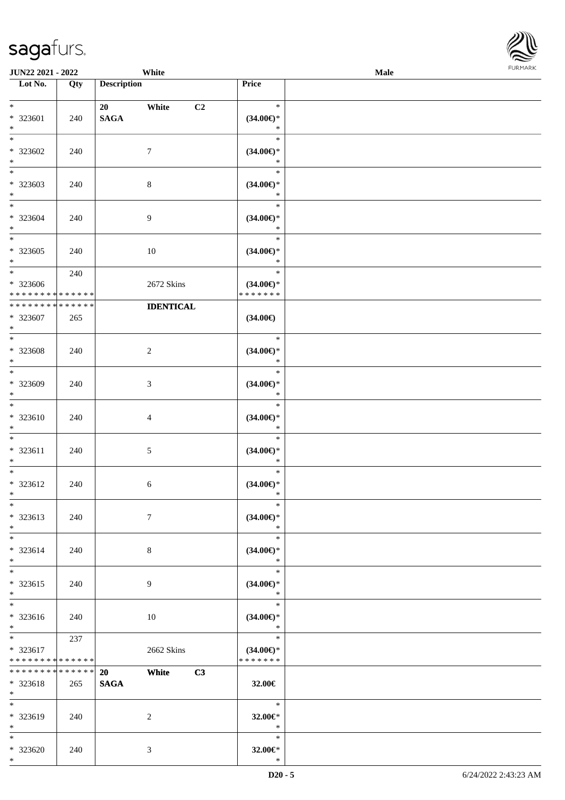\*

**Lot No. Qty Description** 

| $\ast$<br>* 323601<br>$\ast$                    | 240 | 20<br><b>SAGA</b> | C <sub>2</sub><br>White | $\ast$<br>$(34.00\epsilon)$ *<br>$\ast$        |  |
|-------------------------------------------------|-----|-------------------|-------------------------|------------------------------------------------|--|
| $*$<br>* 323602<br>$\ast$                       | 240 | $\tau$            |                         | $\ast$<br>$(34.00\epsilon)$ *<br>$\ast$        |  |
| $\overline{\phantom{a}^*}$<br>$*323603$<br>$*$  | 240 | $8\,$             |                         | $\ast$<br>$(34.00\epsilon)$ *<br>$\ast$        |  |
| $\overline{\ast}$<br>$* 323604$<br>$*$          | 240 | 9                 |                         | $\ast$<br>$(34.00\epsilon)$ *<br>$\ast$        |  |
| $\ast$<br>$*323605$<br>$*$                      | 240 | 10                |                         | $\ast$<br>$(34.00\epsilon)$ *<br>$\ast$        |  |
| $\overline{\ast}$<br>* 323606<br>************** | 240 |                   | 2672 Skins              | $\ast$<br>$(34.00\epsilon)$ *<br>* * * * * * * |  |
| ******** <mark>******</mark><br>* 323607<br>$*$ | 265 |                   | <b>IDENTICAL</b>        | $(34.00\epsilon)$                              |  |
| $*$<br>* 323608<br>$\ast$                       | 240 | $\overline{c}$    |                         | $\ast$<br>$(34.00\epsilon)$ *<br>$\ast$        |  |
| $*$<br>* 323609<br>$*$                          | 240 | 3                 |                         | $\ast$<br>$(34.00\epsilon)$ *<br>$\ast$        |  |
| $\overline{\ast}$<br>$* 323610$<br>$*$          | 240 | $\overline{4}$    |                         | $\ast$<br>$(34.00\epsilon)$ *<br>$\ast$        |  |
| $*$<br>* 323611<br>$*$                          | 240 | $\mathfrak{S}$    |                         | $\ast$<br>$(34.00\epsilon)$ *<br>$\ast$        |  |
| $*$<br>$* 323612$<br>$*$                        | 240 | 6                 |                         | $\ast$<br>$(34.00\epsilon)$ *<br>$\ast$        |  |
| $*$<br>* 323613<br>$*$                          | 240 | $\tau$            |                         | $\ast$<br>$(34.00\epsilon)$ *<br>$\ast$        |  |
| $*$<br>* 323614<br>$\ast$                       | 240 | $8\,$             |                         | $\ast$<br>$(34.00\epsilon)$ *<br>$\ast$        |  |
| $\ast$<br>* 323615<br>$*$                       | 240 | 9                 |                         | $\ast$<br>$(34.00\epsilon)$ *<br>*             |  |
| $\overline{\phantom{1}}$<br>* 323616<br>$*$     | 240 | $10\,$            |                         | $\ast$<br>$(34.00\epsilon)$ *<br>$\ast$        |  |
| $*$<br>* 323617<br>* * * * * * * * * * * * * *  | 237 |                   | 2662 Skins              | $\ast$<br>$(34.00\epsilon)$ *<br>* * * * * * * |  |
| * * * * * * * * * * * * * *<br>* 323618<br>$*$  | 265 | 20<br><b>SAGA</b> | C3<br>White             | 32.00€                                         |  |
| $\ast$<br>* 323619<br>$*$                       | 240 | $\boldsymbol{2}$  |                         | $\ast$<br>32.00€*<br>$\ast$                    |  |
| $*$<br>* 323620<br>$*$                          | 240 | 3                 |                         | $\ast$<br>32.00€*<br>$\ast$                    |  |

**JUN22 2021 - 2022 White Male Male Male Male Male Male Male Male Male Male Male Male Male Male Male Male Male Male Male Male Male Male Male Male Male Male Male Male** 

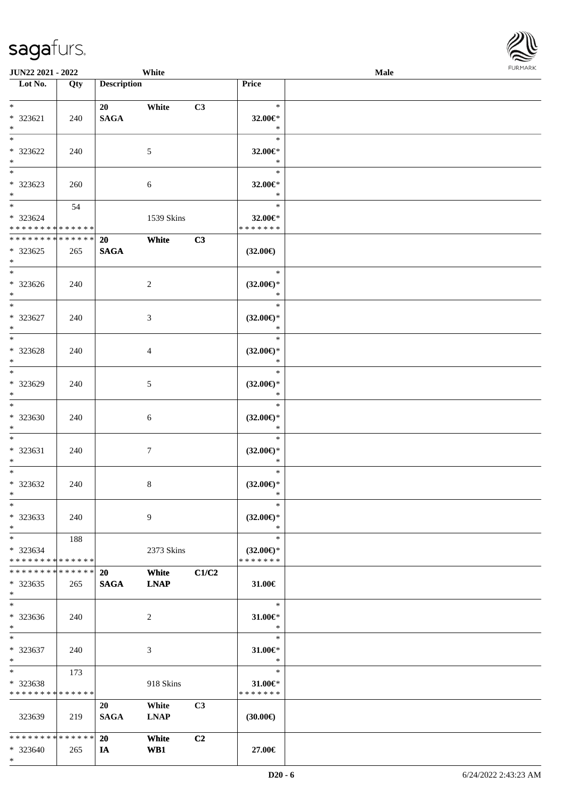\*

| <b>JUN22 2021 - 2022</b>                                             |                    |                          | White                |                |                                                | Male |  |
|----------------------------------------------------------------------|--------------------|--------------------------|----------------------|----------------|------------------------------------------------|------|--|
| Lot No.                                                              | Qty                | <b>Description</b>       |                      |                | Price                                          |      |  |
| $*$<br>* 323621                                                      | 240                | <b>SAGA</b>              | White                | C3             | $\ast$<br>32.00€*                              |      |  |
| $*$<br>$\ast$<br>* 323622                                            | 240                |                          | 5                    |                | $\ast$<br>$\ast$<br>32.00€*                    |      |  |
| $\ast$<br>$*$<br>* 323623<br>$\ast$                                  | 260                |                          | 6                    |                | $\ast$<br>$\ast$<br>32.00€*<br>$\ast$          |      |  |
| $\ddot{x}$<br>* 323624<br>* * * * * * * * <mark>* * * * * * *</mark> | 54                 |                          | 1539 Skins           |                | $\ast$<br>32.00€*<br>* * * * * * *             |      |  |
| * * * * * * * *<br>* 323625<br>$\ast$                                | * * * * * *<br>265 | 20<br><b>SAGA</b>        | White                | C3             | $(32.00\epsilon)$                              |      |  |
| $\ast$<br>* 323626<br>$\ddot{x}$                                     | 240                |                          | 2                    |                | $\ast$<br>$(32.00\epsilon)$ *<br>$\ast$        |      |  |
| $*$<br>* 323627<br>$*$                                               | 240                |                          | 3                    |                | $\ast$<br>$(32.00\epsilon)$ *<br>$\ast$        |      |  |
| $\overline{\mathbf{r}^*}$<br>* 323628<br>$\ast$                      | 240                |                          | 4                    |                | $\ast$<br>$(32.00\epsilon)$ *<br>$\ast$        |      |  |
| $*$<br>* 323629<br>$\ast$                                            | 240                |                          | 5                    |                | $\ast$<br>$(32.00\epsilon)$ *<br>$\ast$        |      |  |
| $\ddot{x}$<br>* 323630<br>$*$                                        | 240                |                          | 6                    |                | $\ast$<br>$(32.00\epsilon)$ *<br>$\ast$        |      |  |
| $*$<br>* 323631<br>$\ast$                                            | 240                |                          | $\tau$               |                | $\ast$<br>$(32.00\epsilon)$ *<br>$\ast$        |      |  |
| $*$<br>* 323632<br>$\ast$                                            | 240                |                          | 8                    |                | $\ast$<br>$(32.00\epsilon)$ *<br>$\ast$        |      |  |
| $\ast$<br>* 323633<br>$\ast$                                         | 240                |                          | 9                    |                | $\ast$<br>$(32.00\epsilon)$ *<br>$\ast$        |      |  |
| $*$ $-$<br>* 323634<br>* * * * * * * * <mark>* * * * * *</mark>      | 188                |                          | 2373 Skins           |                | $\ast$<br>$(32.00\epsilon)$ *<br>* * * * * * * |      |  |
| * * * * * * * *<br>* 323635<br>$\ast$                                | ******<br>265      | <b>20</b><br><b>SAGA</b> | White<br><b>LNAP</b> | C1/C2          | 31.00€                                         |      |  |
| $\ast$<br>* 323636<br>$\ast$                                         | 240                |                          | 2                    |                | $\ast$<br>31.00€*<br>$\ast$                    |      |  |
| $\ddot{x}$<br>* 323637<br>$\ast$                                     | 240                |                          | 3                    |                | $\ast$<br>31.00€*<br>$\ast$                    |      |  |
| $*$ $-$<br>* 323638<br>* * * * * * * *                               | 173<br>* * * * * * |                          | 918 Skins            |                | $\ast$<br>$31.00 \in$<br>* * * * * * *         |      |  |
| 323639                                                               | 219                | 20<br><b>SAGA</b>        | White<br><b>LNAP</b> | C3             | $(30.00\epsilon)$                              |      |  |
| * * * * * * * * <mark>* * * * * *</mark><br>* 323640                 | 265                | <b>20</b><br>IA          | White<br>WB1         | C <sub>2</sub> | 27.00€                                         |      |  |

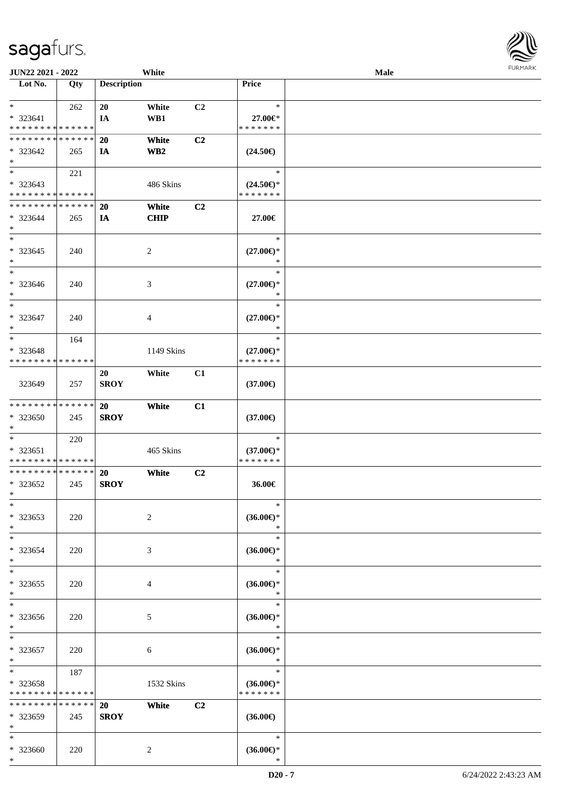| JUN22 2021 - 2022                                             |                    |                    | White                |                |                                                    | <b>Male</b> |  |
|---------------------------------------------------------------|--------------------|--------------------|----------------------|----------------|----------------------------------------------------|-------------|--|
| Lot No.                                                       | Qty                | <b>Description</b> |                      |                | Price                                              |             |  |
| $*$<br>* 323641<br>* * * * * * * * <mark>* * * * * * *</mark> | 262                | 20<br>IA           | White<br>WB1         | C <sub>2</sub> | $\ast$<br>27.00€*<br>* * * * * * *                 |             |  |
| * * * * * * * * * * * * * *<br>* 323642<br>$*$                | 265                | <b>20</b><br>IA    | White<br>WB2         | C <sub>2</sub> | $(24.50\epsilon)$                                  |             |  |
| $*$<br>* 323643<br>* * * * * * * * * * * * * *                | 221                |                    | 486 Skins            |                | $\ast$<br>$(24.50\epsilon)$ *<br>* * * * * * *     |             |  |
| * * * * * * * * * * * * * *<br>* 323644<br>$*$                | 265                | 20<br>IA           | White<br><b>CHIP</b> | C2             | 27.00€                                             |             |  |
| $*$<br>* 323645<br>$*$                                        | 240                |                    | 2                    |                | $\ast$<br>$(27.00\epsilon)$ *<br>$\ast$            |             |  |
| $\ast$<br>$* 323646$<br>$*$                                   | 240                |                    | 3                    |                | $\ast$<br>$(27.00\epsilon)$ *<br>$\ast$            |             |  |
| $*$<br>* 323647<br>$*$                                        | 240                |                    | 4                    |                | $\ast$<br>$(27.00\epsilon)$ *<br>$\ast$            |             |  |
| $*$<br>* 323648<br>* * * * * * * * * * * * * *                | 164                |                    | 1149 Skins           |                | $\ast$<br>$(27.00\epsilon)$ *<br>* * * * * * *     |             |  |
| 323649                                                        | 257                | 20<br><b>SROY</b>  | White                | C1             | $(37.00\epsilon)$                                  |             |  |
| * * * * * * * * * * * * * *<br>* 323650<br>$*$                | 245                | 20<br><b>SROY</b>  | White                | C1             | $(37.00\epsilon)$                                  |             |  |
| $*$<br>$* 323651$<br>* * * * * * * * * * * * * *              | 220                |                    | 465 Skins            |                | $\ast$<br>$(37.00\epsilon)$ *<br>* * * * * * *     |             |  |
| * * * * * * * * * * * * * * *<br>$*323652$<br>$*$ $-$         | 245                | 20<br><b>SROY</b>  | White                | C <sub>2</sub> | 36.00€                                             |             |  |
| $\ast$<br>* 323653<br>$*$                                     | 220                |                    | 2                    |                | $\ast$<br>$(36.00\epsilon)$ *<br>$\ast$            |             |  |
| $\ast$<br>* 323654<br>$*$                                     | 220                |                    | 3                    |                | $\ast$<br>$(36.00\epsilon)$ *<br>$\ast$            |             |  |
| $\ast$<br>* 323655<br>$*$                                     | 220                |                    | 4                    |                | $\ast$<br>$(36.00\epsilon)$ *<br>$\ast$            |             |  |
| $*$<br>* 323656<br>$*$                                        | 220                |                    | 5                    |                | $\ast$<br>$(36.00\epsilon)$ *<br>$\ast$            |             |  |
| $*$<br>* 323657<br>$*$                                        | 220                |                    | 6                    |                | $\ast$<br>$(36.00\mathnormal{\infty})^*$<br>$\ast$ |             |  |
| $*$ $*$<br>* 323658<br>* * * * * * * * * * * * * *            | 187                |                    | 1532 Skins           |                | $\ast$<br>$(36.00\epsilon)$ *<br>* * * * * * *     |             |  |
| * * * * * * * *<br>* 323659<br>$*$                            | * * * * * *<br>245 | 20<br><b>SROY</b>  | White                | C2             | $(36.00\epsilon)$                                  |             |  |
| $*$<br>* 323660<br>$*$                                        | 220                |                    | 2                    |                | $\ast$<br>$(36.00\epsilon)$ *<br>$\ast$            |             |  |

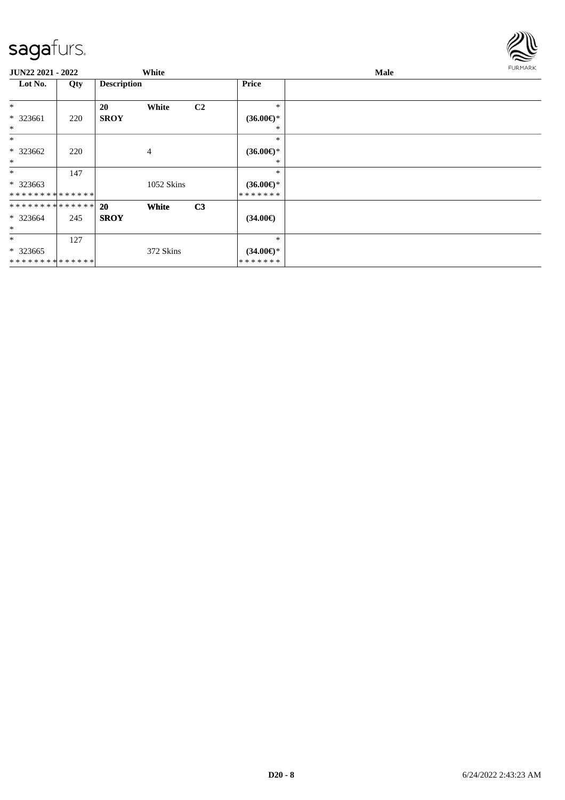

| JUN22 2021 - 2022 |     |                    | White        |                |                     | Male |  |  |
|-------------------|-----|--------------------|--------------|----------------|---------------------|------|--|--|
| Lot No.           | Qty | <b>Description</b> |              |                | Price               |      |  |  |
| $\ast$            |     | 20                 | White        | C <sub>2</sub> | $\ast$              |      |  |  |
| $* 323661$        | 220 | <b>SROY</b>        |              |                | $(36.00\epsilon)$ * |      |  |  |
| $\ast$            |     |                    |              |                | *                   |      |  |  |
| $\ast$            |     |                    |              |                | $\ast$              |      |  |  |
| $* 323662$        | 220 |                    | 4            |                | $(36.00\epsilon)$ * |      |  |  |
| $\ast$            |     |                    |              |                | *                   |      |  |  |
| $\ast$            | 147 |                    |              |                | *                   |      |  |  |
| * 323663          |     |                    | 1052 Skins   |                | $(36.00\epsilon)$ * |      |  |  |
| **************    |     |                    |              |                | * * * * * * *       |      |  |  |
| **************    |     | <b>20</b>          | <b>White</b> | C <sub>3</sub> |                     |      |  |  |
| $* 323664$        | 245 | <b>SROY</b>        |              |                | $(34.00\epsilon)$   |      |  |  |
| $\ast$            |     |                    |              |                |                     |      |  |  |
| $\ast$            | 127 |                    |              |                | $\ast$              |      |  |  |
| $*323665$         |     |                    | 372 Skins    |                | $(34.00\epsilon)$ * |      |  |  |
| **************    |     |                    |              |                | * * * * * * *       |      |  |  |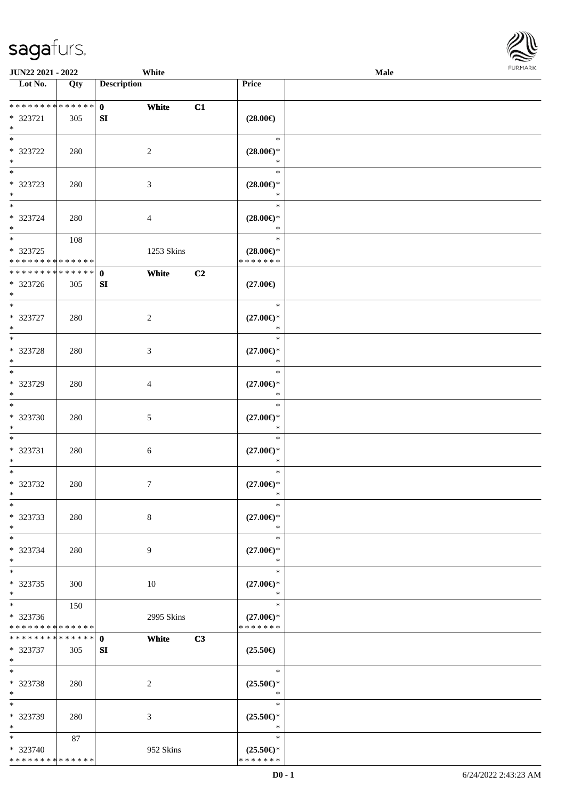|                                      | JUN22 2021 - 2022<br>White |                       |                |                                      | <b>Male</b> | <b>FURMAR</b> |
|--------------------------------------|----------------------------|-----------------------|----------------|--------------------------------------|-------------|---------------|
| $\overline{\phantom{1}}$ Lot No.     | Qty                        | <b>Description</b>    |                | Price                                |             |               |
|                                      |                            |                       |                |                                      |             |               |
| **************                       |                            | $\mathbf{0}$<br>White | C1             |                                      |             |               |
| * 323721<br>$\ast$                   | 305                        | SI                    |                | $(28.00\epsilon)$                    |             |               |
| $\ast$                               |                            |                       |                | $\ast$                               |             |               |
| * 323722                             | 280                        | $\sqrt{2}$            |                | $(28.00\epsilon)$ *                  |             |               |
| $\ast$                               |                            |                       |                | $\ast$                               |             |               |
| $\overline{\phantom{a}}$             |                            |                       |                | $\ast$                               |             |               |
| * 323723                             | 280                        | $\mathfrak{Z}$        |                | $(28.00\epsilon)$ *                  |             |               |
| $\ast$<br>$\ast$                     |                            |                       |                | $\ast$<br>$\ast$                     |             |               |
| * 323724                             | 280                        | $\overline{4}$        |                | $(28.00\epsilon)$ *                  |             |               |
| $\ast$                               |                            |                       |                | $\ast$                               |             |               |
| $\ast$                               | 108                        |                       |                | $\ast$                               |             |               |
| * 323725                             |                            | 1253 Skins            |                | $(28.00\epsilon)$ *                  |             |               |
| **************                       |                            |                       |                | * * * * * * *                        |             |               |
| **************                       |                            | White<br>$\mathbf{0}$ | C <sub>2</sub> |                                      |             |               |
| * 323726<br>$\ast$                   | 305                        | SI                    |                | $(27.00\epsilon)$                    |             |               |
| $*$                                  |                            |                       |                | $\ast$                               |             |               |
| * 323727                             | 280                        | $\sqrt{2}$            |                | $(27.00\epsilon)$ *                  |             |               |
| $\ast$                               |                            |                       |                | $\ast$                               |             |               |
| $\overline{\phantom{a}^*}$           |                            |                       |                | $\ast$                               |             |               |
| * 323728                             | 280                        | $\mathfrak{Z}$        |                | $(27.00\epsilon)$ *                  |             |               |
| $\ast$<br>$\overline{\phantom{a}^*}$ |                            |                       |                | $\ast$<br>$\ast$                     |             |               |
| * 323729                             | 280                        | $\overline{4}$        |                | $(27.00\epsilon)$ *                  |             |               |
| $\ast$                               |                            |                       |                | $\ast$                               |             |               |
| $\overline{\phantom{1}}$             |                            |                       |                | $\ast$                               |             |               |
| * 323730                             | 280                        | $\sqrt{5}$            |                | $(27.00\epsilon)$ *                  |             |               |
| $\ast$                               |                            |                       |                | $\ast$                               |             |               |
| $\ast$                               |                            |                       |                | $\ast$                               |             |               |
| * 323731<br>$\ast$                   | 280                        | $6\phantom{.}6$       |                | $(27.00\epsilon)$ *<br>$\ast$        |             |               |
| $\ast$                               |                            |                       |                | $\ast$                               |             |               |
| * 323732                             | 280                        | $7\phantom{.0}$       |                | $(27.00\epsilon)$ *                  |             |               |
| $\ast$                               |                            |                       |                | ∗                                    |             |               |
| $\ast$                               |                            |                       |                | $\ast$                               |             |               |
| * 323733                             | 280                        | $8\,$                 |                | $(27.00\epsilon)$ *                  |             |               |
| $\ast$<br>$\ast$                     |                            |                       |                | $\ast$<br>$\ast$                     |             |               |
| * 323734                             | 280                        | 9                     |                | $(27.00\epsilon)$ *                  |             |               |
| $\ast$                               |                            |                       |                | $\ast$                               |             |               |
| $\overline{\phantom{a}^*}$           |                            |                       |                | $\ast$                               |             |               |
| $*323735$                            | 300                        | 10                    |                | $(27.00\epsilon)$ *                  |             |               |
| $\ast$<br>$\ast$                     |                            |                       |                | $\ast$<br>$\ast$                     |             |               |
| * 323736                             | 150                        |                       |                |                                      |             |               |
| ******** <mark>******</mark>         |                            | 2995 Skins            |                | $(27.00\epsilon)$ *<br>* * * * * * * |             |               |
| **************                       |                            | White<br>$\mathbf{0}$ | C3             |                                      |             |               |
| * 323737                             | 305                        | SI                    |                | $(25.50\epsilon)$                    |             |               |
| $\ast$                               |                            |                       |                |                                      |             |               |
| $\ast$                               |                            |                       |                | $\ast$                               |             |               |
| * 323738<br>$\ast$                   | 280                        | $\overline{2}$        |                | $(25.50\epsilon)$ *<br>$\ast$        |             |               |
| $\ast$                               |                            |                       |                | $\ast$                               |             |               |
| * 323739                             | 280                        | $\mathfrak{Z}$        |                | $(25.50\epsilon)$ *                  |             |               |
| $\ast$                               |                            |                       |                | $\ast$                               |             |               |
| $\ast$                               | 87                         |                       |                | $\ast$                               |             |               |
| * 323740                             |                            | 952 Skins             |                | $(25.50\epsilon)$ *                  |             |               |
| **************                       |                            |                       |                | * * * * * * *                        |             |               |

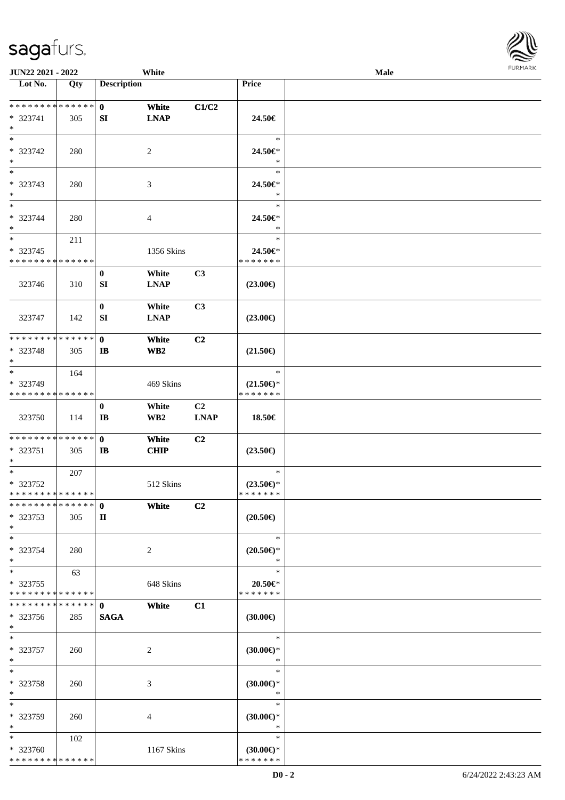| JUN22 2021 - 2022                                                   |     |                                    | White                    |                   |                                                | <b>Male</b> |  |
|---------------------------------------------------------------------|-----|------------------------------------|--------------------------|-------------------|------------------------------------------------|-------------|--|
| Lot No.                                                             | Qty | <b>Description</b>                 |                          |                   | Price                                          |             |  |
| * * * * * * * * * * * * * * *<br>* 323741<br>$*$                    | 305 | $\mathbf{0}$<br>SI                 | White<br><b>LNAP</b>     | C1/C2             | 24.50€                                         |             |  |
| $*$<br>* 323742<br>$*$<br>$\overline{\phantom{0}}$                  | 280 |                                    | $\overline{2}$           |                   | $\ast$<br>24.50€*<br>$\ast$                    |             |  |
| $* 323743$<br>$*$                                                   | 280 |                                    | 3                        |                   | $\ast$<br>24.50€*<br>$\ast$                    |             |  |
| $\overline{\ast}$<br>* 323744<br>$*$                                | 280 |                                    | 4                        |                   | $\ast$<br>24.50€*<br>$\ast$                    |             |  |
| $\overline{\phantom{0}}$<br>* 323745<br>* * * * * * * * * * * * * * | 211 |                                    | 1356 Skins               |                   | $\ast$<br>24.50€*<br>* * * * * * *             |             |  |
| 323746                                                              | 310 | $\bf{0}$<br>SI                     | White<br><b>LNAP</b>     | C3                | $(23.00\epsilon)$                              |             |  |
| 323747                                                              | 142 | $\bf{0}$<br>SI                     | White<br><b>LNAP</b>     | C3                | $(23.00\epsilon)$                              |             |  |
| * * * * * * * * * * * * * * *<br>* 323748<br>$*$                    | 305 | $\mathbf{0}$<br>$\mathbf{I}$       | White<br>WB <sub>2</sub> | C2                | $(21.50\epsilon)$                              |             |  |
| $*$<br>* 323749<br>* * * * * * * * * * * * * *                      | 164 |                                    | 469 Skins                |                   | $\ast$<br>$(21.50\epsilon)$ *<br>* * * * * * * |             |  |
| 323750                                                              | 114 | $\bf{0}$<br>$\mathbf{I}\mathbf{B}$ | White<br>WB <sub>2</sub> | C2<br><b>LNAP</b> | 18.50€                                         |             |  |
| * * * * * * * * * * * * * * *<br>* 323751<br>$*$                    | 305 | $\mathbf{0}$<br>IB                 | White<br>CHIP            | C2                | $(23.50\epsilon)$                              |             |  |
| $*$<br>$* 323752$<br>* * * * * * * * * * * * * *                    | 207 |                                    | 512 Skins                |                   | $\ast$<br>$(23.50\epsilon)$ *<br>* * * * * * * |             |  |
| * * * * * * * * * * * * * * *<br>* 323753<br>$*$                    | 305 | $\mathbf{0}$<br>П                  | White                    | C2                | $(20.50\epsilon)$                              |             |  |
| $*$<br>* 323754<br>$*$                                              | 280 |                                    | 2                        |                   | $\ast$<br>$(20.50 \in )^*$<br>$\ast$           |             |  |
| $*$<br>* 323755<br>* * * * * * * * * * * * * *                      | 63  |                                    | 648 Skins                |                   | $\ast$<br>$20.50 \in$ *<br>* * * * * * *       |             |  |
| * * * * * * * * * * * * * * *<br>* 323756<br>$*$                    | 285 | $\mathbf{0}$<br><b>SAGA</b>        | White                    | C1                | $(30.00\epsilon)$                              |             |  |
| $*$<br>$* 323757$<br>$*$                                            | 260 |                                    | $\sqrt{2}$               |                   | $\ast$<br>$(30.00\epsilon)$ *<br>$\ast$        |             |  |
| $*$<br>$* 323758$<br>$*$                                            | 260 |                                    | 3                        |                   | $\ast$<br>$(30.00\epsilon)$ *<br>$\ast$        |             |  |
| $*$<br>* 323759<br>$*$                                              | 260 |                                    | 4                        |                   | $\ast$<br>$(30.00€)$ *<br>$\ast$               |             |  |
| $*$ $*$<br>* 323760<br>* * * * * * * * * * * * * *                  | 102 |                                    | 1167 Skins               |                   | $\ast$<br>$(30.00€)$ *<br>* * * * * * *        |             |  |

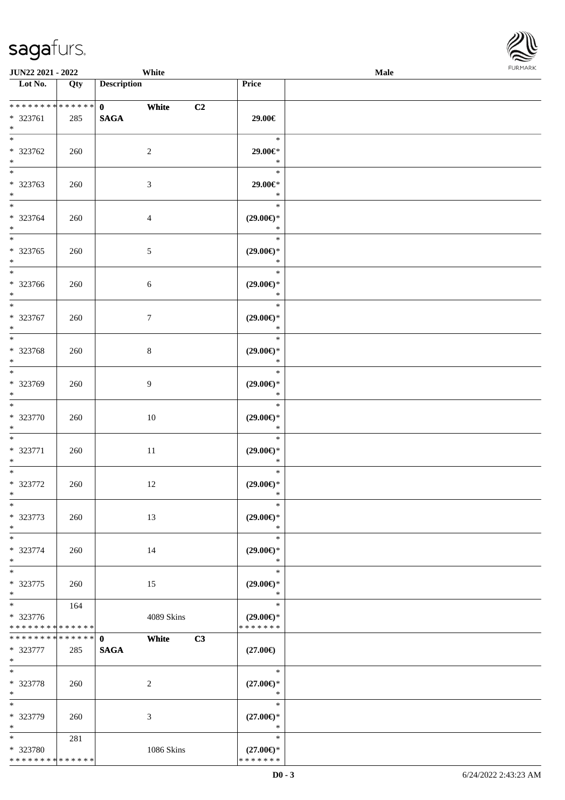| JUN22 2021 - 2022                                                       |            | White                                |                                                   | <b>FURMARK</b><br>Male |  |  |  |
|-------------------------------------------------------------------------|------------|--------------------------------------|---------------------------------------------------|------------------------|--|--|--|
| Lot No.                                                                 | Qty        | <b>Description</b>                   | Price                                             |                        |  |  |  |
| **************<br>* 323761<br>$*$                                       | 285        | $\mathbf{0}$<br>White<br><b>SAGA</b> | C2<br>29.00€                                      |                        |  |  |  |
| $\overline{\phantom{a}^*}$<br>* 323762<br>$*$                           | 260        | $\sqrt{2}$                           | $\ast$<br>29.00€*<br>$\ast$                       |                        |  |  |  |
| $_{\ast}^{-}$<br>* 323763<br>$*$                                        | 260        | 3                                    | $\ast$<br>29.00€*<br>$\ast$                       |                        |  |  |  |
| $*$<br>* 323764<br>$*$<br>$\overline{\phantom{0}}$                      | 260        | 4                                    | $\ast$<br>$(29.00\epsilon)$ *<br>$\ast$           |                        |  |  |  |
| * 323765<br>$*$<br>$\overline{\phantom{0}}$                             | 260        | 5                                    | $\ast$<br>$(29.00\epsilon)$ *<br>$\ast$           |                        |  |  |  |
| * 323766<br>$\ast$                                                      | 260        | $\sqrt{6}$                           | $\ast$<br>$(29.00\epsilon)$ *<br>$\ast$           |                        |  |  |  |
| $*$<br>* 323767<br>$\ast$<br>$\overline{\phantom{0}}$                   | 260        | $\tau$                               | $\ast$<br>$(29.00\epsilon)$ *<br>$\ast$<br>$\ast$ |                        |  |  |  |
| * 323768<br>$\ast$<br>$\overline{\phantom{a}^*}$                        | 260        | $\,8\,$                              | $(29.00\epsilon)$ *<br>$\ast$<br>$\ast$           |                        |  |  |  |
| * 323769<br>$\ast$<br>$*$                                               | 260        | $\overline{9}$                       | $(29.00\epsilon)$ *<br>$\ast$<br>$\ast$           |                        |  |  |  |
| * 323770<br>$\ast$<br>$\overline{\phantom{a}^*}$                        | 260        | 10                                   | $(29.00\epsilon)$ *<br>$\ast$<br>$\ast$           |                        |  |  |  |
| * 323771<br>$\ast$<br>$\overline{\phantom{a}^*}$                        | 260        | 11                                   | $(29.00\epsilon)$ *<br>$\ast$<br>$\ast$           |                        |  |  |  |
| $* 323772$<br>$\ast$<br>$\ast$                                          | 260        | 12                                   | $(29.00\epsilon)$ *<br>$\ast$<br>$\ast$           |                        |  |  |  |
| * 323773<br>$\ast$<br>$\overline{\phantom{a}^*}$                        | 260        | 13                                   | $(29.00\epsilon)$ *<br>$\ast$<br>$\ast$           |                        |  |  |  |
| * 323774<br>$\ast$<br>$\overline{\phantom{a}^*}$                        | 260        | 14                                   | $(29.00\epsilon)$ *<br>$\ast$<br>$\ast$           |                        |  |  |  |
| * 323775<br>$\ast$<br>$\ast$                                            | 260<br>164 | 15                                   | $(29.00\epsilon)$ *<br>$\ast$<br>$\ast$           |                        |  |  |  |
| * 323776<br>* * * * * * * * * * * * * *<br>******** <mark>******</mark> |            | 4089 Skins<br>White<br>$\mathbf{0}$  | $(29.00\epsilon)$ *<br>* * * * * * *<br>C3        |                        |  |  |  |
| * 323777<br>$\ast$<br>$\ast$                                            | 285        | <b>SAGA</b>                          | $(27.00\epsilon)$<br>$\ast$                       |                        |  |  |  |
| * 323778<br>$\ast$<br>$\ast$                                            | 260        | $\boldsymbol{2}$                     | $(27.00\epsilon)$ *<br>$\ast$<br>$\ast$           |                        |  |  |  |
| * 323779<br>$\ast$<br>$\ast$                                            | 260<br>281 | 3                                    | $(27.00\epsilon)$ *<br>$\ast$<br>$\ast$           |                        |  |  |  |
| * 323780<br>* * * * * * * * * * * * * *                                 |            | 1086 Skins                           | $(27.00\epsilon)$ *<br>* * * * * * *              |                        |  |  |  |

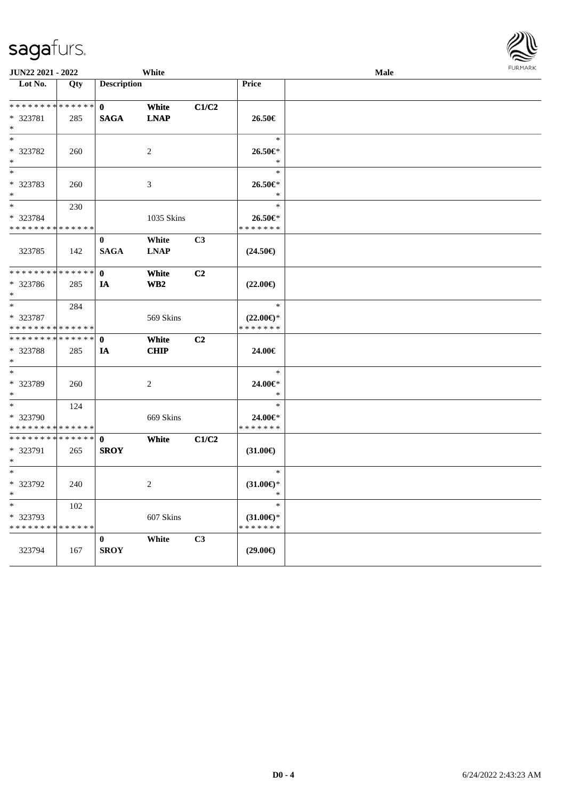| JUN22 2021 - 2022                                                   |                    |                             | White                                      |       |                                                | Male | <b>FURPIARR</b> |
|---------------------------------------------------------------------|--------------------|-----------------------------|--------------------------------------------|-------|------------------------------------------------|------|-----------------|
| Lot No.                                                             | Qty                | <b>Description</b>          |                                            |       | <b>Price</b>                                   |      |                 |
| * * * * * * * * <mark>* * * * * * *</mark>                          |                    | $\mathbf{0}$                | White                                      | C1/C2 |                                                |      |                 |
| * 323781<br>$*$                                                     | 285                | <b>SAGA</b>                 | $\mathbf{L}\mathbf{N}\mathbf{A}\mathbf{P}$ |       | 26.50€                                         |      |                 |
| $\ast$<br>* 323782                                                  | 260                |                             | 2                                          |       | $\ast$<br>$26.50 \in$                          |      |                 |
| $\ast$<br>$_{*}^{-}$                                                |                    |                             |                                            |       | $\ast$<br>$\ast$                               |      |                 |
| * 323783<br>$\ast$                                                  | 260                |                             | $\mathfrak{Z}$                             |       | $26.50 \in$<br>$\ast$                          |      |                 |
| $\ast$                                                              | 230                |                             |                                            |       | $\ast$                                         |      |                 |
| * 323784<br>* * * * * * * *                                         | * * * * * *        |                             | 1035 Skins                                 |       | 26.50€*<br>* * * * * * *                       |      |                 |
| 323785                                                              | 142                | $\bf{0}$<br><b>SAGA</b>     | White<br><b>LNAP</b>                       | C3    | $(24.50\epsilon)$                              |      |                 |
| * * * * * * * *                                                     | * * * * * *        | $\mathbf{0}$                | White                                      | C2    |                                                |      |                 |
| * 323786<br>$*$                                                     | 285                | IA                          | WB2                                        |       | $(22.00\epsilon)$                              |      |                 |
| $* 323787$                                                          | 284                |                             | 569 Skins                                  |       | $\ast$<br>$(22.00\epsilon)$ *                  |      |                 |
| * * * * * * * *                                                     | * * * * * *        |                             |                                            |       | * * * * * * *                                  |      |                 |
| * * * * * * * *<br>* 323788<br>$*$                                  | * * * * * *<br>285 | $\mathbf{0}$<br>IA          | White<br><b>CHIP</b>                       | C2    | 24.00€                                         |      |                 |
| $\ast$<br>* 323789<br>$\ast$                                        | 260                |                             | $\sqrt{2}$                                 |       | $\ast$<br>24.00€*<br>$\ast$                    |      |                 |
| $\overline{\phantom{0}}$<br>* 323790<br>* * * * * * * * * * * * * * | 124                |                             | 669 Skins                                  |       | $\ast$<br>24.00€*<br>* * * * * * *             |      |                 |
| * * * * * * * * * * * * * *<br>* 323791<br>$\ast$                   | 265                | $\mathbf{0}$<br><b>SROY</b> | White                                      | C1/C2 | $(31.00\epsilon)$                              |      |                 |
| $\ast$<br>$* 323792$<br>$*$                                         | 240                |                             | 2                                          |       | $\ast$<br>$(31.00\epsilon)$ *<br>$\ast$        |      |                 |
| $*$<br>* 323793<br>* * * * * * * * * * * * * *                      | 102                |                             | 607 Skins                                  |       | $\ast$<br>$(31.00\epsilon)$ *<br>* * * * * * * |      |                 |
| 323794                                                              | 167                | $\bf{0}$<br><b>SROY</b>     | White                                      | C3    | $(29.00\epsilon)$                              |      |                 |

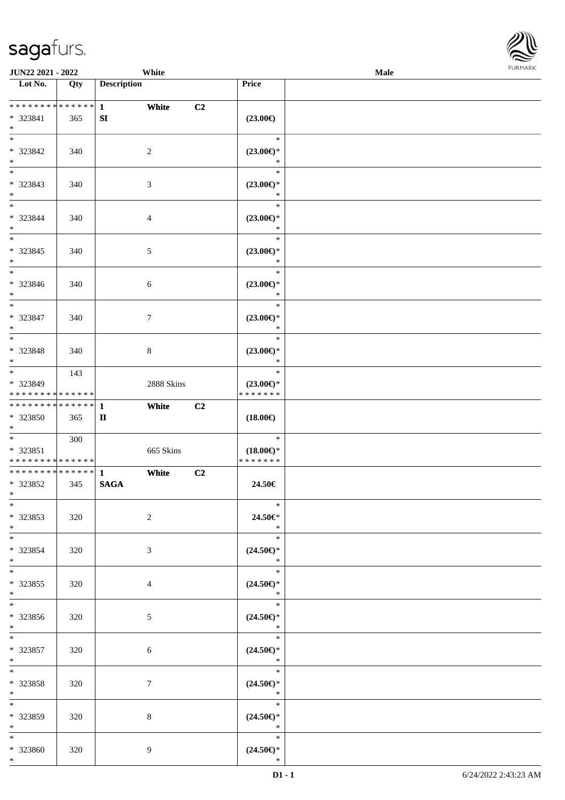

| <b>JUN22 2021 - 2022</b>                                      |     | White                                 |                                                                  | Male |
|---------------------------------------------------------------|-----|---------------------------------------|------------------------------------------------------------------|------|
| Lot No.                                                       | Qty | <b>Description</b>                    | Price                                                            |      |
| * * * * * * * * * * * * * * *<br>* 323841<br>$\ast$           | 365 | $\mathbf{1}$<br>White<br>SI           | C2<br>$(23.00\epsilon)$                                          |      |
| $*$<br>* 323842<br>$*$                                        | 340 | 2                                     | $\ast$<br>$(23.00\epsilon)$ *<br>$\ast$                          |      |
| * 323843<br>$*$                                               | 340 | $\mathfrak{Z}$                        | $\ast$<br>$(23.00\epsilon)$ *<br>$\ast$                          |      |
| $\overline{\phantom{0}}$<br>* 323844<br>$*$                   | 340 | $\overline{4}$                        | $\ast$<br>$(23.00\epsilon)$ *<br>$\ast$                          |      |
| $*$<br>* 323845<br>$\ast$<br>$\overline{\phantom{0}}$         | 340 | $\mathfrak{S}$                        | $\ast$<br>$(23.00\epsilon)$ *<br>$\ast$                          |      |
| * 323846<br>$*$<br>$\overline{\ast}$                          | 340 | 6                                     | $\ast$<br>$(23.00\epsilon)$ *<br>$\ast$                          |      |
| * 323847<br>$*$                                               | 340 | $\tau$                                | $\ast$<br>$(23.00\epsilon)$ *<br>$\ast$                          |      |
| $*$ $-$<br>* 323848<br>$\ast$                                 | 340 | 8                                     | $\ast$<br>$(23.00\epsilon)$ *<br>$\ast$                          |      |
| * 323849<br>* * * * * * * * * * * * * *                       | 143 | 2888 Skins                            | $\ast$<br>$(23.00\epsilon)$ *<br>* * * * * * *                   |      |
| * * * * * * * * * * * * * * <mark>*</mark><br>* 323850<br>$*$ | 365 | White<br>$\mathbf{1}$<br>$\mathbf{I}$ | C2<br>$(18.00\epsilon)$                                          |      |
| $*$<br>* 323851<br>* * * * * * * * <mark>* * * * * *</mark>   | 300 | 665 Skins                             | $\ast$<br>$(18.00\epsilon)$ *<br>* * * * * * *                   |      |
| * 323852<br>$*$ $\qquad$                                      | 345 | White<br><b>SAGA</b>                  | C2<br>24.50€                                                     |      |
| $*$<br>$* 323853$<br>$*$                                      | 320 | 2                                     | $\ast$<br>24.50€*<br>$\ast$                                      |      |
| $*$<br>$* 323854$<br>$*$                                      | 320 | 3                                     | $\ast$<br>$(24.50\epsilon)$ *<br>$\ast$                          |      |
| $*$ $-$<br>* 323855<br>$*$<br>$*$                             | 320 | $\overline{4}$                        | $*$<br>$(24.50\epsilon)$ *<br>$\ast$<br>$\overline{\phantom{0}}$ |      |
| * 323856<br>$*$                                               | 320 | 5 <sup>5</sup>                        | $(24.50\epsilon)$ *<br>$\overline{\mathbf{r}}$                   |      |
| $*$<br>* 323857<br>$*$                                        | 320 | 6                                     | $(24.50\epsilon)$ *<br>$\ast$                                    |      |
| $*$ $-$<br>* 323858<br>$*$                                    | 320 | $\tau$                                | $\overline{\phantom{a}}$<br>$(24.50\epsilon)$ *<br>$\ast$        |      |
| $*$<br>$* 323859$<br>$*$                                      | 320 | 8                                     | $\ast$<br>$(24.50\epsilon)$ *<br>$\ast$                          |      |
| $*$<br>* 323860<br>$*$                                        | 320 | 9                                     | $\ast$<br>$(24.50\epsilon)$ *<br>$\ast$                          |      |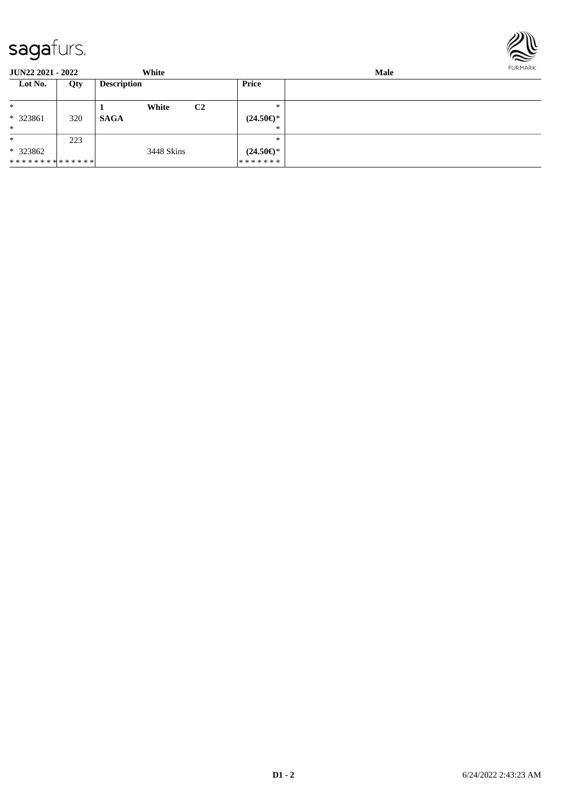

| <b>JUN22 2021 - 2022</b> |                           | White       |            |                | Male                      |  |  |  |
|--------------------------|---------------------------|-------------|------------|----------------|---------------------------|--|--|--|
| Lot No.                  | <b>Description</b><br>Qty |             | Price      |                |                           |  |  |  |
| $\ast$                   |                           |             | White      | C <sub>2</sub> | $*$                       |  |  |  |
| * 323861                 | 320                       | <b>SAGA</b> |            |                | $(24.50 \in \mathcal{F})$ |  |  |  |
| $\ast$                   |                           |             |            |                | ∗                         |  |  |  |
| $\ast$                   | 223                       |             |            |                | ∗                         |  |  |  |
| $*323862$                |                           |             | 3448 Skins |                | $(24.50\epsilon)$ *       |  |  |  |
| **************           |                           |             |            |                | * * * * * * *             |  |  |  |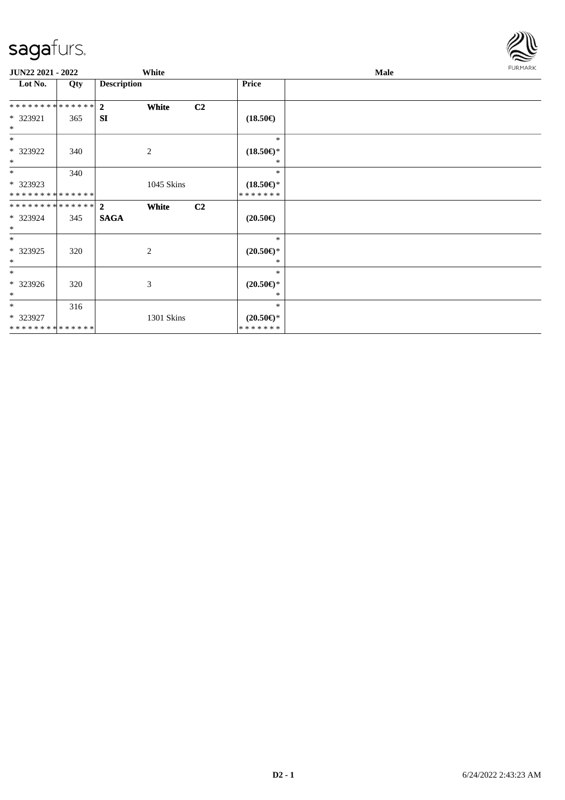

| JUN22 2021 - 2022             |     |                    | White      |                |                                      | Male | <b>FURMARK</b> |
|-------------------------------|-----|--------------------|------------|----------------|--------------------------------------|------|----------------|
| Lot No.                       | Qty | <b>Description</b> |            |                | Price                                |      |                |
| ************** <mark>2</mark> |     |                    | White      | C <sub>2</sub> |                                      |      |                |
| * 323921<br>$*$               | 365 | <b>SI</b>          |            |                | $(18.50\epsilon)$                    |      |                |
| $*$                           |     |                    |            |                | $\ast$                               |      |                |
| * 323922<br>$*$               | 340 |                    | 2          |                | $(18.50\epsilon)$ *<br>$*$           |      |                |
| $*$                           | 340 |                    |            |                | $\ast$                               |      |                |
| * 323923<br>**************    |     |                    | 1045 Skins |                | $(18.50\epsilon)$ *<br>* * * * * * * |      |                |
| ************** 2              |     |                    | White      | C <sub>2</sub> |                                      |      |                |
| * 323924<br>$*$               | 345 | <b>SAGA</b>        |            |                | $(20.50\epsilon)$                    |      |                |
| $\ast$                        |     |                    |            |                | $\ast$                               |      |                |
| * 323925<br>$*$               | 320 |                    | 2          |                | $(20.50\epsilon)$ *<br>$*$           |      |                |
| $*$                           |     |                    |            |                | $\ast$                               |      |                |
| * 323926<br>$\ast$            | 320 |                    | 3          |                | $(20.50\epsilon)$ *<br>*             |      |                |
| $*$                           | 316 |                    |            |                | $\ast$                               |      |                |
| * 323927<br>**************    |     |                    | 1301 Skins |                | $(20.50\epsilon)$ *<br>* * * * * * * |      |                |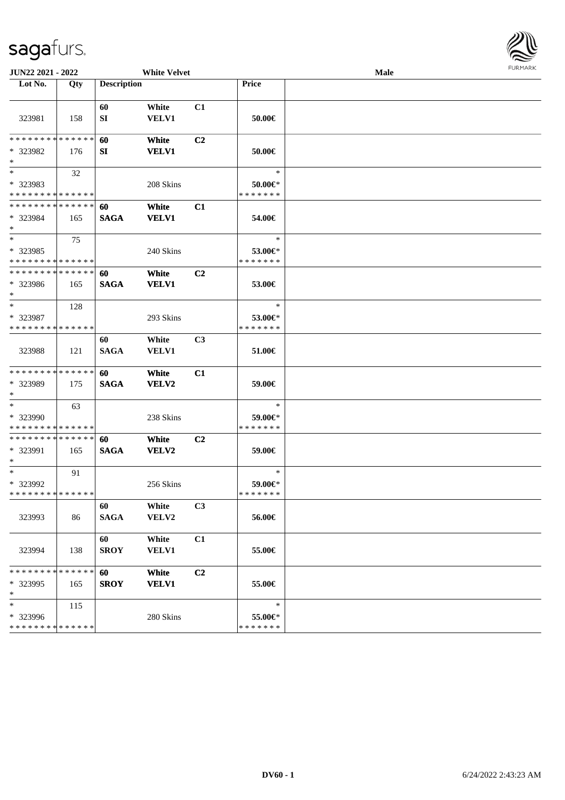

| JUN22 2021 - 2022                                            |     |                    | <b>White Velvet</b>   |                |                                    | <b>Male</b> | 1.91117177 |
|--------------------------------------------------------------|-----|--------------------|-----------------------|----------------|------------------------------------|-------------|------------|
| Lot No.                                                      | Qty | <b>Description</b> |                       |                | Price                              |             |            |
| 323981                                                       | 158 | 60<br>SI           | White<br>VELV1        | C1             | 50.00€                             |             |            |
| * * * * * * * * * * * * * *                                  |     | 60                 | White                 | C <sub>2</sub> |                                    |             |            |
| * 323982<br>$\ast$                                           | 176 | SI                 | <b>VELV1</b>          |                | 50.00€                             |             |            |
| $*$<br>* 323983<br>* * * * * * * * * * * * * *               | 32  |                    | 208 Skins             |                | $\ast$<br>50.00€*<br>* * * * * * * |             |            |
| * * * * * * * * * * * * * *<br>* 323984<br>$\ast$            | 165 | 60<br><b>SAGA</b>  | White<br><b>VELV1</b> | C1             | 54.00€                             |             |            |
| $\overline{\ast}$<br>* 323985<br>* * * * * * * * * * * * * * | 75  |                    | 240 Skins             |                | $\ast$<br>53.00€*<br>* * * * * * * |             |            |
| * * * * * * * * * * * * * *<br>* 323986<br>$\ast$            | 165 | 60<br><b>SAGA</b>  | White<br><b>VELV1</b> | C2             | 53.00€                             |             |            |
| $\ast$<br>* 323987<br>* * * * * * * * * * * * * *            | 128 |                    | 293 Skins             |                | $\ast$<br>53.00€*<br>* * * * * * * |             |            |
| 323988                                                       | 121 | 60<br><b>SAGA</b>  | White<br><b>VELV1</b> | C3             | 51.00€                             |             |            |
| **************<br>* 323989<br>$\ast$                         | 175 | 60<br><b>SAGA</b>  | White<br>VELV2        | C1             | 59.00€                             |             |            |
| $\ast$<br>* 323990<br>* * * * * * * * * * * * * *            | 63  |                    | 238 Skins             |                | $\ast$<br>59.00€*<br>* * * * * * * |             |            |
| **************<br>* 323991<br>$*$                            | 165 | 60<br><b>SAGA</b>  | White<br><b>VELV2</b> | C <sub>2</sub> | 59.00€                             |             |            |
| $*$<br>* 323992<br>* * * * * * * * * * * * * *               | 91  |                    | 256 Skins             |                | $\ast$<br>59.00€*<br>* * * * * * * |             |            |
| 323993                                                       | 86  | 60<br><b>SAGA</b>  | White<br>VELV2        | C <sub>3</sub> | 56.00€                             |             |            |
| 323994                                                       | 138 | 60<br><b>SROY</b>  | White<br><b>VELV1</b> | C1             | 55.00€                             |             |            |
| * * * * * * * * * * * * * *<br>* 323995<br>$\ast$            | 165 | 60<br><b>SROY</b>  | White<br><b>VELV1</b> | C2             | 55.00€                             |             |            |
| $\ast$<br>* 323996<br>* * * * * * * * * * * * * *            | 115 |                    | 280 Skins             |                | $\ast$<br>55.00€*<br>* * * * * * * |             |            |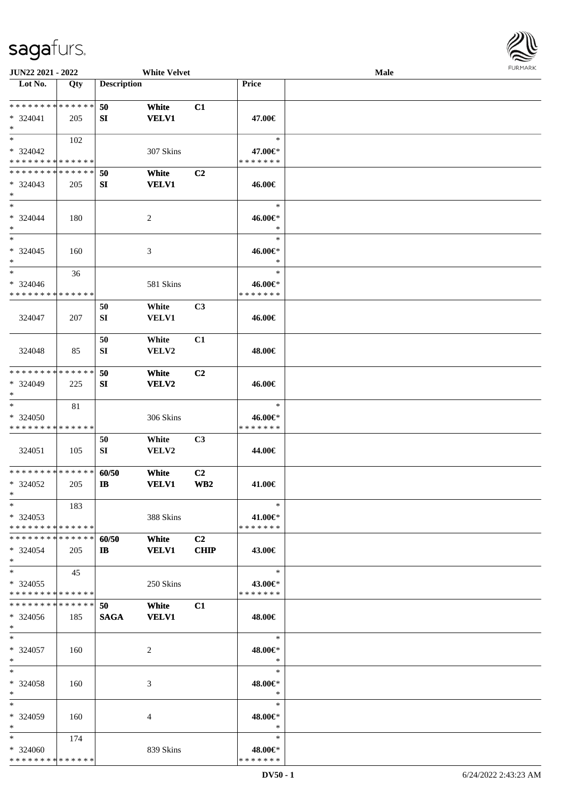

| JUN22 2021 - 2022             |     |                       | <b>White Velvet</b> |                |               | Male |  |
|-------------------------------|-----|-----------------------|---------------------|----------------|---------------|------|--|
| Lot No.                       | Qty | <b>Description</b>    |                     |                | Price         |      |  |
|                               |     |                       |                     |                |               |      |  |
| **************                |     | 50                    | White               | C1             |               |      |  |
| $* 324041$                    | 205 | SI                    | <b>VELV1</b>        |                | 47.00€        |      |  |
| $\ast$                        |     |                       |                     |                |               |      |  |
| $*$                           | 102 |                       |                     |                | $\ast$        |      |  |
|                               |     |                       |                     |                |               |      |  |
| $* 324042$                    |     |                       | 307 Skins           |                | 47.00€*       |      |  |
| * * * * * * * * * * * * * *   |     |                       |                     |                | * * * * * * * |      |  |
| * * * * * * * * * * * * * *   |     | 50                    | White               | C <sub>2</sub> |               |      |  |
| $* 324043$                    | 205 | SI                    | <b>VELV1</b>        |                | 46.00€        |      |  |
| $\ast$                        |     |                       |                     |                |               |      |  |
| $\ast$                        |     |                       |                     |                | $\ast$        |      |  |
| $* 324044$                    | 180 |                       | $\sqrt{2}$          |                | 46.00€*       |      |  |
| $\ast$                        |     |                       |                     |                | $\ast$        |      |  |
| $\ast$                        |     |                       |                     |                | $\ast$        |      |  |
| $* 324045$                    | 160 |                       | $\mathfrak{Z}$      |                | 46.00€*       |      |  |
| $\ast$                        |     |                       |                     |                | $\ast$        |      |  |
| $\ast$                        |     |                       |                     |                | $\ast$        |      |  |
|                               | 36  |                       |                     |                |               |      |  |
| $* 324046$                    |     |                       | 581 Skins           |                | 46.00€*       |      |  |
| * * * * * * * * * * * * * *   |     |                       |                     |                | * * * * * * * |      |  |
|                               |     | 50                    | White               | C3             |               |      |  |
| 324047                        | 207 | SI                    | <b>VELV1</b>        |                | 46.00€        |      |  |
|                               |     |                       |                     |                |               |      |  |
|                               |     | 50                    | White               | C1             |               |      |  |
| 324048                        | 85  | SI                    | <b>VELV2</b>        |                | 48.00€        |      |  |
|                               |     |                       |                     |                |               |      |  |
|                               |     |                       |                     |                |               |      |  |
| * * * * * * * * * * * * * *   |     | 50                    | White               | C <sub>2</sub> |               |      |  |
| * 324049                      | 225 | SI                    | VELV2               |                | 46.00€        |      |  |
| $\ast$                        |     |                       |                     |                |               |      |  |
| $\ast$                        | 81  |                       |                     |                | $\ast$        |      |  |
| * 324050                      |     |                       | 306 Skins           |                | 46.00€*       |      |  |
| * * * * * * * * * * * * * *   |     |                       |                     |                | * * * * * * * |      |  |
|                               |     | 50                    | White               | C3             |               |      |  |
| 324051                        | 105 | ${\bf SI}$            | VELV2               |                | 44.00€        |      |  |
|                               |     |                       |                     |                |               |      |  |
| **************                |     |                       |                     |                |               |      |  |
|                               |     | 60/50                 | White               | C2             |               |      |  |
| * 324052                      | 205 | $\mathbf{I}$ <b>B</b> | <b>VELV1</b>        | WB2            | 41.00€        |      |  |
| $*$                           |     |                       |                     |                |               |      |  |
| $*$                           | 183 |                       |                     |                | $\ast$        |      |  |
| $*324053$                     |     |                       | 388 Skins           |                | 41.00€*       |      |  |
| * * * * * * * * * * * * * *   |     |                       |                     |                | * * * * * * * |      |  |
| * * * * * * * * * * * * * * * |     | 60/50                 | White               | C <sub>2</sub> |               |      |  |
| $* 324054$                    | 205 | $\mathbf{I}$          | <b>VELV1</b>        | <b>CHIP</b>    | 43.00€        |      |  |
| $*$                           |     |                       |                     |                |               |      |  |
| $*$                           |     |                       |                     |                | $\ast$        |      |  |
|                               | 45  |                       |                     |                |               |      |  |
| $*324055$                     |     |                       | 250 Skins           |                | 43.00€*       |      |  |
| * * * * * * * * * * * * * *   |     |                       |                     |                | * * * * * * * |      |  |
| * * * * * * * * * * * * * *   |     | 50                    | White               | C1             |               |      |  |
| $* 324056$                    | 185 | <b>SAGA</b>           | <b>VELV1</b>        |                | 48.00€        |      |  |
| $*$                           |     |                       |                     |                |               |      |  |
| $*$                           |     |                       |                     |                | $\ast$        |      |  |
| $* 324057$                    | 160 |                       | 2                   |                | 48.00€*       |      |  |
| $*$                           |     |                       |                     |                | $\ast$        |      |  |
| $\ast$                        |     |                       |                     |                | $\ast$        |      |  |
|                               |     |                       |                     |                |               |      |  |
| * 324058                      | 160 |                       | 3                   |                | 48.00€*       |      |  |
| $*$                           |     |                       |                     |                | $\ast$        |      |  |
| $\ast$                        |     |                       |                     |                | $\ast$        |      |  |
| * 324059                      | 160 |                       | 4                   |                | 48.00€*       |      |  |
| $*$                           |     |                       |                     |                | $\ast$        |      |  |
| $*$                           | 174 |                       |                     |                | $\ast$        |      |  |
| $* 324060$                    |     |                       | 839 Skins           |                | 48.00€*       |      |  |
| * * * * * * * * * * * * * *   |     |                       |                     |                | * * * * * * * |      |  |
|                               |     |                       |                     |                |               |      |  |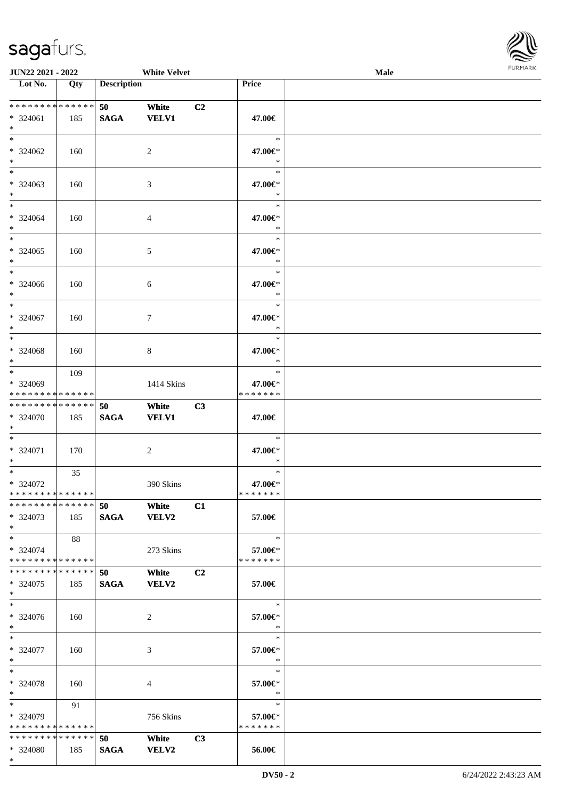\*



| <b>JUN22 2021 - 2022</b>                                          |     |                    | <b>White Velvet</b>   |                |                                    | Male |  |
|-------------------------------------------------------------------|-----|--------------------|-----------------------|----------------|------------------------------------|------|--|
| Lot No.                                                           | Qty | <b>Description</b> |                       |                | Price                              |      |  |
| * * * * * * * * * * * * * * *<br>* 324061<br>$\ast$               | 185 | 50<br><b>SAGA</b>  | White<br><b>VELV1</b> | C <sub>2</sub> | 47.00€                             |      |  |
| * 324062<br>$*$                                                   | 160 |                    | 2                     |                | $\ast$<br>47.00€*<br>$\ast$        |      |  |
| * 324063<br>$\ast$                                                | 160 |                    | 3                     |                | $\ast$<br>47.00€*<br>$\ast$        |      |  |
| $*$<br>* 324064<br>$*$                                            | 160 |                    | $\overline{4}$        |                | $\ast$<br>47.00€*<br>$\ast$        |      |  |
| $\ddot{x}$<br>$* 324065$<br>$\ast$                                | 160 |                    | 5                     |                | $\ast$<br>47.00€*<br>$\ast$        |      |  |
| $\ast$<br>* 324066<br>$\ast$                                      | 160 |                    | 6                     |                | $\ast$<br>47.00€*<br>$\ast$        |      |  |
| $\overline{\ast}$<br>$* 324067$<br>$\ast$                         | 160 |                    | $\tau$                |                | $\ast$<br>47.00€*<br>$\ast$        |      |  |
| $\ast$<br>* 324068<br>$*$                                         | 160 |                    | 8                     |                | $\ast$<br>47.00€*<br>$\ast$        |      |  |
| $*$<br>* 324069<br>* * * * * * * * * * * * * * *                  | 109 |                    | 1414 Skins            |                | $\ast$<br>47.00€*<br>* * * * * * * |      |  |
| * * * * * * * * <mark>* * * * * * *</mark><br>* 324070<br>$\ast$  | 185 | 50<br><b>SAGA</b>  | White<br><b>VELV1</b> | C3             | 47.00€                             |      |  |
| $\ddot{x}$<br>* 324071<br>$\ast$                                  | 170 |                    | 2                     |                | $\ast$<br>47.00€*<br>$\ast$        |      |  |
| $*$ $-$<br>* 324072<br>* * * * * * * * <mark>* * * * * * *</mark> | 35  |                    | 390 Skins             |                | $\ast$<br>47.00€*<br>*******       |      |  |
| * * * * * * * * * * * * * * *<br>* 324073<br>$*$                  | 185 | 50 White           | SAGA VELV2            | C1             | 57.00€                             |      |  |
| $*$ $-$<br>* 324074<br>* * * * * * * * <mark>* * * * * * *</mark> | 88  |                    | 273 Skins             |                | $\ast$<br>57.00€*<br>* * * * * * * |      |  |
| * * * * * * * * * * * * * * <mark>*</mark><br>* 324075<br>$*$     | 185 | 50<br><b>SAGA</b>  | White<br><b>VELV2</b> | C <sub>2</sub> | 57.00€                             |      |  |
| $\ast$<br>* 324076<br>$*$                                         | 160 |                    | 2                     |                | $\ast$<br>57.00€*<br>$\ast$        |      |  |
| $*$ $*$<br>* 324077<br>$*$                                        | 160 |                    | 3                     |                | $\ast$<br>57.00€*<br>$\ast$        |      |  |
| $*$ $-$<br>* 324078<br>$*$                                        | 160 |                    | $\overline{4}$        |                | $\ast$<br>57.00€*<br>$\ast$        |      |  |
| $*$ $\qquad$<br>* 324079<br>* * * * * * * * * * * * * * *         | 91  |                    | 756 Skins             |                | $\ast$<br>57.00€*<br>* * * * * * * |      |  |
| * * * * * * * * <mark>* * * * * * *</mark><br>* 324080            | 185 | 50<br><b>SAGA</b>  | White<br><b>VELV2</b> | C3             | 56.00€                             |      |  |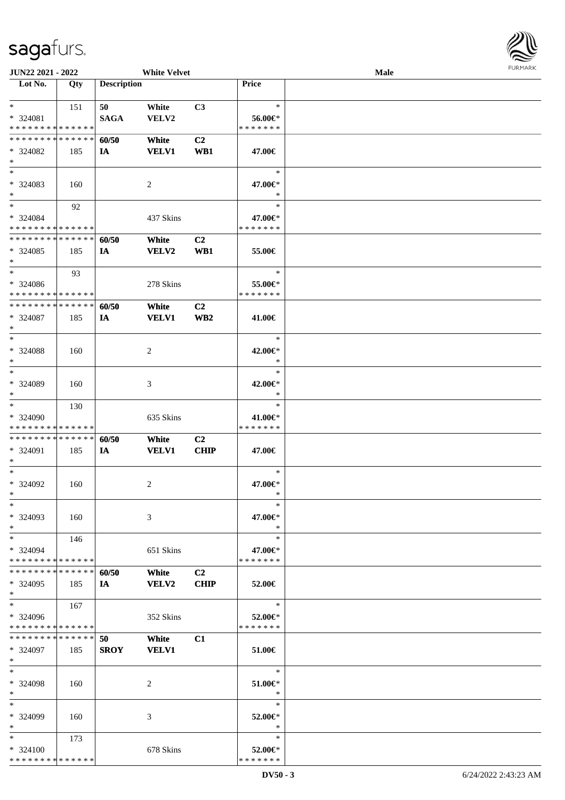| <b>JUN22 2021 - 2022</b>      |     |                    | <b>White Velvet</b> |                 |               | Male |  |
|-------------------------------|-----|--------------------|---------------------|-----------------|---------------|------|--|
| Lot No.                       | Qty | <b>Description</b> |                     |                 | Price         |      |  |
|                               |     |                    |                     |                 |               |      |  |
| $*$                           | 151 | 50                 | White               | C3              | $\ast$        |      |  |
| * 324081                      |     | <b>SAGA</b>        | VELV2               |                 | 56.00€*       |      |  |
| * * * * * * * * * * * * * *   |     |                    |                     |                 | * * * * * * * |      |  |
| * * * * * * * * * * * * * *   |     | 60/50              | White               | C2              |               |      |  |
| * 324082                      | 185 | IA                 | <b>VELV1</b>        | WB1             | 47.00€        |      |  |
| $*$                           |     |                    |                     |                 |               |      |  |
| $*$                           |     |                    |                     |                 |               |      |  |
|                               |     |                    |                     |                 | $\ast$        |      |  |
| * 324083                      | 160 |                    | 2                   |                 | 47.00€*       |      |  |
| $*$                           |     |                    |                     |                 | $\ast$        |      |  |
| $*$                           | 92  |                    |                     |                 | $\ast$        |      |  |
| * 324084                      |     |                    | 437 Skins           |                 | 47.00€*       |      |  |
| * * * * * * * * * * * * * *   |     |                    |                     |                 | * * * * * * * |      |  |
| * * * * * * * * * * * * * *   |     | 60/50              | White               | C <sub>2</sub>  |               |      |  |
| * 324085                      | 185 | IA                 | <b>VELV2</b>        | WB1             | 55.00€        |      |  |
| $\ast$                        |     |                    |                     |                 |               |      |  |
| $*$                           | 93  |                    |                     |                 | $\ast$        |      |  |
| $* 324086$                    |     |                    | 278 Skins           |                 | 55.00€*       |      |  |
| * * * * * * * * * * * * * *   |     |                    |                     |                 | * * * * * * * |      |  |
|                               |     |                    |                     |                 |               |      |  |
| * * * * * * * * * * * * * *   |     | 60/50              | White               | C <sub>2</sub>  |               |      |  |
| $* 324087$                    | 185 | IA                 | <b>VELV1</b>        | WB <sub>2</sub> | 41.00€        |      |  |
| $*$                           |     |                    |                     |                 |               |      |  |
| $*$                           |     |                    |                     |                 | $\ast$        |      |  |
| $* 324088$                    | 160 |                    | 2                   |                 | 42.00€*       |      |  |
| $\ast$                        |     |                    |                     |                 | $\ast$        |      |  |
| $*$                           |     |                    |                     |                 | $\ast$        |      |  |
| * 324089                      | 160 |                    | 3                   |                 | 42.00€*       |      |  |
| $*$                           |     |                    |                     |                 | $\ast$        |      |  |
| $*$                           |     |                    |                     |                 | $\ast$        |      |  |
|                               | 130 |                    |                     |                 |               |      |  |
| * 324090                      |     |                    | 635 Skins           |                 | 41.00€*       |      |  |
| * * * * * * * * * * * * * *   |     |                    |                     |                 | * * * * * * * |      |  |
| * * * * * * * * * * * * * *   |     | 60/50              | White               | C2              |               |      |  |
| * 324091                      | 185 | IA                 | <b>VELV1</b>        | <b>CHIP</b>     | 47.00€        |      |  |
| $*$                           |     |                    |                     |                 |               |      |  |
| $*$                           |     |                    |                     |                 | $\ast$        |      |  |
| $* 324092$                    | 160 |                    | 2                   |                 | 47.00€*       |      |  |
| $*$                           |     |                    |                     |                 | $\ast$        |      |  |
| $*$                           |     |                    |                     |                 | $\ast$        |      |  |
| * 324093                      | 160 |                    | 3                   |                 | 47.00€*       |      |  |
| $*$                           |     |                    |                     |                 | $\ast$        |      |  |
| $*$                           | 146 |                    |                     |                 | $\ast$        |      |  |
|                               |     |                    |                     |                 |               |      |  |
| * 324094                      |     |                    | 651 Skins           |                 | 47.00€*       |      |  |
| * * * * * * * * * * * * * *   |     |                    |                     |                 | * * * * * * * |      |  |
| * * * * * * * * * * * * * *   |     | 60/50              | White               | C <sub>2</sub>  |               |      |  |
| * 324095                      | 185 | IA                 | <b>VELV2</b>        | <b>CHIP</b>     | 52.00€        |      |  |
| $*$                           |     |                    |                     |                 |               |      |  |
| $*$                           | 167 |                    |                     |                 | $\ast$        |      |  |
| $*324096$                     |     |                    | 352 Skins           |                 | 52.00€*       |      |  |
| * * * * * * * * * * * * * *   |     |                    |                     |                 | * * * * * * * |      |  |
| * * * * * * * * * * * * * * * |     | 50                 | White               | C1              |               |      |  |
| * 324097                      | 185 | <b>SROY</b>        | <b>VELV1</b>        |                 | 51.00€        |      |  |
| $*$                           |     |                    |                     |                 |               |      |  |
| $*$                           |     |                    |                     |                 | $\ast$        |      |  |
|                               |     |                    |                     |                 |               |      |  |
| * 324098                      | 160 |                    | 2                   |                 | 51.00€*       |      |  |
| $*$                           |     |                    |                     |                 | $\ast$        |      |  |
| $*$                           |     |                    |                     |                 | $\ast$        |      |  |
| * 324099                      | 160 |                    | 3                   |                 | 52.00€*       |      |  |
| $*$                           |     |                    |                     |                 | $\ast$        |      |  |
| $*$                           | 173 |                    |                     |                 | $\ast$        |      |  |
| $* 324100$                    |     |                    | 678 Skins           |                 | 52.00€*       |      |  |
| * * * * * * * * * * * * * *   |     |                    |                     |                 | * * * * * * * |      |  |
|                               |     |                    |                     |                 |               |      |  |

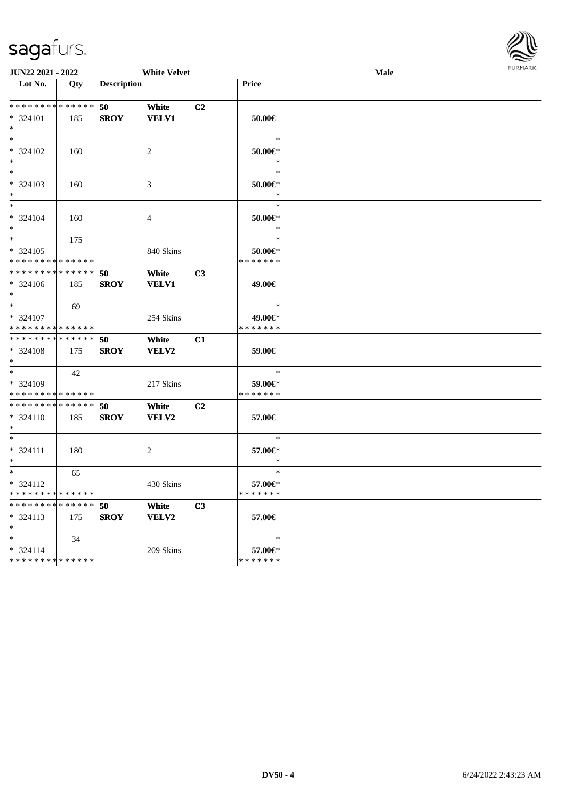

| <b>JUN22 2021 - 2022</b>                   |     |                    | <b>White Velvet</b> |                |               | <b>FURPIARA</b> |  |
|--------------------------------------------|-----|--------------------|---------------------|----------------|---------------|-----------------|--|
| Lot No.                                    | Qty | <b>Description</b> |                     |                | Price         |                 |  |
|                                            |     |                    |                     |                |               |                 |  |
| * * * * * * * * <mark>* * * * * * *</mark> |     | 50                 | White               | C <sub>2</sub> |               |                 |  |
| * 324101                                   | 185 | <b>SROY</b>        | <b>VELV1</b>        |                | 50.00€        |                 |  |
| $\ast$                                     |     |                    |                     |                |               |                 |  |
| $*$                                        |     |                    |                     |                | $\ast$        |                 |  |
| * 324102                                   | 160 |                    | 2                   |                | 50.00€*       |                 |  |
| $*$                                        |     |                    |                     |                | $\ast$        |                 |  |
| $*$                                        |     |                    |                     |                | $\ast$        |                 |  |
| * 324103                                   | 160 |                    | 3                   |                | 50.00€*       |                 |  |
| $*$                                        |     |                    |                     |                | $\ast$        |                 |  |
| $*$                                        |     |                    |                     |                | $\ast$        |                 |  |
| * 324104                                   | 160 |                    | 4                   |                | 50.00€*       |                 |  |
| $*$                                        |     |                    |                     |                | $\ast$        |                 |  |
|                                            | 175 |                    |                     |                | $\ast$        |                 |  |
| * 324105                                   |     |                    | 840 Skins           |                | 50.00€*       |                 |  |
| * * * * * * * * * * * * * *                |     |                    |                     |                | * * * * * * * |                 |  |
| * * * * * * * * * * * * * *                |     | 50                 | White               | C <sub>3</sub> |               |                 |  |
| $* 324106$                                 | 185 | <b>SROY</b>        | <b>VELV1</b>        |                | 49.00€        |                 |  |
| $*$                                        |     |                    |                     |                |               |                 |  |
| $*$                                        | 69  |                    |                     |                | $\ast$        |                 |  |
| * 324107                                   |     |                    | 254 Skins           |                | 49.00€*       |                 |  |
| * * * * * * * * * * * * * *                |     |                    |                     |                | * * * * * * * |                 |  |
| * * * * * * * * * * * * * *                |     | 50                 | White               | C1             |               |                 |  |
| * 324108                                   | 175 | <b>SROY</b>        | VELV2               |                | 59.00€        |                 |  |
| $*$                                        |     |                    |                     |                |               |                 |  |
| $*$                                        | 42  |                    |                     |                | $\ast$        |                 |  |
| * 324109                                   |     |                    | 217 Skins           |                | 59.00€*       |                 |  |
| * * * * * * * * <mark>* * * * * *</mark>   |     |                    |                     |                | * * * * * * * |                 |  |
| * * * * * * * * * * * * * * *              |     | 50                 | White               | C2             |               |                 |  |
| $* 324110$                                 | 185 | <b>SROY</b>        | <b>VELV2</b>        |                | 57.00€        |                 |  |
| $\ast$                                     |     |                    |                     |                |               |                 |  |
| $*$                                        |     |                    |                     |                | $\ast$        |                 |  |
| $* 324111$                                 | 180 |                    | 2                   |                | 57.00€*       |                 |  |
| $*$                                        |     |                    |                     |                | $\ast$        |                 |  |
| $*$                                        | 65  |                    |                     |                | $\ast$        |                 |  |
| $* 324112$                                 |     |                    | 430 Skins           |                | 57.00€*       |                 |  |
| * * * * * * * * <mark>* * * * * *</mark>   |     |                    |                     |                | * * * * * * * |                 |  |
| * * * * * * * * * * * * * * *              |     | 50                 | White               | C3             |               |                 |  |
| $* 324113$                                 | 175 | <b>SROY</b>        | VELV2               |                | 57.00€        |                 |  |
| $\ast$                                     |     |                    |                     |                |               |                 |  |
| $\ast$                                     | 34  |                    |                     |                | $\ast$        |                 |  |
| $* 324114$                                 |     |                    | 209 Skins           |                | 57.00€*       |                 |  |
| * * * * * * * * <mark>* * * * * * *</mark> |     |                    |                     |                | * * * * * * * |                 |  |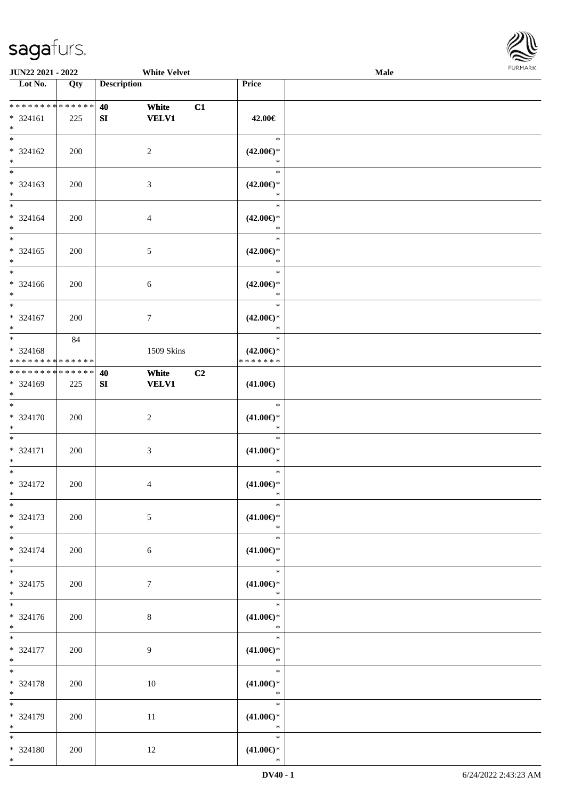

| JUN22 2021 - 2022                                                  |     | <b>White Velvet</b>               |                                                | Male |  |
|--------------------------------------------------------------------|-----|-----------------------------------|------------------------------------------------|------|--|
| Lot No.                                                            | Qty | <b>Description</b>                | Price                                          |      |  |
| * * * * * * * * * * * * * *<br>* 324161<br>$*$                     | 225 | 40<br>White<br><b>VELV1</b><br>SI | C1<br>42.00€                                   |      |  |
| $*$<br>* 324162<br>$\ast$                                          | 200 | $\overline{c}$                    | $\ast$<br>$(42.00\epsilon)$ *<br>$\ast$        |      |  |
| $\overline{\phantom{0}}$<br>$* 324163$<br>$*$                      | 200 | $\mathfrak{Z}$                    | $\ast$<br>$(42.00\epsilon)$ *<br>$\ast$        |      |  |
| $\overline{\ast}$<br>$* 324164$<br>$*$<br>$\overline{\phantom{0}}$ | 200 | $\overline{4}$                    | $\ast$<br>$(42.00\epsilon)$ *<br>$\ast$        |      |  |
| $* 324165$<br>$*$                                                  | 200 | $5\,$                             | $\ast$<br>$(42.00\epsilon)$ *<br>$\ast$        |      |  |
| $\overline{\ast}$<br>$* 324166$<br>$\ast$                          | 200 | $6\,$                             | $\ast$<br>$(42.00\epsilon)$ *<br>$\ast$        |      |  |
| $\ast$<br>$* 324167$<br>$*$                                        | 200 | $7\phantom{.0}$                   | $\ast$<br>$(42.00\epsilon)$ *<br>$\ast$        |      |  |
| $*$<br>* 324168<br>* * * * * * * * * * * * * *                     | 84  | 1509 Skins                        | $\ast$<br>$(42.00\epsilon)$ *<br>* * * * * * * |      |  |
| * * * * * * * * * * * * * *<br>* 324169<br>$*$                     | 225 | 40<br>White<br><b>VELV1</b><br>SI | C2<br>$(41.00\epsilon)$                        |      |  |
| $\overline{\phantom{0}}$<br>$* 324170$<br>$*$                      | 200 | $\sqrt{2}$                        | $\ast$<br>$(41.00\epsilon)$ *<br>$\ast$        |      |  |
| $*$<br>* 324171<br>$*$                                             | 200 | $\mathfrak{Z}$                    | $\ast$<br>$(41.00\epsilon)$ *<br>$\ast$        |      |  |
| $*$<br>* 324172<br>$*$                                             | 200 | $\overline{4}$                    | $\ast$<br>$(41.00\epsilon)$ *<br>$\ast$        |      |  |
| $*$<br>* 324173<br>$*$                                             | 200 | $\mathfrak{S}$                    | $\ast$<br>$(41.00\epsilon)$ *<br>$\ast$        |      |  |
| $*$<br>* 324174<br>$*$                                             | 200 | 6                                 | $\ast$<br>$(41.00\epsilon)$ *<br>$\ast$        |      |  |
| $*$<br>$* 324175$<br>$*$<br>$\overline{\phantom{0}}$               | 200 | $\tau$                            | $\ast$<br>$(41.00\epsilon)$ *<br>$\ast$        |      |  |
| * 324176<br>$*$                                                    | 200 | $\,8\,$                           | $\ast$<br>$(41.00\epsilon)$ *<br>$\ast$        |      |  |
| $*$<br>* 324177<br>$*$                                             | 200 | 9                                 | $\ast$<br>$(41.00\epsilon)$ *<br>$\ast$        |      |  |
| $*$<br>* 324178<br>$*$                                             | 200 | 10                                | $\ast$<br>$(41.00\epsilon)$ *<br>$\ast$        |      |  |
| $\ast$<br>* 324179<br>$*$                                          | 200 | 11                                | $\ast$<br>$(41.00\epsilon)$ *<br>$\ast$        |      |  |
| $*$<br>* 324180<br>$*$                                             | 200 | 12                                | $\ast$<br>$(41.00\epsilon)$ *<br>$\ast$        |      |  |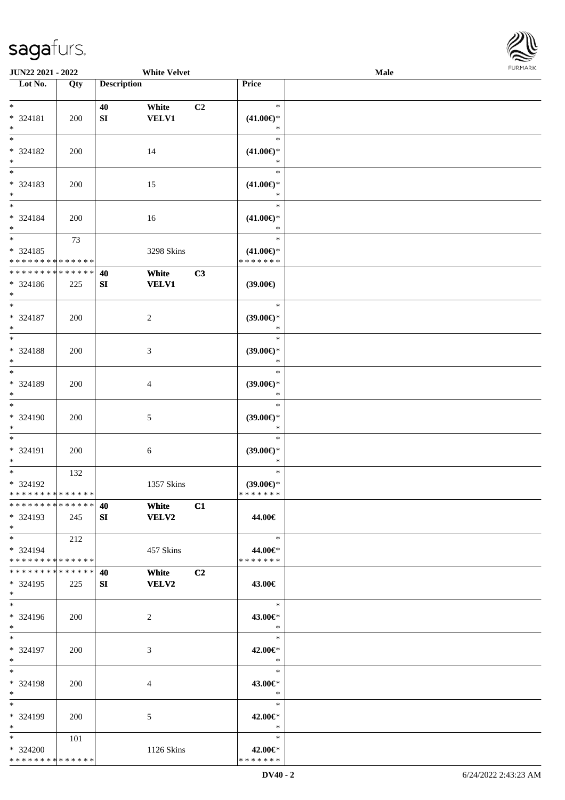

| JUN22 2021 - 2022             |            |                    | <b>White Velvet</b> |    |                               | Male |  |
|-------------------------------|------------|--------------------|---------------------|----|-------------------------------|------|--|
| Lot No.                       | Qty        | <b>Description</b> |                     |    | Price                         |      |  |
|                               |            |                    |                     |    |                               |      |  |
| $\ast$                        |            | 40                 | White               | C2 | $\ast$                        |      |  |
| * 324181                      | 200        | ${\bf SI}$         | <b>VELV1</b>        |    | $(41.00\epsilon)$ *           |      |  |
| $\ast$                        |            |                    |                     |    | $\ast$                        |      |  |
| $\overline{\ast}$             |            |                    |                     |    | $\ast$                        |      |  |
| * 324182                      | 200        |                    | 14                  |    | $(41.00\epsilon)$ *           |      |  |
| $\ast$                        |            |                    |                     |    | $\ast$                        |      |  |
| $\overline{\phantom{0}}$      |            |                    |                     |    | $\ast$                        |      |  |
| * 324183                      | 200        |                    | 15                  |    | $(41.00\epsilon)$ *           |      |  |
| $\ast$                        |            |                    |                     |    | $\ast$                        |      |  |
| $\overline{\phantom{a}^*}$    |            |                    |                     |    | $\ast$                        |      |  |
| * 324184                      | 200        |                    | 16                  |    | $(41.00\epsilon)$ *           |      |  |
| $\ast$                        |            |                    |                     |    | $\ast$                        |      |  |
| $\overline{\phantom{a}^*}$    | 73         |                    |                     |    | $\ast$                        |      |  |
| $* 324185$                    |            |                    | 3298 Skins          |    | $(41.00\epsilon)$ *           |      |  |
| * * * * * * * * * * * * * *   |            |                    |                     |    | * * * * * * *                 |      |  |
| ******** <mark>*****</mark> * |            | 40                 | White               | C3 |                               |      |  |
| * 324186                      | 225        | SI                 | <b>VELV1</b>        |    | (39.00)                       |      |  |
| $*$                           |            |                    |                     |    |                               |      |  |
| $\overline{\ast}$             |            |                    |                     |    | $\ast$                        |      |  |
| * 324187                      | 200        |                    | $\boldsymbol{2}$    |    | $(39.00\epsilon)$ *           |      |  |
| $\ast$                        |            |                    |                     |    | $\ast$                        |      |  |
| $\ast$                        |            |                    |                     |    | $\ast$                        |      |  |
| * 324188                      | 200        |                    | $\mathfrak{Z}$      |    | $(39.00\epsilon)$ *           |      |  |
| $\ast$                        |            |                    |                     |    | $\ast$                        |      |  |
| $\overline{\phantom{a}^*}$    |            |                    |                     |    | $\ast$                        |      |  |
| * 324189                      | 200        |                    | 4                   |    | $(39.00\epsilon)$ *           |      |  |
| $\ast$                        |            |                    |                     |    | $\ast$                        |      |  |
| $\overline{\phantom{a}^*}$    |            |                    |                     |    | $\ast$                        |      |  |
| * 324190                      | 200        |                    | $\sqrt{5}$          |    | $(39.00\epsilon)$ *           |      |  |
| $\ast$                        |            |                    |                     |    | $\ast$                        |      |  |
| $\ast$                        |            |                    |                     |    | $\ast$                        |      |  |
| $* 324191$                    | 200        |                    |                     |    |                               |      |  |
| $\ast$                        |            |                    | $\sqrt{6}$          |    | $(39.00\epsilon)$ *<br>$\ast$ |      |  |
| $\ast$                        | 132        |                    |                     |    | $\ast$                        |      |  |
| $* 324192$                    |            |                    | 1357 Skins          |    | $(39.00\epsilon)$ *           |      |  |
| **************                |            |                    |                     |    | * * * * * * *                 |      |  |
| * * * * * * * * * * * * * *   |            | 40                 | White               | C1 |                               |      |  |
| * 324193                      | 245        | SI                 | <b>VELV2</b>        |    | 44.00€                        |      |  |
| $*$                           |            |                    |                     |    |                               |      |  |
| $*$ $*$                       | 212        |                    |                     |    | $\ast$                        |      |  |
| $* 324194$                    |            |                    |                     |    | 44.00€*                       |      |  |
| * * * * * * * * * * * * * *   |            |                    | 457 Skins           |    | * * * * * * *                 |      |  |
| * * * * * * * * * * * * * *   |            | 40                 | White               | C2 |                               |      |  |
| * 324195                      |            | SI                 | <b>VELV2</b>        |    |                               |      |  |
| $*$                           | 225        |                    |                     |    | 43.00€                        |      |  |
| $*$                           |            |                    |                     |    | $\ast$                        |      |  |
| * 324196                      |            |                    |                     |    |                               |      |  |
| $*$                           | 200        |                    | 2                   |    | 43.00€*<br>$\ast$             |      |  |
| $*$                           |            |                    |                     |    | $\ast$                        |      |  |
| * 324197                      |            |                    |                     |    |                               |      |  |
| $*$                           | 200        |                    | 3                   |    | 42.00€*<br>$\ast$             |      |  |
| $\ast$                        |            |                    |                     |    | $\ast$                        |      |  |
|                               |            |                    |                     |    |                               |      |  |
| * 324198<br>$*$               | <b>200</b> |                    | 4                   |    | 43.00€*<br>$\ast$             |      |  |
| $*$                           |            |                    |                     |    | $\ast$                        |      |  |
|                               |            |                    |                     |    |                               |      |  |
| * 324199                      | 200        |                    | 5                   |    | 42.00€*                       |      |  |
| $*$                           |            |                    |                     |    | $\ast$                        |      |  |
| $*$                           | 101        |                    |                     |    | $\ast$                        |      |  |
| * 324200                      |            |                    | 1126 Skins          |    | 42.00€*                       |      |  |
| * * * * * * * * * * * * * *   |            |                    |                     |    | * * * * * * *                 |      |  |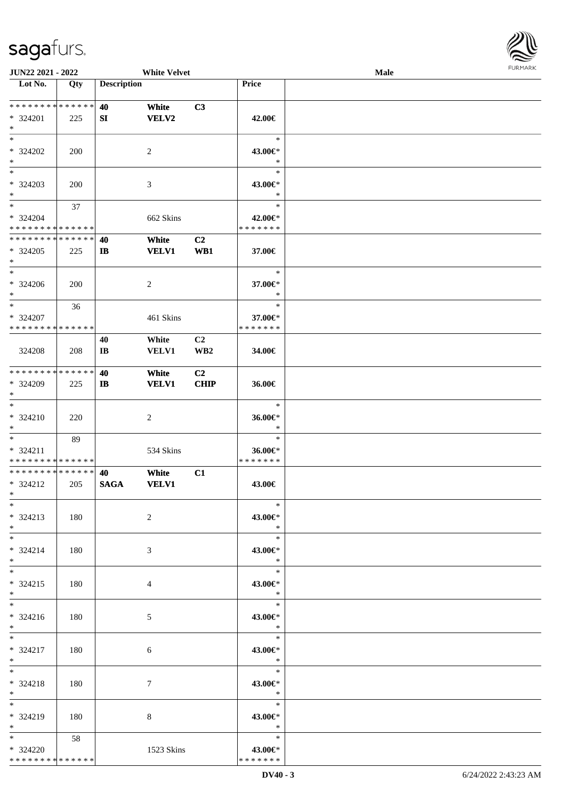

| <b>JUN22 2021 - 2022</b>     |     |                        | <b>White Velvet</b> |                 |                                    | <b>Male</b> |  |
|------------------------------|-----|------------------------|---------------------|-----------------|------------------------------------|-------------|--|
| Lot No.                      | Qty | <b>Description</b>     |                     |                 | Price                              |             |  |
|                              |     |                        |                     |                 |                                    |             |  |
| ******** <mark>******</mark> |     | 40                     | White               | C3              |                                    |             |  |
|                              |     |                        |                     |                 |                                    |             |  |
| $* 324201$                   | 225 | SI                     | <b>VELV2</b>        |                 | 42.00€                             |             |  |
| $*$                          |     |                        |                     |                 |                                    |             |  |
| $*$                          |     |                        |                     |                 | $\ast$                             |             |  |
| $* 324202$                   | 200 |                        | $\overline{2}$      |                 | 43.00€*                            |             |  |
| $\ast$                       |     |                        |                     |                 | $\ast$                             |             |  |
| $\overline{\ast}$            |     |                        |                     |                 | $\ast$                             |             |  |
| * 324203                     |     |                        |                     |                 |                                    |             |  |
|                              | 200 |                        | 3                   |                 | 43.00€*                            |             |  |
| $*$                          |     |                        |                     |                 | $\ast$                             |             |  |
| $*$                          | 37  |                        |                     |                 | $\ast$                             |             |  |
| * 324204                     |     |                        | 662 Skins           |                 | 42.00€*                            |             |  |
| * * * * * * * * * * * * * *  |     |                        |                     |                 | * * * * * * *                      |             |  |
| * * * * * * * * * * * * * *  |     | 40                     | White               | C <sub>2</sub>  |                                    |             |  |
| $*324205$                    | 225 | $\mathbf{I}$           | <b>VELV1</b>        | WB1             | 37.00€                             |             |  |
| $\ast$                       |     |                        |                     |                 |                                    |             |  |
| $*$                          |     |                        |                     |                 | $\ast$                             |             |  |
|                              |     |                        |                     |                 |                                    |             |  |
| $* 324206$                   | 200 |                        | $\overline{2}$      |                 | 37.00€*                            |             |  |
| $*$                          |     |                        |                     |                 | $\ast$                             |             |  |
| $*$                          | 36  |                        |                     |                 | $\ast$                             |             |  |
| * 324207                     |     |                        | 461 Skins           |                 | 37.00€*                            |             |  |
| * * * * * * * * * * * * * *  |     |                        |                     |                 | * * * * * * *                      |             |  |
|                              |     | 40                     | White               | C <sub>2</sub>  |                                    |             |  |
|                              |     |                        |                     |                 |                                    |             |  |
| 324208                       | 208 | $\mathbf{I}\mathbf{B}$ | <b>VELV1</b>        | WB <sub>2</sub> | 34.00€                             |             |  |
|                              |     |                        |                     |                 |                                    |             |  |
| * * * * * * * * * * * * * *  |     | 40                     | White               | C2              |                                    |             |  |
| * 324209                     | 225 | $\mathbf{I}$           | <b>VELV1</b>        | <b>CHIP</b>     | 36.00€                             |             |  |
| $*$                          |     |                        |                     |                 |                                    |             |  |
| $*$                          |     |                        |                     |                 | $\ast$                             |             |  |
| $* 324210$                   | 220 |                        | 2                   |                 | 36.00€*                            |             |  |
|                              |     |                        |                     |                 | $\ast$                             |             |  |
| $*$                          |     |                        |                     |                 |                                    |             |  |
| $*$                          | 89  |                        |                     |                 | $\ast$                             |             |  |
| * 324211                     |     |                        | 534 Skins           |                 | 36.00€*                            |             |  |
| * * * * * * * * * * * * * *  |     |                        |                     |                 | * * * * * * *                      |             |  |
| * * * * * * * * * * * * * *  |     | 40                     | White               | C1              |                                    |             |  |
| * 324212                     | 205 | <b>SAGA</b>            | <b>VELV1</b>        |                 | 43.00€                             |             |  |
| $*$                          |     |                        |                     |                 |                                    |             |  |
| $*$                          |     |                        |                     |                 | $\ast$                             |             |  |
|                              |     |                        |                     |                 |                                    |             |  |
| * 324213                     | 180 |                        | $\overline{2}$      |                 | 43.00€*                            |             |  |
| $*$                          |     |                        |                     |                 | $\ast$                             |             |  |
| $*$                          |     |                        |                     |                 | $\ast$                             |             |  |
| * 324214                     | 180 |                        | 3                   |                 | 43.00€*                            |             |  |
| $*$                          |     |                        |                     |                 | $\ast$                             |             |  |
| $*$                          |     |                        |                     |                 | $\ast$                             |             |  |
| $* 324215$                   | 180 |                        | 4                   |                 | 43.00€*                            |             |  |
| $*$                          |     |                        |                     |                 | $\rightarrow$                      |             |  |
| $*$                          |     |                        |                     |                 | $\ast$                             |             |  |
|                              |     |                        |                     |                 |                                    |             |  |
| $* 324216$                   | 180 |                        | 5                   |                 | 43.00€*                            |             |  |
| $*$ $*$                      |     |                        |                     |                 | $\mathbb{R}^2$                     |             |  |
| $*$ $*$                      |     |                        |                     |                 | $\overline{\phantom{0}}$<br>$\ast$ |             |  |
| * 324217                     | 180 |                        | 6                   |                 | 43.00€*                            |             |  |
| $*$ $*$                      |     |                        |                     |                 | $\ast$                             |             |  |
| $*$ $*$                      |     |                        |                     |                 | $\ast$                             |             |  |
|                              |     |                        |                     |                 |                                    |             |  |
| * 324218                     | 180 |                        | 7                   |                 | 43.00€*                            |             |  |
| $*$ $-$                      |     |                        |                     |                 | $\ast$                             |             |  |
| $*$ $*$                      |     |                        |                     |                 | $\ast$                             |             |  |
| * 324219                     | 180 |                        | 8                   |                 | 43.00€*                            |             |  |
| $*$ $*$                      |     |                        |                     |                 | $\ast$                             |             |  |
| $\ast$                       | 58  |                        |                     |                 | $\ast$                             |             |  |
| * 324220                     |     |                        | 1523 Skins          |                 | 43.00€*                            |             |  |
| * * * * * * * * * * * * * *  |     |                        |                     |                 | * * * * * * *                      |             |  |
|                              |     |                        |                     |                 |                                    |             |  |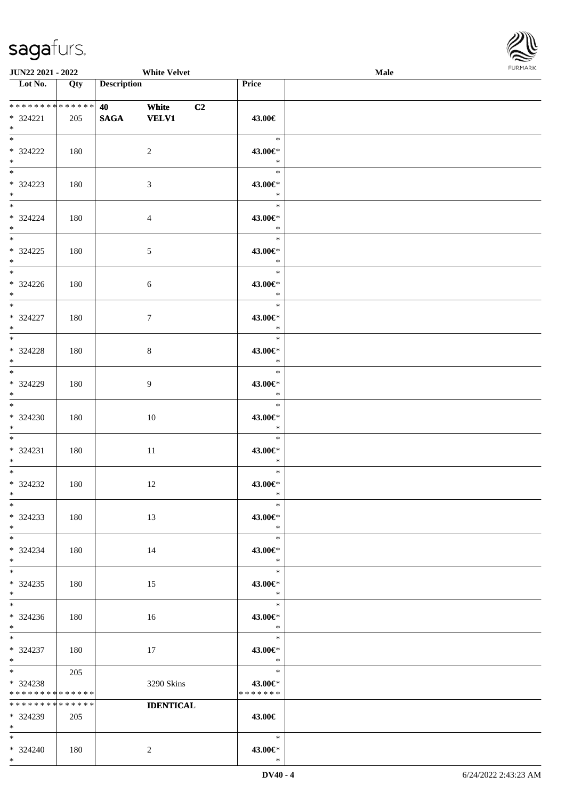\*



| <b>JUN22 2021 - 2022</b>                                 |     | <b>White Velvet</b>                                                       |                  |                                       | Male |  |
|----------------------------------------------------------|-----|---------------------------------------------------------------------------|------------------|---------------------------------------|------|--|
| Lot No.                                                  | Qty | <b>Description</b>                                                        |                  | Price                                 |      |  |
| ******** <mark>******</mark><br>$* 324221$<br>$*$        | 205 | <b>40</b> and the set of $\theta$<br>White<br><b>VELV1</b><br><b>SAGA</b> | C <sub>2</sub>   | 43.00€                                |      |  |
| * 324222<br>$*$                                          | 180 | 2                                                                         |                  | $\ast$<br>43.00€*<br>$\ast$           |      |  |
| $\overline{\ast}$<br>* 324223<br>$*$                     | 180 | 3                                                                         |                  | $\ast$<br>43.00€*<br>$\ast$           |      |  |
| $*$<br>* 324224<br>$*$                                   | 180 | $\overline{4}$                                                            |                  | $\ast$<br>43.00€*<br>$\ast$           |      |  |
| $* 324225$<br>$*$                                        | 180 | 5                                                                         |                  | $\ast$<br>43.00€*<br>$\ast$           |      |  |
| $\overline{\mathbf{r}^*}$<br>$* 324226$<br>$*$           | 180 | 6                                                                         |                  | $\ast$<br>43.00€*<br>$\ast$           |      |  |
| * 324227<br>$*$                                          | 180 | $\tau$                                                                    |                  | $\ast$<br>43.00€*<br>$\ast$           |      |  |
| * 324228<br>$*$                                          | 180 | 8                                                                         |                  | $\ast$<br>43.00€*<br>$\ast$           |      |  |
| * 324229<br>$*$                                          | 180 | $\overline{9}$                                                            |                  | $\ast$<br>43.00€*<br>$\ast$           |      |  |
| $*$<br>$* 324230$<br>$*$                                 | 180 | 10                                                                        |                  | $\ast$<br>43.00€*<br>$\ast$           |      |  |
| $*$ $-$<br>* 324231<br>$*$                               | 180 | 11                                                                        |                  | $\ast$<br>43.00€*<br>$\ast$           |      |  |
| $*$ $-$<br>* 324232<br>$*$ $*$                           | 180 | 12                                                                        |                  | $\ast$<br>43.00€*<br>$\ast$           |      |  |
| $*$<br>$* 324233$<br>$*$                                 | 180 | 13                                                                        |                  | $\ast$<br>43.00€*<br>$\ast$           |      |  |
| $*$<br>* 324234<br>$*$                                   | 180 | 14                                                                        |                  | $\ast$<br>43.00€*<br>$\ast$           |      |  |
| $*$ $-$<br>$* 324235$<br>$*$                             | 180 | 15                                                                        |                  | $\ast$<br>43.00€*<br>$\rightarrow$    |      |  |
| $* 324236$<br>$*$                                        | 180 | 16                                                                        |                  | $\ast$<br>43.00€*<br>$\ast$<br>$\Box$ |      |  |
| $*$ and $*$<br>* 324237<br>$*$ $\qquad$                  | 180 | 17                                                                        |                  | $\ast$<br>43.00€*<br>$\ast$           |      |  |
| * 324238<br>* * * * * * * * * * * * * *                  | 205 | 3290 Skins                                                                |                  | $\ast$<br>43.00€*<br>* * * * * * *    |      |  |
| * * * * * * * * * * * * * *<br>$* 324239$<br>$*$ and $*$ | 205 |                                                                           | <b>IDENTICAL</b> | 43.00€                                |      |  |
| $*$ $*$<br>$* 324240$                                    | 180 | 2                                                                         |                  | $\ast$<br>43.00€*                     |      |  |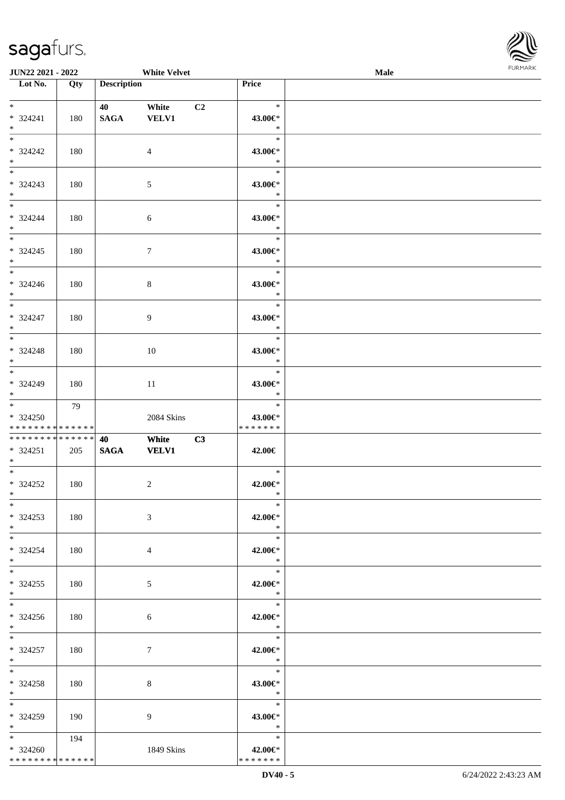

| JUN22 2021 - 2022                                    |           |                         | <b>White Velvet</b> |    |                                                      | Male |  |
|------------------------------------------------------|-----------|-------------------------|---------------------|----|------------------------------------------------------|------|--|
| Lot No.                                              | Qty       | <b>Description</b>      |                     |    | Price                                                |      |  |
| $\ast$<br>* 324241<br>$*$                            | 180       | 40 White<br><b>SAGA</b> | <b>VELV1</b>        | C2 | $\ast$<br>43.00€*<br>$\ast$                          |      |  |
| $\overline{\phantom{0}}$<br>* 324242<br>$\ast$       | 180       |                         | $\overline{4}$      |    | $\ast$<br>43.00€*<br>$\ast$                          |      |  |
| $* 324243$<br>$*$                                    | 180       |                         | $\mathfrak{S}$      |    | $\ast$<br>43.00€*<br>$\ast$                          |      |  |
| $* 324244$<br>$*$<br>$\overline{\phantom{0}}$        | 180       |                         | $\sqrt{6}$          |    | $\ast$<br>43.00€*<br>$\ast$<br>$\ast$                |      |  |
| $* 324245$<br>$*$<br>$\overline{\phantom{0}}$        | 180       |                         | $\tau$              |    | 43.00€*<br>$\ast$<br>$\ast$                          |      |  |
| $* 324246$<br>$*$<br>$\overline{\ast}$               | 180       |                         | $8\,$               |    | 43.00€*<br>$\ast$<br>$\ast$                          |      |  |
| * 324247<br>$*$                                      | 180       |                         | 9                   |    | 43.00€*<br>$\ast$<br>$\ast$                          |      |  |
| $* 324248$<br>$*$                                    | 180       |                         | 10                  |    | 43.00€*<br>$\ast$<br>$\ast$                          |      |  |
| * 324249<br>$*$                                      | 180<br>79 |                         | 11                  |    | 43.00€*<br>$\ast$<br>$\ast$                          |      |  |
| * 324250<br>* * * * * * * * * * * * * *              |           |                         | 2084 Skins          |    | 43.00€*<br>* * * * * * *                             |      |  |
| **************                                       |           | 40                      | White               | C3 |                                                      |      |  |
| $* 324251$<br>$*$ $*$                                | 205       | <b>SAGA</b>             | <b>VELV1</b>        |    | 42.00€                                               |      |  |
| $*$<br>$*324252$<br>$*$ $*$                          | 180       |                         | $\sqrt{2}$          |    | $\ast$<br>42.00€*<br>$\ast$                          |      |  |
| $*$<br>$*324253$<br>$*$                              | 180       |                         | 3                   |    | $\ast$<br>42.00€*<br>$\ast$                          |      |  |
| $*$<br>$* 324254$<br>$*$<br>$\overline{\phantom{0}}$ | 180       |                         | 4                   |    | $\ast$<br>42.00€*<br>$\ast$                          |      |  |
| $*324255$<br>$*$<br>$*$                              | 180       |                         | 5                   |    | $\ast$<br>42.00€*<br>$\mathbb{R}^2$                  |      |  |
| $*324256$<br>$*$ $*$                                 | 180       |                         | 6                   |    | $*$<br>42.00€*<br>$\ast$<br>$\overline{\phantom{a}}$ |      |  |
| $*$<br>$* 324257$<br>$*$ $-$                         | 180       |                         | $\tau$              |    | 42.00€*<br>$\ast$                                    |      |  |
| $*$<br>$*324258$<br>$*$ $-$<br>$*$                   | 180       |                         | 8                   |    | $\ast$<br>43.00€*<br>$\ast$<br>$\ast$                |      |  |
| * 324259<br>$*$ $-$                                  | 190       |                         | 9                   |    | 43.00€*<br>$\ast$                                    |      |  |
| $*$ and $*$<br>$* 324260$<br>**************          | 194       |                         | 1849 Skins          |    | $\ast$<br>42.00€*<br>* * * * * * *                   |      |  |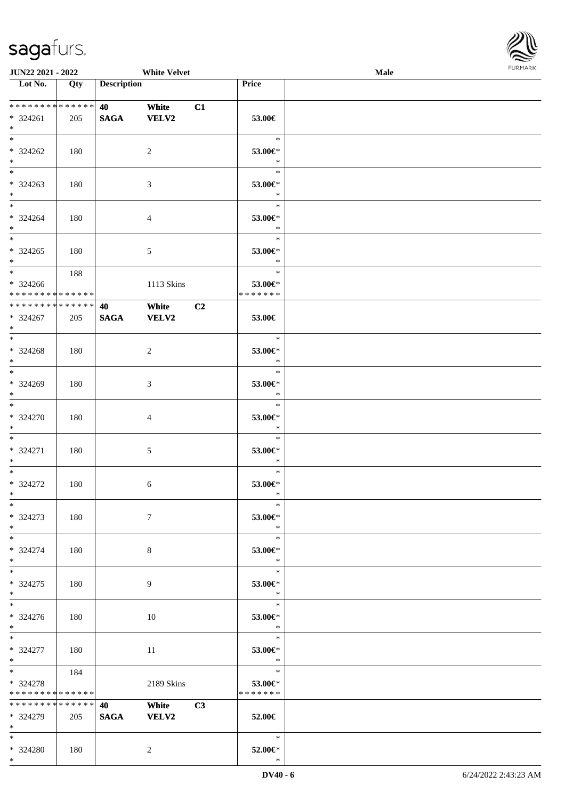\*



| <b>JUN22 2021 - 2022</b>                                                             |     |                                                  | <b>White Velvet</b>          |    |                                        | Male |  |
|--------------------------------------------------------------------------------------|-----|--------------------------------------------------|------------------------------|----|----------------------------------------|------|--|
| Lot No.                                                                              | Qty | <b>Description</b>                               |                              |    | Price                                  |      |  |
| ******** <mark>******</mark><br>$* 324261$<br>$*$                                    | 205 | <b>40</b> and the set of $\theta$<br><b>SAGA</b> | White<br><b>VELV2</b>        | C1 | 53.00€                                 |      |  |
| $*$<br>* 324262<br>$*$                                                               | 180 |                                                  | 2                            |    | $\ast$<br>53.00€*<br>$\ast$            |      |  |
| * 324263<br>$*$                                                                      | 180 |                                                  | 3                            |    | $\ast$<br>53.00€*<br>$\ast$            |      |  |
| $*$<br>* 324264<br>$*$                                                               | 180 |                                                  | $\overline{4}$               |    | $\ast$<br>53.00€*<br>$\ast$            |      |  |
| $*$<br>$* 324265$<br>$*$                                                             | 180 |                                                  | $\mathfrak{S}$               |    | $\ast$<br>53.00€*<br>$\ast$            |      |  |
| $* 324266$<br>******** <mark>******</mark>                                           | 188 |                                                  | 1113 Skins                   |    | $\ast$<br>53.00€*<br>* * * * * * *     |      |  |
| * * * * * * * * <mark>* * * * * * *</mark><br>* 324267<br>$*$                        | 205 | 40<br><b>SAGA</b>                                | White<br><b>VELV2</b>        | C2 | 53.00€                                 |      |  |
| $*$<br>$* 324268$<br>$*$                                                             | 180 |                                                  | 2                            |    | $\ast$<br>53.00€*<br>$\ast$            |      |  |
| * 324269<br>$*$                                                                      | 180 |                                                  | 3                            |    | $\ast$<br>53.00€*<br>$\ast$            |      |  |
| $*$<br>* 324270<br>$*$                                                               | 180 |                                                  | $\overline{4}$               |    | $\ast$<br>$53.00 \text{E}^*$<br>$\ast$ |      |  |
| $*$ $-$<br>* 324271<br>$*$                                                           | 180 |                                                  | $\mathfrak{S}$               |    | $\ast$<br>53.00€*<br>$\ast$            |      |  |
| $*$ $-$<br>* 324272<br>$*$ $-$                                                       | 180 |                                                  | 6                            |    | $\ast$<br>53.00€*<br>$\ast$            |      |  |
| $*$<br>* 324273<br>$*$                                                               | 180 |                                                  | $7\phantom{.0}$              |    | $\ast$<br>53.00€*<br>$\ast$            |      |  |
| $*$<br>* 324274<br>$*$                                                               | 180 |                                                  | 8                            |    | $\ast$<br>53.00€*<br>$\ast$            |      |  |
| $*$ $-$<br>* 324275<br>$*$                                                           | 180 |                                                  | 9                            |    | $\ast$<br>53.00€*<br>$\rightarrow$     |      |  |
| $*$<br>$* 324276$<br>$*$                                                             | 180 |                                                  | 10                           |    | $\ast$<br>53.00€*<br>$\ast$            |      |  |
| $*$ $*$<br>* 324277<br>$*$                                                           | 180 |                                                  | 11                           |    | $\ast$<br>53.00€*<br>$\ast$            |      |  |
| $*$ $\overline{\phantom{a}}$<br>* 324278<br>* * * * * * * * <mark>* * * * * *</mark> | 184 |                                                  | 2189 Skins                   |    | $\ast$<br>53.00€*<br>* * * * * * *     |      |  |
| * * * * * * * * * * * * * * *<br>* 324279<br>$*$ $-$                                 | 205 | <b>40</b> and the set of $\theta$<br><b>SAGA</b> | <b>White</b><br><b>VELV2</b> | C3 | 52.00€                                 |      |  |
| $*$<br>* 324280                                                                      | 180 |                                                  | 2                            |    | $\ast$<br>52.00€*                      |      |  |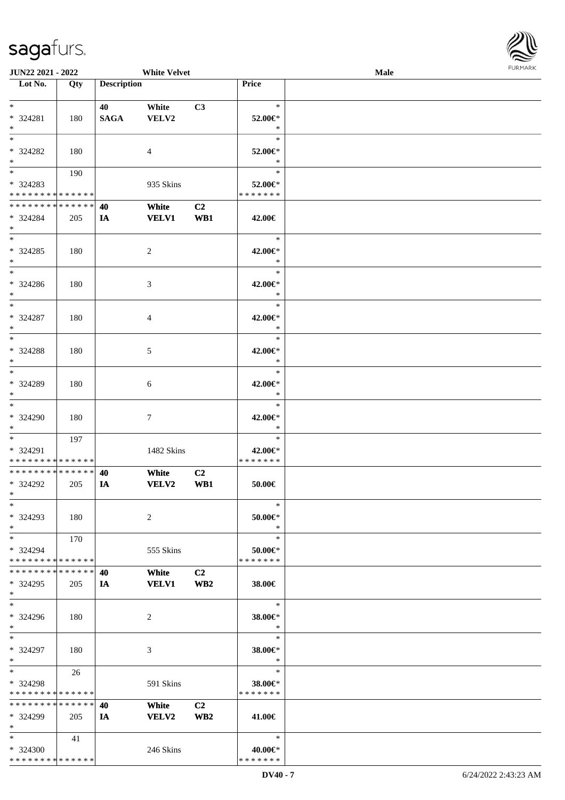

| JUN22 2021 - 2022                    |     |                    | <b>White Velvet</b> |                 |                          | Male |  |
|--------------------------------------|-----|--------------------|---------------------|-----------------|--------------------------|------|--|
| $\overline{\phantom{1}}$ Lot No.     | Qty | <b>Description</b> |                     |                 | Price                    |      |  |
|                                      |     |                    |                     |                 |                          |      |  |
| $\ast$                               |     | 40                 | White               | C3              | $\ast$                   |      |  |
| * 324281                             | 180 | <b>SAGA</b>        | VELV2               |                 | 52.00€*                  |      |  |
| $\ast$                               |     |                    |                     |                 | $\ast$                   |      |  |
| $\overline{\ast}$                    |     |                    |                     |                 | $\ast$                   |      |  |
|                                      |     |                    |                     |                 |                          |      |  |
| * 324282                             | 180 |                    | $\overline{4}$      |                 | 52.00€*                  |      |  |
| $\ast$                               |     |                    |                     |                 | $\ast$                   |      |  |
| $\overline{\phantom{a}^*}$           | 190 |                    |                     |                 | $\ast$                   |      |  |
| * 324283                             |     |                    | 935 Skins           |                 | 52.00€*                  |      |  |
| * * * * * * * * * * * * * *          |     |                    |                     |                 | * * * * * * *            |      |  |
| **************                       |     | 40                 | White               | C2              |                          |      |  |
| * 324284                             | 205 | IA                 | <b>VELV1</b>        | WB1             | 42.00€                   |      |  |
| $\ast$                               |     |                    |                     |                 |                          |      |  |
| $\overline{\phantom{0}}$             |     |                    |                     |                 | $\ast$                   |      |  |
| $*324285$                            |     |                    |                     |                 |                          |      |  |
|                                      | 180 |                    | $\sqrt{2}$          |                 | 42.00€*                  |      |  |
| $\ast$<br>$\overline{\phantom{a}^*}$ |     |                    |                     |                 | $\ast$                   |      |  |
|                                      |     |                    |                     |                 | $\ast$                   |      |  |
| $* 324286$                           | 180 |                    | 3                   |                 | 42.00€*                  |      |  |
| $\ast$                               |     |                    |                     |                 | $\ast$                   |      |  |
| $\ast$                               |     |                    |                     |                 | $\ast$                   |      |  |
| * 324287                             | 180 |                    | 4                   |                 | 42.00€*                  |      |  |
| $\ast$                               |     |                    |                     |                 | $\ast$                   |      |  |
| $\ast$                               |     |                    |                     |                 | $\ast$                   |      |  |
|                                      |     |                    |                     |                 |                          |      |  |
| $* 324288$                           | 180 |                    | 5                   |                 | 42.00€*                  |      |  |
| $\ast$<br>$\overline{\phantom{a}^*}$ |     |                    |                     |                 | $\ast$                   |      |  |
|                                      |     |                    |                     |                 | $\ast$                   |      |  |
| * 324289                             | 180 |                    | 6                   |                 | 42.00€*                  |      |  |
| $\ast$                               |     |                    |                     |                 | $\ast$                   |      |  |
| $\ast$                               |     |                    |                     |                 | $\ast$                   |      |  |
| * 324290                             | 180 |                    | $\tau$              |                 | 42.00€*                  |      |  |
| $*$                                  |     |                    |                     |                 | $\ast$                   |      |  |
| $*$                                  | 197 |                    |                     |                 | $\ast$                   |      |  |
| * 324291                             |     |                    |                     |                 |                          |      |  |
|                                      |     |                    | 1482 Skins          |                 | 42.00€*<br>* * * * * * * |      |  |
| * * * * * * * * * * * * * *          |     |                    |                     |                 |                          |      |  |
| ******** <mark>******</mark>         |     | 40                 | White               | C2              |                          |      |  |
| * 324292                             | 205 | IA                 | VELV2               | WB1             | 50.00€                   |      |  |
| $\ast$                               |     |                    |                     |                 |                          |      |  |
| $*$                                  |     |                    |                     |                 | $\ast$                   |      |  |
| * 324293                             | 180 |                    | 2                   |                 | $50.00 \in$              |      |  |
| $*$                                  |     |                    |                     |                 | $\ast$                   |      |  |
| $*$                                  | 170 |                    |                     |                 | $\ast$                   |      |  |
| * 324294                             |     |                    | 555 Skins           |                 | 50.00€*                  |      |  |
| * * * * * * * * * * * * * *          |     |                    |                     |                 | * * * * * * *            |      |  |
| * * * * * * * * * * * * * * *        |     |                    |                     |                 |                          |      |  |
|                                      |     | 40                 | White               | C2              |                          |      |  |
| * 324295                             | 205 | IA                 | <b>VELV1</b>        | WB2             | 38.00€                   |      |  |
| $*$                                  |     |                    |                     |                 |                          |      |  |
| $\ast$                               |     |                    |                     |                 | $\ast$                   |      |  |
| * 324296                             | 180 |                    | 2                   |                 | 38.00€*                  |      |  |
| $*$                                  |     |                    |                     |                 | $\ast$                   |      |  |
| $*$                                  |     |                    |                     |                 | $\ast$                   |      |  |
| * 324297                             | 180 |                    | 3                   |                 | 38.00€*                  |      |  |
| $*$                                  |     |                    |                     |                 | $\ast$                   |      |  |
| $*$                                  |     |                    |                     |                 | $\ast$                   |      |  |
|                                      | 26  |                    |                     |                 |                          |      |  |
| * 324298                             |     |                    | 591 Skins           |                 | 38.00€*                  |      |  |
| * * * * * * * * * * * * * *          |     |                    |                     |                 | * * * * * * *            |      |  |
| * * * * * * * * * * * * * *          |     | 40                 | White               | C <sub>2</sub>  |                          |      |  |
| * 324299                             | 205 | IA                 | <b>VELV2</b>        | WB <sub>2</sub> | 41.00€                   |      |  |
| $*$                                  |     |                    |                     |                 |                          |      |  |
| $*$                                  | 41  |                    |                     |                 | $\ast$                   |      |  |
| * 324300                             |     |                    | 246 Skins           |                 | 40.00€*                  |      |  |
| * * * * * * * * * * * * * *          |     |                    |                     |                 | * * * * * * *            |      |  |
|                                      |     |                    |                     |                 |                          |      |  |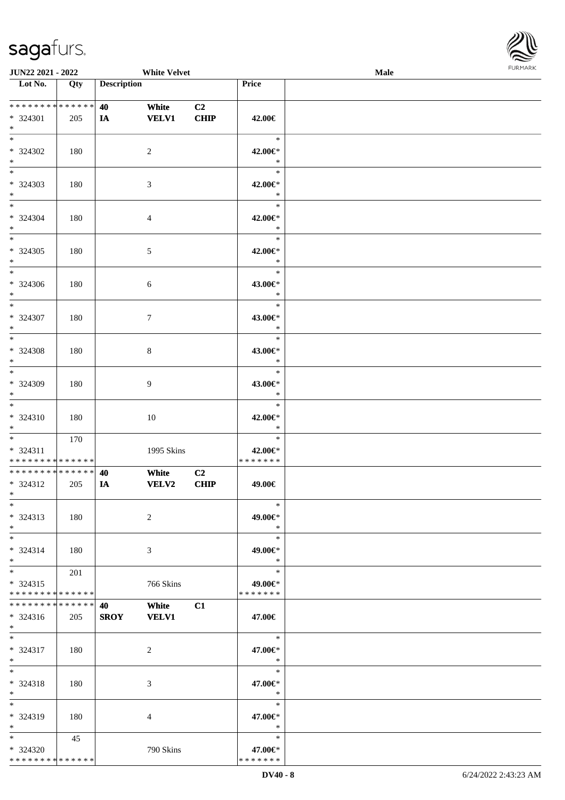\* \* \* \* \* \* \* \* \* \* \* \* \* \*



| <b>JUN22 2021 - 2022</b>                                               |     |                    | <b>White Velvet</b>   |                               |                                    | Male |  |
|------------------------------------------------------------------------|-----|--------------------|-----------------------|-------------------------------|------------------------------------|------|--|
| Lot No.                                                                | Qty | <b>Description</b> |                       |                               | <b>Price</b>                       |      |  |
| * * * * * * * * <mark>* * * * * *</mark><br>* 324301<br>$*$            | 205 | 40<br>IA           | White<br><b>VELV1</b> | C <sub>2</sub><br><b>CHIP</b> | 42.00€                             |      |  |
| $\overline{\ast}$<br>* 324302<br>$*$                                   | 180 |                    | 2                     |                               | $\ast$<br>42.00€*<br>$\ast$        |      |  |
| $*$<br>* 324303<br>$\ast$                                              | 180 |                    | $\mathfrak{Z}$        |                               | $\ast$<br>42.00€*<br>$\ast$        |      |  |
| $*$<br>* 324304<br>$*$                                                 | 180 |                    | $\overline{4}$        |                               | $\ast$<br>42.00€*<br>$\ast$        |      |  |
| $*$<br>* 324305<br>$\ast$                                              | 180 |                    | $\mathfrak{S}$        |                               | $\ast$<br>42.00€*<br>$\ast$        |      |  |
| $\ast$<br>* 324306<br>$\ddot{x}$                                       | 180 |                    | $\sqrt{6}$            |                               | $\ast$<br>43.00€*<br>$\ast$        |      |  |
| $\overline{\ast}$<br>* 324307<br>$*$                                   | 180 |                    | $\tau$                |                               | $\ast$<br>43.00€*<br>$\ast$        |      |  |
| $*$<br>* 324308<br>$\ast$                                              | 180 |                    | 8                     |                               | $\ast$<br>43.00€*<br>$\ast$        |      |  |
| $*$<br>* 324309<br>$\ast$                                              | 180 |                    | $\overline{9}$        |                               | $\ast$<br>43.00€*<br>$\ast$        |      |  |
| $\ddot{x}$<br>$* 324310$<br>$*$                                        | 180 |                    | 10                    |                               | $\ast$<br>42.00€*<br>$\ast$        |      |  |
| $\ast$<br>* 324311<br>* * * * * * * * <mark>* * * * * * *</mark>       | 170 |                    | 1995 Skins            |                               | $\ast$<br>42.00€*<br>* * * * * * * |      |  |
| * * * * * * * * <mark>* * * * * *</mark><br>* 324312<br>$*$ and $*$    | 205 | 40<br>IA           | White<br>VELV2        | C <sub>2</sub><br><b>CHIP</b> | 49.00€                             |      |  |
| $\ast$<br>* 324313<br>$*$                                              | 180 |                    | 2                     |                               | $\ast$<br>49.00€*<br>$\ast$        |      |  |
| $*$ $-$<br>$* 324314$<br>$*$                                           | 180 |                    | 3                     |                               | $\ast$<br>49.00€*<br>$\ast$        |      |  |
| $\ddot{x}$<br>$* 324315$<br>* * * * * * * * <mark>* * * * * * *</mark> | 201 |                    | 766 Skins             |                               | $\ast$<br>49.00€*<br>* * * * * * * |      |  |
| * * * * * * * * <mark>* * * * * * *</mark><br>$* 324316$<br>$*$ $-$    | 205 | 40<br><b>SROY</b>  | White<br><b>VELV1</b> | C1                            | 47.00€                             |      |  |
| $*$ $-$<br>* 324317<br>$*$                                             | 180 |                    | 2                     |                               | $\ast$<br>47.00€*<br>$\ast$        |      |  |
| $*$ $-$<br>* 324318<br>$\ast$                                          | 180 |                    | 3                     |                               | $\ast$<br>47.00€*<br>$\ast$        |      |  |
| $*$<br>* 324319<br>$*$                                                 | 180 |                    | $\overline{4}$        |                               | $\ast$<br>47.00€*<br>$\ast$        |      |  |
| $*$<br>* 324320                                                        | 45  |                    | 790 Skins             |                               | $\ast$<br>47.00€*                  |      |  |

\* \* \* \* \* \* \*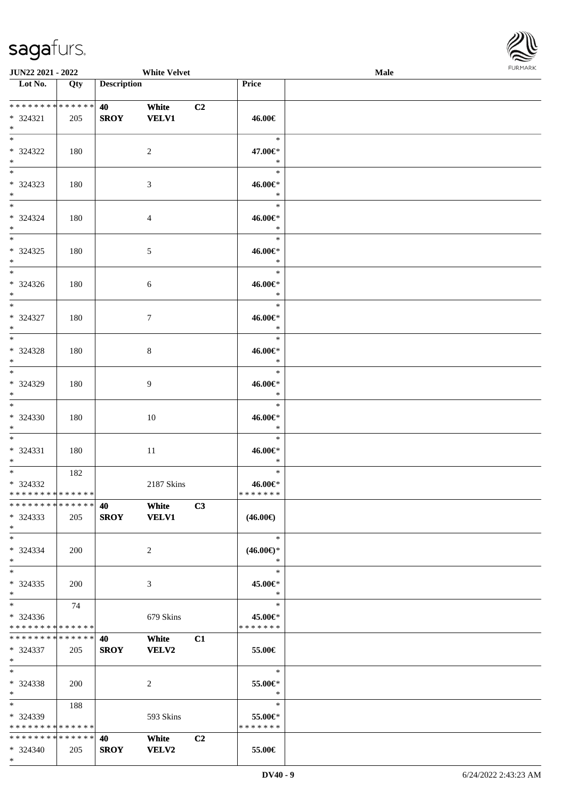

| <b>JUN22 2021 - 2022</b>                                              |     |                                                  | <b>White Velvet</b>          |                |                                      | Male |  |
|-----------------------------------------------------------------------|-----|--------------------------------------------------|------------------------------|----------------|--------------------------------------|------|--|
| Lot No.                                                               | Qty | <b>Description</b>                               |                              |                | Price                                |      |  |
| **************<br>$* 324321$<br>$*$                                   | 205 | <b>40</b> and the set of $\theta$<br><b>SROY</b> | White<br><b>VELV1</b>        | C <sub>2</sub> | 46.00€                               |      |  |
| $*$<br>* 324322<br>$*$                                                | 180 |                                                  | 2                            |                | $\ast$<br>47.00€*<br>$\ast$          |      |  |
| $\overline{\ast}$<br>* 324323<br>$*$                                  | 180 |                                                  | 3                            |                | $\ast$<br>46.00€*<br>$\ast$          |      |  |
| $*$<br>* 324324<br>$*$                                                | 180 |                                                  | $\overline{4}$               |                | $\ast$<br>46.00€*<br>$\ast$          |      |  |
| $*$<br>* 324325<br>$*$                                                | 180 |                                                  | 5                            |                | $\ast$<br>46.00€*<br>$\ast$          |      |  |
| $\ddot{x}$<br>* 324326<br>$\ast$                                      | 180 |                                                  | 6                            |                | $\ast$<br>46.00€*<br>$\ast$          |      |  |
| $*$<br>* 324327<br>$*$                                                | 180 |                                                  | $7\phantom{.0}$              |                | $\ast$<br>46.00€*<br>$\ast$          |      |  |
| $\overline{\ast}$<br>* 324328<br>$\ast$                               | 180 |                                                  | 8                            |                | $\ast$<br>46.00€*<br>$\ast$          |      |  |
| $*$<br>* 324329<br>$\ast$                                             | 180 |                                                  | 9                            |                | $\ast$<br>46.00€*<br>$\ast$          |      |  |
| $\overline{\mathbf{r}}$<br>* 324330<br>$*$                            | 180 |                                                  | 10                           |                | $\ast$<br>46.00€*<br>$\rightarrow$   |      |  |
| $\ddot{x}$<br>$* 324331$<br>$*$                                       | 180 |                                                  | 11                           |                | $\ast$<br>46.00€*<br>$\ast$          |      |  |
| $*$ $-$<br>* 324332<br>* * * * * * * * <mark>* * * * * * *</mark>     | 182 |                                                  | 2187 Skins                   |                | $\ast$<br>46.00€*<br>*******         |      |  |
| * * * * * * * * <mark>* * * * * * *</mark><br>$*324333$<br>$*$        | 205 | <b>40</b> and the set of $\theta$                | White<br>SROY VELV1          | C3             | $(46.00\epsilon)$                    |      |  |
| $*$ $-$<br>* 324334<br>$\ast$                                         | 200 |                                                  | 2                            |                | $*$<br>$(46.00\epsilon)$ *<br>$\ast$ |      |  |
| $\ddot{x}$<br>* 324335<br>$\ast$                                      | 200 |                                                  | 3                            |                | $\ast$<br>45.00€*<br>$\ast$          |      |  |
| $*$ $-$<br>* 324336<br>* * * * * * * * <mark>* * * * * *</mark> *     | 74  |                                                  | 679 Skins                    |                | $\ast$<br>45.00€*<br>* * * * * * *   |      |  |
| * * * * * * * * <mark>* * * * * *</mark> *<br>* 324337<br>$*$         | 205 | <b>40</b><br><b>SROY</b>                         | <b>White</b><br><b>VELV2</b> | C1             | 55.00€                               |      |  |
| $*$ $-$<br>* 324338<br>$\ast$                                         | 200 |                                                  | 2                            |                | $\ast$<br>55.00€*<br>$\ast$          |      |  |
| $*$ and $*$<br>* 324339<br>* * * * * * * * <mark>* * * * * *</mark> * | 188 |                                                  | 593 Skins                    |                | $\ast$<br>55.00€*<br>* * * * * * *   |      |  |
| * * * * * * * * * * * * * * <mark>*</mark><br>$* 324340$              | 205 | <b>40</b> and the set of $\theta$<br><b>SROY</b> | <b>White</b><br><b>VELV2</b> | C2             | 55.00€                               |      |  |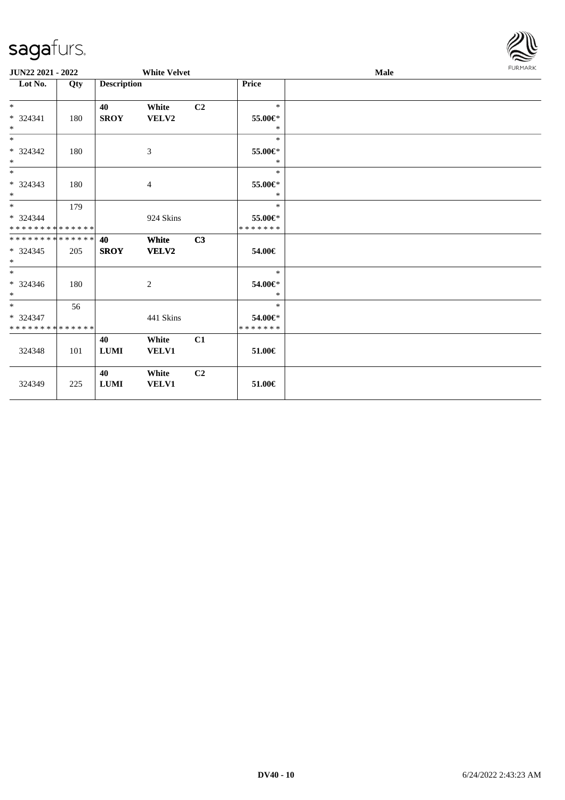| sayarurs.                                              |     |                    |                     |                |                              |      | $\approx$      |
|--------------------------------------------------------|-----|--------------------|---------------------|----------------|------------------------------|------|----------------|
| JUN22 2021 - 2022                                      |     |                    | <b>White Velvet</b> |                |                              | Male | <b>FURMARK</b> |
| $\overline{\text{Lot No.}}$                            | Qty | <b>Description</b> |                     |                | Price                        |      |                |
| $*$<br>* 324341<br>$\ast$                              | 180 | 40<br><b>SROY</b>  | White<br>VELV2      | C <sub>2</sub> | $\ast$<br>55.00€*<br>$\ast$  |      |                |
| $\ast$<br>* 324342<br>$*$                              | 180 |                    | $\mathfrak{Z}$      |                | $\ast$<br>55.00€*<br>$\ast$  |      |                |
| $\ast$<br>* 324343<br>$\ast$                           | 180 |                    | 4                   |                | $\ast$<br>55.00€*<br>$\ast$  |      |                |
| $\overline{\phantom{0}}$<br>* 324344<br>************** | 179 |                    | 924 Skins           |                | $\ast$<br>55.00€*<br>******* |      |                |
| * * * * * * * * * * * * * *<br>$*324345$<br>$\ast$     | 205 | 40<br><b>SROY</b>  | White<br>VELV2      | C3             | 54.00€                       |      |                |
| $\ast$<br>* 324346<br>$\ast$                           | 180 |                    | 2                   |                | $\ast$<br>54.00€*<br>$\ast$  |      |                |
| $\ast$<br>* 324347<br>**************                   | 56  |                    | 441 Skins           |                | $\ast$<br>54.00€*<br>******* |      |                |
| 324348                                                 | 101 | 40<br>${\bf LUMI}$ | White<br>VELV1      | C1             | 51.00€                       |      |                |
| 324349                                                 | 225 | 40<br>${\bf LUMI}$ | White<br>VELV1      | C2             | $51.00 \in$                  |      |                |

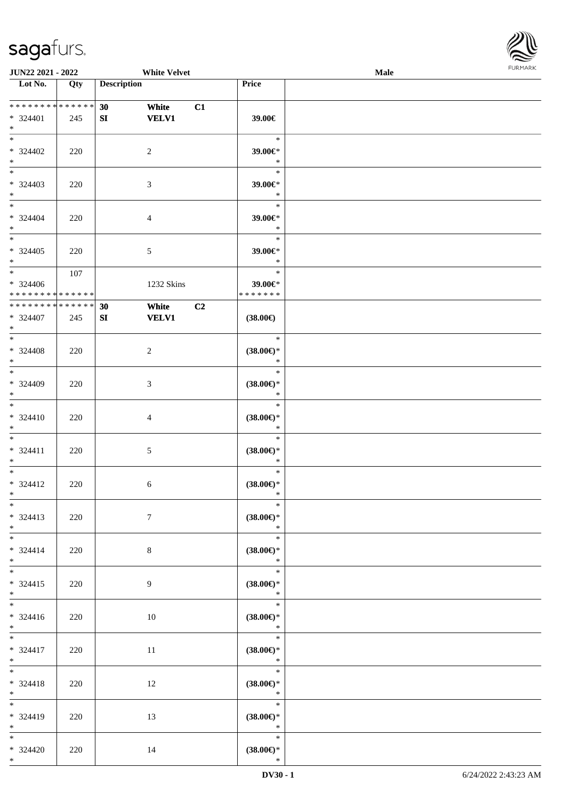

| <b>JUN22 2021 - 2022</b>                                   |                   |                    | <b>White Velvet</b> |    |                               | <b>Male</b> |  |
|------------------------------------------------------------|-------------------|--------------------|---------------------|----|-------------------------------|-------------|--|
| Lot No.                                                    | $\overline{Q}$ ty | <b>Description</b> |                     |    | Price                         |             |  |
|                                                            |                   |                    |                     |    |                               |             |  |
| ******** <mark>******</mark>                               |                   | 30                 | White               | C1 |                               |             |  |
| * 324401                                                   | 245               | SI                 | <b>VELV1</b>        |    | 39.00€                        |             |  |
| $*$                                                        |                   |                    |                     |    |                               |             |  |
| $*$                                                        |                   |                    |                     |    | $\ast$                        |             |  |
| $* 324402$                                                 | 220               |                    | $\overline{2}$      |    | 39.00€*                       |             |  |
| $*$                                                        |                   |                    |                     |    | $\ast$                        |             |  |
|                                                            |                   |                    |                     |    | $\ast$                        |             |  |
| $* 324403$                                                 | 220               |                    | $\mathfrak{Z}$      |    | 39.00€*                       |             |  |
| $*$                                                        |                   |                    |                     |    | $\ast$                        |             |  |
| $*$                                                        |                   |                    |                     |    | $\ast$                        |             |  |
| $* 324404$                                                 | 220               |                    | $\overline{4}$      |    | 39.00€*                       |             |  |
| $*$                                                        |                   |                    |                     |    | $\ast$                        |             |  |
| $*$                                                        |                   |                    |                     |    | $\ast$                        |             |  |
| $*324405$                                                  | 220               |                    | $\mathfrak{S}$      |    | 39.00€*                       |             |  |
| $*$<br>$*$                                                 |                   |                    |                     |    | $\ast$                        |             |  |
|                                                            | 107               |                    |                     |    | $\ast$                        |             |  |
| $* 324406$                                                 |                   |                    | 1232 Skins          |    | 39.00€*                       |             |  |
| * * * * * * * * * * * * * *<br>* * * * * * * * * * * * * * |                   |                    |                     |    | * * * * * * *                 |             |  |
|                                                            |                   | 30                 | White               | C2 |                               |             |  |
| $* 324407$<br>$*$                                          | 245               | SI                 | <b>VELV1</b>        |    | $(38.00\epsilon)$             |             |  |
| $*$                                                        |                   |                    |                     |    | $\ast$                        |             |  |
|                                                            |                   |                    |                     |    |                               |             |  |
| * 324408<br>$*$                                            | 220               |                    | $\overline{c}$      |    | $(38.00\epsilon)$ *<br>$\ast$ |             |  |
|                                                            |                   |                    |                     |    | $\ast$                        |             |  |
| $* 324409$                                                 | 220               |                    | 3                   |    | $(38.00\epsilon)$ *           |             |  |
| $*$                                                        |                   |                    |                     |    | $\ast$                        |             |  |
|                                                            |                   |                    |                     |    | $\ast$                        |             |  |
| $* 324410$                                                 | 220               |                    | $\overline{4}$      |    | $(38.00\epsilon)$ *           |             |  |
| $*$                                                        |                   |                    |                     |    | $\ast$                        |             |  |
| $*$                                                        |                   |                    |                     |    | $\ast$                        |             |  |
| $* 324411$                                                 | 220               |                    | $\mathfrak{S}$      |    | $(38.00\epsilon)$ *           |             |  |
| $*$                                                        |                   |                    |                     |    | $\ast$                        |             |  |
| $*$                                                        |                   |                    |                     |    | $\ast$                        |             |  |
| $* 324412$                                                 | 220               |                    | $\sqrt{6}$          |    | $(38.00\epsilon)$ *           |             |  |
| $*$ $*$                                                    |                   |                    |                     |    | $*$                           |             |  |
| $*$                                                        |                   |                    |                     |    | $\ast$                        |             |  |
| $* 324413$                                                 | 220               |                    | $\tau$              |    | $(38.00\epsilon)$ *           |             |  |
| $*$                                                        |                   |                    |                     |    | $\ast$                        |             |  |
| $*$                                                        |                   |                    |                     |    | $\ast$                        |             |  |
| $* 324414$                                                 | 220               |                    | 8                   |    | $(38.00\epsilon)$ *           |             |  |
| $*$ $-$                                                    |                   |                    |                     |    | $\ast$                        |             |  |
| $*$                                                        |                   |                    |                     |    | $\ast$                        |             |  |
| $* 324415$                                                 | 220               |                    | 9                   |    | $(38.00\epsilon)$ *           |             |  |
| $*$                                                        |                   |                    |                     |    | $\ast$                        |             |  |
|                                                            |                   |                    |                     |    | $\ast$                        |             |  |
| $* 324416$                                                 | 220               |                    | 10                  |    | $(38.00\epsilon)$ *           |             |  |
| $*$ $-$<br>$*$                                             |                   |                    |                     |    | $\ast$<br>$\ast$              |             |  |
|                                                            |                   |                    |                     |    |                               |             |  |
| $* 324417$<br>$*$ $*$                                      | 220               |                    | 11                  |    | $(38.00\epsilon)$ *<br>$\ast$ |             |  |
| $*$                                                        |                   |                    |                     |    | $\ast$                        |             |  |
| $* 324418$                                                 |                   |                    | 12                  |    | $(38.00\epsilon)$ *           |             |  |
| $*$                                                        | 220               |                    |                     |    | $\ast$                        |             |  |
| $*$                                                        |                   |                    |                     |    | $\ast$                        |             |  |
| * 324419                                                   | 220               |                    | 13                  |    | $(38.00\epsilon)$ *           |             |  |
| $*$                                                        |                   |                    |                     |    | $\ast$                        |             |  |
| $*$                                                        |                   |                    |                     |    | $\ast$                        |             |  |
| $* 324420$                                                 | 220               |                    | 14                  |    | $(38.00\epsilon)$ *           |             |  |
| $*$                                                        |                   |                    |                     |    | $\ast$                        |             |  |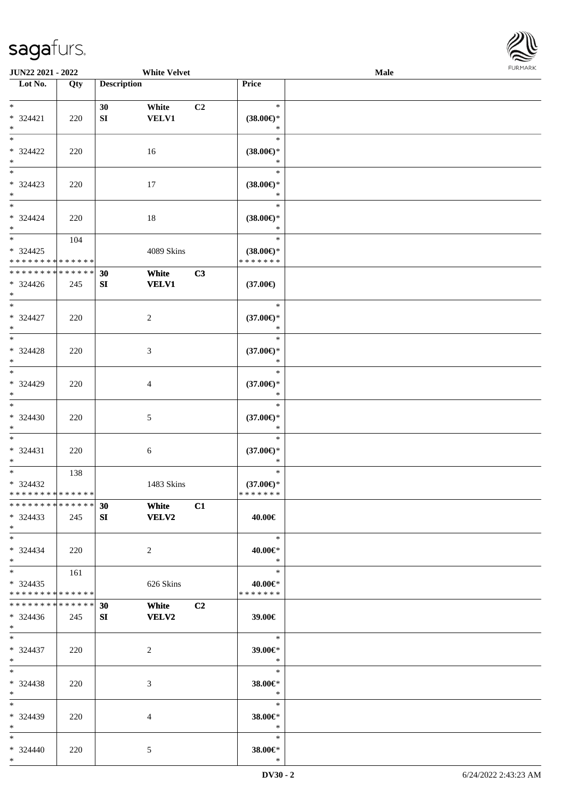

| <b>JUN22 2021 - 2022</b>      |     |                    | <b>White Velvet</b> |                |                               | Male |  |
|-------------------------------|-----|--------------------|---------------------|----------------|-------------------------------|------|--|
| Lot No.                       | Qty | <b>Description</b> |                     |                | Price                         |      |  |
|                               |     |                    |                     |                |                               |      |  |
| $*$                           |     | 30                 | White               | C <sub>2</sub> | $\ast$                        |      |  |
| * 324421                      | 220 | ${\bf SI}$         | <b>VELV1</b>        |                | $(38.00\epsilon)$ *           |      |  |
| $*$                           |     |                    |                     |                | $\ast$                        |      |  |
| $\overline{\ast}$             |     |                    |                     |                | $\ast$                        |      |  |
| * 324422                      | 220 |                    | 16                  |                | $(38.00\epsilon)$ *           |      |  |
| $\ast$                        |     |                    |                     |                | $\ast$                        |      |  |
| $\overline{\phantom{0}}$      |     |                    |                     |                | $\ast$                        |      |  |
| * 324423                      | 220 |                    | 17                  |                | $(38.00\epsilon)$ *           |      |  |
| $*$                           |     |                    |                     |                | $\ast$                        |      |  |
| $*$                           |     |                    |                     |                | $\ast$                        |      |  |
|                               |     |                    |                     |                |                               |      |  |
| $* 324424$<br>$*$             | 220 |                    | 18                  |                | $(38.00\epsilon)$ *<br>$\ast$ |      |  |
| $*$                           |     |                    |                     |                | $\ast$                        |      |  |
|                               | 104 |                    |                     |                |                               |      |  |
| $* 324425$                    |     |                    | 4089 Skins          |                | $(38.00\epsilon)$ *           |      |  |
| * * * * * * * * * * * * * *   |     |                    |                     |                | * * * * * * *                 |      |  |
| * * * * * * * * * * * * * *   |     | 30                 | White               | C3             |                               |      |  |
| $*324426$                     | 245 | ${\bf S}{\bf I}$   | <b>VELV1</b>        |                | $(37.00\epsilon)$             |      |  |
| $*$                           |     |                    |                     |                |                               |      |  |
| $*$                           |     |                    |                     |                | $\ast$                        |      |  |
| * 324427                      | 220 |                    | $\overline{c}$      |                | $(37.00\epsilon)$ *           |      |  |
| $*$                           |     |                    |                     |                | $\ast$                        |      |  |
| $*$                           |     |                    |                     |                | $\ast$                        |      |  |
| * 324428                      | 220 |                    | 3                   |                | $(37.00\epsilon)$ *           |      |  |
| $*$                           |     |                    |                     |                | $\ast$                        |      |  |
| $*$                           |     |                    |                     |                | $\ast$                        |      |  |
| $* 324429$                    | 220 |                    | 4                   |                | $(37.00\epsilon)$ *           |      |  |
| $*$                           |     |                    |                     |                | $\ast$                        |      |  |
| $\overline{\phantom{0}}$      |     |                    |                     |                | $\ast$                        |      |  |
| $* 324430$                    |     |                    |                     |                |                               |      |  |
| $*$                           | 220 |                    | 5                   |                | $(37.00\epsilon)$ *<br>$\ast$ |      |  |
| $*$                           |     |                    |                     |                | $\ast$                        |      |  |
|                               |     |                    |                     |                |                               |      |  |
| * 324431                      | 220 |                    | 6                   |                | $(37.00\epsilon)$ *           |      |  |
| $*$                           |     |                    |                     |                | $\ast$                        |      |  |
| $*$                           | 138 |                    |                     |                | $\ast$                        |      |  |
| $*324432$                     |     |                    | 1483 Skins          |                | $(37.00\epsilon)$ *           |      |  |
| * * * * * * * * * * * * * * * |     |                    |                     |                | *******                       |      |  |
| * * * * * * * * * * * * * * * |     | 30                 | <b>White</b>        | C1             |                               |      |  |
| $* 324433$                    | 245 | SI                 | <b>VELV2</b>        |                | 40.00€                        |      |  |
| $*$                           |     |                    |                     |                |                               |      |  |
| $*$                           |     |                    |                     |                | $\ast$                        |      |  |
| * 324434                      | 220 |                    | $\overline{2}$      |                | 40.00€*                       |      |  |
| $*$                           |     |                    |                     |                | $\ast$                        |      |  |
| $*$ $*$                       | 161 |                    |                     |                | $\ast$                        |      |  |
| $*324435$                     |     |                    | 626 Skins           |                | 40.00€*                       |      |  |
| * * * * * * * * * * * * * * * |     |                    |                     |                | * * * * * * *                 |      |  |
| * * * * * * * * * * * * * * * |     | 30                 | White               | C <sub>2</sub> |                               |      |  |
| $*324436$                     | 245 | SI                 | <b>VELV2</b>        |                | 39.00€                        |      |  |
| $*$ $-$                       |     |                    |                     |                |                               |      |  |
| $*$                           |     |                    |                     |                | $\ast$                        |      |  |
| $* 324437$                    | 220 |                    | 2                   |                | 39.00€*                       |      |  |
| $*$ $*$                       |     |                    |                     |                | $\ast$                        |      |  |
| $*$                           |     |                    |                     |                | $\ast$                        |      |  |
|                               |     |                    |                     |                |                               |      |  |
| $* 324438$                    | 220 |                    | 3                   |                | 38.00€*<br>$*$                |      |  |
| $*$                           |     |                    |                     |                |                               |      |  |
| $*$                           |     |                    |                     |                | $\ast$                        |      |  |
| * 324439                      | 220 |                    | 4                   |                | 38.00€*                       |      |  |
| $*$                           |     |                    |                     |                | $\ast$                        |      |  |
| $*$                           |     |                    |                     |                | $\ast$                        |      |  |
| * 324440                      | 220 |                    | 5                   |                | 38.00€*                       |      |  |
| $*$                           |     |                    |                     |                | $\ast$                        |      |  |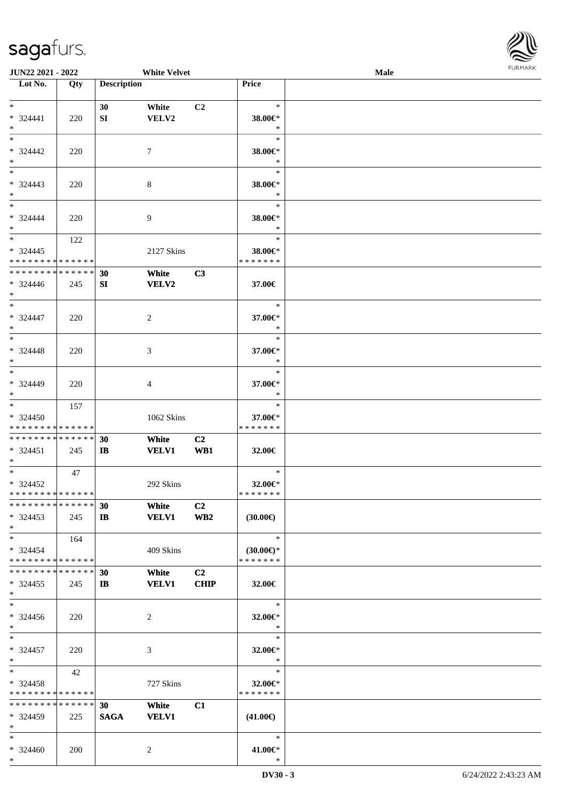

| <b>JUN22 2021 - 2022</b>      |     |                    | <b>White Velvet</b> |                 |                     | <b>Male</b> |  |
|-------------------------------|-----|--------------------|---------------------|-----------------|---------------------|-------------|--|
| Lot No.                       | Qty | <b>Description</b> |                     |                 | <b>Price</b>        |             |  |
|                               |     |                    |                     |                 |                     |             |  |
| $*$                           |     | 30                 | White               | C <sub>2</sub>  | $\ast$              |             |  |
| $* 324441$                    | 220 | SI                 | VELV2               |                 | 38.00€*             |             |  |
| $*$                           |     |                    |                     |                 | $\ast$              |             |  |
| $*$                           |     |                    |                     |                 | $\ast$              |             |  |
|                               |     |                    |                     |                 |                     |             |  |
| $* 324442$                    | 220 |                    | 7                   |                 | 38.00€*             |             |  |
| $\ast$                        |     |                    |                     |                 | $\ast$              |             |  |
| $\overline{\phantom{0}}$      |     |                    |                     |                 | $\ast$              |             |  |
| * 324443                      | 220 |                    | 8                   |                 | 38.00€*             |             |  |
| $*$                           |     |                    |                     |                 | $\ast$              |             |  |
| $*$                           |     |                    |                     |                 | $\ast$              |             |  |
|                               |     |                    |                     |                 |                     |             |  |
| * 324444                      | 220 |                    | 9                   |                 | 38.00€*             |             |  |
| $*$                           |     |                    |                     |                 | $\ast$              |             |  |
| $*$                           | 122 |                    |                     |                 | $\ast$              |             |  |
| $*324445$                     |     |                    | 2127 Skins          |                 | 38.00€*             |             |  |
| * * * * * * * * * * * * * *   |     |                    |                     |                 | * * * * * * *       |             |  |
| * * * * * * * * * * * * * *   |     | 30                 | White               | C3              |                     |             |  |
| $* 324446$                    | 245 | SI                 | VELV2               |                 | 37.00€              |             |  |
| $*$                           |     |                    |                     |                 |                     |             |  |
| $*$                           |     |                    |                     |                 | $\ast$              |             |  |
|                               |     |                    |                     |                 |                     |             |  |
| * 324447                      | 220 |                    | 2                   |                 | 37.00€*             |             |  |
| $*$                           |     |                    |                     |                 | $\ast$              |             |  |
| $*$                           |     |                    |                     |                 | $\ast$              |             |  |
| * 324448                      | 220 |                    | 3                   |                 | 37.00€*             |             |  |
| $*$                           |     |                    |                     |                 | $\ast$              |             |  |
| $*$                           |     |                    |                     |                 | $\ast$              |             |  |
| $* 324449$                    | 220 |                    | 4                   |                 | 37.00€*             |             |  |
| $*$                           |     |                    |                     |                 | $\ast$              |             |  |
| $*$                           |     |                    |                     |                 | $\ast$              |             |  |
|                               | 157 |                    |                     |                 |                     |             |  |
| * 324450                      |     |                    | 1062 Skins          |                 | 37.00€*             |             |  |
| * * * * * * * * * * * * * *   |     |                    |                     |                 | * * * * * * *       |             |  |
| * * * * * * * * * * * * * *   |     | 30                 | White               | C <sub>2</sub>  |                     |             |  |
| * 324451                      | 245 | $\mathbf{I}$       | <b>VELV1</b>        | WB1             | 32.00€              |             |  |
| $*$                           |     |                    |                     |                 |                     |             |  |
| $*$                           | 47  |                    |                     |                 | $\ast$              |             |  |
| $* 324452$                    |     |                    | 292 Skins           |                 | 32.00€*             |             |  |
| ******** <mark>******</mark>  |     |                    |                     |                 | *******             |             |  |
| * * * * * * * * * * * * * * * |     |                    |                     |                 |                     |             |  |
|                               |     | 30                 | White               | C <sub>2</sub>  |                     |             |  |
| $*324453$                     | 245 | $\mathbf{I}$       | <b>VELV1</b>        | WB <sub>2</sub> | $(30.00\epsilon)$   |             |  |
| $*$                           |     |                    |                     |                 |                     |             |  |
| $*$                           | 164 |                    |                     |                 | $\ast$              |             |  |
| $* 324454$                    |     |                    | 409 Skins           |                 | $(30.00\epsilon)$ * |             |  |
| * * * * * * * * * * * * * * * |     |                    |                     |                 | * * * * * * *       |             |  |
| * * * * * * * * * * * * * * * |     | 30                 | White               | C <sub>2</sub>  |                     |             |  |
| $*324455$                     | 245 | IB                 | <b>VELV1</b>        | <b>CHIP</b>     | 32.00€              |             |  |
| $*$                           |     |                    |                     |                 |                     |             |  |
| $*$                           |     |                    |                     |                 |                     |             |  |
|                               |     |                    |                     |                 | $\ast$              |             |  |
| $*324456$                     | 220 |                    | 2                   |                 | 32.00€*             |             |  |
| $*$                           |     |                    |                     |                 | $\ast$              |             |  |
| $*$                           |     |                    |                     |                 | $\ast$              |             |  |
| * 324457                      | 220 |                    | 3                   |                 | 32.00€*             |             |  |
| $*$                           |     |                    |                     |                 | $\ast$              |             |  |
| $*$ $*$                       | 42  |                    |                     |                 | $\ast$              |             |  |
| * 324458                      |     |                    | 727 Skins           |                 | 32.00€*             |             |  |
| * * * * * * * * * * * * * *   |     |                    |                     |                 | * * * * * * *       |             |  |
| * * * * * * * * * * * * * *   |     |                    |                     |                 |                     |             |  |
|                               |     | 30                 | White               | C1              |                     |             |  |
| * 324459                      | 225 | <b>SAGA</b>        | <b>VELV1</b>        |                 | $(41.00\epsilon)$   |             |  |
| $*$                           |     |                    |                     |                 |                     |             |  |
| $*$                           |     |                    |                     |                 | $\ast$              |             |  |
| * 324460                      | 200 |                    | 2                   |                 | 41.00€*             |             |  |
| $*$                           |     |                    |                     |                 | $\ast$              |             |  |
|                               |     |                    |                     |                 |                     |             |  |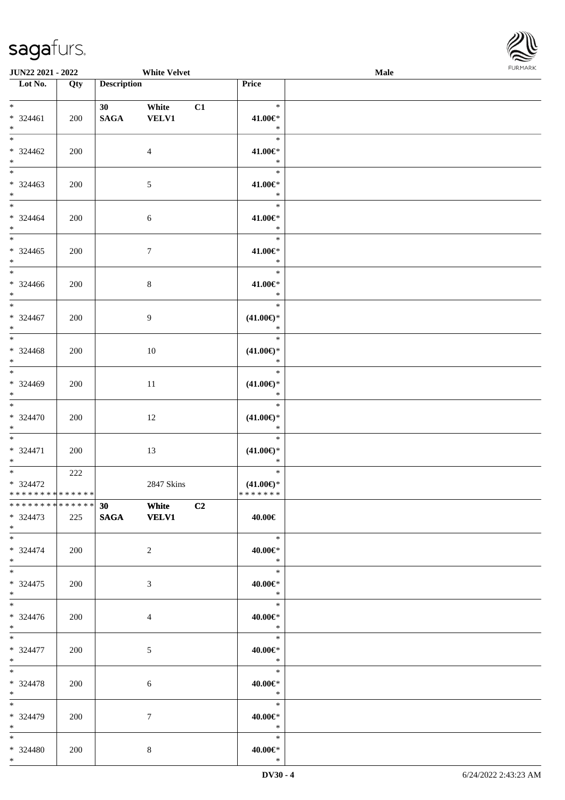

| <b>JUN22 2021 - 2022</b>                                            |     |                    | <b>White Velvet</b>       |    |                                                | Male |  |
|---------------------------------------------------------------------|-----|--------------------|---------------------------|----|------------------------------------------------|------|--|
| Lot No.                                                             | Qty | <b>Description</b> |                           |    | Price                                          |      |  |
| $*$<br>$* 324461$<br>$*$                                            | 200 | 30<br><b>SAGA</b>  | White<br><b>VELV1</b>     | C1 | $\ast$<br>41.00€*<br>$\ast$                    |      |  |
| $*$<br>$* 324462$<br>$*$                                            | 200 |                    | $\overline{4}$            |    | $\ast$<br>41.00€*<br>$\ast$                    |      |  |
| $*$<br>$* 324463$<br>$\ast$                                         | 200 |                    | 5                         |    | $\ast$<br>41.00€*<br>$\ast$                    |      |  |
| $\ddot{x}$<br>* 324464<br>$*$                                       | 200 |                    | 6                         |    | $\ast$<br>41.00€*<br>$\ast$                    |      |  |
| $\overline{\ast}$<br>$* 324465$<br>$\ddot{x}$                       | 200 |                    | $\tau$                    |    | $\ast$<br>41.00€*<br>$\ast$                    |      |  |
| $* 324466$<br>$\ddot{x}$                                            | 200 |                    | 8                         |    | $\ast$<br>41.00€*<br>$\ast$                    |      |  |
| $\overline{\ast}$<br>$* 324467$<br>$*$                              | 200 |                    | 9                         |    | $\ast$<br>$(41.00\epsilon)$ *<br>$\ast$        |      |  |
| $* 324468$<br>$*$                                                   | 200 |                    | 10                        |    | $\ast$<br>$(41.00\epsilon)$ *<br>$\ast$        |      |  |
| $*$<br>* 324469<br>$*$                                              | 200 |                    | 11                        |    | $\ast$<br>$(41.00\epsilon)$ *<br>$\ast$        |      |  |
| $\ast$<br>$* 324470$<br>$*$                                         | 200 |                    | 12                        |    | $\ast$<br>$(41.00\epsilon)$ *<br>$\ast$        |      |  |
| $*$<br>* 324471<br>$*$                                              | 200 |                    | 13                        |    | $\ast$<br>$(41.00\epsilon)$ *<br>$\ast$        |      |  |
| $*$ $*$<br>$* 324472$<br>* * * * * * * * * * * * * * <mark>*</mark> | 222 |                    | 2847 Skins                |    | $\ast$<br>$(41.00\epsilon)$ *<br>* * * * * * * |      |  |
| ******** <mark>******</mark><br>$* 324473$<br>$*$ $-$               | 225 |                    | 30 White C2<br>SAGA VELV1 |    | 40.00€                                         |      |  |
| $*$ $-$<br>$* 324474$<br>$\ast$                                     | 200 |                    | $\overline{2}$            |    | $\ast$<br>40.00€*<br>$*$                       |      |  |
| $\ast$<br>$* 324475$<br>$\ast$                                      | 200 |                    | 3                         |    | $*$<br>40.00€*<br>$\ast$                       |      |  |
| $\ddot{x}$<br>$* 324476$<br>$*$                                     | 200 |                    | $\overline{4}$            |    | $\overline{\phantom{a}}$<br>40.00€*<br>$\ast$  |      |  |
| $\ddot{x}$<br>$* 324477$<br>$*$ $-$                                 | 200 |                    | 5                         |    | $\ast$<br>40.00€*<br>$\ast$                    |      |  |
| $*$ $-$<br>* 324478<br>$*$ $-$                                      | 200 |                    | 6                         |    | $\ast$<br>40.00€*<br>$\ast$                    |      |  |
| $*$<br>* 324479<br>$*$                                              | 200 |                    | $\tau$                    |    | $*$<br>40.00€*<br>$\ast$                       |      |  |
| $\ast$<br>* 324480<br>$\ddot{x}$                                    | 200 |                    | 8                         |    | $\ast$<br>40.00€*<br>$\ast$                    |      |  |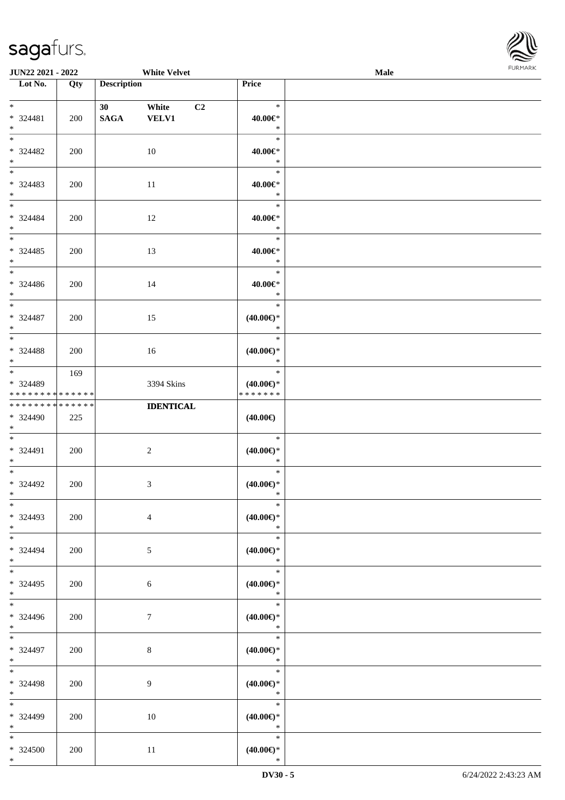

| JUN22 2021 - 2022           |     |                    | <b>White Velvet</b> |                     | Male |  |
|-----------------------------|-----|--------------------|---------------------|---------------------|------|--|
| Lot No.                     | Qty | <b>Description</b> |                     | Price               |      |  |
|                             |     |                    |                     |                     |      |  |
| $*$                         |     | 30                 | C2<br>White         | $\ast$              |      |  |
| * 324481                    | 200 | <b>SAGA</b>        | <b>VELV1</b>        | 40.00€*             |      |  |
| $*$                         |     |                    |                     | $\ast$              |      |  |
| $*$                         |     |                    |                     | $\ast$              |      |  |
| * 324482                    | 200 |                    | 10                  | 40.00€*             |      |  |
| $*$                         |     |                    |                     | $\ast$              |      |  |
| $\overline{\phantom{0}}$    |     |                    |                     | $\ast$              |      |  |
| * 324483                    | 200 |                    | 11                  | $40.00 \in$ *       |      |  |
| $*$                         |     |                    |                     | $\ast$              |      |  |
| $*$                         |     |                    |                     | $\ast$              |      |  |
| * 324484                    | 200 |                    | 12                  | 40.00€*             |      |  |
| $*$                         |     |                    |                     | $\ast$              |      |  |
| $*$                         |     |                    |                     | $\ast$              |      |  |
| $*324485$                   | 200 |                    | 13                  | 40.00€*             |      |  |
| $*$                         |     |                    |                     | $\ast$              |      |  |
| $\overline{\phantom{0}}$    |     |                    |                     | $\ast$              |      |  |
| $* 324486$                  | 200 |                    | 14                  | 40.00€*             |      |  |
| $*$                         |     |                    |                     | $\ast$              |      |  |
| $\ast$                      |     |                    |                     | $\ast$              |      |  |
| $* 324487$                  | 200 |                    | 15                  | $(40.00\epsilon)$ * |      |  |
| $*$                         |     |                    |                     | $\ast$              |      |  |
| $*$                         |     |                    |                     | $\ast$              |      |  |
| * 324488                    | 200 |                    | 16                  | $(40.00\epsilon)$ * |      |  |
| $*$                         |     |                    |                     | $\ast$              |      |  |
| $*$                         | 169 |                    |                     | $\ast$              |      |  |
| * 324489                    |     |                    | 3394 Skins          | $(40.00\epsilon)$ * |      |  |
| * * * * * * * * * * * * * * |     |                    |                     | * * * * * * *       |      |  |
| * * * * * * * * * * * * * * |     |                    | <b>IDENTICAL</b>    |                     |      |  |
| * 324490                    | 225 |                    |                     | $(40.00\epsilon)$   |      |  |
| $*$                         |     |                    |                     |                     |      |  |
| $*$                         |     |                    |                     | $\ast$              |      |  |
| * 324491                    | 200 |                    | $\sqrt{2}$          | $(40.00\epsilon)$ * |      |  |
| $*$                         |     |                    |                     | $\ast$              |      |  |
| $*$                         |     |                    |                     | $\ast$              |      |  |
| $* 324492$                  | 200 |                    | $\mathfrak{Z}$      | $(40.00\epsilon)$ * |      |  |
| $*$                         |     |                    |                     | $\ast$              |      |  |
| $*$                         |     |                    |                     | $\ast$              |      |  |
| $*324493$                   | 200 |                    | $\overline{4}$      | $(40.00\epsilon)$ * |      |  |
| $*$                         |     |                    |                     | $\ast$              |      |  |
| $*$                         |     |                    |                     | $\ast$              |      |  |
| * 324494                    | 200 |                    | 5                   | $(40.00\epsilon)$ * |      |  |
| $*$                         |     |                    |                     | $\ast$              |      |  |
| $*$                         |     |                    |                     | $\ast$              |      |  |
| $*324495$                   | 200 |                    | 6                   | $(40.00\epsilon)$ * |      |  |
| $*$                         |     |                    |                     | $\ast$              |      |  |
|                             |     |                    |                     | $\ast$              |      |  |
| * 324496                    | 200 |                    | $\tau$              | $(40.00\epsilon)$ * |      |  |
| $*$                         |     |                    |                     | $\ast$              |      |  |
| $*$                         |     |                    |                     | $\ast$              |      |  |
| * 324497                    | 200 |                    | $\,8\,$             | $(40.00\epsilon)$ * |      |  |
| $*$ $-$                     |     |                    |                     | $\ast$              |      |  |
| $*$                         |     |                    |                     | $\ast$              |      |  |
| * 324498                    | 200 |                    | 9                   | $(40.00\epsilon)$ * |      |  |
| $*$ $-$                     |     |                    |                     | $\ast$              |      |  |
| $*$                         |     |                    |                     | $\ast$              |      |  |
| * 324499                    | 200 |                    | 10                  | $(40.00\epsilon)$ * |      |  |
| $*$                         |     |                    |                     | $\ast$              |      |  |
| $*$                         |     |                    |                     | $\ast$              |      |  |
| * 324500                    | 200 |                    | 11                  | $(40.00\epsilon)$ * |      |  |
| $*$                         |     |                    |                     | $\ast$              |      |  |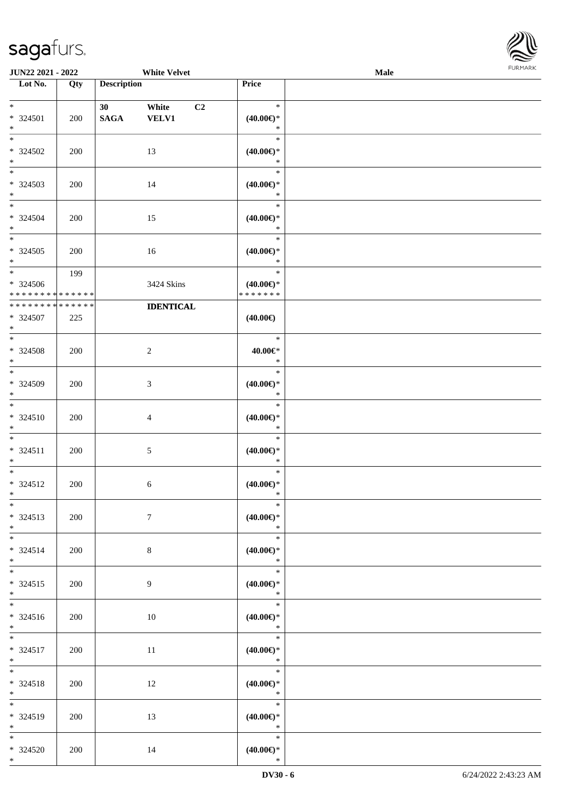

| <b>JUN22 2021 - 2022</b>                               |     |                                | <b>White Velvet</b>              |                                                | Male |  |
|--------------------------------------------------------|-----|--------------------------------|----------------------------------|------------------------------------------------|------|--|
| Lot No.                                                | Qty | <b>Description</b>             |                                  | Price                                          |      |  |
| $*$<br>* 324501<br>$\ast$                              | 200 | 30 <sup>°</sup><br><b>SAGA</b> | C <sub>2</sub><br>White<br>VELV1 | $\ast$<br>$(40.00\epsilon)$ *<br>$\ast$        |      |  |
| $\overline{\ast}$<br>* 324502<br>$\ast$                | 200 |                                | 13                               | $\ast$<br>$(40.00\epsilon)$ *<br>$\ast$        |      |  |
| $\overline{\phantom{0}}$<br>* 324503<br>$*$            | 200 |                                | 14                               | $\ast$<br>$(40.00\epsilon)$ *<br>$\ast$        |      |  |
| $*$<br>* 324504<br>$\ast$<br>$*$                       | 200 |                                | 15                               | $\ast$<br>$(40.00\epsilon)$ *<br>$\ast$        |      |  |
| $*324505$<br>$*$<br>$\overline{\ast}$                  | 200 |                                | 16                               | $\ast$<br>$(40.00\epsilon)$ *<br>$\ast$        |      |  |
| $* 324506$<br>* * * * * * * * * * * * * *              | 199 |                                | 3424 Skins                       | $\ast$<br>$(40.00\epsilon)$ *<br>* * * * * * * |      |  |
| ******** <mark>******</mark><br>* 324507<br>$*$<br>$*$ | 225 |                                | <b>IDENTICAL</b>                 | $(40.00\epsilon)$                              |      |  |
| * 324508<br>$*$<br>$*$                                 | 200 |                                | $\overline{c}$                   | $\ast$<br>40.00€*<br>$\ast$<br>$\ast$          |      |  |
| * 324509<br>$*$<br>$*$                                 | 200 |                                | 3                                | $(40.00\in)^\ast$<br>$\ast$<br>$\ast$          |      |  |
| $* 324510$<br>$*$<br>$*$                               | 200 |                                | $\overline{4}$                   | $(40.00\epsilon)$ *<br>$\ast$<br>$\ast$        |      |  |
| * 324511<br>$*$<br>$*$                                 | 200 |                                | 5                                | $(40.00\epsilon)$ *<br>$\ast$<br>$\ast$        |      |  |
| * 324512<br>$*$<br>$\ast$                              | 200 |                                | 6                                | $(40.00\epsilon)$ *<br>$\ast$<br>$\ast$        |      |  |
| * 324513<br>$*$<br>$*$                                 | 200 |                                | $7\phantom{.0}$                  | $(40.00\epsilon)$ *<br>$\ast$<br>$\ast$        |      |  |
| * 324514<br>$*$<br>$*$                                 | 200 |                                | 8                                | $(40.00\epsilon)$ *<br>$\ast$<br>$\ast$        |      |  |
| $* 324515$<br>$*$<br>$*$                               | 200 |                                | 9                                | $(40.00\in)^\ast$<br>$\mathbb{R}$<br>$\ast$    |      |  |
| * 324516<br>$*$<br>$*$                                 | 200 |                                | 10                               | $(40.00\epsilon)$ *<br>$\ast$<br>$\ast$        |      |  |
| * 324517<br>$*$<br>$*$                                 | 200 |                                | $11\,$                           | $(40.00\epsilon)$ *<br>$\ast$<br>$\ast$        |      |  |
| * 324518<br>$*$<br>$*$                                 | 200 |                                | 12                               | $(40.00\epsilon)$ *<br>$\ast$<br>$\ast$        |      |  |
| * 324519<br>$*$<br>$*$                                 | 200 |                                | 13                               | $(40.00\epsilon)$ *<br>$\ast$<br>$\ast$        |      |  |
| * 324520<br>$*$                                        | 200 |                                | 14                               | $(40.00\epsilon)$ *<br>$\ast$                  |      |  |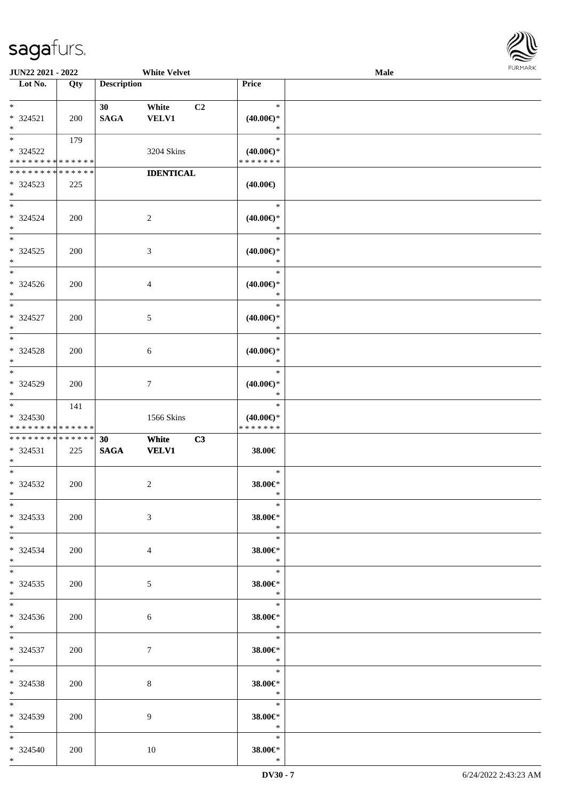

| <b>JUN22 2021 - 2022</b>                             |     |                    | <b>White Velvet</b> |                                      | <b>Male</b> |  |
|------------------------------------------------------|-----|--------------------|---------------------|--------------------------------------|-------------|--|
| Lot No.                                              | Qty | <b>Description</b> |                     | Price                                |             |  |
|                                                      |     |                    |                     |                                      |             |  |
| $*$                                                  |     | 30                 | White<br>C2         | $\ast$                               |             |  |
| $* 324521$                                           | 200 | <b>SAGA</b>        | <b>VELV1</b>        | $(40.00\epsilon)$ *                  |             |  |
| $*$                                                  |     |                    |                     | $\ast$                               |             |  |
| $*$                                                  | 179 |                    |                     | $\ast$                               |             |  |
| * 324522                                             |     |                    | 3204 Skins          | $(40.00\epsilon)$ *                  |             |  |
| * * * * * * * * <mark>* * * * * * *</mark>           |     |                    |                     | * * * * * * *                        |             |  |
| * * * * * * * * * * * * * * *                        |     |                    | <b>IDENTICAL</b>    |                                      |             |  |
| * 324523                                             | 225 |                    |                     | $(40.00\epsilon)$                    |             |  |
| $\ast$                                               |     |                    |                     |                                      |             |  |
| $*$                                                  |     |                    |                     | $\ast$                               |             |  |
| * 324524                                             | 200 |                    | $\overline{2}$      | $(40.00\epsilon)$ *                  |             |  |
| $*$                                                  |     |                    |                     | $\ast$                               |             |  |
| $*$                                                  |     |                    |                     | $\ast$                               |             |  |
| * 324525                                             | 200 |                    | 3                   | $(40.00\epsilon)$ *                  |             |  |
| $\ast$                                               |     |                    |                     | $\ast$                               |             |  |
| $\ast$                                               |     |                    |                     | $\ast$                               |             |  |
| * 324526                                             | 200 |                    | $\overline{4}$      | $(40.00\epsilon)$ *                  |             |  |
| $\ast$<br>$\overline{\ast}$                          |     |                    |                     | $\ast$                               |             |  |
|                                                      |     |                    |                     | $\ast$                               |             |  |
| * 324527                                             | 200 |                    | 5                   | $(40.00\epsilon)$ *                  |             |  |
| $\ast$<br>$*$                                        |     |                    |                     | $\ast$                               |             |  |
|                                                      |     |                    |                     | $\ast$                               |             |  |
| * 324528                                             | 200 |                    | 6                   | $(40.00\epsilon)$ *                  |             |  |
| $\ast$<br>$*$                                        |     |                    |                     | $\ast$<br>$\ast$                     |             |  |
|                                                      |     |                    |                     |                                      |             |  |
| * 324529                                             | 200 |                    | $\tau$              | $(40.00\epsilon)$ *<br>$\ast$        |             |  |
| $\ast$<br>$*$                                        |     |                    |                     | $\ast$                               |             |  |
|                                                      | 141 |                    |                     |                                      |             |  |
| * 324530<br>* * * * * * * * <mark>* * * * * *</mark> |     |                    | 1566 Skins          | $(40.00\epsilon)$ *<br>* * * * * * * |             |  |
| * * * * * * * * <mark>* * * * * * *</mark>           |     | 30                 | White<br>C3         |                                      |             |  |
| $* 324531$                                           | 225 | <b>SAGA</b>        | <b>VELV1</b>        | 38.00€                               |             |  |
| $\ast$                                               |     |                    |                     |                                      |             |  |
| $*$                                                  |     |                    |                     | $\ast$                               |             |  |
| * 324532                                             | 200 |                    | 2                   | 38.00€*                              |             |  |
| $*$ $-$                                              |     |                    |                     | $\ast$                               |             |  |
| $\ast$                                               |     |                    |                     | $\ast$                               |             |  |
| * 324533                                             | 200 |                    | 3                   | 38.00€*                              |             |  |
| $*$                                                  |     |                    |                     | $\ast$                               |             |  |
| $*$ $-$                                              |     |                    |                     | $\ast$                               |             |  |
| * 324534                                             | 200 |                    | $\overline{4}$      | 38.00€*                              |             |  |
| $*$ $-$                                              |     |                    |                     | $\ast$                               |             |  |
| $*$                                                  |     |                    |                     | $\overline{\phantom{a}}$             |             |  |
| $* 324535$                                           | 200 |                    | 5 <sup>5</sup>      | 38.00€*                              |             |  |
| $\ast$                                               |     |                    |                     | $\ast$                               |             |  |
| $*$                                                  |     |                    |                     | $\overline{\phantom{a}}$             |             |  |
| $* 324536$                                           | 200 |                    | 6                   | 38.00€*                              |             |  |
| $*$                                                  |     |                    |                     | $\ast$                               |             |  |
| $\ast$                                               |     |                    |                     | $\overline{\qquad \qquad *}$         |             |  |
| $* 324537$                                           | 200 |                    | $\tau$              | 38.00€*                              |             |  |
| $*$                                                  |     |                    |                     | $\ast$                               |             |  |
| $*$ $*$                                              |     |                    |                     |                                      |             |  |
| * 324538                                             | 200 |                    | $8\phantom{.}$      | 38.00€*                              |             |  |
| $*$ $-$                                              |     |                    |                     | $\ast$                               |             |  |
| $*$                                                  |     |                    |                     | $\ast$                               |             |  |
| $* 324539$                                           | 200 |                    | 9                   | 38.00€*                              |             |  |
| $*$ and $*$                                          |     |                    |                     | $\mathbb{R}$                         |             |  |
| $*$ $-$                                              |     |                    |                     | $\ast$                               |             |  |
| $* 324540$                                           | 200 |                    | 10                  | 38.00€*                              |             |  |
| $\ast$                                               |     |                    |                     | $\ast$                               |             |  |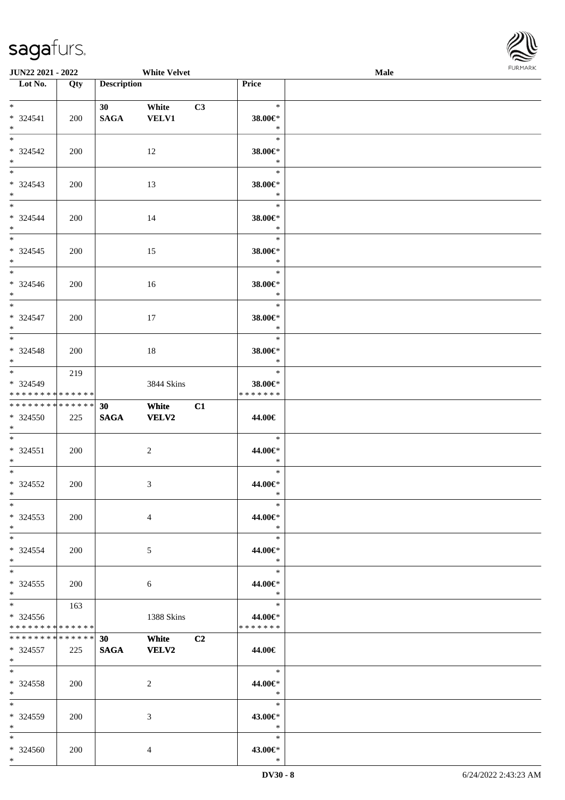

| <b>JUN22 2021 - 2022</b>                                            |     |                    | <b>White Velvet</b>          |    |                                               | <b>Male</b> |  |
|---------------------------------------------------------------------|-----|--------------------|------------------------------|----|-----------------------------------------------|-------------|--|
| Lot No.                                                             | Qty | <b>Description</b> |                              |    | Price                                         |             |  |
| $*$<br>$* 324541$<br>$*$                                            | 200 | 30<br><b>SAGA</b>  | White<br><b>VELV1</b>        | C3 | $\ast$<br>38.00€*<br>$\ast$                   |             |  |
| $*$<br>* 324542<br>$*$                                              | 200 |                    | 12                           |    | $\ast$<br>38.00€*<br>$\ast$                   |             |  |
| $\overline{\ast}$<br>* 324543<br>$\ast$<br>$*$                      | 200 |                    | 13                           |    | $\ast$<br>38.00€*<br>$\ast$<br>$\ast$         |             |  |
| $* 324544$<br>$*$                                                   | 200 |                    | 14                           |    | 38.00€*<br>$\ast$                             |             |  |
| $*$<br>* 324545<br>$\ddot{\ast}$<br>$\overline{\phantom{0}}$        | 200 |                    | 15                           |    | $\ast$<br>38.00€*<br>$\ast$                   |             |  |
| $* 324546$<br>$*$                                                   | 200 |                    | 16                           |    | $\ast$<br>38.00€*<br>$\ast$                   |             |  |
| * 324547<br>$*$                                                     | 200 |                    | 17                           |    | $\ast$<br>38.00€*<br>$\ast$                   |             |  |
| $* 324548$<br>$*$                                                   | 200 |                    | 18                           |    | $\ast$<br>38.00€*<br>$\ast$                   |             |  |
| $*$<br>* 324549<br>* * * * * * * * <mark>* * * * * *</mark>         | 219 |                    | 3844 Skins                   |    | $\ast$<br>38.00€*<br>* * * * * * *            |             |  |
| * * * * * * * * <mark>* * * * * * *</mark><br>* 324550<br>$*$       | 225 | 30<br><b>SAGA</b>  | White<br>VELV2               | C1 | 44.00€                                        |             |  |
| $\ddot{x}$<br>$* 324551$<br>$*$                                     | 200 |                    | $\overline{2}$               |    | $\ast$<br>44.00€*<br>$\ast$                   |             |  |
| $\ast$<br>* 324552<br>$*$ $-$                                       | 200 |                    | 3                            |    | $\ast$<br>44.00€*<br>$\ast$                   |             |  |
| $\ast$<br>$*324553$<br>$*$                                          | 200 |                    | $\overline{4}$               |    | $\ast$<br>44.00€*<br>$*$                      |             |  |
| $*$ $-$<br>$* 324554$<br>$*$                                        | 200 |                    | 5                            |    | $\ast$<br>44.00€*<br>$\ast$                   |             |  |
| $\ddot{x}$<br>$* 324555$<br>$\ddot{x}$                              | 200 |                    | 6                            |    | $\ast$<br>44.00€*<br>$\ast$                   |             |  |
| $*$ $-$<br>* 324556<br>* * * * * * * * <mark>* * * * * *</mark>     | 163 |                    | 1388 Skins                   |    | $\ast$<br>44.00€*<br>*******                  |             |  |
| * * * * * * * * * * * * * * <mark>*</mark><br>$* 324557$<br>$*$ $-$ | 225 | 30<br><b>SAGA</b>  | <b>White</b><br><b>VELV2</b> | C2 | 44.00€                                        |             |  |
| $*$ $-$<br>* 324558<br>$\ast$                                       | 200 |                    | 2                            |    | $\overline{\phantom{a}}$<br>44.00€*<br>$\ast$ |             |  |
| $*$ $-$<br>* 324559<br>$*$ $-$                                      | 200 |                    | 3                            |    | $\ast$<br>43.00€*<br>$\ast$                   |             |  |
| $\ddot{x}$<br>$* 324560$<br>$\ast$                                  | 200 |                    | 4                            |    | $\ast$<br>43.00€*<br>$\ast$                   |             |  |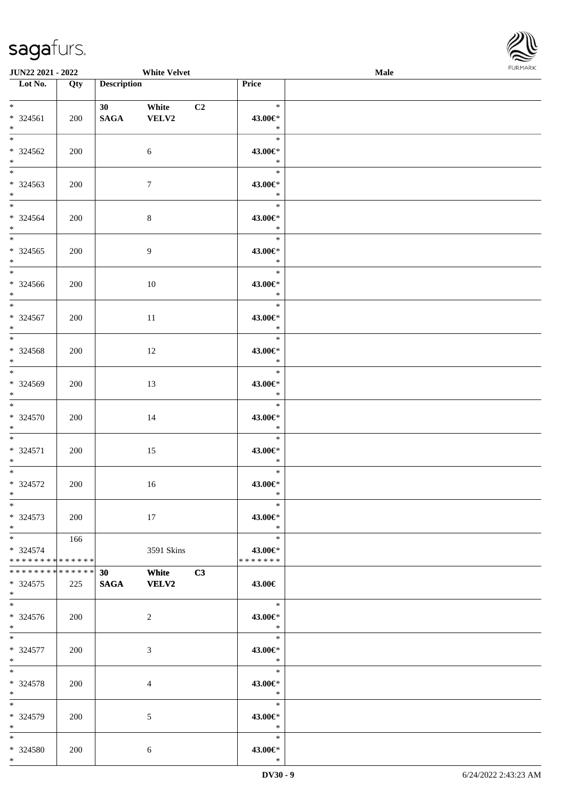

| <b>JUN22 2021 - 2022</b>                                        |     |                    | <b>White Velvet</b>   |                |                              | <b>Male</b> |  |
|-----------------------------------------------------------------|-----|--------------------|-----------------------|----------------|------------------------------|-------------|--|
| Lot No.                                                         | Qty | <b>Description</b> |                       |                | Price                        |             |  |
| $*$<br>* 324561<br>$*$                                          | 200 | 30<br><b>SAGA</b>  | White<br>VELV2        | C <sub>2</sub> | $\ast$<br>43.00€*<br>$\ast$  |             |  |
| $*$<br>* 324562<br>$*$                                          | 200 |                    | 6                     |                | $\ast$<br>43.00€*<br>$\ast$  |             |  |
| $*$<br>* 324563<br>$*$                                          | 200 |                    | $\tau$                |                | $\ast$<br>43.00€*<br>$\ast$  |             |  |
| $\ddot{x}$<br>* 324564<br>$*$                                   | 200 |                    | $\,8\,$               |                | $\ast$<br>43.00€*<br>$\ast$  |             |  |
| $\overline{\ast}$<br>* 324565<br>$*$                            | 200 |                    | $\overline{9}$        |                | $\ast$<br>43.00€*<br>$\ast$  |             |  |
| * 324566<br>$*$                                                 | 200 |                    | 10                    |                | $\ast$<br>43.00€*<br>$\ast$  |             |  |
| $\overline{\ast}$<br>$* 324567$<br>$*$                          | 200 |                    | 11                    |                | $\ast$<br>43.00€*<br>$\ast$  |             |  |
| $\overline{\ast}$<br>* 324568<br>$*$                            | 200 |                    | 12                    |                | $\ast$<br>43.00€*<br>$\ast$  |             |  |
| $*$<br>* 324569<br>$*$                                          | 200 |                    | 13                    |                | $\ast$<br>43.00€*<br>$\ast$  |             |  |
| $\ddot{x}$<br>* 324570<br>$*$                                   | 200 |                    | 14                    |                | $\ast$<br>43.00€*<br>$\ast$  |             |  |
| $*$<br>$* 324571$<br>$*$                                        | 200 |                    | 15                    |                | $\ast$<br>43.00€*<br>$\ast$  |             |  |
| $\ast$<br>* 324572<br>$*$                                       | 200 |                    | 16                    |                | $\ast$<br>43.00€*<br>$\ast$  |             |  |
| $\ast$<br>$* 324573$<br>$*$                                     | 200 |                    | 17                    |                | $\ast$<br>43.00€*<br>$\ast$  |             |  |
| $*$ $-$<br>* 324574<br>* * * * * * * * <mark>* * * * * *</mark> | 166 |                    | 3591 Skins            |                | $\ast$<br>43.00€*<br>******* |             |  |
| * * * * * * * * * * * * * * *<br>* 324575<br>$\ast$             | 225 | 30<br><b>SAGA</b>  | White<br><b>VELV2</b> | C3             | 43.00€                       |             |  |
| $*$<br>* 324576<br>$*$                                          | 200 |                    | 2                     |                | $-$ *<br>43.00€*<br>$\ast$   |             |  |
| $*$<br>* 324577<br>$*$                                          | 200 |                    | 3                     |                | $\ast$<br>43.00€*<br>$*$     |             |  |
| $*$ $-$<br>* 324578<br>$\ast$                                   | 200 |                    | $\overline{4}$        |                | $\ast$<br>43.00€*<br>$*$     |             |  |
| $*$<br>* 324579<br>$*$ $-$                                      | 200 |                    | 5                     |                | $\ast$<br>43.00€*<br>$\ast$  |             |  |
| $\ddot{x}$<br>* 324580<br>$*$                                   | 200 |                    | 6                     |                | $\ast$<br>43.00€*<br>$\ast$  |             |  |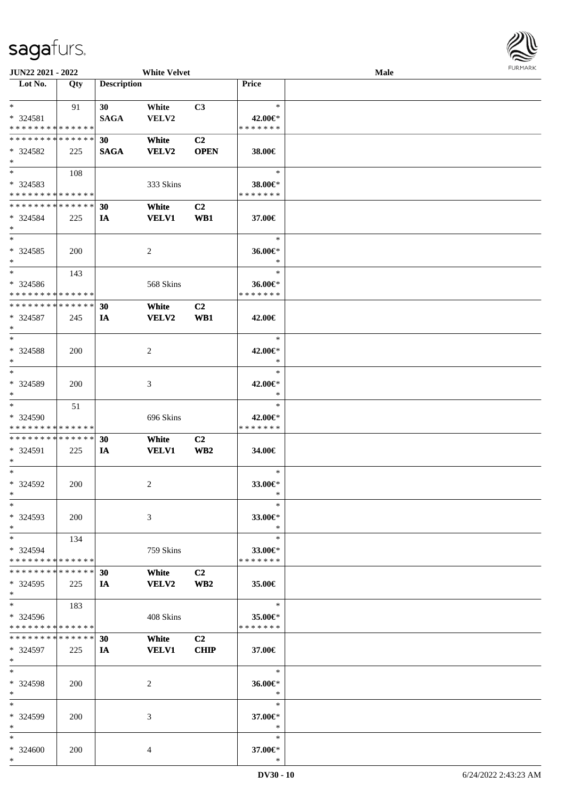| JUN22 2021 - 2022                          |            |                    | <b>White Velvet</b> |                 |                          | <b>Male</b> | $1 \times 1$ |
|--------------------------------------------|------------|--------------------|---------------------|-----------------|--------------------------|-------------|--------------|
| $\overline{\text{Lot No.}}$                | Qty        | <b>Description</b> |                     |                 | Price                    |             |              |
|                                            |            |                    |                     |                 |                          |             |              |
| $*$ $*$                                    | 91         | 30 <sup>1</sup>    | White               | C <sub>3</sub>  | $\ast$                   |             |              |
| * 324581                                   |            | <b>SAGA</b>        | VELV2               |                 | 42.00€*                  |             |              |
| * * * * * * * * <mark>* * * * * * *</mark> |            |                    |                     |                 | * * * * * * *            |             |              |
| * * * * * * * * * * * * * *                |            | 30                 | White               | C <sub>2</sub>  |                          |             |              |
| * 324582                                   | 225        | <b>SAGA</b>        | VELV2               | <b>OPEN</b>     | 38.00€                   |             |              |
| $*$                                        |            |                    |                     |                 |                          |             |              |
| $*$                                        | 108        |                    |                     |                 | $\ast$                   |             |              |
| * 324583                                   |            |                    | 333 Skins           |                 | 38.00€*                  |             |              |
| * * * * * * * * * * * * * *                |            |                    |                     |                 | * * * * * * *            |             |              |
| * * * * * * * * * * * * * * *              |            |                    |                     |                 |                          |             |              |
|                                            |            | 30                 | White               | C <sub>2</sub>  |                          |             |              |
| * 324584                                   | 225        | IA                 | <b>VELV1</b>        | WB1             | 37.00€                   |             |              |
| $*$<br>$*$                                 |            |                    |                     |                 |                          |             |              |
|                                            |            |                    |                     |                 | $\ast$                   |             |              |
| * 324585                                   | 200        |                    | 2                   |                 | 36.00€*                  |             |              |
| $*$                                        |            |                    |                     |                 | $\ast$                   |             |              |
| $*$                                        | 143        |                    |                     |                 | $\ast$                   |             |              |
| * 324586                                   |            |                    | 568 Skins           |                 | 36.00€*                  |             |              |
| * * * * * * * * * * * * * *                |            |                    |                     |                 | * * * * * * *            |             |              |
| * * * * * * * * * * * * * *                |            | 30                 | White               | C2              |                          |             |              |
| * 324587                                   | 245        | IA                 | VELV2               | WB1             | 42.00€                   |             |              |
| $*$                                        |            |                    |                     |                 |                          |             |              |
| $*$                                        |            |                    |                     |                 | $\ast$                   |             |              |
| * 324588                                   | 200        |                    | 2                   |                 | 42.00€*                  |             |              |
| $*$                                        |            |                    |                     |                 | $\ast$                   |             |              |
| $*$                                        |            |                    |                     |                 | $\ast$                   |             |              |
| * 324589                                   | 200        |                    | 3                   |                 | 42.00€*                  |             |              |
| $*$                                        |            |                    |                     |                 | $\ast$                   |             |              |
| $*$                                        | 51         |                    |                     |                 | $\ast$                   |             |              |
|                                            |            |                    |                     |                 |                          |             |              |
| * 324590                                   |            |                    | 696 Skins           |                 | 42.00€*<br>* * * * * * * |             |              |
| * * * * * * * * * * * * * *                |            |                    |                     |                 |                          |             |              |
| * * * * * * * * * * * * * *                |            | 30                 | White               | C <sub>2</sub>  |                          |             |              |
| * 324591                                   | 225        | IA                 | <b>VELV1</b>        | WB <sub>2</sub> | 34.00€                   |             |              |
| $*$                                        |            |                    |                     |                 |                          |             |              |
| $*$                                        |            |                    |                     |                 | $\ast$                   |             |              |
| * 324592                                   | 200        |                    | 2                   |                 | 33.00€*                  |             |              |
| $*$ $-$                                    |            |                    |                     |                 | $\ast$                   |             |              |
| $*$                                        |            |                    |                     |                 | $\ast$                   |             |              |
| * 324593                                   | 200        |                    | 3                   |                 | 33.00€*                  |             |              |
| $*$                                        |            |                    |                     |                 | $\ast$                   |             |              |
| $*$                                        | 134        |                    |                     |                 | $\ast$                   |             |              |
| * 324594                                   |            |                    | 759 Skins           |                 | 33.00€*                  |             |              |
| * * * * * * * * * * * * * *                |            |                    |                     |                 | * * * * * * *            |             |              |
| * * * * * * * * * * * * * * *              |            | 30                 | White               | C <sub>2</sub>  |                          |             |              |
| $*324595$                                  | 225        | IA                 | <b>VELV2</b>        | WB <sub>2</sub> | 35.00€                   |             |              |
| $*$                                        |            |                    |                     |                 |                          |             |              |
| $*$                                        | 183        |                    |                     |                 | $\ast$                   |             |              |
| * 324596                                   |            |                    | 408 Skins           |                 | 35.00€*                  |             |              |
| * * * * * * * * * * * * * *                |            |                    |                     |                 | * * * * * * *            |             |              |
| * * * * * * * * * * * * * *                |            | 30                 | White               | C <sub>2</sub>  |                          |             |              |
| * 324597                                   | 225        | IA                 | <b>VELV1</b>        | <b>CHIP</b>     | 37.00€                   |             |              |
| $*$                                        |            |                    |                     |                 |                          |             |              |
| $*$                                        |            |                    |                     |                 | $\ast$                   |             |              |
| * 324598                                   |            |                    |                     |                 | 36.00€*                  |             |              |
| $*$                                        | 200        |                    | 2                   |                 | $\ast$                   |             |              |
| $*$                                        |            |                    |                     |                 | $\ast$                   |             |              |
|                                            |            |                    |                     |                 |                          |             |              |
| * 324599                                   | <b>200</b> |                    | 3                   |                 | 37.00€*                  |             |              |
| $*$                                        |            |                    |                     |                 | $\ast$                   |             |              |
| $*$                                        |            |                    |                     |                 | $\ast$                   |             |              |
| * 324600                                   | 200        |                    | 4                   |                 | 37.00€*                  |             |              |
| $*$                                        |            |                    |                     |                 | $\ast$                   |             |              |

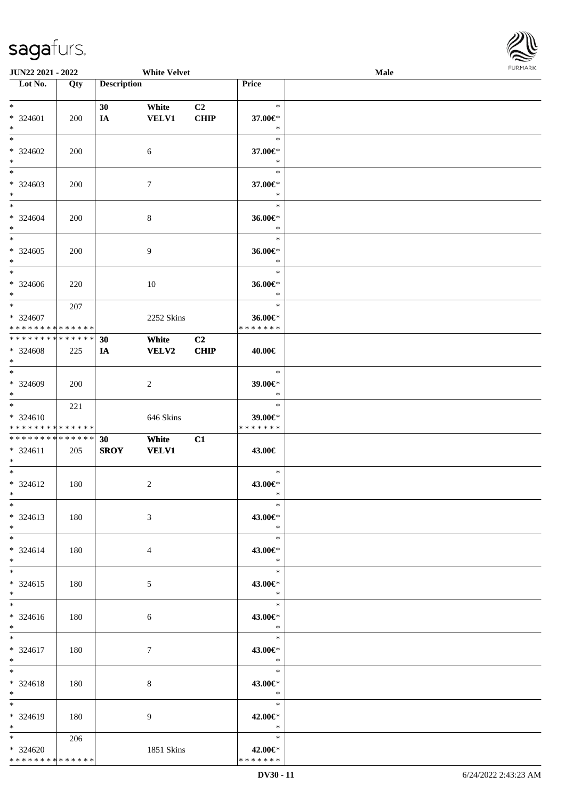

| JUN22 2021 - 2022                                                      |     |                    | <b>White Velvet</b>   |                   |                                      | Male | <b>FURMARK</b> |
|------------------------------------------------------------------------|-----|--------------------|-----------------------|-------------------|--------------------------------------|------|----------------|
| $\overline{\phantom{1}}$ Lot No.                                       | Qty | <b>Description</b> |                       |                   | Price                                |      |                |
| $*$<br>* 324601<br>$\ast$                                              | 200 | 30<br>$I\!\!A$     | White<br><b>VELV1</b> | C2<br><b>CHIP</b> | $\ast$<br>37.00€*<br>$\ast$          |      |                |
| $\ast$<br>$* 324602$<br>$\ast$<br>$\overline{\phantom{a}^*}$           | 200 |                    | 6                     |                   | $\ast$<br>37.00€*<br>$\ast$          |      |                |
| $* 324603$<br>$\ast$                                                   | 200 |                    | $\tau$                |                   | $\ast$<br>37.00€*<br>$\ast$          |      |                |
| $\ast$<br>$* 324604$<br>$\ast$                                         | 200 |                    | $\,8\,$               |                   | $\ast$<br>36.00€*<br>$\ast$          |      |                |
| $\ast$<br>$*324605$<br>$\ast$<br>$\overline{\phantom{a}^*}$            | 200 |                    | $\overline{9}$        |                   | $\ast$<br>36.00€*<br>$\ast$          |      |                |
| * 324606<br>$\ast$                                                     | 220 |                    | $10\,$                |                   | $\ast$<br>36.00€*<br>$\ast$          |      |                |
| $*$<br>* 324607<br>* * * * * * * * <mark>* * * * * * *</mark>          | 207 |                    | 2252 Skins            |                   | $\ast$<br>36.00€*<br>* * * * * * *   |      |                |
| * * * * * * * * * * * * * *<br>* 324608<br>$\ast$<br>$\overline{\ast}$ | 225 | 30<br><b>IA</b>    | White<br><b>VELV2</b> | C2<br>CHIP        | 40.00€                               |      |                |
| * 324609<br>$\ast$                                                     | 200 |                    | $\sqrt{2}$            |                   | $\ast$<br>$39.00 \text{E}$<br>$\ast$ |      |                |
| $\ast$<br>* 324610<br>* * * * * * * * * * * * * *                      | 221 |                    | 646 Skins             |                   | $\ast$<br>39.00€*<br>* * * * * * *   |      |                |
| ******** <mark>******</mark><br>$* 324611$<br>$\ast$                   | 205 | 30<br><b>SROY</b>  | White<br><b>VELV1</b> | C1                | 43.00€                               |      |                |
| $\overline{\phantom{0}}$<br>$* 324612$<br>$\ast$                       | 180 |                    | $\boldsymbol{2}$      |                   | $\ast$<br>43.00€*<br>∗               |      |                |
| $\ast$<br>* 324613<br>$*$                                              | 180 |                    | 3                     |                   | $\ast$<br>43.00€*<br>$\ast$          |      |                |
| $*$<br>$* 324614$<br>$\ast$<br>$\overline{\phantom{0}}$                | 180 |                    | 4                     |                   | $\ast$<br>43.00€*<br>$\ast$          |      |                |
| $* 324615$<br>$\ast$<br>$\overline{\ast}$                              | 180 |                    | $\mathfrak{S}$        |                   | $\ast$<br>43.00€*<br>$\ast$          |      |                |
| * 324616<br>$*$                                                        | 180 |                    | 6                     |                   | $\ast$<br>43.00€*<br>$\ast$          |      |                |
| $*$<br>* 324617<br>$\ast$                                              | 180 |                    | $\boldsymbol{7}$      |                   | $\ast$<br>43.00€*<br>$\ast$          |      |                |
| $\ast$<br>* 324618<br>$*$                                              | 180 |                    | 8                     |                   | $\ast$<br>43.00€*<br>$\ast$          |      |                |
| $\overline{\ast}$<br>* 324619<br>$\ast$                                | 180 |                    | 9                     |                   | $\ast$<br>42.00€*<br>$\ast$          |      |                |
| $*$<br>* 324620<br>******** <mark>******</mark>                        | 206 |                    | 1851 Skins            |                   | $\ast$<br>42.00€*<br>* * * * * * *   |      |                |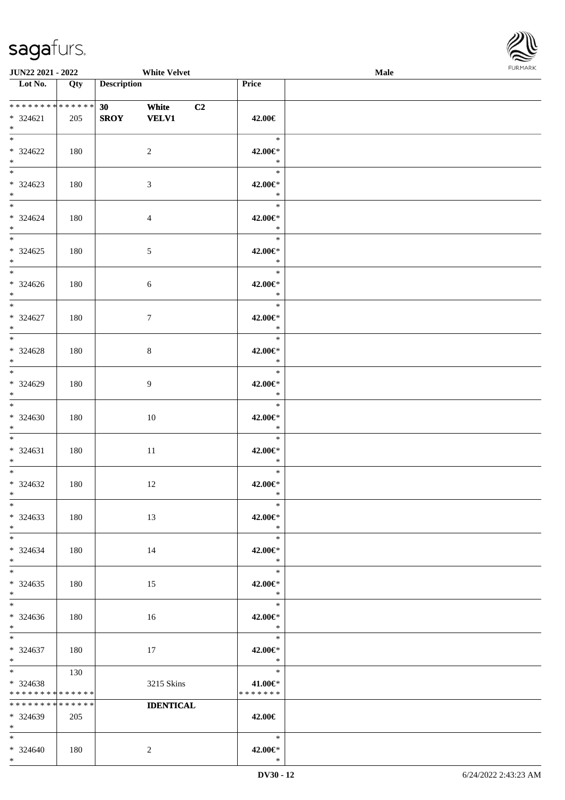

| <b>JUN22 2021 - 2022</b>                                            |     | <b>White Velvet</b>                        |                |                                       | Male |  |
|---------------------------------------------------------------------|-----|--------------------------------------------|----------------|---------------------------------------|------|--|
| Lot No.                                                             | Qty | <b>Description</b>                         |                | Price                                 |      |  |
| $* 324621$<br>$\ddot{x}$                                            | 205 | 30<br>White<br><b>SROY</b><br><b>VELV1</b> | C <sub>2</sub> | 42.00€                                |      |  |
| $*$<br>* 324622<br>$*$                                              | 180 | 2                                          |                | $*$<br>42.00€*<br>$\ast$              |      |  |
| $\overline{\ast}$<br>* 324623<br>$\ast$                             | 180 | 3                                          |                | $\ast$<br>42.00€*<br>$\ast$           |      |  |
| $\ddot{x}$<br>* 324624<br>$*$<br>$\overline{\ast}$                  | 180 | $\overline{4}$                             |                | $\ast$<br>42.00€*<br>$\ast$<br>$\ast$ |      |  |
| $* 324625$<br>$\ddot{x}$<br>$*$                                     | 180 | $\mathfrak{S}$                             |                | 42.00€*<br>$\ast$                     |      |  |
| * 324626<br>$\ast$<br>$\overline{\phantom{0}}$                      | 180 | 6                                          |                | $\ast$<br>42.00€*<br>$\ast$<br>$\ast$ |      |  |
| $* 324627$<br>$*$                                                   | 180 | $7\phantom{.0}$                            |                | 42.00€*<br>$\ast$<br>$\ast$           |      |  |
| $* 324628$<br>$*$<br>$*$                                            | 180 | 8                                          |                | 42.00€*<br>$\ast$<br>$\ast$           |      |  |
| * 324629<br>$*$<br>$*$                                              | 180 | $\overline{9}$                             |                | 42.00€*<br>$\ast$<br>$\ast$           |      |  |
| $* 324630$<br>$*$                                                   | 180 | 10                                         |                | 42.00€*<br>$\ast$<br>$\ast$           |      |  |
| $\ddot{x}$<br>$* 324631$<br>$*$<br>$\ast$                           | 180 | 11                                         |                | 42.00€*<br>$\ast$<br>$\ast$           |      |  |
| $* 324632$<br>$*$ $-$                                               | 180 | 12                                         |                | 42.00€*<br>$\ast$                     |      |  |
| $\ast$<br>* 324633<br>$*$                                           | 180 | 13                                         |                | $\ast$<br>42.00€*<br>$*$              |      |  |
| $*$ $-$<br>$* 324634$<br>$*$                                        | 180 | 14                                         |                | $\ast$<br>42.00€*<br>$\ast$           |      |  |
| $*$ $-$<br>$* 324635$<br>$\ast$                                     | 180 | 15                                         |                | $\ast$<br>42.00€*<br>$*$              |      |  |
| $\ddot{x}$<br>$* 324636$<br>$*$                                     | 180 | 16                                         |                | $\ast$<br>42.00€*<br>$\ast$           |      |  |
| $*$<br>$* 324637$<br>$*$ $-$                                        | 180 | 17                                         |                | $\ast$<br>42.00€*<br>$\ast$           |      |  |
| $* 324638$<br>* * * * * * * * <mark>* * * * * * *</mark>            | 130 | 3215 Skins                                 |                | $\ast$<br>41.00€*<br>* * * * * * *    |      |  |
| * * * * * * * * <mark>* * * * * * *</mark><br>$* 324639$<br>$*$ $-$ | 205 | <b>IDENTICAL</b>                           |                | 42.00€                                |      |  |
| $*$<br>$* 324640$                                                   | 180 | 2                                          |                | $*$<br>42.00€*                        |      |  |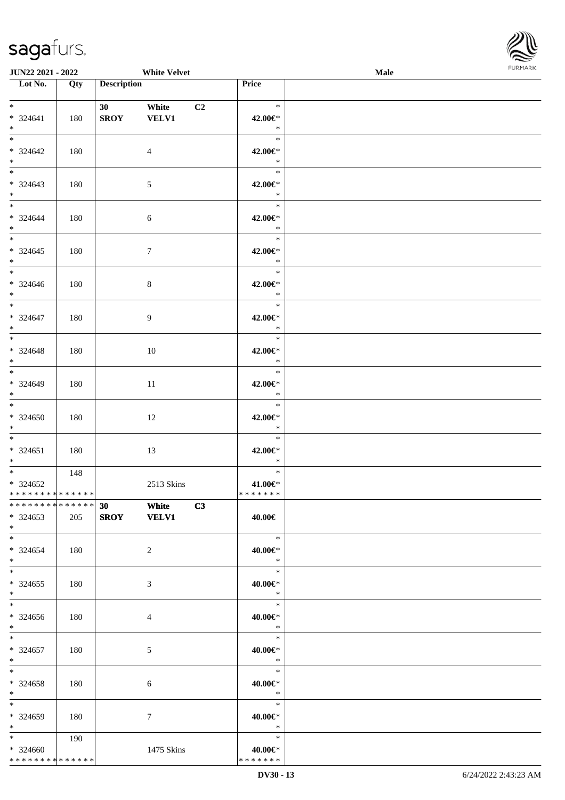

| JUN22 2021 - 2022                                |     |                                | <b>White Velvet</b>   |    |                                       | Male | <b>FURMARK</b> |
|--------------------------------------------------|-----|--------------------------------|-----------------------|----|---------------------------------------|------|----------------|
| $\overline{\phantom{1}}$ Lot No.                 | Qty | <b>Description</b>             |                       |    | Price                                 |      |                |
| $*$ $*$<br>$* 324641$<br>$\ast$                  | 180 | 30 <sub>1</sub><br><b>SROY</b> | White<br><b>VELV1</b> | C2 | $\ast$<br>42.00€*<br>$\ast$           |      |                |
| * 324642<br>$*$                                  | 180 |                                | $\overline{4}$        |    | $\ast$<br>42.00€*<br>$\ast$           |      |                |
| $* 324643$<br>$*$                                | 180 |                                | $\mathfrak{S}$        |    | $\ast$<br>42.00€*<br>$\ast$           |      |                |
| $*$<br>* 324644<br>$*$<br>$*$                    | 180 |                                | $6\,$                 |    | $\ast$<br>42.00€*<br>$\ast$<br>$\ast$ |      |                |
| $* 324645$<br>$*$                                | 180 |                                | $\boldsymbol{7}$      |    | 42.00€*<br>$\star$                    |      |                |
| $* 324646$<br>$*$<br>$*$                         | 180 |                                | $8\,$                 |    | $\ast$<br>42.00€*<br>$\ast$           |      |                |
| * 324647<br>$*$                                  | 180 |                                | $\overline{9}$        |    | $\ast$<br>42.00€*<br>$\ast$           |      |                |
| $* 324648$<br>$*$                                | 180 |                                | 10                    |    | $\ast$<br>42.00€*<br>$\ast$           |      |                |
| $* 324649$<br>$*$<br>$\overline{\ast}$           | 180 |                                | 11                    |    | $\ast$<br>42.00€*<br>$\ast$           |      |                |
| $*324650$<br>$*$                                 | 180 |                                | 12                    |    | $\ast$<br>42.00€*<br>$\ast$           |      |                |
| $*$<br>$* 324651$<br>$*$                         | 180 |                                | 13                    |    | $\ast$<br>42.00€*<br>$\ast$           |      |                |
| $*324652$<br>* * * * * * * * * * * * * *         | 148 |                                | 2513 Skins            |    | $\ast$<br>41.00€*<br>* * * * * * *    |      |                |
| * * * * * * * * * * * * * *<br>$*324653$<br>$*$  | 205 | 30<br><b>SROY</b>              | White<br><b>VELV1</b> | C3 | 40.00€                                |      |                |
| $*$<br>$* 324654$<br>$\ast$                      | 180 |                                | $\boldsymbol{2}$      |    | $\ast$<br>40.00€*<br>$\ast$           |      |                |
| $*$<br>$*324655$<br>$\ast$                       | 180 |                                | $\mathfrak{Z}$        |    | $\ast$<br>40.00€*<br>$\ast$           |      |                |
| $\ast$<br>$*324656$<br>$\ast$                    | 180 |                                | $\overline{4}$        |    | $\ast$<br>40.00€*<br>$\ast$           |      |                |
| $*$<br>$* 324657$<br>$\ast$                      | 180 |                                | $\mathfrak{S}$        |    | $\ast$<br>40.00€*<br>$\ast$           |      |                |
| $\ast$<br>$*324658$<br>$*$                       | 180 |                                | 6                     |    | $\ast$<br>40.00€*<br>$\ast$           |      |                |
| $*$<br>* 324659<br>$\ast$                        | 180 |                                | $\tau$                |    | $\ast$<br>40.00€*<br>$\ast$           |      |                |
| $*$<br>$* 324660$<br>* * * * * * * * * * * * * * | 190 |                                | 1475 Skins            |    | $\ast$<br>40.00€*<br>* * * * * * *    |      |                |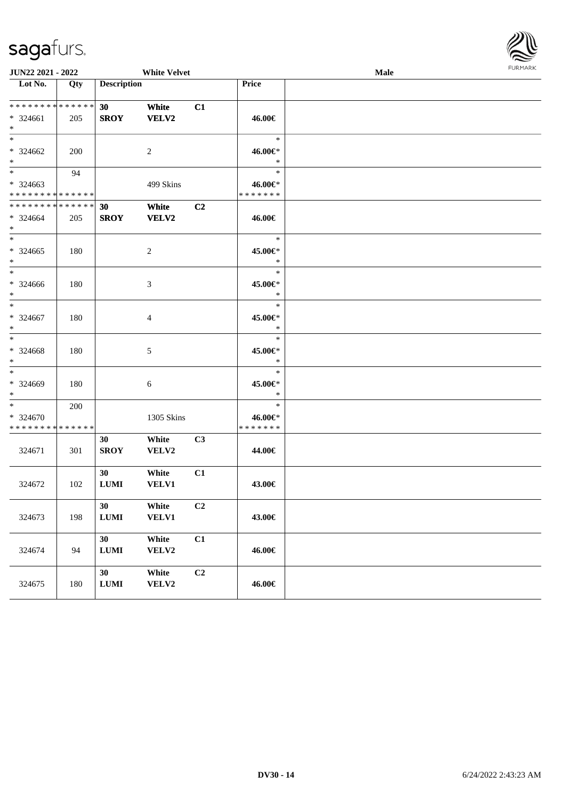

| JUN22 2021 - 2022                                  |     |                    | <b>White Velvet</b>   |                |                                    | Male | <b>FURPIARA</b> |
|----------------------------------------------------|-----|--------------------|-----------------------|----------------|------------------------------------|------|-----------------|
| Lot No.                                            | Qty | <b>Description</b> |                       |                | Price                              |      |                 |
| ******** <mark>******</mark><br>* 324661<br>$*$    | 205 | 30<br><b>SROY</b>  | White<br>VELV2        | C1             | 46.00€                             |      |                 |
| $*$<br>* 324662<br>$*$                             | 200 |                    | 2                     |                | $\ast$<br>46.00€*<br>$\ast$        |      |                 |
| $*$<br>* 324663<br>* * * * * * * * * * * * * * *   | 94  |                    | 499 Skins             |                | $\ast$<br>46.00€*<br>* * * * * * * |      |                 |
| * * * * * * * * * * * * * * *<br>$* 324664$<br>$*$ | 205 | 30<br><b>SROY</b>  | White<br><b>VELV2</b> | C <sub>2</sub> | 46.00€                             |      |                 |
| $* 324665$<br>$*$                                  | 180 |                    | 2                     |                | $\ast$<br>45.00€*<br>$\ast$        |      |                 |
| $*$<br>$* 324666$<br>$*$                           | 180 |                    | 3                     |                | $\ast$<br>45.00€*<br>$\ast$        |      |                 |
| $*$<br>* 324667<br>$*$                             | 180 |                    | 4                     |                | $\ast$<br>45.00€*<br>$\ast$        |      |                 |
| $*$<br>* 324668<br>$*$                             | 180 |                    | 5                     |                | $\ast$<br>45.00€*<br>$\ast$        |      |                 |
| $*$<br>* 324669<br>$*$                             | 180 |                    | 6                     |                | $\ast$<br>45.00€*<br>$\ast$        |      |                 |
| $*$<br>* 324670<br>* * * * * * * * * * * * * *     | 200 |                    | 1305 Skins            |                | $\ast$<br>46.00€*<br>* * * * * * * |      |                 |
| 324671                                             | 301 | 30<br><b>SROY</b>  | White<br>VELV2        | C <sub>3</sub> | 44.00€                             |      |                 |
| 324672                                             | 102 | 30<br>$\bf LUMI$   | White<br><b>VELV1</b> | C1             | 43.00€                             |      |                 |
| 324673                                             | 198 | 30<br>$\bf LUMI$   | White<br><b>VELV1</b> | C <sub>2</sub> | 43.00€                             |      |                 |
| 324674                                             | 94  | 30<br>$\bf LUMI$   | White<br>VELV2        | C1             | 46.00€                             |      |                 |
| 324675                                             | 180 | 30<br>${\bf LUMI}$ | White<br>VELV2        | C <sub>2</sub> | 46.00€                             |      |                 |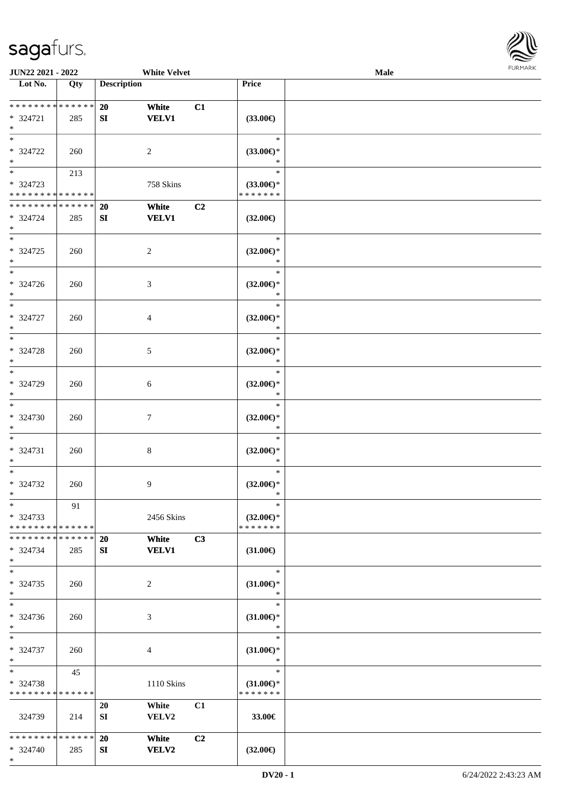

| JUN22 2021 - 2022                                                     |                   |                        | <b>White Velvet</b>   |    |                                                | Male |  |
|-----------------------------------------------------------------------|-------------------|------------------------|-----------------------|----|------------------------------------------------|------|--|
| Lot No.                                                               | $\overline{Q}$ ty | <b>Description</b>     |                       |    | Price                                          |      |  |
| * * * * * * * * * * * * * *<br>* 324721<br>$\ast$                     | 285               | 20<br>${\bf S}{\bf I}$ | White<br><b>VELV1</b> | C1 | $(33.00\epsilon)$                              |      |  |
| $*$<br>* 324722<br>$\ast$                                             | 260               |                        | $\overline{2}$        |    | $\ast$<br>$(33.00\epsilon)$ *<br>$\ast$        |      |  |
| $\overline{\phantom{0}}$<br>$* 324723$<br>* * * * * * * * * * * * * * | 213               |                        | 758 Skins             |    | $\ast$<br>$(33.00\epsilon)$ *<br>* * * * * * * |      |  |
| * * * * * * * * * * * * * *<br>* 324724<br>$*$                        | 285               | 20<br>SI               | White<br><b>VELV1</b> | C2 | $(32.00\epsilon)$                              |      |  |
| $\ast$<br>$* 324725$<br>$\ast$                                        | 260               |                        | $\overline{c}$        |    | $\ast$<br>$(32.00\epsilon)$ *<br>$\ast$        |      |  |
| $\ast$<br>$* 324726$<br>$\ast$                                        | 260               |                        | $\mathfrak{Z}$        |    | $\ast$<br>$(32.00\epsilon)$ *<br>$\ast$        |      |  |
| $\ast$<br>$* 324727$<br>$\ast$                                        | 260               |                        | 4                     |    | $\ast$<br>$(32.00\epsilon)$ *<br>$\ast$        |      |  |
| $*$<br>* 324728<br>$\ast$                                             | 260               |                        | 5                     |    | $\ast$<br>$(32.00\epsilon)$ *<br>$\ast$        |      |  |
| $\ast$<br>* 324729<br>$\ast$                                          | 260               |                        | 6                     |    | $\ast$<br>$(32.00\epsilon)$ *<br>$\ast$        |      |  |
| $\ast$<br>$* 324730$<br>$\ast$                                        | 260               |                        | $\tau$                |    | $\ast$<br>$(32.00\epsilon)$ *<br>$\ast$        |      |  |
| $*$<br>$* 324731$<br>$*$                                              | 260               |                        | $\,8\,$               |    | $\ast$<br>$(32.00\epsilon)$ *<br>$\ast$        |      |  |
| $*$<br>$* 324732$<br>$*$                                              | 260               |                        | 9                     |    | $\ast$<br>$(32.00\epsilon)$ *<br>$\ast$        |      |  |
| $*$<br>* 324733<br>* * * * * * * * * * * * * *                        | 91                |                        | 2456 Skins            |    | $\ast$<br>$(32.00\epsilon)$ *<br>* * * * * * * |      |  |
| * * * * * * * * * * * * * * *<br>* 324734<br>$*$                      | 285               | 20<br>SI               | White<br><b>VELV1</b> | C3 | $(31.00\epsilon)$                              |      |  |
| $*$<br>* 324735<br>$*$                                                | 260               |                        | 2                     |    | $\ast$<br>$(31.00\epsilon)$ *<br>$\ast$        |      |  |
| $\overline{\phantom{0}}$<br>$* 324736$<br>$*$                         | 260               |                        | 3                     |    | $\ast$<br>$(31.00\epsilon)$ *<br>$\ast$        |      |  |
| $*$<br>$* 324737$<br>$*$                                              | 260               |                        | 4                     |    | $\ast$<br>$(31.00\epsilon)$ *<br>$\ast$        |      |  |
| $*$<br>* 324738<br>* * * * * * * * * * * * * *                        | 45                |                        | 1110 Skins            |    | $\ast$<br>$(31.00\epsilon)$ *<br>* * * * * * * |      |  |
| 324739                                                                | 214               | 20<br>SI               | White<br><b>VELV2</b> | C1 | 33.00€                                         |      |  |
| * * * * * * * * * * * * * * *<br>* 324740                             | 285               | 20<br>SI               | White<br><b>VELV2</b> | C2 | $(32.00\epsilon)$                              |      |  |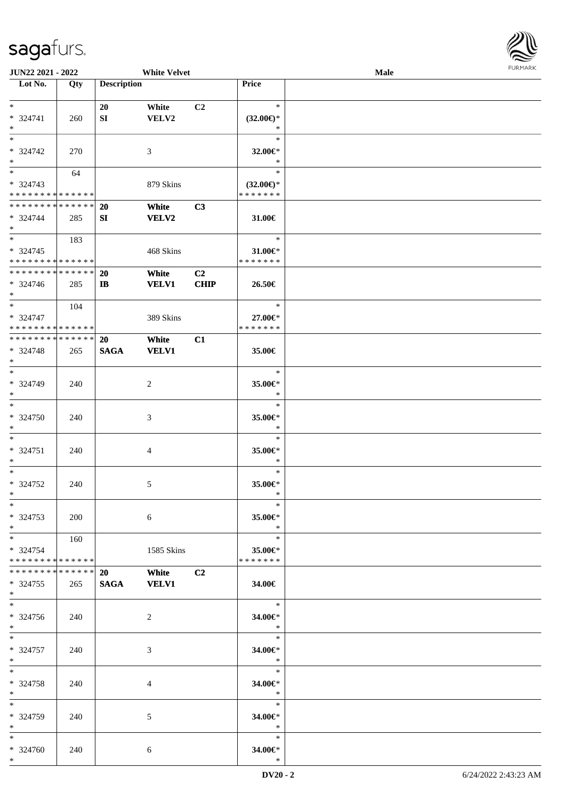

| JUN22 2021 - 2022                          |            |                    | <b>White Velvet</b> |                |                     | Male |  |
|--------------------------------------------|------------|--------------------|---------------------|----------------|---------------------|------|--|
| Lot No.                                    | Qty        | <b>Description</b> |                     |                | Price               |      |  |
|                                            |            |                    |                     |                |                     |      |  |
| $\ast$                                     |            | 20                 | White               | C2             | $\ast$              |      |  |
| * 324741                                   | 260        | ${\bf S}{\bf I}$   | ${\bf VELV2}$       |                | $(32.00\epsilon)$ * |      |  |
| $\ast$                                     |            |                    |                     |                | $\ast$              |      |  |
| $\ast$                                     |            |                    |                     |                | $\ast$              |      |  |
| * 324742                                   | 270        |                    | 3                   |                | 32.00€*             |      |  |
| $\ast$                                     |            |                    |                     |                | $\ast$              |      |  |
| $\overline{\phantom{0}}$                   | 64         |                    |                     |                | $\ast$              |      |  |
| * 324743                                   |            |                    | 879 Skins           |                | $(32.00\epsilon)$ * |      |  |
| * * * * * * * * * * * * * *                |            |                    |                     |                | * * * * * * *       |      |  |
| **************                             |            | 20                 | White               | C3             |                     |      |  |
| $* 324744$                                 | 285        | SI                 | <b>VELV2</b>        |                | 31.00€              |      |  |
| $\ast$                                     |            |                    |                     |                |                     |      |  |
| $\ast$                                     | 183        |                    |                     |                | $\ast$              |      |  |
| $* 324745$                                 |            |                    | 468 Skins           |                | 31.00€*             |      |  |
| * * * * * * * * <mark>* * * * * * *</mark> |            |                    |                     |                | * * * * * * *       |      |  |
| ******** <mark>******</mark>               |            |                    |                     |                |                     |      |  |
|                                            |            | 20                 | White               | C <sub>2</sub> |                     |      |  |
| $* 324746$                                 | 285        | $\bf I\bf B$       | <b>VELV1</b>        | <b>CHIP</b>    | 26.50€              |      |  |
| $*$<br>$\ast$                              |            |                    |                     |                | $\ast$              |      |  |
|                                            | 104        |                    |                     |                |                     |      |  |
| $* 324747$                                 |            |                    | 389 Skins           |                | 27.00€*             |      |  |
| * * * * * * * * * * * * * * *              |            |                    |                     |                | * * * * * * *       |      |  |
| * * * * * * * * * * * * * *                |            | 20                 | White               | C1             |                     |      |  |
| * 324748                                   | 265        | <b>SAGA</b>        | <b>VELV1</b>        |                | 35.00€              |      |  |
| $\ast$                                     |            |                    |                     |                |                     |      |  |
| $\overline{\phantom{a}^*}$                 |            |                    |                     |                | $\ast$              |      |  |
| * 324749                                   | 240        |                    | $\overline{c}$      |                | 35.00€*             |      |  |
| $\ast$                                     |            |                    |                     |                | $\ast$              |      |  |
| $\ast$                                     |            |                    |                     |                | $\ast$              |      |  |
| * 324750                                   | 240        |                    | $\mathfrak{Z}$      |                | 35.00€*             |      |  |
| $\ast$                                     |            |                    |                     |                | $\ast$              |      |  |
| $\ast$                                     |            |                    |                     |                | $\ast$              |      |  |
| $* 324751$                                 | 240        |                    | 4                   |                | 35.00€*             |      |  |
| $\ast$                                     |            |                    |                     |                | $\ast$              |      |  |
| $\ast$                                     |            |                    |                     |                | $\ast$              |      |  |
| $* 324752$                                 | 240        |                    | 5                   |                | 35.00€*             |      |  |
| $*$                                        |            |                    |                     |                | $\ast$              |      |  |
| $*$                                        |            |                    |                     |                | $\ast$              |      |  |
| * 324753                                   | <b>200</b> |                    | 6                   |                | 35.00€*             |      |  |
| $*$                                        |            |                    |                     |                | $\ast$              |      |  |
| $*$                                        | 160        |                    |                     |                | $\ast$              |      |  |
| * 324754                                   |            |                    | 1585 Skins          |                | 35.00€*             |      |  |
| * * * * * * * * * * * * * *                |            |                    |                     |                | * * * * * * *       |      |  |
| * * * * * * * * * * * * * * *              |            | 20                 | White               | C <sub>2</sub> |                     |      |  |
| $*324755$                                  | 265        | <b>SAGA</b>        | <b>VELV1</b>        |                | 34.00€              |      |  |
| $*$                                        |            |                    |                     |                |                     |      |  |
| $\overline{\phantom{a}^*}$                 |            |                    |                     |                | $\ast$              |      |  |
| * 324756                                   | 240        |                    | 2                   |                | 34.00€*             |      |  |
| $*$                                        |            |                    |                     |                | $\ast$              |      |  |
| $*$                                        |            |                    |                     |                | $\ast$              |      |  |
| * 324757                                   | 240        |                    | 3                   |                | 34.00€*             |      |  |
| $*$                                        |            |                    |                     |                | $\ast$              |      |  |
| $\ast$                                     |            |                    |                     |                | $\ast$              |      |  |
|                                            |            |                    |                     |                |                     |      |  |
| * 324758<br>$*$                            | 240        |                    | 4                   |                | 34.00€*<br>$\ast$   |      |  |
| $*$                                        |            |                    |                     |                | $\ast$              |      |  |
|                                            |            |                    |                     |                |                     |      |  |
| * 324759                                   | 240        |                    | 5                   |                | 34.00€*             |      |  |
| $*$                                        |            |                    |                     |                | $\ast$              |      |  |
| $*$                                        |            |                    |                     |                | $\ast$              |      |  |
| * 324760                                   | 240        |                    | 6                   |                | 34.00€*             |      |  |
| $*$                                        |            |                    |                     |                | $\ast$              |      |  |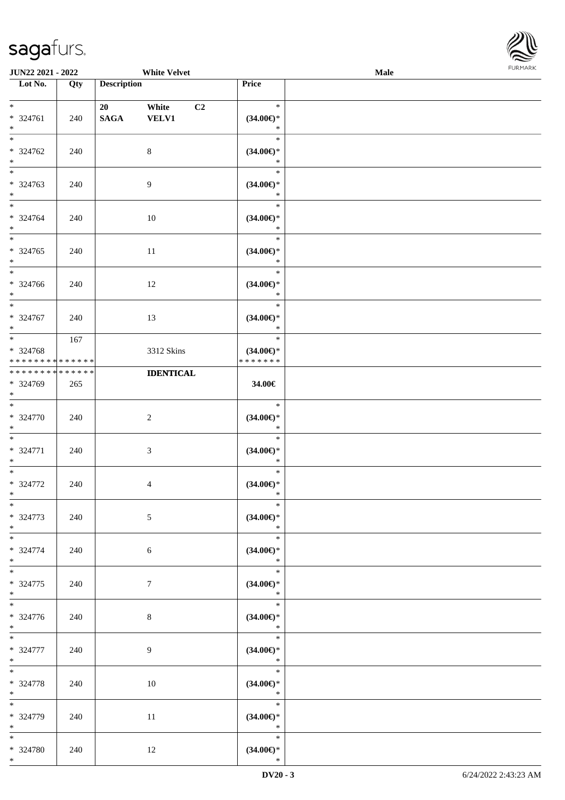

| <b>JUN22 2021 - 2022</b>                                      |     |                    | <b>White Velvet</b>                     |                                                | Male |  |
|---------------------------------------------------------------|-----|--------------------|-----------------------------------------|------------------------------------------------|------|--|
| Lot No.                                                       | Qty | <b>Description</b> |                                         | Price                                          |      |  |
| $*$<br>* 324761<br>$*$                                        | 240 | 20<br><b>SAGA</b>  | White<br>C <sub>2</sub><br><b>VELV1</b> | $\ast$<br>$(34.00\epsilon)$ *<br>$\ast$        |      |  |
| $\overline{\ast}$<br>* 324762<br>$*$                          | 240 |                    | $\,8\,$                                 | $\ast$<br>$(34.00\epsilon)$ *<br>$\ast$        |      |  |
| * 324763<br>$*$                                               | 240 |                    | $\overline{9}$                          | $\ast$<br>$(34.00\epsilon)$ *<br>$\ast$        |      |  |
| $*$<br>* 324764<br>$*$                                        | 240 |                    | 10                                      | $\ast$<br>$(34.00\epsilon)$ *<br>$\ast$        |      |  |
| $*$<br>* 324765<br>$\ast$                                     | 240 |                    | $11\,$                                  | $\ast$<br>$(34.00\epsilon)$ *<br>$\ast$        |      |  |
| $\overline{\phantom{0}}$<br>* 324766<br>$*$                   | 240 |                    | 12                                      | $\ast$<br>$(34.00\epsilon)$ *<br>$\ast$        |      |  |
| $\overline{\ast}$<br>* 324767<br>$*$                          | 240 |                    | 13                                      | $\ast$<br>$(34.00\epsilon)$ *<br>$\ast$        |      |  |
| $*$<br>* 324768<br>* * * * * * * * <mark>* * * * * * *</mark> | 167 |                    | 3312 Skins                              | $\ast$<br>$(34.00\epsilon)$ *<br>* * * * * * * |      |  |
| * * * * * * * * <mark>* * * * * * *</mark><br>* 324769<br>$*$ | 265 |                    | <b>IDENTICAL</b>                        | 34.00€                                         |      |  |
| $*$<br>* 324770<br>$*$                                        | 240 |                    | $\sqrt{2}$                              | $\ast$<br>$(34.00\epsilon)$ *<br>$\ast$        |      |  |
| $*$<br>* 324771<br>$*$                                        | 240 |                    | $\mathfrak{Z}$                          | $\ast$<br>$(34.00\epsilon)$ *<br>$\ast$        |      |  |
| $*$<br>* 324772<br>$*$                                        | 240 |                    | $\overline{4}$                          | $\ast$<br>$(34.00\epsilon)$ *<br>$\ast$        |      |  |
| $*$<br>* 324773<br>$*$                                        | 240 |                    | $\mathfrak{S}$                          | $\ast$<br>$(34.00\epsilon)$ *<br>$*$           |      |  |
| $*$<br>* 324774<br>$*$<br>$*$                                 | 240 |                    | $6\phantom{.}6$                         | $\ast$<br>$(34.00\epsilon)$ *<br>$\ast$        |      |  |
| * 324775<br>$*$                                               | 240 |                    | $\tau$                                  | $\ast$<br>$(34.00\epsilon)$ *<br>$\ast$        |      |  |
| * 324776<br>$*$                                               | 240 |                    | $8\,$                                   | $\ast$<br>$(34.00\epsilon)$ *<br>$\ast$        |      |  |
| $*$<br>* 324777<br>$*$                                        | 240 |                    | 9                                       | $\ast$<br>$(34.00\in)^\ast$<br>$\ast$          |      |  |
| $*$<br>* 324778<br>$*$                                        | 240 |                    | 10                                      | $\ast$<br>$(34.00\epsilon)$ *<br>$\ast$        |      |  |
| $*$<br>* 324779<br>$*$                                        | 240 |                    | 11                                      | $\ast$<br>$(34.00\epsilon)$ *<br>$\ast$        |      |  |
| $*$<br>* 324780<br>$*$                                        | 240 |                    | 12                                      | $\ast$<br>$(34.00\epsilon)$ *<br>$\ast$        |      |  |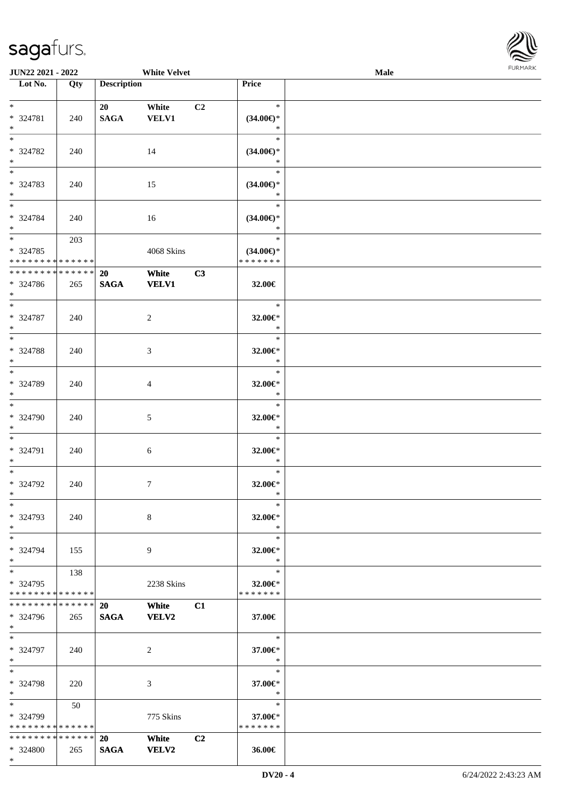

| <b>JUN22 2021 - 2022</b>      |     |                    | <b>White Velvet</b> |                |                     | <b>Male</b> |  |
|-------------------------------|-----|--------------------|---------------------|----------------|---------------------|-------------|--|
| Lot No.                       | Qty | <b>Description</b> |                     |                | Price               |             |  |
|                               |     |                    |                     |                |                     |             |  |
| $*$                           |     | 20                 | White               | C <sub>2</sub> | $\ast$              |             |  |
| * 324781                      | 240 | <b>SAGA</b>        | <b>VELV1</b>        |                | $(34.00\epsilon)$ * |             |  |
| $*$                           |     |                    |                     |                | $\ast$              |             |  |
|                               |     |                    |                     |                | $\ast$              |             |  |
| * 324782                      | 240 |                    | 14                  |                | $(34.00\epsilon)$ * |             |  |
| $*$                           |     |                    |                     |                | $\ast$              |             |  |
|                               |     |                    |                     |                | $\ast$              |             |  |
| * 324783                      | 240 |                    | 15                  |                | $(34.00\epsilon)$ * |             |  |
| $*$                           |     |                    |                     |                | $\ast$              |             |  |
|                               |     |                    |                     |                | $\ast$              |             |  |
| $* 324784$                    | 240 |                    | 16                  |                | $(34.00\epsilon)$ * |             |  |
| $*$                           |     |                    |                     |                | $\ast$              |             |  |
| $\overline{\ast}$             | 203 |                    |                     |                | $\ast$              |             |  |
| $* 324785$                    |     |                    | 4068 Skins          |                | $(34.00\epsilon)$ * |             |  |
| * * * * * * * * * * * * * *   |     |                    |                     |                | * * * * * * *       |             |  |
| * * * * * * * * * * * * * *   |     | <b>20</b>          | White               | C3             |                     |             |  |
| * 324786                      | 265 | <b>SAGA</b>        | <b>VELV1</b>        |                | 32.00€              |             |  |
| $*$                           |     |                    |                     |                |                     |             |  |
|                               |     |                    |                     |                | $\ast$              |             |  |
| * 324787                      | 240 |                    | 2                   |                | 32.00€*             |             |  |
| $*$<br>$\overline{\ast}$      |     |                    |                     |                | $\ast$<br>$\ast$    |             |  |
|                               |     |                    |                     |                |                     |             |  |
| * 324788                      | 240 |                    | 3                   |                | 32.00€*             |             |  |
| $*$<br>$*$                    |     |                    |                     |                | $\ast$<br>$\ast$    |             |  |
|                               |     |                    |                     |                |                     |             |  |
| * 324789<br>$*$               | 240 |                    | 4                   |                | 32.00€*<br>$\ast$   |             |  |
| $\overline{\phantom{0}}$      |     |                    |                     |                | $\ast$              |             |  |
| * 324790                      |     |                    |                     |                |                     |             |  |
| $*$                           | 240 |                    | 5                   |                | 32.00€*<br>$\ast$   |             |  |
| $*$                           |     |                    |                     |                | $\ast$              |             |  |
| * 324791                      |     |                    |                     |                | 32.00€*             |             |  |
| $*$                           | 240 |                    | 6                   |                | $\ast$              |             |  |
| $*$                           |     |                    |                     |                | $\ast$              |             |  |
| $* 324792$                    | 240 |                    | $\tau$              |                | 32.00€*             |             |  |
| $*$                           |     |                    |                     |                | $\ast$              |             |  |
| $*$                           |     |                    |                     |                | $\ast$              |             |  |
| * 324793                      | 240 |                    | 8                   |                | 32.00€*             |             |  |
| $*$                           |     |                    |                     |                | $\ast$              |             |  |
| $*$                           |     |                    |                     |                | $\ast$              |             |  |
| * 324794                      | 155 |                    | 9                   |                | 32.00€*             |             |  |
| $*$                           |     |                    |                     |                | $\ast$              |             |  |
| $*$ $-$                       | 138 |                    |                     |                | $\ast$              |             |  |
| * 324795                      |     |                    | 2238 Skins          |                | 32.00€*             |             |  |
| * * * * * * * * * * * * * *   |     |                    |                     |                | * * * * * * *       |             |  |
| * * * * * * * * * * * * * * * |     | 20                 | White               | C1             |                     |             |  |
| * 324796                      | 265 | <b>SAGA</b>        | VELV2               |                | 37.00€              |             |  |
| $*$                           |     |                    |                     |                |                     |             |  |
| $*$                           |     |                    |                     |                | $\ast$              |             |  |
| * 324797                      | 240 |                    | 2                   |                | 37.00€*             |             |  |
| $*$                           |     |                    |                     |                | $\ast$              |             |  |
| $*$                           |     |                    |                     |                | $\ast$              |             |  |
| * 324798                      | 220 |                    | 3                   |                | 37.00€*             |             |  |
| $*$                           |     |                    |                     |                | $\ast$              |             |  |
| $*$ $*$                       | 50  |                    |                     |                | $\ast$              |             |  |
| * 324799                      |     |                    | 775 Skins           |                | 37.00€*             |             |  |
| * * * * * * * * * * * * * *   |     |                    |                     |                | * * * * * * *       |             |  |
| * * * * * * * * * * * * * * * |     | <b>20</b>          | White               | C2             |                     |             |  |
| * 324800                      | 265 | <b>SAGA</b>        | <b>VELV2</b>        |                | 36.00€              |             |  |
| $*$                           |     |                    |                     |                |                     |             |  |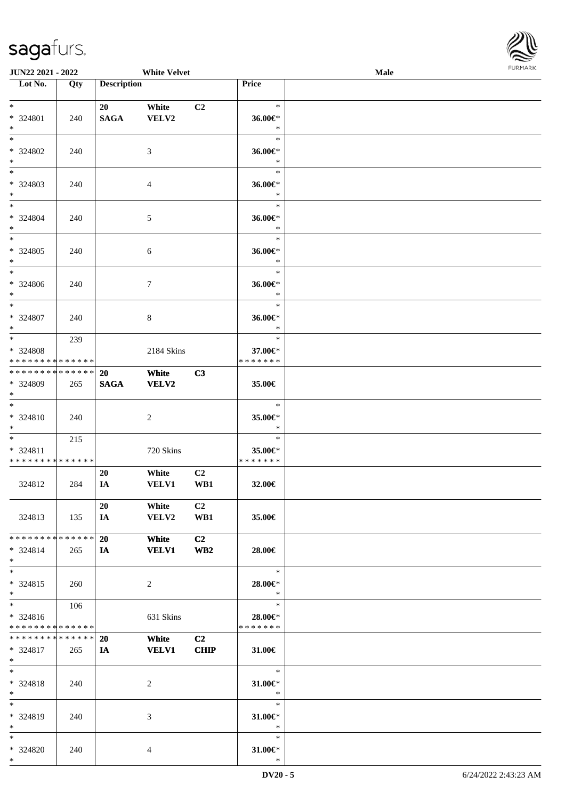

| <b>JUN22 2021 - 2022</b>                                                  |     |                          | <b>White Velvet</b>   |                       |                                          | <b>Male</b> |  |
|---------------------------------------------------------------------------|-----|--------------------------|-----------------------|-----------------------|------------------------------------------|-------------|--|
| Lot No.                                                                   | Qty | <b>Description</b>       |                       |                       | Price                                    |             |  |
| $\ddot{x}$<br>* 324801                                                    | 240 | 20<br><b>SAGA</b>        | White<br>VELV2        | C2                    | $\ast$<br>36.00€*                        |             |  |
| $*$<br>$*$                                                                |     |                          |                       |                       | $\ast$<br>$\ast$                         |             |  |
| * 324802<br>$*$<br>$*$                                                    | 240 |                          | 3                     |                       | 36.00€*<br>$\ast$                        |             |  |
| * 324803<br>$*$                                                           | 240 |                          | $\overline{4}$        |                       | $\ast$<br>36.00€*<br>$\ast$              |             |  |
| $\ast$<br>* 324804<br>$*$                                                 | 240 |                          | 5                     |                       | $\ast$<br>36.00€*<br>$\ast$              |             |  |
| $*$<br>* 324805<br>$\ddot{\ast}$                                          | 240 |                          | $\sqrt{6}$            |                       | $\ast$<br>36.00€*<br>$\ast$              |             |  |
| $*$<br>* 324806<br>$\ddot{x}$                                             | 240 |                          | $\tau$                |                       | $\ast$<br>36.00€*<br>$\ast$              |             |  |
| $*$<br>* 324807<br>$*$                                                    | 240 |                          | 8                     |                       | $\ast$<br>36.00€*<br>$\ast$              |             |  |
| $\overline{\ast}$<br>* 324808<br>* * * * * * * * <mark>* * * * * *</mark> | 239 |                          | 2184 Skins            |                       | $\ast$<br>37.00€*<br>* * * * * * *       |             |  |
| * * * * * * * * * * * * * * <mark>*</mark><br>* 324809<br>$\ast$          | 265 | <b>20</b><br><b>SAGA</b> | White<br><b>VELV2</b> | C3                    | 35.00€                                   |             |  |
| $*$<br>* 324810<br>$*$                                                    | 240 |                          | 2                     |                       | $\ast$<br>35.00€*<br>$\ast$              |             |  |
| $*$ $*$<br>* 324811<br>* * * * * * * * * * * * * * *                      | 215 |                          | 720 Skins             |                       | $\ast$<br>35.00€*<br>*******             |             |  |
| 324812                                                                    | 284 | 20<br>IA                 | White<br><b>VELV1</b> | C <sub>2</sub><br>WB1 | 32.00€                                   |             |  |
| 324813                                                                    | 135 | 20<br>IA.                | White<br><b>VELV2</b> | C2<br>WB1             | 35.00€                                   |             |  |
| * * * * * * * * <mark>* * * * * * *</mark><br>* 324814<br>$\ast$          | 265 | 20<br>$I$ <b>A</b>       | White<br><b>VELV1</b> | C2<br>WB2             | 28.00€                                   |             |  |
| $\ast$<br>$* 324815$<br>$\ddot{\ast}$                                     | 260 |                          | 2                     |                       | $\ast$<br>28.00€*<br>$\bullet$ $\bullet$ |             |  |
| $*$ $-$<br>$* 324816$<br>* * * * * * * * <mark>* * * * * *</mark>         | 106 |                          | 631 Skins             |                       | $\ast$<br>28.00€*<br>* * * * * * *       |             |  |
| * * * * * * * * <mark>* * * * * * *</mark><br>* 324817<br>$*$ $-$         | 265 | 20<br>IA —               | White<br><b>VELV1</b> | C2<br><b>CHIP</b>     | $31.00 \in$                              |             |  |
| $*$ $*$<br>* 324818<br>$*$                                                | 240 |                          | 2                     |                       | $\ast$<br>31.00 $\in$ *<br>$\ast$        |             |  |
| $*$<br>* 324819<br>$*$                                                    | 240 |                          | 3                     |                       | $\ast$<br>31.00 $\in$ *<br>$\ast$        |             |  |
| $\ddot{x}$<br>* 324820<br>$*$                                             | 240 |                          | $\overline{4}$        |                       | $\ast$<br>31.00 $\in$ *<br>$\ast$        |             |  |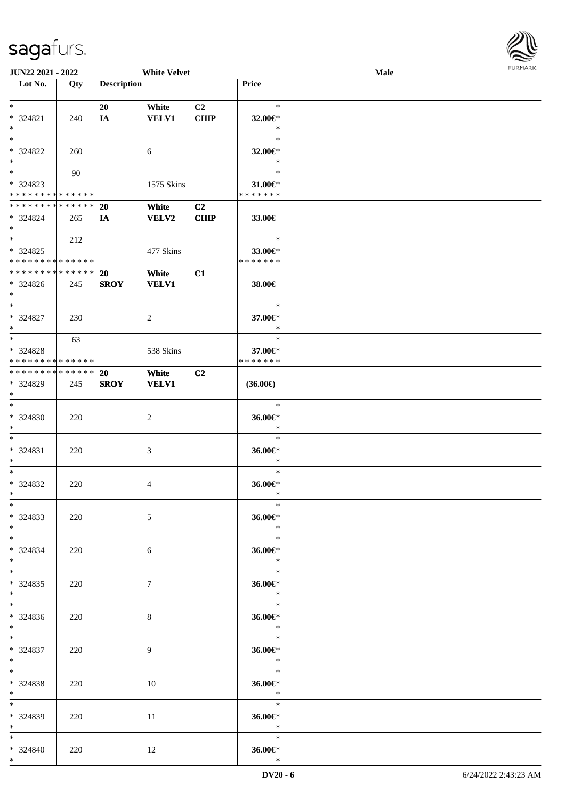

| JUN22 2021 - 2022           |     |                    | <b>White Velvet</b> |                |                          | <b>Male</b> |  |
|-----------------------------|-----|--------------------|---------------------|----------------|--------------------------|-------------|--|
| Lot No.                     | Qty | <b>Description</b> |                     |                | Price                    |             |  |
|                             |     |                    |                     |                |                          |             |  |
| $*$                         |     | 20                 | White               | C2             | $\ast$                   |             |  |
| * 324821                    | 240 | IA                 | <b>VELV1</b>        | <b>CHIP</b>    | 32.00€*                  |             |  |
| $\ast$                      |     |                    |                     |                | $\ast$                   |             |  |
| $\ast$                      |     |                    |                     |                | $\ast$                   |             |  |
| * 324822                    | 260 |                    | 6                   |                | 32.00€*                  |             |  |
| $*$                         |     |                    |                     |                | $\ast$                   |             |  |
| $\overline{\phantom{0}}$    |     |                    |                     |                | $\ast$                   |             |  |
|                             | 90  |                    |                     |                |                          |             |  |
| * 324823                    |     |                    | 1575 Skins          |                | 31.00€*<br>* * * * * * * |             |  |
| * * * * * * * * * * * * * * |     |                    |                     |                |                          |             |  |
| * * * * * * * * * * * * * * |     | <b>20</b>          | White               | C <sub>2</sub> |                          |             |  |
| $* 324824$                  | 265 | IA                 | <b>VELV2</b>        | <b>CHIP</b>    | 33.00€                   |             |  |
| $*$                         |     |                    |                     |                |                          |             |  |
| $*$                         | 212 |                    |                     |                | $\ast$                   |             |  |
| $*324825$                   |     |                    | 477 Skins           |                | 33.00€*                  |             |  |
| * * * * * * * * * * * * * * |     |                    |                     |                | * * * * * * *            |             |  |
| * * * * * * * * * * * * * * |     | 20                 | White               | C1             |                          |             |  |
| * 324826                    | 245 | <b>SROY</b>        | <b>VELV1</b>        |                | 38.00€                   |             |  |
| $*$                         |     |                    |                     |                |                          |             |  |
| $\ast$                      |     |                    |                     |                | $\ast$                   |             |  |
| $* 324827$                  | 230 |                    | $\overline{2}$      |                | 37.00€*                  |             |  |
| $*$                         |     |                    |                     |                | $\ast$                   |             |  |
| $*$                         |     |                    |                     |                | $\ast$                   |             |  |
|                             | 63  |                    |                     |                |                          |             |  |
| * 324828                    |     |                    | 538 Skins           |                | 37.00€*                  |             |  |
| * * * * * * * * * * * * * * |     |                    |                     |                | * * * * * * *            |             |  |
| * * * * * * * * * * * * * * |     | 20                 | White               | C2             |                          |             |  |
| * 324829                    | 245 | <b>SROY</b>        | <b>VELV1</b>        |                | $(36.00\epsilon)$        |             |  |
| $*$                         |     |                    |                     |                |                          |             |  |
| $\ast$                      |     |                    |                     |                | $\ast$                   |             |  |
| * 324830                    | 220 |                    | $\boldsymbol{2}$    |                | 36.00€*                  |             |  |
| $*$                         |     |                    |                     |                | $\ast$                   |             |  |
| $*$                         |     |                    |                     |                | $\ast$                   |             |  |
| * 324831                    | 220 |                    | $\mathfrak{Z}$      |                | 36.00€*                  |             |  |
| $*$                         |     |                    |                     |                | $\ast$                   |             |  |
| $*$                         |     |                    |                     |                | $\ast$                   |             |  |
|                             |     |                    |                     |                |                          |             |  |
| * 324832                    | 220 |                    | 4                   |                | 36.00€*                  |             |  |
| $*$                         |     |                    |                     |                | $\ast$                   |             |  |
| $*$                         |     |                    |                     |                | $\ast$                   |             |  |
| $*324833$                   | 220 |                    | 5                   |                | 36.00€*                  |             |  |
| $*$                         |     |                    |                     |                | $\ast$                   |             |  |
| $*$ $-$                     |     |                    |                     |                | $\ast$                   |             |  |
| * 324834                    | 220 |                    | 6                   |                | 36.00€*                  |             |  |
| $*$                         |     |                    |                     |                | $\ast$                   |             |  |
| $*$ $*$                     |     |                    |                     |                | $*$                      |             |  |
| $*324835$                   | 220 |                    | 7                   |                | 36.00€*                  |             |  |
| $*$ $-$                     |     |                    |                     |                | $\ast$                   |             |  |
| $*$                         |     |                    |                     |                | $\ast$                   |             |  |
|                             |     |                    |                     |                |                          |             |  |
| $* 324836$                  | 220 |                    | 8                   |                | 36.00€*                  |             |  |
| $*$ and $*$                 |     |                    |                     |                | $\ast$                   |             |  |
| $*$ and $*$                 |     |                    |                     |                | $\ast$                   |             |  |
| * 324837                    | 220 |                    | 9                   |                | 36.00€*                  |             |  |
| $*$ and $*$                 |     |                    |                     |                | $\ast$                   |             |  |
| $*$                         |     |                    |                     |                | $\ast$                   |             |  |
| $*324838$                   | 220 |                    | 10                  |                | 36.00€*                  |             |  |
| $*$ $*$                     |     |                    |                     |                | $\ast$                   |             |  |
| $*$                         |     |                    |                     |                | $\ast$                   |             |  |
| * 324839                    | 220 |                    | 11                  |                | 36.00 $\varepsilon$ *    |             |  |
| $*$                         |     |                    |                     |                | $\ast$                   |             |  |
| $*$                         |     |                    |                     |                | $\ast$                   |             |  |
|                             |     |                    |                     |                |                          |             |  |
| * 324840                    | 220 |                    | 12                  |                | 36.00€*                  |             |  |
| $*$                         |     |                    |                     |                | $\ast$                   |             |  |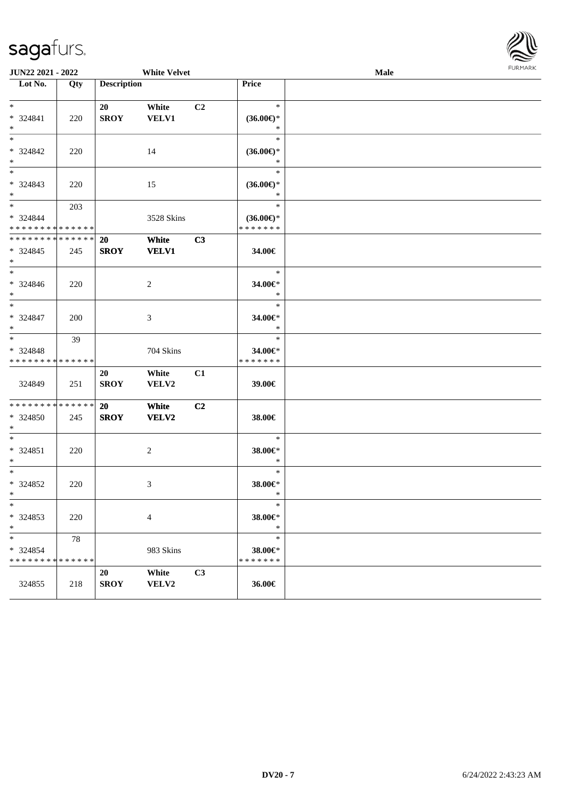

| <b>JUN22 2021 - 2022</b>                                      |     |                          | <b>White Velvet</b>   |                |                                                | Male | <b>FUNITANN</b> |
|---------------------------------------------------------------|-----|--------------------------|-----------------------|----------------|------------------------------------------------|------|-----------------|
| Lot No.                                                       | Qty | <b>Description</b>       |                       |                | Price                                          |      |                 |
| $*$<br>* 324841<br>$*$                                        | 220 | 20<br><b>SROY</b>        | White<br><b>VELV1</b> | C <sub>2</sub> | $\ast$<br>$(36.00\epsilon)$ *<br>$\ast$        |      |                 |
| $*$<br>* 324842<br>$*$                                        | 220 |                          | 14                    |                | $\ast$<br>$(36.00\epsilon)$ *<br>$\ast$        |      |                 |
| $*$<br>* 324843<br>$*$                                        | 220 |                          | 15                    |                | $\ast$<br>$(36.00\epsilon)$ *<br>$\ast$        |      |                 |
| $*$<br>* 324844<br>* * * * * * * * <mark>* * * * * * *</mark> | 203 |                          | 3528 Skins            |                | $\ast$<br>$(36.00\epsilon)$ *<br>* * * * * * * |      |                 |
| * * * * * * * * * * * * * *<br>* 324845<br>$*$                | 245 | <b>20</b><br><b>SROY</b> | White<br><b>VELV1</b> | C3             | 34.00€                                         |      |                 |
| $*$<br>* 324846<br>$*$                                        | 220 |                          | 2                     |                | $\ast$<br>34.00€*<br>$\ast$                    |      |                 |
| $*$<br>* 324847<br>$*$                                        | 200 |                          | 3                     |                | $\ast$<br>34.00€*<br>$\ast$                    |      |                 |
| $*$<br>* 324848<br>* * * * * * * * * * * * * *                | 39  |                          | 704 Skins             |                | $\ast$<br>34.00€*<br>* * * * * * *             |      |                 |
| 324849                                                        | 251 | 20<br><b>SROY</b>        | White<br>VELV2        | C1             | 39.00€                                         |      |                 |
| * * * * * * * * * * * * * * *<br>* 324850<br>$\ast$           | 245 | <b>20</b><br><b>SROY</b> | White<br><b>VELV2</b> | C <sub>2</sub> | 38.00€                                         |      |                 |
| $*$<br>* 324851<br>$*$                                        | 220 |                          | 2                     |                | $\ast$<br>38.00€*<br>$\ast$                    |      |                 |
| $*$<br>* 324852<br>$*$ $-$                                    | 220 |                          | 3                     |                | $\ast$<br>38.00€*<br>$\ast$                    |      |                 |
| $\ast$<br>* 324853<br>$\ast$                                  | 220 |                          | $\overline{4}$        |                | $\ast$<br>38.00€*<br>$\ast$                    |      |                 |
| $\ast$<br>* 324854<br>* * * * * * * * * * * * * *             | 78  |                          | 983 Skins             |                | $\ast$<br>38.00€*<br>* * * * * * *             |      |                 |
| 324855                                                        | 218 | 20<br><b>SROY</b>        | White<br>VELV2        | C3             | 36.00€                                         |      |                 |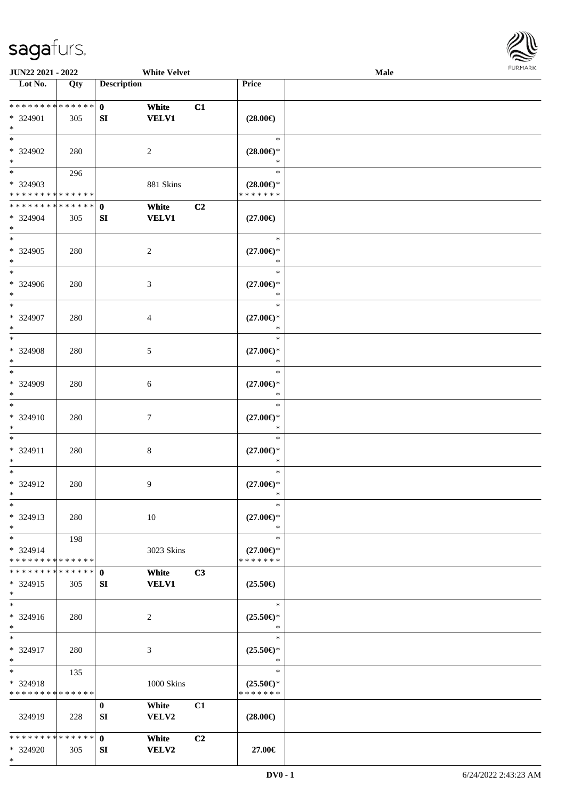

| <b>JUN22 2021 - 2022</b>                         |     |                    | <b>White Velvet</b>   |                |                                                | <b>Male</b> |  |
|--------------------------------------------------|-----|--------------------|-----------------------|----------------|------------------------------------------------|-------------|--|
| Lot No.                                          | Qty | <b>Description</b> |                       |                | Price                                          |             |  |
| ******** <mark>******</mark><br>* 324901<br>$*$  | 305 | $\mathbf{0}$<br>SI | White<br><b>VELV1</b> | C1             | $(28.00\epsilon)$                              |             |  |
| $*$<br>* 324902<br>$*$                           | 280 |                    | 2                     |                | $\ast$<br>$(28.00\epsilon)$ *<br>*             |             |  |
| * 324903<br>* * * * * * * * * * * * * *          | 296 |                    | 881 Skins             |                | $\ast$<br>$(28.00\epsilon)$ *<br>* * * * * * * |             |  |
| * * * * * * * * * * * * * * *<br>* 324904<br>$*$ | 305 | $\mathbf{0}$<br>SI | White<br><b>VELV1</b> | C <sub>2</sub> | $(27.00\epsilon)$                              |             |  |
| $*$<br>* 324905<br>$*$                           | 280 |                    | $\overline{c}$        |                | $\ast$<br>$(27.00\epsilon)$ *<br>$\ast$        |             |  |
| $*$<br>* 324906<br>$*$                           | 280 |                    | 3                     |                | $\ast$<br>$(27.00\epsilon)$ *<br>$\ast$        |             |  |
| $*$<br>* 324907<br>$*$                           | 280 |                    | 4                     |                | $\ast$<br>$(27.00\epsilon)$ *<br>$\ast$        |             |  |
| $*$<br>* 324908<br>$\ast$                        | 280 |                    | 5                     |                | $\ast$<br>$(27.00\epsilon)$ *<br>$\ast$        |             |  |
| $*$<br>* 324909<br>$*$                           | 280 |                    | 6                     |                | $\ast$<br>$(27.00\epsilon)$ *<br>*             |             |  |
| $*$<br>* 324910<br>$*$                           | 280 |                    | 7                     |                | $\ast$<br>$(27.00\epsilon)$ *<br>$\ast$        |             |  |
| $*$<br>* 324911<br>$*$                           | 280 |                    | $\,8\,$               |                | $\ast$<br>$(27.00\epsilon)$ *<br>$\ast$        |             |  |
| $*$<br>* 324912<br>$*$                           | 280 |                    | 9                     |                | $\ast$<br>$(27.00\epsilon)$ *<br>$\ast$        |             |  |
| $\ast$<br>* 324913<br>$*$                        | 280 |                    | 10                    |                | $\ast$<br>$(27.00\epsilon)$ *<br>$\ast$        |             |  |
| $*$<br>* 324914<br>* * * * * * * * * * * * * * * | 198 |                    | 3023 Skins            |                | $\ast$<br>$(27.00\epsilon)$ *<br>* * * * * * * |             |  |
| * * * * * * * * * * * * * * *<br>* 324915<br>$*$ | 305 | $\mathbf{0}$<br>SI | White<br><b>VELV1</b> | C3             | $(25.50\epsilon)$                              |             |  |
| $*$<br>* 324916<br>$*$                           | 280 |                    | 2                     |                | $\ast$<br>$(25.50\epsilon)$ *<br>$\ast$        |             |  |
| $*$<br>* 324917<br>$*$                           | 280 |                    | 3                     |                | $\ast$<br>$(25.50\epsilon)$ *<br>$\ast$        |             |  |
| $*$<br>* 324918<br>* * * * * * * * * * * * * *   | 135 |                    | 1000 Skins            |                | $\ast$<br>$(25.50\epsilon)$ *<br>* * * * * * * |             |  |
| 324919                                           | 228 | $\bf{0}$<br>SI     | White<br><b>VELV2</b> | C1             | $(28.00\epsilon)$                              |             |  |
| * * * * * * * * * * * * * * *<br>* 324920        | 305 | $\mathbf{0}$<br>SI | White<br>VELV2        | C <sub>2</sub> | 27.00€                                         |             |  |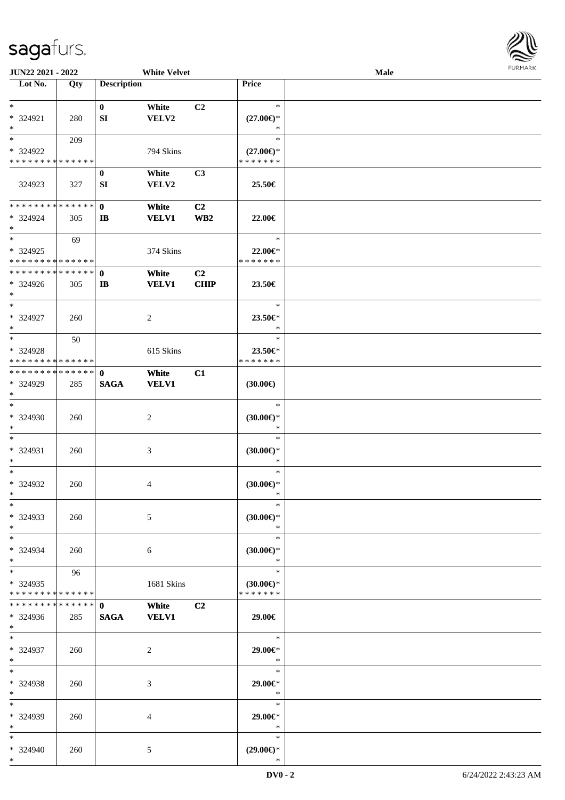

| JUN22 2021 - 2022             |     |                    | <b>White Velvet</b> |                 |                     | Male |  |
|-------------------------------|-----|--------------------|---------------------|-----------------|---------------------|------|--|
| Lot No.                       | Qty | <b>Description</b> |                     |                 | Price               |      |  |
|                               |     |                    |                     |                 |                     |      |  |
| $\ast$                        |     | $\bf{0}$           | White               | C2              | $\ast$              |      |  |
| * 324921                      | 280 | SI                 | VELV2               |                 | $(27.00\epsilon)$ * |      |  |
| $\ast$                        |     |                    |                     |                 | $\ast$              |      |  |
| $\ast$                        | 209 |                    |                     |                 | $\ast$              |      |  |
| * 324922                      |     |                    | 794 Skins           |                 | $(27.00\epsilon)$ * |      |  |
| * * * * * * * * * * * * * *   |     |                    |                     |                 | * * * * * * *       |      |  |
|                               |     | $\bf{0}$           | White               | C <sub>3</sub>  |                     |      |  |
| 324923                        | 327 | SI                 | VELV2               |                 | 25.50€              |      |  |
|                               |     |                    |                     |                 |                     |      |  |
| **************                |     | $\mathbf{0}$       | White               | C <sub>2</sub>  |                     |      |  |
| * 324924                      | 305 | $\mathbf{I}$       | <b>VELV1</b>        | WB <sub>2</sub> | 22.00€              |      |  |
| $\ast$                        |     |                    |                     |                 |                     |      |  |
| $\ast$                        | 69  |                    |                     |                 | $\ast$              |      |  |
| * 324925                      |     |                    | 374 Skins           |                 | 22.00€*             |      |  |
| * * * * * * * * * * * * * *   |     |                    |                     |                 | * * * * * * *       |      |  |
| * * * * * * * * * * * * * *   |     | $\mathbf 0$        | White               | C2              |                     |      |  |
| * 324926                      | 305 | $\mathbf{I}$       | <b>VELV1</b>        | <b>CHIP</b>     | 23.50€              |      |  |
| $\ast$                        |     |                    |                     |                 |                     |      |  |
| $\ast$                        |     |                    |                     |                 | $\ast$              |      |  |
| * 324927                      | 260 |                    | $\overline{c}$      |                 | 23.50€*             |      |  |
| $\ast$                        |     |                    |                     |                 | $\ast$              |      |  |
| $\ast$                        | 50  |                    |                     |                 | $\ast$              |      |  |
| * 324928                      |     |                    |                     |                 | 23.50€*             |      |  |
| * * * * * * * * * * * * * *   |     |                    | 615 Skins           |                 | * * * * * * *       |      |  |
| **************                |     |                    |                     |                 |                     |      |  |
|                               |     | $\mathbf 0$        | White               | C1              |                     |      |  |
| * 324929<br>$\ast$            | 285 | <b>SAGA</b>        | <b>VELV1</b>        |                 | (30.00)             |      |  |
| $\ast$                        |     |                    |                     |                 | $\ast$              |      |  |
|                               |     |                    |                     |                 |                     |      |  |
| * 324930                      | 260 |                    | $\sqrt{2}$          |                 | $(30.00\in)^\ast$   |      |  |
| $\ast$                        |     |                    |                     |                 | $\ast$              |      |  |
| $\ast$                        |     |                    |                     |                 | $\ast$              |      |  |
| * 324931                      | 260 |                    | 3                   |                 | $(30.00\epsilon)$ * |      |  |
| $\ast$                        |     |                    |                     |                 | $\ast$              |      |  |
| $\ast$                        |     |                    |                     |                 | $\ast$              |      |  |
| * 324932                      | 260 |                    | 4                   |                 | $(30.00\epsilon)$ * |      |  |
| $*$                           |     |                    |                     |                 | $\ast$              |      |  |
| $*$                           |     |                    |                     |                 | $\ast$              |      |  |
| * 324933                      | 260 |                    | 5                   |                 | $(30.00\epsilon)$ * |      |  |
| $*$                           |     |                    |                     |                 | $\ast$              |      |  |
| $*$                           |     |                    |                     |                 | $\ast$              |      |  |
| * 324934                      | 260 |                    | 6                   |                 | $(30.00\epsilon)$ * |      |  |
| $*$                           |     |                    |                     |                 | $\ast$              |      |  |
| $\ast$                        | 96  |                    |                     |                 | $\ast$              |      |  |
| * 324935                      |     |                    | 1681 Skins          |                 | $(30.00\epsilon)$ * |      |  |
| * * * * * * * * * * * * * *   |     |                    |                     |                 | * * * * * * *       |      |  |
| * * * * * * * * * * * * * * * |     | $\mathbf{0}$       | White               | C2              |                     |      |  |
| * 324936                      | 285 | <b>SAGA</b>        | <b>VELV1</b>        |                 | 29.00€              |      |  |
| $*$ $*$                       |     |                    |                     |                 |                     |      |  |
| $*$                           |     |                    |                     |                 | $\ast$              |      |  |
| * 324937                      | 260 |                    | $\sqrt{2}$          |                 | 29.00€*             |      |  |
| $*$                           |     |                    |                     |                 | $\ast$              |      |  |
| $\ast$                        |     |                    |                     |                 | $\ast$              |      |  |
| * 324938                      | 260 |                    | 3                   |                 | 29.00€*             |      |  |
| $\ast$                        |     |                    |                     |                 | $\ast$              |      |  |
| $\ast$                        |     |                    |                     |                 | $\ast$              |      |  |
| * 324939                      | 260 |                    | 4                   |                 | 29.00€*             |      |  |
| $*$                           |     |                    |                     |                 | $\ast$              |      |  |
| $*$                           |     |                    |                     |                 | $\ast$              |      |  |
| * 324940                      | 260 |                    | 5                   |                 | $(29.00\epsilon)$ * |      |  |
| $*$                           |     |                    |                     |                 | $\ast$              |      |  |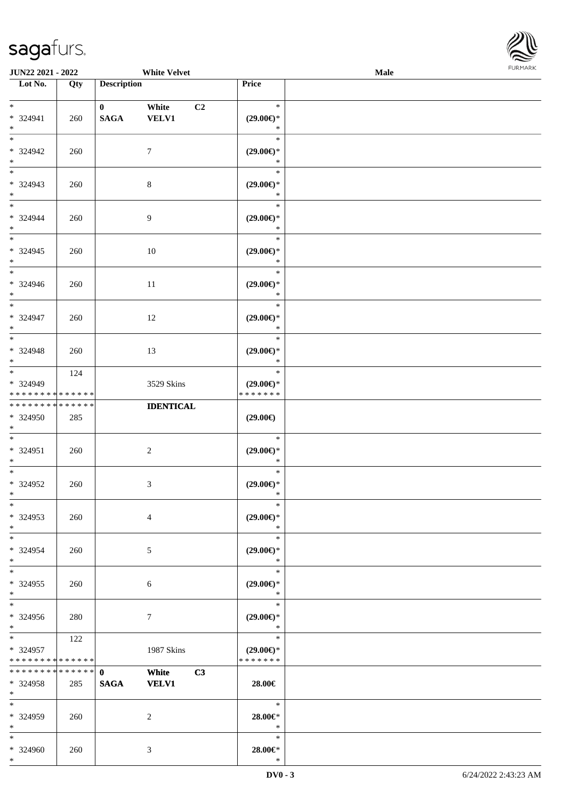

| JUN22 2021 - 2022                                |                    |                             | <b>White Velvet</b>                     |                                                | Male | FURMARK |
|--------------------------------------------------|--------------------|-----------------------------|-----------------------------------------|------------------------------------------------|------|---------|
| $\overline{\phantom{1}}$ Lot No.                 | Qty                | <b>Description</b>          |                                         | Price                                          |      |         |
| $*$<br>* 324941<br>$*$                           | 260                | $\bf{0}$<br>$\mathbf{SAGA}$ | White<br>C <sub>2</sub><br><b>VELV1</b> | $\ast$<br>$(29.00\epsilon)$ *<br>$\ast$        |      |         |
| $\ast$<br>$* 324942$<br>$*$                      | 260                |                             | 7                                       | $\ast$<br>$(29.00\epsilon)$ *<br>$\ast$        |      |         |
| $\overline{\phantom{0}}$<br>* 324943<br>$*$      | 260                |                             | $\,8\,$                                 | $\ast$<br>$(29.00\epsilon)$ *<br>$\ast$        |      |         |
| $*$<br>* 324944<br>$*$                           | 260                |                             | $\boldsymbol{9}$                        | $\ast$<br>$(29.00\epsilon)$ *<br>$\ast$        |      |         |
| $\ast$<br>* 324945<br>$*$                        | 260                |                             | $10\,$                                  | $\ast$<br>$(29.00\epsilon)$ *<br>$\ast$        |      |         |
| $*$<br>* 324946<br>$\ast$<br>$\overline{\ast}$   | 260                |                             | $11\,$                                  | $\ast$<br>$(29.00\epsilon)$ *<br>$\ast$        |      |         |
| * 324947<br>$\ast$<br>$\overline{\phantom{0}}$   | 260                |                             | 12                                      | $\ast$<br>$(29.00\epsilon)$ *<br>$\ast$        |      |         |
| * 324948<br>$*$                                  | 260                |                             | 13                                      | $\ast$<br>$(29.00\epsilon)$ *<br>$\ast$        |      |         |
| $*$<br>* 324949<br>* * * * * * * *               | 124<br>* * * * * * |                             | 3529 Skins                              | $\ast$<br>$(29.00\epsilon)$ *<br>* * * * * * * |      |         |
| * * * * * * * * * * * * * *<br>$* 324950$<br>$*$ | 285                |                             | <b>IDENTICAL</b>                        | $(29.00\epsilon)$                              |      |         |
| $\ast$<br>* 324951<br>$*$                        | 260                |                             | $\boldsymbol{2}$                        | $\ast$<br>$(29.00\epsilon)$ *<br>$\ast$        |      |         |
| $*$<br>* 324952<br>$\ast$                        | 260                |                             | 3                                       | $\ast$<br>$(29.00\epsilon)$ *<br>$\ast$        |      |         |
| $\ast$<br>* 324953<br>$*$<br>$\overline{\ast}$   | 260                |                             | 4                                       | $\ast$<br>$(29.00\epsilon)$ *<br>$\ast$        |      |         |
| * 324954<br>$*$<br>$\overline{\ast}$             | 260                |                             | $\mathfrak{S}$                          | $\ast$<br>$(29.00\epsilon)$ *<br>$\ast$        |      |         |
| $* 324955$<br>$*$<br>$\overline{\ast}$           | 260                |                             | $\sqrt{6}$                              | $\ast$<br>$(29.00\epsilon)$ *<br>$\ast$        |      |         |
| $* 324956$<br>$*$                                | 280                |                             | 7                                       | $\ast$<br>$(29.00\epsilon)$ *<br>$\ast$        |      |         |
| $*$<br>* 324957<br>* * * * * * * * * * * * * *   | 122                |                             | 1987 Skins                              | $\ast$<br>$(29.00\epsilon)$ *<br>* * * * * * * |      |         |
| * * * * * * * *<br>* 324958<br>$*$               | ******<br>285      | $\mathbf{0}$<br><b>SAGA</b> | White<br>C3<br><b>VELV1</b>             | 28.00€                                         |      |         |
| $*$<br>* 324959<br>$*$                           | 260                |                             | $\overline{2}$                          | $\ast$<br>28.00€*<br>$\ast$                    |      |         |
| $*$<br>* 324960                                  | 260                |                             | 3                                       | $\ast$<br>$28.00 \in$ *                        |      |         |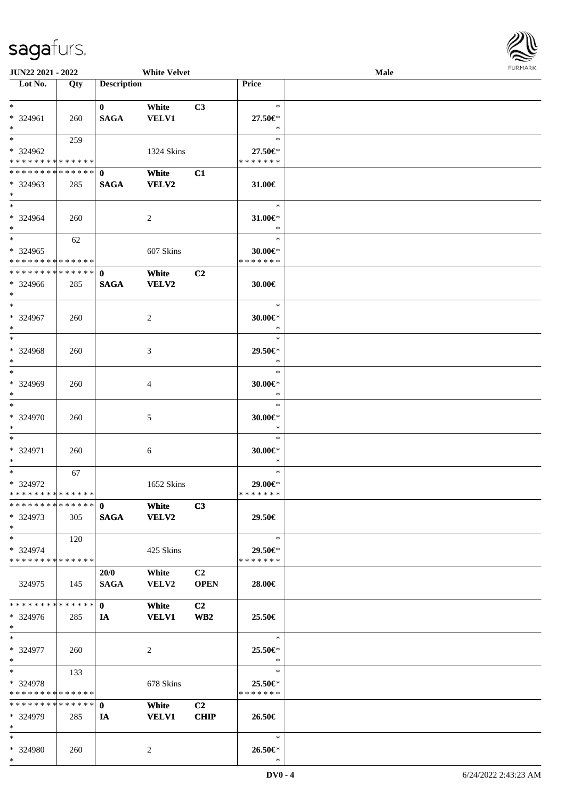| JUN22 2021 - 2022            |     |                    | <b>White Velvet</b> |                 |                       | Male | <b>FURMA</b> |
|------------------------------|-----|--------------------|---------------------|-----------------|-----------------------|------|--------------|
| Lot No.                      | Qty | <b>Description</b> |                     |                 | <b>Price</b>          |      |              |
|                              |     |                    |                     |                 |                       |      |              |
| $\ast$                       |     | $\mathbf{0}$       | White               | C3              | $\ast$                |      |              |
| * 324961<br>$*$              | 260 | <b>SAGA</b>        | <b>VELV1</b>        |                 | 27.50€*<br>$\ast$     |      |              |
| $\ast$                       | 259 |                    |                     |                 | $\ast$                |      |              |
| * 324962                     |     |                    | 1324 Skins          |                 | 27.50€*               |      |              |
| **************               |     |                    |                     |                 | * * * * * * *         |      |              |
| ******** <mark>******</mark> |     | $\mathbf{0}$       | White               | C1              |                       |      |              |
| $*324963$                    | 285 | <b>SAGA</b>        | VELV2               |                 | 31.00€                |      |              |
| $*$                          |     |                    |                     |                 |                       |      |              |
| $\ast$                       |     |                    |                     |                 | $\ast$                |      |              |
| * 324964<br>$\ast$           | 260 |                    | $\sqrt{2}$          |                 | 31.00€*<br>$\ast$     |      |              |
| $*$                          | 62  |                    |                     |                 | $\ast$                |      |              |
| * 324965                     |     |                    | 607 Skins           |                 | $30.00 \in$ *         |      |              |
| * * * * * * * * * * * * * *  |     |                    |                     |                 | * * * * * * *         |      |              |
| ******** <mark>******</mark> |     | $\mathbf{0}$       | White               | C <sub>2</sub>  |                       |      |              |
| $* 324966$                   | 285 | <b>SAGA</b>        | VELV2               |                 | 30.00€                |      |              |
| $\ast$                       |     |                    |                     |                 |                       |      |              |
| $\ast$                       |     |                    |                     |                 | $\ast$                |      |              |
| * 324967                     | 260 |                    | $\overline{c}$      |                 | 30.00 $\varepsilon$ * |      |              |
| $\ast$<br>$\ast$             |     |                    |                     |                 | $\ast$<br>$\ast$      |      |              |
| * 324968                     | 260 |                    | $\mathfrak{Z}$      |                 | 29.50€*               |      |              |
| $\ast$                       |     |                    |                     |                 | $\ast$                |      |              |
| $\ast$                       |     |                    |                     |                 | $\ast$                |      |              |
| * 324969                     | 260 |                    | $\overline{4}$      |                 | 30.00 $\varepsilon$ * |      |              |
| $\ast$                       |     |                    |                     |                 | $\ast$                |      |              |
| $\ast$                       |     |                    |                     |                 | $\ast$                |      |              |
| * 324970                     | 260 |                    | 5                   |                 | 30.00 $\varepsilon$ * |      |              |
| $\ast$<br>$\ast$             |     |                    |                     |                 | $\ast$<br>$\ast$      |      |              |
| * 324971                     | 260 |                    | 6                   |                 | $30.00 \in$ *         |      |              |
| $\ast$                       |     |                    |                     |                 | $\ast$                |      |              |
| $\ast$                       | 67  |                    |                     |                 | $\ast$                |      |              |
| * 324972                     |     |                    | 1652 Skins          |                 | 29.00€*               |      |              |
| **************               |     |                    |                     |                 | * * * * * * *         |      |              |
| ******** <mark>******</mark> |     | $\mathbf{0}$       | White               | C3              |                       |      |              |
| $*324973$                    | 305 | <b>SAGA</b>        | VELV2               |                 | 29.50€                |      |              |
| $*$<br>$\ast$                |     |                    |                     |                 | $\ast$                |      |              |
| * 324974                     | 120 |                    | 425 Skins           |                 | 29.50€*               |      |              |
| * * * * * * * * * * * * * *  |     |                    |                     |                 | * * * * * * *         |      |              |
|                              |     | 20/0               | White               | C <sub>2</sub>  |                       |      |              |
| 324975                       | 145 | <b>SAGA</b>        | VELV2               | <b>OPEN</b>     | 28.00€                |      |              |
|                              |     |                    |                     |                 |                       |      |              |
| * * * * * * * * * * * * * *  |     | $\mathbf{0}$       | White               | C2              |                       |      |              |
| * 324976                     | 285 | IA                 | <b>VELV1</b>        | WB <sub>2</sub> | 25.50€                |      |              |
| $*$<br>$\ast$                |     |                    |                     |                 | $\ast$                |      |              |
| * 324977                     | 260 |                    | $\overline{2}$      |                 | 25.50€*               |      |              |
| $\ast$                       |     |                    |                     |                 | $\ast$                |      |              |
| $\ast$                       | 133 |                    |                     |                 | $\ast$                |      |              |
| * 324978                     |     |                    | 678 Skins           |                 | 25.50€*               |      |              |
| * * * * * * * * * * * * * *  |     |                    |                     |                 | * * * * * * *         |      |              |
| **************               |     | $\mathbf{0}$       | White               | C <sub>2</sub>  |                       |      |              |
| * 324979                     | 285 | IA                 | <b>VELV1</b>        | CHIP            | 26.50€                |      |              |
| $*$<br>$\ast$                |     |                    |                     |                 | $\ast$                |      |              |
| * 324980                     | 260 |                    | $\overline{c}$      |                 | 26.50€*               |      |              |
| $*$                          |     |                    |                     |                 | $\ast$                |      |              |
|                              |     |                    |                     |                 |                       |      |              |

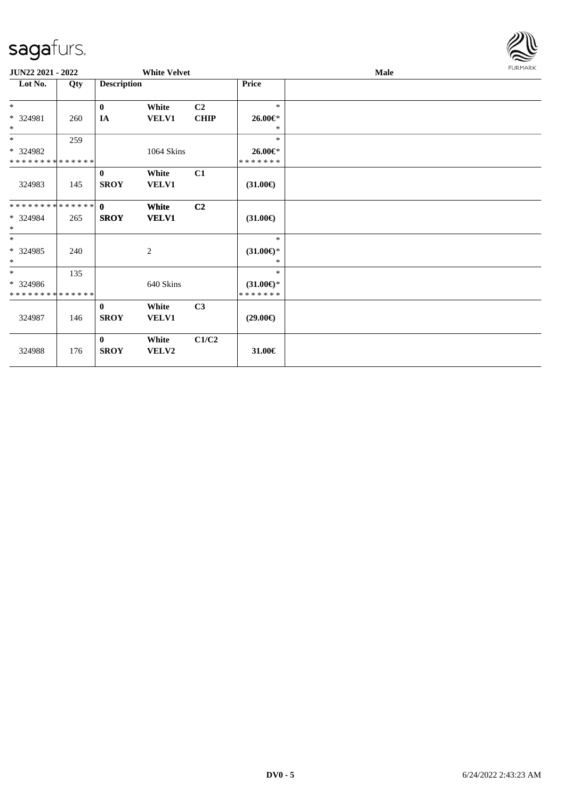| $\checkmark$                            |     |                             |                       |                |                                    |      | $\sim$         |
|-----------------------------------------|-----|-----------------------------|-----------------------|----------------|------------------------------------|------|----------------|
| JUN22 2021 - 2022                       |     |                             | <b>White Velvet</b>   |                |                                    | Male | <b>FURMARK</b> |
| Lot No.                                 | Qty | <b>Description</b>          |                       |                | <b>Price</b>                       |      |                |
| $\ast$                                  |     | $\bf{0}$                    | White                 | C <sub>2</sub> | $\ast$                             |      |                |
| * 324981<br>$\ast$                      | 260 | $I\!\!A$                    | <b>VELV1</b>          | <b>CHIP</b>    | 26.00€*<br>$\ast$                  |      |                |
| $*$                                     | 259 |                             |                       |                | $\ast$                             |      |                |
| * 324982<br>* * * * * * * * * * * * * * |     |                             | 1064 Skins            |                | 26.00€*<br>*******                 |      |                |
| 324983                                  | 145 | $\mathbf{0}$<br><b>SROY</b> | White<br><b>VELV1</b> | C1             | $(31.00\epsilon)$                  |      |                |
| **************                          |     | $\mathbf{0}$                | White                 | C2             |                                    |      |                |
| * 324984<br>$\ast$                      | 265 | <b>SROY</b>                 | <b>VELV1</b>          |                | $(31.00\epsilon)$                  |      |                |
| $\ast$<br>* 324985<br>$\ast$            | 240 |                             | $\overline{c}$        |                | $\ast$<br>$(31.00\epsilon)$ *<br>* |      |                |
| $\ast$<br>$* 324986$                    | 135 |                             | 640 Skins             |                | $\ast$<br>$(31.00\epsilon)$ *      |      |                |
| * * * * * * * * * * * * * *             |     |                             |                       |                | * * * * * * *                      |      |                |
| 324987                                  | 146 | $\bf{0}$<br><b>SROY</b>     | White<br>VELV1        | C3             | $(29.00\epsilon)$                  |      |                |
| 324988                                  | 176 | $\mathbf{0}$<br><b>SROY</b> | White<br>VELV2        | C1/C2          | 31.00€                             |      |                |

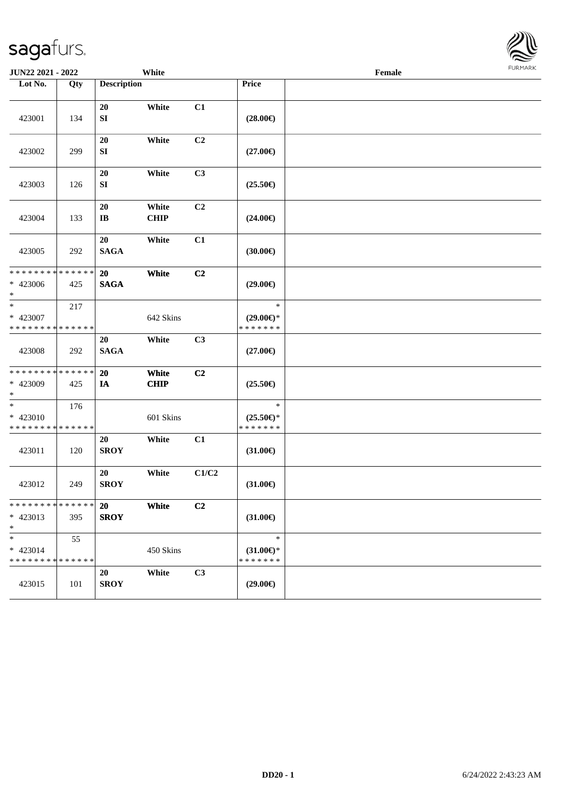| <b>JUN22 2021 - 2022</b>                                           |                   |                                  | White                |                |                                                | Female |  |
|--------------------------------------------------------------------|-------------------|----------------------------------|----------------------|----------------|------------------------------------------------|--------|--|
| Lot No.                                                            | Qty               | <b>Description</b>               |                      |                | Price                                          |        |  |
| 423001                                                             | 134               | 20<br>${\bf S}{\bf I}$           | White                | C1             | $(28.00\epsilon)$                              |        |  |
| 423002                                                             | 299               | $20\,$<br>SI                     | White                | C2             | $(27.00\epsilon)$                              |        |  |
| 423003                                                             | 126               | 20<br>${\bf SI}$                 | White                | C3             | $(25.50\epsilon)$                              |        |  |
| 423004                                                             | 133               | $20\,$<br>$\mathbf{I}\mathbf{B}$ | White<br><b>CHIP</b> | C2             | $(24.00\epsilon)$                              |        |  |
| 423005                                                             | 292               | 20<br><b>SAGA</b>                | White                | C1             | (30.00)                                        |        |  |
| * * * * * * * * <mark>* * * * * * *</mark><br>* 423006<br>$\ast$   | 425               | 20<br><b>SAGA</b>                | White                | C2             | $(29.00\epsilon)$                              |        |  |
| $\ast$<br>* 423007<br>* * * * * * * * <mark>* * * * * * *</mark>   | 217               |                                  | 642 Skins            |                | $\ast$<br>$(29.00\epsilon)$ *<br>* * * * * * * |        |  |
| 423008                                                             | 292               | 20<br><b>SAGA</b>                | White                | C3             | $(27.00\epsilon)$                              |        |  |
| * * * * * * * * <mark>* * * * * * *</mark><br>* 423009<br>$\ast$   | 425               | <b>20</b><br>IA                  | White<br><b>CHIP</b> | C <sub>2</sub> | $(25.50\epsilon)$                              |        |  |
| $\ast$<br>$* 423010$<br>* * * * * * * * <mark>* * * * * * *</mark> | 176               |                                  | 601 Skins            |                | $\ast$<br>$(25.50\epsilon)$ *<br>* * * * * * * |        |  |
| 423011                                                             | 120               | 20<br><b>SROY</b>                | White                | C1             | $(31.00\epsilon)$                              |        |  |
| 423012                                                             | 249               | 20<br><b>SROY</b>                | White                | C1/C2          | $(31.00\epsilon)$                              |        |  |
| * * * * * * * * * * * * * *<br>* 423013<br>$\ast$                  | 395               | 20<br><b>SROY</b>                | White                | C2             | $(31.00\epsilon)$                              |        |  |
| $\ast$<br>$* 423014$<br>* * * * * * * *                            | 55<br>* * * * * * |                                  | 450 Skins            |                | $\ast$<br>$(31.00\epsilon)$ *<br>* * * * * * * |        |  |
| 423015                                                             | 101               | 20<br><b>SROY</b>                | White                | C3             | $(29.00\epsilon)$                              |        |  |

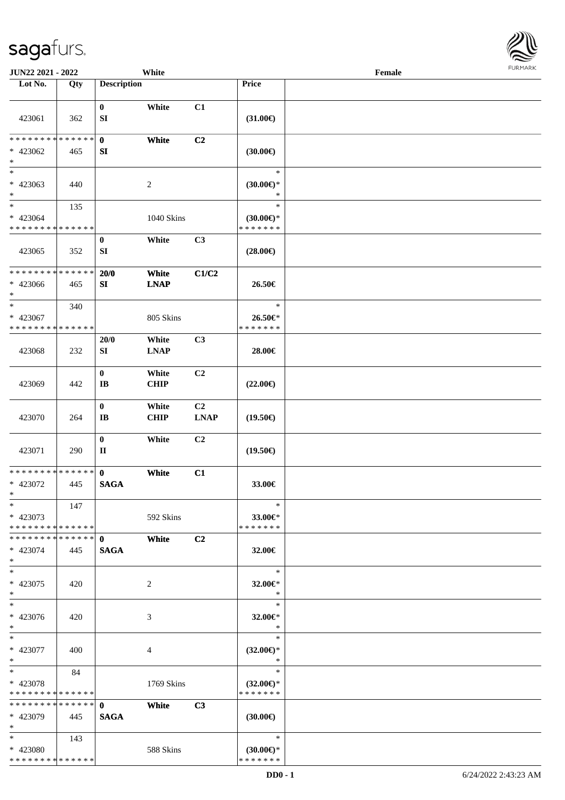

| JUN22 2021 - 2022                                                  |     |                                            | White                |                               |                                                   | Female |  |
|--------------------------------------------------------------------|-----|--------------------------------------------|----------------------|-------------------------------|---------------------------------------------------|--------|--|
| Lot No.                                                            | Qty | <b>Description</b>                         |                      |                               | Price                                             |        |  |
| 423061                                                             | 362 | $\bf{0}$<br>SI                             | White                | C1                            | $(31.00\epsilon)$                                 |        |  |
| * * * * * * * * * * * * * *<br>$* 423062$<br>$\ast$                | 465 | $\mathbf{0}$<br>SI                         | White                | C <sub>2</sub>                | (30.00)                                           |        |  |
| $\overline{\ast}$<br>$* 423063$<br>$\ast$                          | 440 |                                            | $\overline{c}$       |                               | $\ast$<br>$(30.00\epsilon)$ *<br>$\ast$           |        |  |
| $\ast$<br>$* 423064$<br>* * * * * * * * <mark>* * * * * * *</mark> | 135 |                                            | 1040 Skins           |                               | $\ast$<br>$(30.00\varepsilon)$ *<br>* * * * * * * |        |  |
| 423065                                                             | 352 | $\bf{0}$<br>SI                             | White                | C3                            | $(28.00\epsilon)$                                 |        |  |
| * * * * * * * * * * * * * *<br>* 423066<br>$*$                     | 465 | 20/0<br>SI                                 | White<br><b>LNAP</b> | C1/C2                         | 26.50€                                            |        |  |
| $\ast$<br>* 423067<br>* * * * * * * * * * * * * *                  | 340 |                                            | 805 Skins            |                               | $\ast$<br>26.50€*<br>* * * * * * *                |        |  |
| 423068                                                             | 232 | 20/0<br>SI                                 | White<br><b>LNAP</b> | C3                            | 28.00€                                            |        |  |
| 423069                                                             | 442 | $\bf{0}$<br>$\mathbf{I}\mathbf{B}$         | White<br><b>CHIP</b> | C <sub>2</sub>                | $(22.00\epsilon)$                                 |        |  |
| 423070                                                             | 264 | $\bf{0}$<br>$\mathbf{I}\mathbf{B}$         | White<br>CHIP        | C <sub>2</sub><br><b>LNAP</b> | $(19.50\epsilon)$                                 |        |  |
| 423071                                                             | 290 | $\boldsymbol{0}$<br>$\mathbf{I}\mathbf{I}$ | White                | C <sub>2</sub>                | $(19.50\epsilon)$                                 |        |  |
| * * * * * * * * * * * * * *<br>* 423072<br>$*$                     | 445 | $\mathbf{0}$<br><b>SAGA</b>                | White                | C1                            | 33.00€                                            |        |  |
| $*$<br>* 423073<br>* * * * * * * * * * * * * *                     | 147 |                                            | 592 Skins            |                               | $\ast$<br>33.00€*<br>* * * * * * *                |        |  |
| * * * * * * * * * * * * * * *<br>* 423074<br>$*$                   | 445 | $\mathbf{0}$<br><b>SAGA</b>                | White                | C <sub>2</sub>                | 32.00€                                            |        |  |
| $\ast$<br>* 423075<br>$*$                                          | 420 |                                            | 2                    |                               | $\ast$<br>32.00€*<br>$\ast$                       |        |  |
| $\ast$<br>* 423076<br>$*$                                          | 420 |                                            | 3                    |                               | $\ast$<br>32.00€*<br>$\ast$                       |        |  |
| $*$<br>* 423077<br>$*$                                             | 400 |                                            | 4                    |                               | $\ast$<br>$(32.00\epsilon)$ *<br>$\ast$           |        |  |
| $*$<br>* 423078<br>* * * * * * * * * * * * * *                     | 84  |                                            | 1769 Skins           |                               | $\ast$<br>$(32.00\epsilon)$ *<br>* * * * * * *    |        |  |
| **************<br>* 423079<br>$*$                                  | 445 | $\mathbf{0}$<br><b>SAGA</b>                | White                | C3                            | $(30.00\epsilon)$                                 |        |  |
| $*$<br>* 423080<br>* * * * * * * * * * * * * *                     | 143 |                                            | 588 Skins            |                               | $\ast$<br>$(30.00\epsilon)$ *<br>* * * * * * *    |        |  |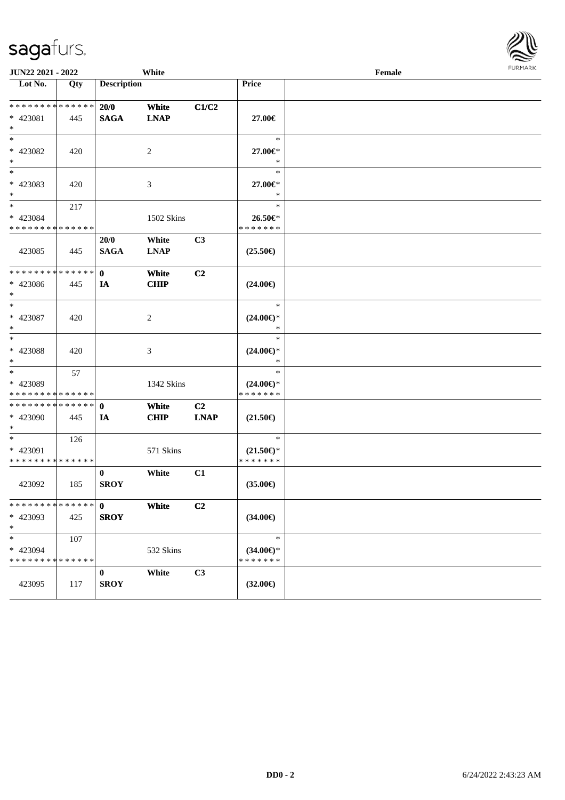| <b>JUN22 2021 - 2022</b>                                           |     |                             | White                |                               |                                                | Female | $1 \times 1$ |
|--------------------------------------------------------------------|-----|-----------------------------|----------------------|-------------------------------|------------------------------------------------|--------|--------------|
| Lot No.                                                            | Qty | <b>Description</b>          |                      |                               | Price                                          |        |              |
| * * * * * * * * * * * * * *<br>* 423081<br>$*$                     | 445 | 20/0<br><b>SAGA</b>         | White<br><b>LNAP</b> | C1/C2                         | 27.00€                                         |        |              |
| $*$<br>* 423082<br>$*$                                             | 420 |                             | 2                    |                               | $\ast$<br>27.00€*<br>$\ast$                    |        |              |
| $*$<br>* 423083<br>$*$                                             | 420 |                             | 3                    |                               | $\ast$<br>27.00€*<br>$\ast$                    |        |              |
| $\overline{\mathbf{r}}$<br>* 423084<br>* * * * * * * * * * * * * * | 217 |                             | 1502 Skins           |                               | $\ast$<br>26.50€*<br>* * * * * * *             |        |              |
| 423085                                                             | 445 | 20/0<br><b>SAGA</b>         | White<br><b>LNAP</b> | C <sub>3</sub>                | $(25.50\epsilon)$                              |        |              |
| * * * * * * * * <mark>* * * * * *</mark><br>* 423086<br>$\ast$     | 445 | $\mathbf{0}$<br>IA          | White<br><b>CHIP</b> | C <sub>2</sub>                | $(24.00\epsilon)$                              |        |              |
| $*$<br>* 423087<br>$*$                                             | 420 |                             | 2                    |                               | $\ast$<br>$(24.00\epsilon)$ *<br>$\ast$        |        |              |
| $*$<br>* 423088<br>$*$                                             | 420 |                             | 3                    |                               | $\ast$<br>$(24.00\epsilon)$ *<br>$\ast$        |        |              |
| $*$<br>* 423089<br>* * * * * * * * * * * * * *                     | 57  |                             | 1342 Skins           |                               | $\ast$<br>$(24.00\epsilon)$ *<br>* * * * * * * |        |              |
| * * * * * * * * * * * * * * *<br>* 423090<br>$*$                   | 445 | $\mathbf 0$<br>IA           | White<br><b>CHIP</b> | C <sub>2</sub><br><b>LNAP</b> | $(21.50\epsilon)$                              |        |              |
| $*$<br>* 423091<br>* * * * * * * * * * * * * *                     | 126 |                             | 571 Skins            |                               | $\ast$<br>$(21.50\epsilon)$ *<br>* * * * * * * |        |              |
| 423092                                                             | 185 | $\bf{0}$<br><b>SROY</b>     | White                | C1                            | $(35.00\epsilon)$                              |        |              |
| * * * * * * * * <mark>* * * * * *</mark><br>* 423093<br>$\ast$     | 425 | $\mathbf{0}$<br><b>SROY</b> | White                | C <sub>2</sub>                | $(34.00\epsilon)$                              |        |              |
| $\ast$<br>* 423094<br>* * * * * * * * * * * * * *                  | 107 |                             | 532 Skins            |                               | $\ast$<br>$(34.00\epsilon)$ *<br>* * * * * * * |        |              |
| 423095                                                             | 117 | $\bf{0}$<br><b>SROY</b>     | White                | C3                            | $(32.00\epsilon)$                              |        |              |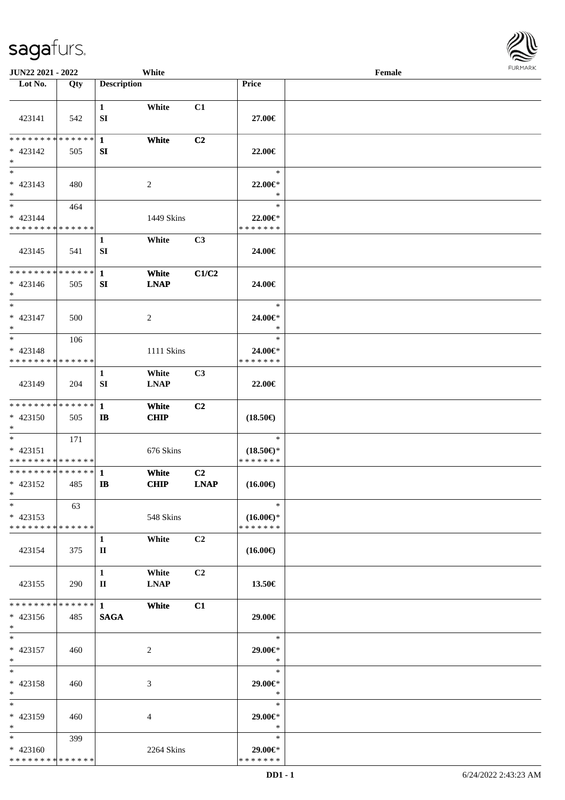| JUN22 2021 - 2022            |     |                             | White                |                |                                      | Female | <b>FURMARI</b> |
|------------------------------|-----|-----------------------------|----------------------|----------------|--------------------------------------|--------|----------------|
| Lot No.                      | Qty | <b>Description</b>          |                      |                | Price                                |        |                |
| 423141                       | 542 | $\mathbf{1}$<br>SI          | White                | C1             | 27.00€                               |        |                |
|                              |     |                             |                      |                |                                      |        |                |
| **************               |     | $\mathbf{1}$                | White                | C <sub>2</sub> |                                      |        |                |
| $* 423142$<br>$\ast$         | 505 | SI                          |                      |                | 22.00€                               |        |                |
| $\ast$                       |     |                             |                      |                | $\ast$                               |        |                |
| $* 423143$                   | 480 |                             | 2                    |                | 22.00 $\in$ *                        |        |                |
| $\ast$                       |     |                             |                      |                | $\ast$                               |        |                |
| $\ast$                       | 464 |                             |                      |                | $\ast$                               |        |                |
| $* 423144$<br>************** |     |                             | 1449 Skins           |                | 22.00€*<br>* * * * * * *             |        |                |
|                              |     | $\mathbf{1}$                | White                | C3             |                                      |        |                |
| 423145                       | 541 | SI                          |                      |                | 24.00€                               |        |                |
| **************               |     | $\mathbf{1}$                | White                | C1/C2          |                                      |        |                |
| $* 423146$                   | 505 | SI                          | <b>LNAP</b>          |                | 24.00€                               |        |                |
| $\ast$<br>$\ast$             |     |                             |                      |                |                                      |        |                |
| $* 423147$                   | 500 |                             | $\overline{c}$       |                | $\ast$<br>24.00€*                    |        |                |
| $\ast$                       |     |                             |                      |                | $\ast$                               |        |                |
| $\ast$                       | 106 |                             |                      |                | $\ast$                               |        |                |
| * 423148                     |     |                             | 1111 Skins           |                | 24.00€*                              |        |                |
| **************               |     |                             |                      |                | * * * * * * *                        |        |                |
| 423149                       | 204 | $\mathbf{1}$<br>SI          | White<br><b>LNAP</b> | C <sub>3</sub> | $22.00 \in$                          |        |                |
| **************               |     | $\mathbf{1}$                | White                | C <sub>2</sub> |                                      |        |                |
| $* 423150$                   | 505 | $\bf IB$                    | <b>CHIP</b>          |                | $(18.50\epsilon)$                    |        |                |
| $\ast$                       |     |                             |                      |                |                                      |        |                |
| $\ast$                       | 171 |                             |                      |                | $\ast$                               |        |                |
| $* 423151$<br>************** |     |                             | 676 Skins            |                | $(18.50\epsilon)$ *<br>* * * * * * * |        |                |
| **************               |     | $\mathbf{1}$                | White                | C <sub>2</sub> |                                      |        |                |
| $* 423152$<br>$\ast$         | 485 | $\mathbf{I}$                | <b>CHIP</b>          | <b>LNAP</b>    | $(16.00\epsilon)$                    |        |                |
| $\ast$                       | 63  |                             |                      |                | $\ast$                               |        |                |
| $* 423153$                   |     |                             | 548 Skins            |                | $(16.00\epsilon)$ *                  |        |                |
| * * * * * * * * * * * * * *  |     | $\mathbf{1}$                | White                | C2             | * * * * * * *                        |        |                |
| 423154                       | 375 | $\mathbf{I}$                |                      |                | $(16.00\epsilon)$                    |        |                |
|                              |     | $\mathbf{1}$                | White                | C <sub>2</sub> |                                      |        |                |
| 423155                       | 290 | $\mathbf{I}$                | <b>LNAP</b>          |                | 13.50€                               |        |                |
| * * * * * * * * * * * * * *  |     |                             |                      |                |                                      |        |                |
| $* 423156$                   | 485 | $\mathbf{1}$<br><b>SAGA</b> | White                | C1             | 29.00€                               |        |                |
| $\ast$                       |     |                             |                      |                |                                      |        |                |
| $\ast$                       |     |                             |                      |                | $\ast$                               |        |                |
| $* 423157$                   | 460 |                             | 2                    |                | $29.00 \text{eV}$                    |        |                |
| $\ast$                       |     |                             |                      |                | $\ast$                               |        |                |
| $\ast$                       |     |                             |                      |                | $\ast$                               |        |                |
| $* 423158$<br>$\ast$         | 460 |                             | 3                    |                | 29.00€*<br>$\ast$                    |        |                |
| $\ast$                       |     |                             |                      |                | $\ast$                               |        |                |
| * 423159                     | 460 |                             | 4                    |                | 29.00€*                              |        |                |
| $\ast$                       |     |                             |                      |                | $\ast$                               |        |                |
| $\ast$                       | 399 |                             |                      |                | $\ast$                               |        |                |
| $* 423160$<br>************** |     |                             | 2264 Skins           |                | 29.00€*<br>* * * * * * *             |        |                |
|                              |     |                             |                      |                |                                      |        |                |

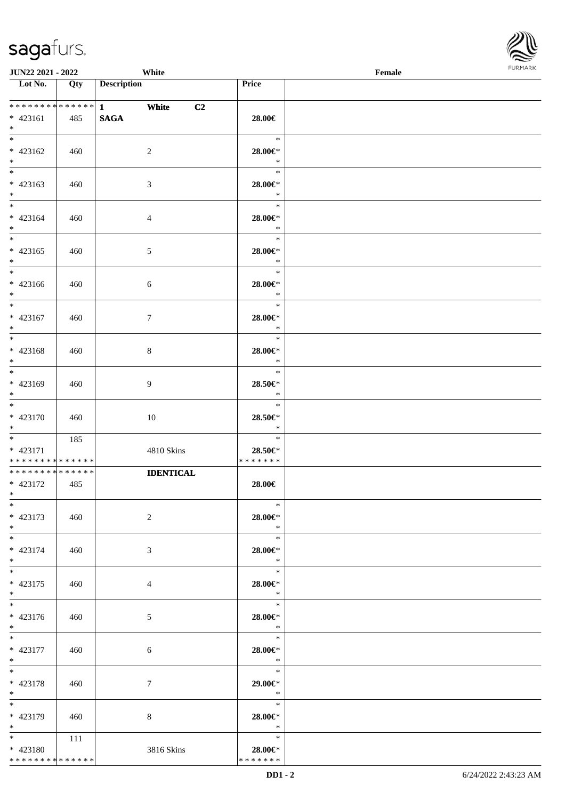

| JUN22 2021 - 2022                                         |     | White                                        |                                        | Female |  |
|-----------------------------------------------------------|-----|----------------------------------------------|----------------------------------------|--------|--|
| Lot No.                                                   | Qty | <b>Description</b>                           | Price                                  |        |  |
| $* 423161$<br>$*$                                         | 485 | *************** 1 White<br>C2<br><b>SAGA</b> | 28.00€                                 |        |  |
| $\overline{\ast}$<br>$* 423162$<br>$\ast$                 | 460 | $\overline{2}$                               | $\ast$<br>28.00€*<br>$\ast$            |        |  |
| $\overline{\phantom{0}}$<br>$* 423163$<br>$*$             | 460 | $\mathfrak{Z}$                               | $\ast$<br>$28.00 \in$ *<br>$\ast$      |        |  |
| $\overline{\phantom{0}}$<br>$* 423164$<br>$*$             | 460 | $\overline{4}$                               | $\ast$<br>$28.00 \in$<br>$\ast$        |        |  |
| $\overline{\ast}$<br>$* 423165$<br>$*$                    | 460 | $\mathfrak{S}$                               | $\ast$<br>28.00€*<br>$\ast$            |        |  |
| $\overline{\ast}$<br>* 423166<br>$*$                      | 460 | $\sqrt{6}$                                   | $\ast$<br>$28.00 \in$<br>$\ast$        |        |  |
| $\overline{\phantom{a}^*}$<br>$* 423167$<br>$*$           | 460 | $\tau$                                       | $\ast$<br>28.00€*<br>$\ast$            |        |  |
| $\ast$<br>* 423168<br>$\ast$                              | 460 | $\,8\,$                                      | $\ast$<br>28.00€*<br>$\ast$            |        |  |
| $\overline{\phantom{a}^*}$<br>* 423169<br>$*$             | 460 | $\overline{9}$                               | $\ast$<br>28.50€*<br>$\ast$            |        |  |
| $\overline{\ast}$<br>$* 423170$<br>$*$                    | 460 | 10                                           | $\ast$<br>$28.50 \text{E}^*$<br>$\ast$ |        |  |
| $*$<br>* 423171<br>* * * * * * * * * * * * * *            | 185 | 4810 Skins                                   | $\ast$<br>28.50€*<br>* * * * * * *     |        |  |
| **************<br>$* 423172$<br>$*$ $*$                   | 485 | <b>IDENTICAL</b>                             | 28.00€                                 |        |  |
| $*$<br>$* 423173$<br>$*$                                  | 460 | 2                                            | $\ast$<br>$28.00 \in$ *<br>$\ast$      |        |  |
| $*$<br>$* 423174$<br>$*$                                  | 460 | 3                                            | $\ast$<br>28.00€*<br>$\ast$            |        |  |
| $*$<br>$* 423175$<br>$*$                                  | 460 | 4                                            | $\ast$<br>28.00€*<br>$\ast$            |        |  |
| $\overline{\phantom{0}}$<br>$* 423176$<br>$*$ $*$         | 460 | 5                                            | $\ast$<br>28.00€*<br>$\ddot{x}$        |        |  |
| $*$<br>$* 423177$<br>$*$ $*$                              | 460 | 6                                            | $\ast$<br>28.00€*<br>$\ast$            |        |  |
| $*$<br>* 423178<br>$*$                                    | 460 | $\tau$                                       | $\ast$<br>29.00€*<br>$\ast$            |        |  |
| $*$<br>* 423179<br>$*$                                    | 460 | 8                                            | $\ast$<br>28.00€*<br>$\star$           |        |  |
| $*$ and $*$<br>$* 423180$<br>******** <mark>******</mark> | 111 | 3816 Skins                                   | $\ast$<br>28.00€*<br>* * * * * * *     |        |  |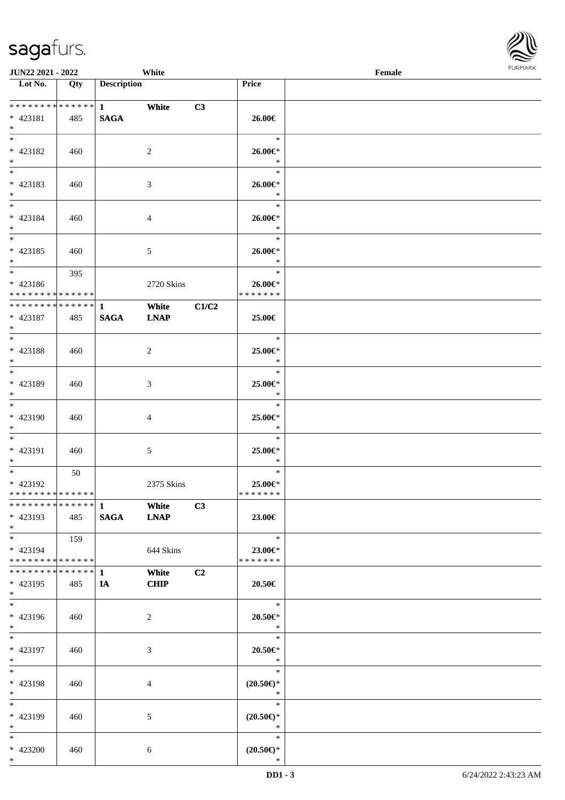| JUN22 2021 - 2022                        |     |                    | White          |                |                               | Female | <b>FURMAR</b> |
|------------------------------------------|-----|--------------------|----------------|----------------|-------------------------------|--------|---------------|
| $\overline{\phantom{1}}$ Lot No.         | Qty | <b>Description</b> |                |                | Price                         |        |               |
|                                          |     |                    |                |                |                               |        |               |
| **************                           |     | $1 \qquad \qquad$  | White          | C3             |                               |        |               |
| $* 423181$<br>$\ast$                     | 485 | <b>SAGA</b>        |                |                | 26.00€                        |        |               |
| $\ast$                                   |     |                    |                |                | $\ast$                        |        |               |
| $* 423182$                               | 460 |                    | $\overline{2}$ |                | 26.00€*                       |        |               |
| $\ast$                                   |     |                    |                |                | $\ast$                        |        |               |
| $\overline{\phantom{a}^*}$               |     |                    |                |                | $\ast$                        |        |               |
| * 423183                                 | 460 |                    | $\mathfrak{Z}$ |                | 26.00€*                       |        |               |
| $*$                                      |     |                    |                |                | $\ast$                        |        |               |
| $*$                                      |     |                    |                |                | $\ast$                        |        |               |
| $* 423184$                               | 460 |                    | $\overline{4}$ |                | 26.00€*                       |        |               |
| $*$                                      |     |                    |                |                | $\ast$                        |        |               |
| $\ast$                                   |     |                    |                |                | $\ast$                        |        |               |
| $* 423185$                               | 460 |                    | $\sqrt{5}$     |                | 26.00€*<br>$\ast$             |        |               |
| $*$<br>$\overline{\phantom{0}}$          |     |                    |                |                | $\ast$                        |        |               |
| $* 423186$                               | 395 |                    | 2720 Skins     |                | 26.00€*                       |        |               |
| ******** <mark>******</mark>             |     |                    |                |                | * * * * * * *                 |        |               |
| ************** 1                         |     |                    | White          | C1/C2          |                               |        |               |
| $* 423187$                               | 485 | <b>SAGA</b>        | <b>LNAP</b>    |                | 25.00€                        |        |               |
| $*$                                      |     |                    |                |                |                               |        |               |
| $*$                                      |     |                    |                |                | $\ast$                        |        |               |
| * 423188                                 | 460 |                    | $\overline{2}$ |                | 25.00€*                       |        |               |
| $*$                                      |     |                    |                |                | $\ast$                        |        |               |
|                                          |     |                    |                |                | $\ast$                        |        |               |
| * 423189                                 | 460 |                    | $\mathfrak{Z}$ |                | 25.00€*                       |        |               |
| $\ast$<br>$\overline{\phantom{a}^*}$     |     |                    |                |                | $\ast$<br>$\ast$              |        |               |
|                                          |     |                    |                |                |                               |        |               |
| * 423190<br>$\ast$                       | 460 |                    | $\overline{4}$ |                | 25.00€*<br>$\ast$             |        |               |
| $*$                                      |     |                    |                |                | $\ast$                        |        |               |
| * 423191                                 | 460 |                    | $5\,$          |                | 25.00€*                       |        |               |
| $\ast$                                   |     |                    |                |                | $\ast$                        |        |               |
| $\overline{\phantom{0}}$                 | 50  |                    |                |                | $\ast$                        |        |               |
| * 423192                                 |     |                    | 2375 Skins     |                | 25.00€*                       |        |               |
| * * * * * * * * * * * * * * *            |     |                    |                |                | * * * * * * *                 |        |               |
| ************** 1                         |     |                    | White          | C3             |                               |        |               |
| $* 423193$                               | 485 | <b>SAGA</b>        | <b>LNAP</b>    |                | 23.00€                        |        |               |
| $*$                                      |     |                    |                |                |                               |        |               |
| $*$                                      | 159 |                    |                |                | $\ast$                        |        |               |
| * 423194<br>******** <mark>******</mark> |     |                    | 644 Skins      |                | 23.00€*<br>* * * * * * *      |        |               |
| **************                           |     | $\mathbf{1}$       | White          | C <sub>2</sub> |                               |        |               |
| $* 423195$                               | 485 | IA                 | <b>CHIP</b>    |                | 20.50€                        |        |               |
| $\ast$                                   |     |                    |                |                |                               |        |               |
| $\overline{\phantom{a}^*}$               |     |                    |                |                | $\ast$                        |        |               |
| $* 423196$                               | 460 |                    | $\overline{2}$ |                | 20.50€*                       |        |               |
| $*$                                      |     |                    |                |                | $\ast$                        |        |               |
| $\ast$                                   |     |                    |                |                | $\ast$                        |        |               |
| $* 423197$                               | 460 |                    | $\mathfrak{Z}$ |                | $20.50 \in$                   |        |               |
| $*$                                      |     |                    |                |                | $\ast$                        |        |               |
| $\ast$                                   |     |                    |                |                | $\ast$                        |        |               |
| * 423198<br>$\ast$                       | 460 |                    | $\overline{4}$ |                | $(20.50\epsilon)$ *<br>$\ast$ |        |               |
| $\ast$                                   |     |                    |                |                | $\ast$                        |        |               |
| * 423199                                 | 460 |                    | $\mathfrak{S}$ |                | $(20.50\epsilon)$ *           |        |               |
| $*$                                      |     |                    |                |                | $\ast$                        |        |               |
| $\ast$                                   |     |                    |                |                | $\ast$                        |        |               |
| * 423200                                 | 460 |                    | 6              |                | $(20.50\epsilon)$ *           |        |               |
| $*$                                      |     |                    |                |                | $\ast$                        |        |               |

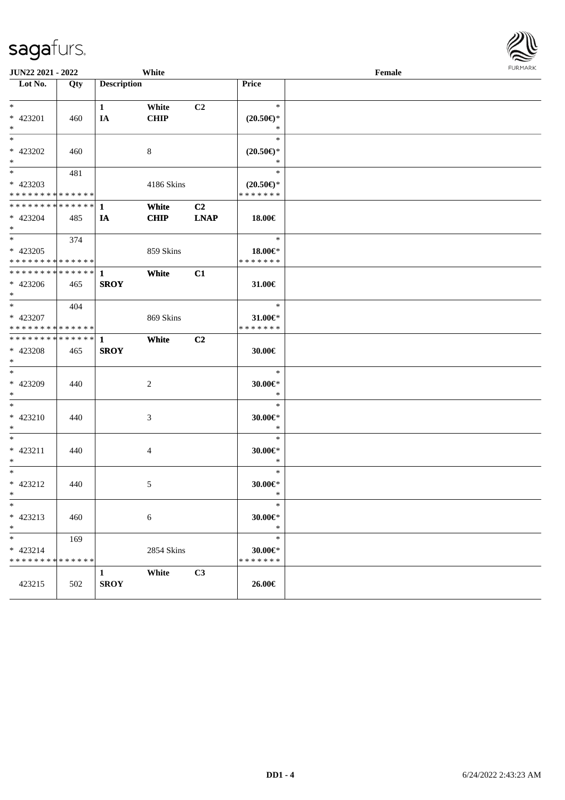| <b>JUN22 2021 - 2022</b>                                      |     |                             | White                |                               |                                                | Female | <b>FUNITANY</b> |
|---------------------------------------------------------------|-----|-----------------------------|----------------------|-------------------------------|------------------------------------------------|--------|-----------------|
| Lot No.                                                       | Qty | <b>Description</b>          |                      |                               | <b>Price</b>                                   |        |                 |
| $*$<br>* 423201<br>$*$                                        | 460 | $\mathbf{1}$<br>IA          | White<br><b>CHIP</b> | C2                            | $\ast$<br>$(20.50\epsilon)$ *<br>$\ast$        |        |                 |
| $*$<br>* 423202<br>$*$                                        | 460 |                             | 8                    |                               | $\ast$<br>$(20.50\epsilon)$ *<br>$\ast$        |        |                 |
| $*$<br>* 423203<br>* * * * * * * * * * * * * *                | 481 |                             | 4186 Skins           |                               | $\ast$<br>$(20.50\epsilon)$ *<br>* * * * * * * |        |                 |
| ******** <mark>******</mark><br>* 423204<br>$*$               | 485 | 1<br>IA                     | White<br><b>CHIP</b> | C <sub>2</sub><br><b>LNAP</b> | 18.00€                                         |        |                 |
| $*$<br>* 423205<br>* * * * * * * * * * * * * *                | 374 |                             | 859 Skins            |                               | $\ast$<br>18.00€*<br>* * * * * * *             |        |                 |
| * * * * * * * * * * * * * * <mark>*</mark><br>* 423206<br>$*$ | 465 | $\mathbf{1}$<br><b>SROY</b> | White                | C1                            | 31.00€                                         |        |                 |
| $*$<br>* 423207<br>* * * * * * * * * * * * * *                | 404 |                             | 869 Skins            |                               | $\ast$<br>31.00€*<br>* * * * * * *             |        |                 |
| * * * * * * * * * * * * * * *<br>* 423208<br>$*$              | 465 | $\mathbf{1}$<br><b>SROY</b> | White                | C <sub>2</sub>                | 30.00€                                         |        |                 |
| $*$<br>* 423209<br>$*$                                        | 440 |                             | 2                    |                               | $\ast$<br>$30.00 \in$ *<br>$\ast$              |        |                 |
| $* 423210$<br>$*$                                             | 440 |                             | 3                    |                               | $\ast$<br>$30.00 \in$ *<br>$\ast$              |        |                 |
| $*$<br>* 423211<br>$*$                                        | 440 |                             | 4                    |                               | $\ast$<br>$30.00 \in$ *<br>$\ast$              |        |                 |
| $*$<br>* 423212<br>$*$ $-$                                    | 440 |                             | 5                    |                               | $\ast$<br>$30.00 \in$ *<br>$\ast$              |        |                 |
| $\ast$<br>* 423213<br>$*$                                     | 460 |                             | $\sqrt{6}$           |                               | $\ast$<br>30.00€*<br>$\ast$                    |        |                 |
| $*$<br>$* 423214$<br>* * * * * * * * * * * * * *              | 169 |                             | 2854 Skins           |                               | $\ast$<br>30.00€*<br>* * * * * * *             |        |                 |
| 423215                                                        | 502 | $\mathbf{1}$<br><b>SROY</b> | White                | C3                            | 26.00€                                         |        |                 |

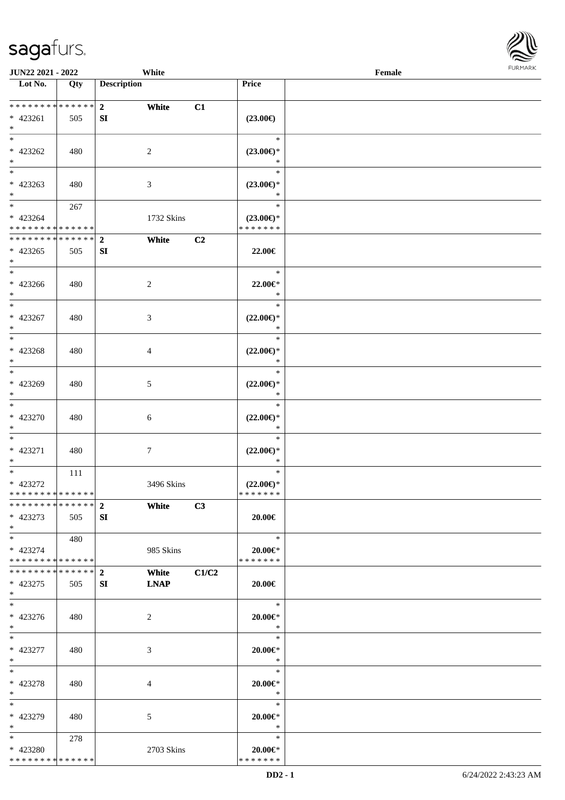

| <b>JUN22 2021 - 2022</b>                                    |     | White                   |                |                                      | Female |  |
|-------------------------------------------------------------|-----|-------------------------|----------------|--------------------------------------|--------|--|
| Lot No.                                                     | Qty | <b>Description</b>      |                | Price                                |        |  |
|                                                             |     |                         |                |                                      |        |  |
| ******** <mark>******</mark>                                |     | 2 <sub>1</sub><br>White | C1             |                                      |        |  |
| * 423261                                                    | 505 | SI                      |                | $(23.00\epsilon)$                    |        |  |
| $*$                                                         |     |                         |                |                                      |        |  |
| $*$                                                         |     |                         |                | $\ast$                               |        |  |
| $* 423262$                                                  | 480 | 2                       |                | $(23.00\epsilon)$ *                  |        |  |
| $\ast$                                                      |     |                         |                | $\ast$                               |        |  |
| $\overline{\phantom{0}}$                                    |     |                         |                | $\ast$                               |        |  |
| $* 423263$                                                  | 480 | 3                       |                | $(23.00\epsilon)$ *                  |        |  |
| $*$                                                         |     |                         |                | $\ast$                               |        |  |
| $*$                                                         | 267 |                         |                | $\ast$                               |        |  |
|                                                             |     |                         |                |                                      |        |  |
| $* 423264$                                                  |     | 1732 Skins              |                | $(23.00\epsilon)$ *<br>* * * * * * * |        |  |
| * * * * * * * * * * * * * *<br>******** <mark>******</mark> |     |                         |                |                                      |        |  |
|                                                             |     | $\overline{2}$<br>White | C <sub>2</sub> |                                      |        |  |
| $* 423265$                                                  | 505 | SI                      |                | 22.00€                               |        |  |
| $*$                                                         |     |                         |                |                                      |        |  |
| $*$                                                         |     |                         |                | $\ast$                               |        |  |
| $* 423266$                                                  | 480 | 2                       |                | 22.00€*                              |        |  |
| $*$                                                         |     |                         |                | $\ast$                               |        |  |
| $\overline{\ast}$                                           |     |                         |                | $\ast$                               |        |  |
| $* 423267$                                                  | 480 | 3                       |                | $(22.00\epsilon)$ *                  |        |  |
| $*$                                                         |     |                         |                | $\ast$                               |        |  |
| $*$                                                         |     |                         |                | $\ast$                               |        |  |
| * 423268                                                    | 480 | 4                       |                | $(22.00\epsilon)$ *                  |        |  |
| $*$                                                         |     |                         |                | $\ast$                               |        |  |
| $*$                                                         |     |                         |                | $\ast$                               |        |  |
| * 423269                                                    | 480 | 5                       |                | $(22.00\epsilon)$ *                  |        |  |
| $*$                                                         |     |                         |                | $\ast$                               |        |  |
| $*$                                                         |     |                         |                | $\ast$                               |        |  |
| $* 423270$                                                  | 480 |                         |                | $(22.00\epsilon)$ *                  |        |  |
| $*$                                                         |     | 6                       |                | $\ast$                               |        |  |
| $*$                                                         |     |                         |                | $\ast$                               |        |  |
|                                                             |     |                         |                |                                      |        |  |
| * 423271                                                    | 480 | 7                       |                | $(22.00\epsilon)$ *                  |        |  |
| $*$                                                         |     |                         |                | $\ast$                               |        |  |
| $*$                                                         | 111 |                         |                | $\ast$                               |        |  |
| * 423272                                                    |     | 3496 Skins              |                | $(22.00\epsilon)$ *                  |        |  |
| ******** <mark>******</mark>                                |     |                         |                | *******                              |        |  |
| ******** <mark>******</mark> 2                              |     | White                   | C3             |                                      |        |  |
| * 423273                                                    | 505 | SI                      |                | 20.00€                               |        |  |
| $*$                                                         |     |                         |                |                                      |        |  |
| $*$ $*$                                                     | 480 |                         |                | $\ast$                               |        |  |
| * 423274                                                    |     | 985 Skins               |                | $20.00 \in$ *                        |        |  |
| * * * * * * * * * * * * * * *                               |     |                         |                | * * * * * * *                        |        |  |
| ************** 2                                            |     | White                   | C1/C2          |                                      |        |  |
| * 423275                                                    | 505 | <b>LNAP</b><br>SI       |                | $20.00 \in$                          |        |  |
| $*$                                                         |     |                         |                |                                      |        |  |
| $*$                                                         |     |                         |                | $\ast$                               |        |  |
| $* 423276$                                                  | 480 | 2                       |                | 20.00€*                              |        |  |
| $*$                                                         |     |                         |                | $\ast$                               |        |  |
| $*$                                                         |     |                         |                | $\ast$                               |        |  |
| $* 423277$                                                  | 480 | 3                       |                | $20.00 \in$ *                        |        |  |
| $*$                                                         |     |                         |                | $\ast$                               |        |  |
| $*$                                                         |     |                         |                | $\ast$                               |        |  |
| $* 423278$                                                  | 480 | 4                       |                | 20.00€*                              |        |  |
| $*$                                                         |     |                         |                | $\ast$                               |        |  |
| $*$                                                         |     |                         |                | $\ast$                               |        |  |
|                                                             |     |                         |                |                                      |        |  |
| * 423279<br>$*$                                             | 480 | 5                       |                | $20.00 \in$ *<br>$\ast$              |        |  |
|                                                             |     |                         |                | $\ast$                               |        |  |
| $*$ $*$                                                     | 278 |                         |                |                                      |        |  |
| * 423280                                                    |     | 2703 Skins              |                | $20.00 \in$ *                        |        |  |
| * * * * * * * * * * * * * *                                 |     |                         |                | * * * * * * *                        |        |  |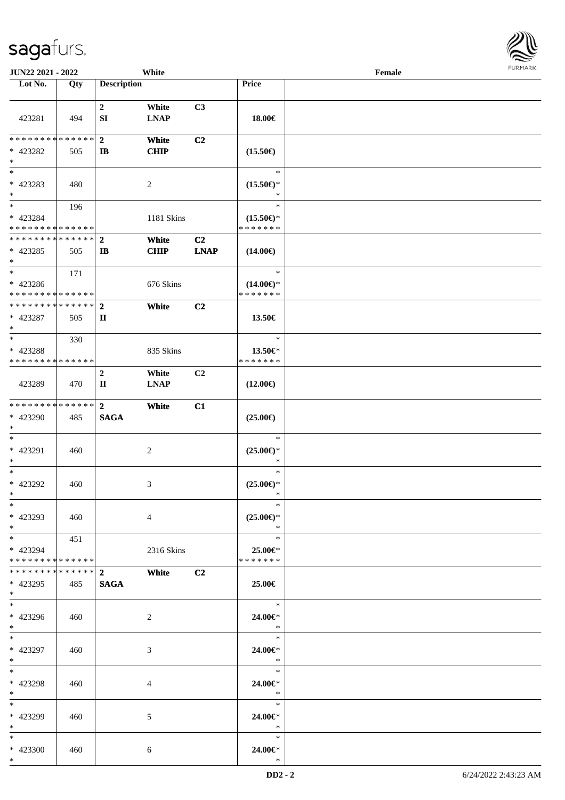| <b>JUN22 2021 - 2022</b>                                             |                 |                                  | White                |                               |                                                | Female |  |
|----------------------------------------------------------------------|-----------------|----------------------------------|----------------------|-------------------------------|------------------------------------------------|--------|--|
| Lot No.                                                              | Qty             | <b>Description</b>               |                      |                               | Price                                          |        |  |
| 423281                                                               | 494             | $\mathbf{2}$<br>SI               | White<br><b>LNAP</b> | C3                            | 18.00€                                         |        |  |
| * * * * * * * * * * * * * * *<br>* 423282<br>$\ast$                  | 505             | $\overline{2}$<br>IB             | White<br><b>CHIP</b> | C <sub>2</sub>                | $(15.50\epsilon)$                              |        |  |
| $\ast$<br>* 423283<br>$\ast$                                         | 480             |                                  | 2                    |                               | $\ast$<br>$(15.50\epsilon)$ *                  |        |  |
| $\ddot{x}$<br>* 423284<br>* * * * * * * * <mark>* * * * * * *</mark> | 196             |                                  | 1181 Skins           |                               | $\ast$<br>$(15.50\epsilon)$ *<br>* * * * * * * |        |  |
| * * * * * * * * * * * * * * *<br>* 423285<br>$\ast$                  | 505             | $\overline{2}$<br>$\mathbf{I}$   | White<br><b>CHIP</b> | C <sub>2</sub><br><b>LNAP</b> | $(14.00\epsilon)$                              |        |  |
| $\ast$<br>* 423286<br>* * * * * * * * <mark>* * * * * *</mark>       | 171             |                                  | 676 Skins            |                               | $\ast$<br>$(14.00\epsilon)$ *<br>* * * * * * * |        |  |
| * * * * * * * * <mark>* * * * * * *</mark><br>* 423287<br>$\ast$     | 505             | $\overline{2}$<br>$\mathbf{I}$   | White                | C2                            | 13.50€                                         |        |  |
| $\ast$<br>* 423288<br>* * * * * * * * <mark>* * * * * * *</mark>     | 330             |                                  | 835 Skins            |                               | $\ast$<br>13.50€*<br>* * * * * * *             |        |  |
| 423289                                                               | 470             | $\boldsymbol{2}$<br>$\mathbf{I}$ | White<br><b>LNAP</b> | C2                            | $(12.00\epsilon)$                              |        |  |
| * * * * * * * * <mark>* * * * * * *</mark><br>* 423290<br>$\ast$     | 485             | $\overline{2}$<br><b>SAGA</b>    | White                | C1                            | $(25.00\epsilon)$                              |        |  |
| $\ast$<br>* 423291<br>$\ast$                                         | 460             |                                  | 2                    |                               | $\ast$<br>$(25.00\epsilon)$ *<br>$\ast$        |        |  |
| $*$<br>* 423292<br>$*$                                               | 460             |                                  | 3                    |                               | $\ast$<br>$(25.00\epsilon)$ *<br>$\ast$        |        |  |
| $\ast$<br>* 423293<br>$*$                                            | 460             |                                  | $\overline{4}$       |                               | $\ast$<br>$(25.00\epsilon)$ *<br>$\ast$        |        |  |
| $*$ $-$<br>* 423294<br>* * * * * * * * <mark>* * * * * *</mark>      | 451             |                                  | 2316 Skins           |                               | $\ast$<br>25.00€*<br>* * * * * * *             |        |  |
| * * * * * * * *<br>* 423295<br>$\ast$                                | ****** 2<br>485 | <b>SAGA</b>                      | White                | C2                            | 25.00€                                         |        |  |
| $\ast$<br>* 423296<br>$*$                                            | 460             |                                  | 2                    |                               | $\ast$<br>24.00€*<br>$\ast$                    |        |  |
| $\ddot{x}$<br>* 423297<br>$*$                                        | 460             |                                  | 3                    |                               | $\ast$<br>24.00€*<br>$\ast$                    |        |  |
| $*$ $-$<br>* 423298<br>$*$                                           | 460             |                                  | 4                    |                               | $\ast$<br>24.00€*<br>$\ast$                    |        |  |
| $*$<br>* 423299<br>$*$ $-$                                           | 460             |                                  | 5                    |                               | $\ast$<br>24.00€*<br>$\ast$                    |        |  |
| $*$<br>* 423300<br>$*$                                               | 460             |                                  | 6                    |                               | $\ast$<br>24.00€*<br>$\ast$                    |        |  |

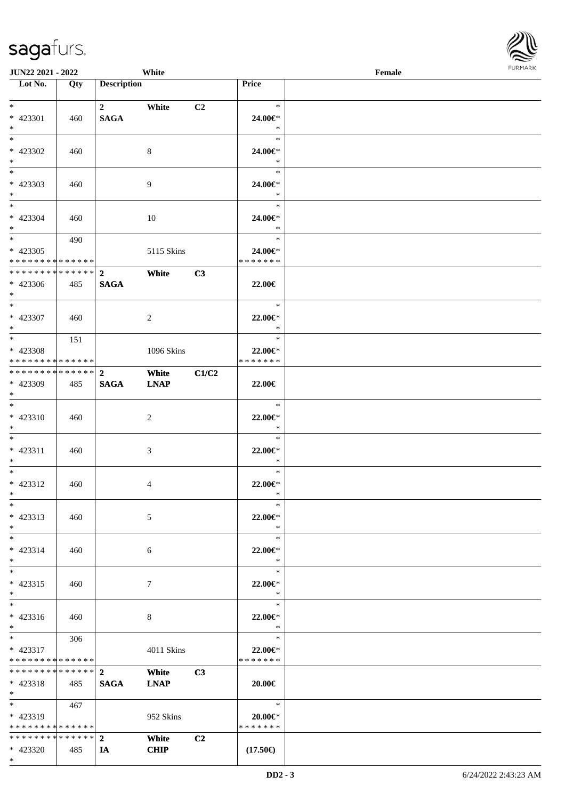| <b>JUN22 2021 - 2022</b>                   |     |                         | White       |                |                                | Female |  |
|--------------------------------------------|-----|-------------------------|-------------|----------------|--------------------------------|--------|--|
| Lot No.                                    | Qty | <b>Description</b>      |             |                | Price                          |        |  |
|                                            |     |                         |             |                |                                |        |  |
| $*$                                        |     | $\overline{\mathbf{2}}$ | White       | C <sub>2</sub> | $\ast$                         |        |  |
| * 423301                                   | 460 | <b>SAGA</b>             |             |                | 24.00€*                        |        |  |
| $*$<br>$\overline{\ast}$                   |     |                         |             |                | $\ast$<br>$\ast$               |        |  |
|                                            |     |                         |             |                |                                |        |  |
| * 423302                                   | 460 |                         | 8           |                | 24.00€*<br>$\ast$              |        |  |
| $*$<br>$\overline{\phantom{0}}$            |     |                         |             |                | $\ast$                         |        |  |
|                                            |     |                         |             |                |                                |        |  |
| * 423303<br>$\ast$                         | 460 |                         | 9           |                | 24.00€*<br>$\ast$              |        |  |
| $*$                                        |     |                         |             |                | $\ast$                         |        |  |
| * 423304                                   |     |                         |             |                | 24.00€*                        |        |  |
| $*$                                        | 460 |                         | 10          |                | $\ast$                         |        |  |
| $\overline{\mathbf{r}}$                    | 490 |                         |             |                | $\ast$                         |        |  |
| * 423305                                   |     |                         | 5115 Skins  |                | 24.00€*                        |        |  |
| * * * * * * * * <mark>* * * * * *</mark> * |     |                         |             |                | * * * * * * *                  |        |  |
| * * * * * * * * <mark>* * * * * * *</mark> |     | $\overline{2}$          | White       | C3             |                                |        |  |
| * 423306                                   | 485 | <b>SAGA</b>             |             |                | 22.00€                         |        |  |
| $\ast$                                     |     |                         |             |                |                                |        |  |
| $\overline{\ast}$                          |     |                         |             |                | $\ast$                         |        |  |
| * 423307                                   | 460 |                         | 2           |                | $22.00 \in$ *                  |        |  |
| $\ddot{x}$                                 |     |                         |             |                | $\ast$                         |        |  |
| $\overline{\ast}$                          | 151 |                         |             |                | $\ast$                         |        |  |
| * 423308                                   |     |                         | 1096 Skins  |                | 22.00€*                        |        |  |
| * * * * * * * * <mark>* * * * * *</mark>   |     |                         |             |                | * * * * * * *                  |        |  |
|                                            |     |                         | White       | C1/C2          |                                |        |  |
| * 423309                                   | 485 | <b>SAGA</b>             | <b>LNAP</b> |                | 22.00€                         |        |  |
| $\ddot{x}$                                 |     |                         |             |                |                                |        |  |
| $\ddot{x}$                                 |     |                         |             |                | $\ast$                         |        |  |
| $* 423310$                                 | 460 |                         | 2           |                | 22.00 $\in$ *                  |        |  |
| $*$                                        |     |                         |             |                | $\ast$                         |        |  |
| $\ddot{x}$                                 |     |                         |             |                | $\ast$                         |        |  |
| * 423311                                   | 460 |                         | 3           |                | $22.00 \in$ *                  |        |  |
| $*$                                        |     |                         |             |                | $\ast$                         |        |  |
| $\ddot{x}$                                 |     |                         |             |                | $\ast$                         |        |  |
| * 423312                                   | 460 |                         | 4           |                | 22.00€*                        |        |  |
| $*$ $-$                                    |     |                         |             |                | $\ast$                         |        |  |
| $\ast$                                     |     |                         |             |                | $\ast$                         |        |  |
| * 423313                                   | 460 |                         | 5           |                | 22.00 $\in$ *                  |        |  |
| $*$                                        |     |                         |             |                | $\ast$                         |        |  |
| $*$ $-$                                    |     |                         |             |                | $\ast$                         |        |  |
| * 423314                                   | 460 |                         | 6           |                | 22.00 $\in$ *                  |        |  |
| $\ast$                                     |     |                         |             |                | $\ast$                         |        |  |
| $\ddot{x}$                                 |     |                         |             |                | $\ast$                         |        |  |
| * 423315                                   | 460 |                         | $\tau$      |                | 22.00€*                        |        |  |
| $*$                                        |     |                         |             |                | $\ast$                         |        |  |
| $\ddot{x}$                                 |     |                         |             |                | $\ast$                         |        |  |
| $* 423316$                                 | 460 |                         | 8           |                | 22.00 $\in$ *                  |        |  |
| $*$                                        |     |                         |             |                | $\ast$                         |        |  |
| $*$ $\qquad$                               | 306 |                         |             |                | $\ast$                         |        |  |
| $* 423317$                                 |     |                         | 4011 Skins  |                | 22.00€*                        |        |  |
| * * * * * * * * <mark>* * * * * *</mark>   |     |                         |             |                | * * * * * * *                  |        |  |
| ******** <mark>******</mark> 2             |     |                         | White       | C3             |                                |        |  |
| $* 423318$<br>$\ast$                       | 485 | <b>SAGA</b>             | <b>LNAP</b> |                | 20.00€                         |        |  |
| $*$ and $*$                                | 467 |                         |             |                | $\ast$                         |        |  |
|                                            |     |                         |             |                |                                |        |  |
| * 423319<br>* * * * * * * * * * * * * * *  |     |                         | 952 Skins   |                | $20.00 \in$ *<br>* * * * * * * |        |  |
|                                            |     |                         | White       | C2             |                                |        |  |
|                                            | 485 |                         | <b>CHIP</b> |                | $(17.50\epsilon)$              |        |  |
| * 423320                                   |     | IA                      |             |                |                                |        |  |

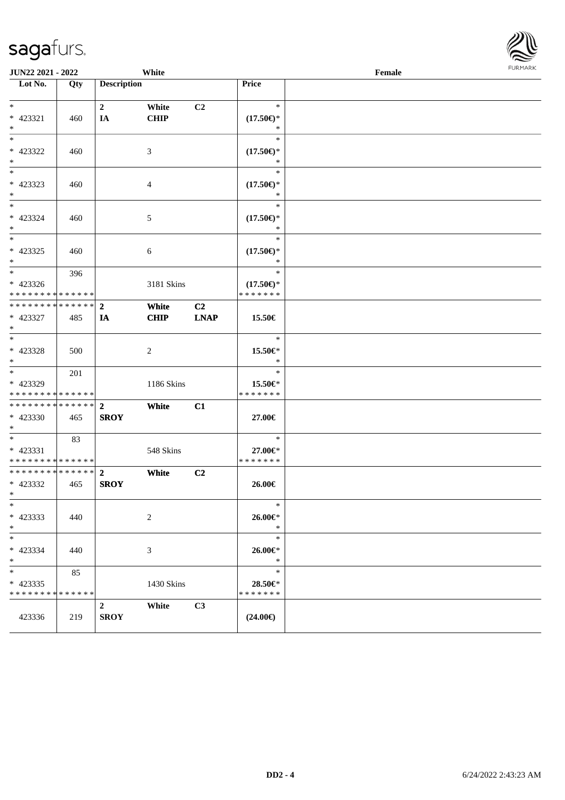| JUN22 2021 - 2022                                |     |                               | White                |                   |                                                | Female |  |
|--------------------------------------------------|-----|-------------------------------|----------------------|-------------------|------------------------------------------------|--------|--|
| Lot No.                                          | Qty | <b>Description</b>            |                      |                   | Price                                          |        |  |
| $*$<br>* 423321<br>$\ast$                        | 460 | $\boldsymbol{2}$<br>IA        | White<br><b>CHIP</b> | C <sub>2</sub>    | $\ast$<br>$(17.50\epsilon)$ *<br>$\ast$        |        |  |
| $*$<br>$* 423322$<br>$\ast$                      | 460 |                               | 3                    |                   | $\ast$<br>$(17.50\epsilon)$ *<br>$\ast$        |        |  |
| $\overline{\phantom{0}}$<br>$* 423323$<br>$*$    | 460 |                               | $\overline{4}$       |                   | $\ast$<br>$(17.50\epsilon)$ *<br>$\ast$        |        |  |
| $*$<br>$* 423324$<br>$*$                         | 460 |                               | $5\,$                |                   | $\ast$<br>$(17.50\epsilon)$ *<br>$\ast$        |        |  |
| $*$<br>$* 423325$<br>$*$                         | 460 |                               | $\sqrt{6}$           |                   | $\ast$<br>$(17.50\epsilon)$ *<br>$\ast$        |        |  |
| $*$<br>$* 423326$<br>* * * * * * * * * * * * * * | 396 |                               | 3181 Skins           |                   | $\ast$<br>$(17.50\epsilon)$ *<br>* * * * * * * |        |  |
| * * * * * * * * * * * * * *<br>* 423327<br>$*$   | 485 | $\overline{2}$<br>IA          | White<br><b>CHIP</b> | C2<br><b>LNAP</b> | 15.50€                                         |        |  |
| $*$<br>* 423328<br>$*$                           | 500 |                               | 2                    |                   | $\ast$<br>15.50€*<br>$\ast$                    |        |  |
| $*$<br>* 423329<br>* * * * * * * * * * * * * *   | 201 |                               | 1186 Skins           |                   | $\ast$<br>15.50€*<br>* * * * * * *             |        |  |
| * * * * * * * * * * * * * *<br>* 423330<br>$*$   | 465 | $\overline{2}$<br><b>SROY</b> | White                | C1                | 27.00€                                         |        |  |
| $*$<br>* 423331<br>* * * * * * * * * * * * * *   | 83  |                               | 548 Skins            |                   | $\ast$<br>27.00€*<br>* * * * * * *             |        |  |
| * * * * * * * * * * * * * *<br>* 423332<br>$*$   | 465 | $\mathbf{2}$<br><b>SROY</b>   | White                | C <sub>2</sub>    | 26.00€                                         |        |  |
| $*$<br>$* 423333$<br>$*$                         | 440 |                               | $\sqrt{2}$           |                   | $\ast$<br>26.00€*<br>$\ast$                    |        |  |
| $*$<br>* 423334<br>$*$                           | 440 |                               | 3                    |                   | $\ast$<br>26.00€*<br>$\ast$                    |        |  |
| $*$<br>$* 423335$<br>* * * * * * * * * * * * * * | 85  |                               | 1430 Skins           |                   | $\ast$<br>28.50€*<br>* * * * * * *             |        |  |
| 423336                                           | 219 | $2^{\circ}$<br><b>SROY</b>    | White                | C3                | $(24.00\epsilon)$                              |        |  |

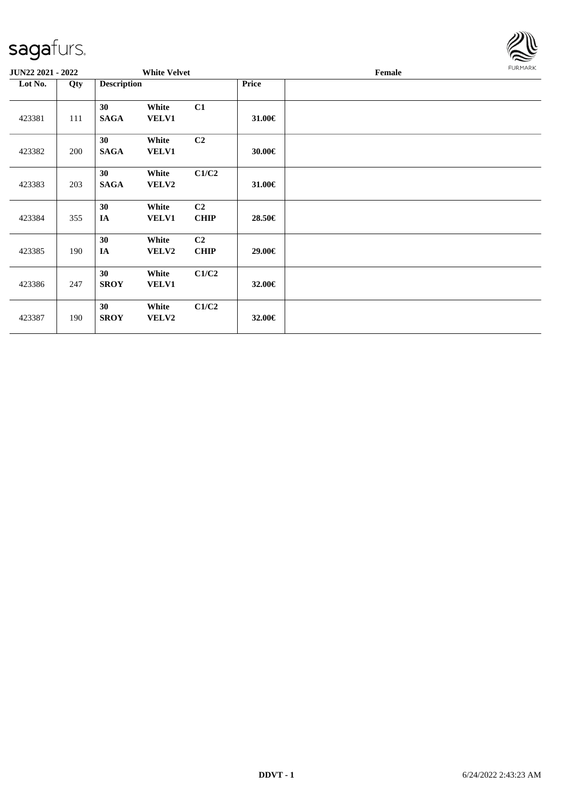

| <b>JUN22 2021 - 2022</b> |     |                    | <b>White Velvet</b>   |                               |        | Female |  |  |
|--------------------------|-----|--------------------|-----------------------|-------------------------------|--------|--------|--|--|
| Lot No.                  | Qty | <b>Description</b> |                       |                               | Price  |        |  |  |
| 423381                   | 111 | 30<br><b>SAGA</b>  | White<br><b>VELV1</b> | C1                            | 31.00€ |        |  |  |
| 423382                   | 200 | 30<br><b>SAGA</b>  | White<br><b>VELV1</b> | C2                            | 30.00€ |        |  |  |
| 423383                   | 203 | 30<br><b>SAGA</b>  | White<br><b>VELV2</b> | C1/C2                         | 31.00€ |        |  |  |
| 423384                   | 355 | 30<br>IA           | White<br><b>VELV1</b> | C <sub>2</sub><br><b>CHIP</b> | 28.50€ |        |  |  |
| 423385                   | 190 | 30<br>$I\!\!A$     | White<br><b>VELV2</b> | C <sub>2</sub><br><b>CHIP</b> | 29.00€ |        |  |  |
| 423386                   | 247 | 30<br><b>SROY</b>  | White<br><b>VELV1</b> | C1/C2                         | 32.00€ |        |  |  |
| 423387                   | 190 | 30<br><b>SROY</b>  | White<br><b>VELV2</b> | C1/C2                         | 32.00€ |        |  |  |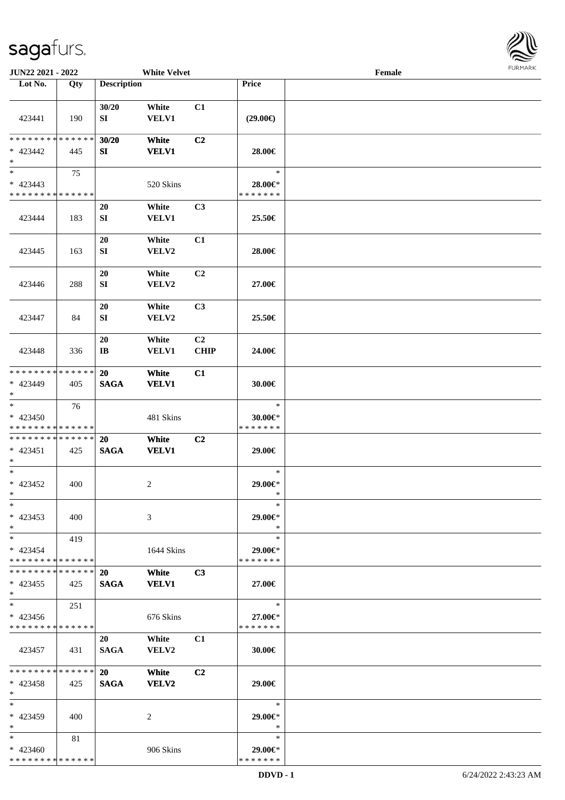\* \* \* \* \* \* \* \* \* \* \* \* \* \*



| JUN22 2021 - 2022                                              |     |                              | <b>White Velvet</b>   |                               |                                    | Female |  |
|----------------------------------------------------------------|-----|------------------------------|-----------------------|-------------------------------|------------------------------------|--------|--|
| Lot No.                                                        | Qty | <b>Description</b>           |                       |                               | Price                              |        |  |
| 423441                                                         | 190 | 30/20<br>SI                  | White<br><b>VELV1</b> | C1                            | $(29.00\epsilon)$                  |        |  |
| * * * * * * * * * * * * * *<br>* 423442<br>$\ast$              | 445 | 30/20<br>SI                  | White<br><b>VELV1</b> | C <sub>2</sub>                | 28.00€                             |        |  |
| $\overline{\ast}$<br>$* 423443$<br>* * * * * * * * * * * * * * | 75  |                              | 520 Skins             |                               | $\ast$<br>28.00€*<br>* * * * * * * |        |  |
| 423444                                                         | 183 | 20<br>${\bf S}{\bf I}$       | White<br><b>VELV1</b> | C <sub>3</sub>                | 25.50€                             |        |  |
| 423445                                                         | 163 | 20<br>SI                     | White<br>VELV2        | C1                            | 28.00€                             |        |  |
| 423446                                                         | 288 | 20<br>SI                     | White<br>VELV2        | C <sub>2</sub>                | 27.00€                             |        |  |
| 423447                                                         | 84  | 20<br>SI                     | White<br>VELV2        | C <sub>3</sub>                | 25.50€                             |        |  |
| 423448                                                         | 336 | 20<br>$\mathbf{I}\mathbf{B}$ | White<br><b>VELV1</b> | C <sub>2</sub><br><b>CHIP</b> | 24.00€                             |        |  |
| * * * * * * * * * * * * * *<br>* 423449<br>$*$                 | 405 | 20<br><b>SAGA</b>            | White<br><b>VELV1</b> | C1                            | 30.00€                             |        |  |
| $\ast$<br>$* 423450$<br>* * * * * * * * * * * * * *            | 76  |                              | 481 Skins             |                               | $\ast$<br>30.00€*<br>* * * * * * * |        |  |
| **************<br>$* 423451$<br>$*$                            | 425 | 20<br><b>SAGA</b>            | White<br><b>VELV1</b> | C2                            | 29.00€                             |        |  |
| $*$<br>$* 423452$<br>$*$                                       | 400 |                              | $\overline{c}$        |                               | $\ast$<br>29.00€*<br>$\ast$        |        |  |
| $\ast$<br>$* 423453$<br>$*$                                    | 400 |                              | 3                     |                               | $\ast$<br>29.00€*<br>$\ast$        |        |  |
| $*$<br>* 423454<br>* * * * * * * * * * * * * *                 | 419 |                              | 1644 Skins            |                               | $\ast$<br>29.00€*<br>* * * * * * * |        |  |
| * * * * * * * * * * * * * * *<br>$* 423455$<br>$*$             | 425 | <b>20</b><br><b>SAGA</b>     | White<br><b>VELV1</b> | C3                            | 27.00€                             |        |  |
| $\ast$<br>* 423456<br>* * * * * * * * * * * * * *              | 251 |                              | 676 Skins             |                               | $\ast$<br>27.00€*<br>* * * * * * * |        |  |
| 423457                                                         | 431 | 20<br><b>SAGA</b>            | White<br><b>VELV2</b> | C1                            | 30.00€                             |        |  |
| ******** <mark>******</mark><br>$* 423458$<br>$*$              | 425 | <b>20</b><br><b>SAGA</b>     | White<br><b>VELV2</b> | C <sub>2</sub>                | 29.00€                             |        |  |
| $*$<br>* 423459<br>$*$                                         | 400 |                              | 2                     |                               | $\ast$<br>29.00€*<br>$\ast$        |        |  |
| $*$<br>* 423460                                                | 81  |                              | 906 Skins             |                               | $\ast$<br>29.00€*                  |        |  |

\* \* \* \* \* \* \*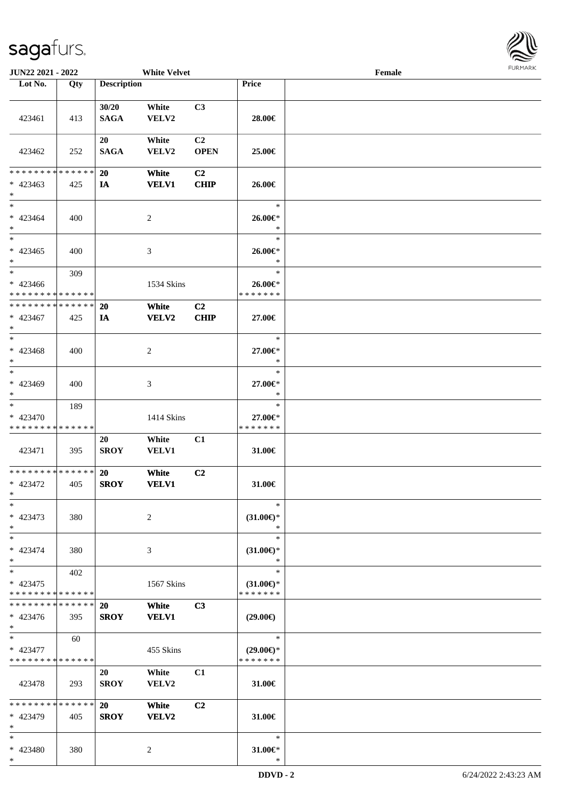

| JUN22 2021 - 2022                                    |     |                          | <b>White Velvet</b>   |                               |                                                | Female |  |
|------------------------------------------------------|-----|--------------------------|-----------------------|-------------------------------|------------------------------------------------|--------|--|
| Lot No.                                              | Qty | <b>Description</b>       |                       |                               | Price                                          |        |  |
| 423461                                               | 413 | 30/20<br><b>SAGA</b>     | White<br>VELV2        | C3                            | 28.00€                                         |        |  |
| 423462                                               | 252 | 20<br><b>SAGA</b>        | White<br>VELV2        | C <sub>2</sub><br><b>OPEN</b> | 25.00€                                         |        |  |
| * * * * * * * * * * * * * *<br>$* 423463$<br>$*$     | 425 | <b>20</b><br>IA          | White<br><b>VELV1</b> | C <sub>2</sub><br><b>CHIP</b> | 26.00€                                         |        |  |
| $*$<br>$* 423464$<br>$*$                             | 400 |                          | 2                     |                               | $\ast$<br>26.00€*<br>$\ast$                    |        |  |
| $*$<br>$* 423465$<br>$*$                             | 400 |                          | 3                     |                               | $\ast$<br>26.00€*<br>$\ast$                    |        |  |
| $*$<br>$* 423466$<br>* * * * * * * * * * * * * *     | 309 |                          | 1534 Skins            |                               | $\ast$<br>26.00€*<br>* * * * * * *             |        |  |
| * * * * * * * * * * * * * *<br>* 423467<br>$*$       | 425 | 20<br>IA                 | White<br>VELV2        | C <sub>2</sub><br><b>CHIP</b> | 27.00€                                         |        |  |
| $*$<br>$* 423468$<br>$\ast$                          | 400 |                          | 2                     |                               | $\ast$<br>27.00€*<br>$\ast$                    |        |  |
| $*$<br>* 423469<br>$*$                               | 400 |                          | 3                     |                               | $\ast$<br>27.00€*<br>*                         |        |  |
| $*$<br>* 423470<br>* * * * * * * * * * * * * *       | 189 |                          | 1414 Skins            |                               | $\ast$<br>27.00€*<br>* * * * * * *             |        |  |
| 423471                                               | 395 | 20<br><b>SROY</b>        | White<br>VELV1        | C1                            | 31.00€                                         |        |  |
| * * * * * * * * * * * * * * *<br>* 423472<br>$*$ $-$ | 405 | <b>20</b><br><b>SROY</b> | White<br><b>VELV1</b> | C2                            | 31.00€                                         |        |  |
| $\ast$<br>* 423473<br>$*$                            | 380 |                          | 2                     |                               | $\ast$<br>$(31.00\epsilon)$ *<br>$\ast$        |        |  |
| $*$<br>$* 423474$<br>$*$                             | 380 |                          | 3                     |                               | $\ast$<br>$(31.00\epsilon)$ *<br>$\ast$        |        |  |
| $*$<br>* 423475<br>* * * * * * * * * * * * * *       | 402 |                          | 1567 Skins            |                               | $\ast$<br>$(31.00\epsilon)$ *<br>* * * * * * * |        |  |
| * * * * * * * * * * * * * * *<br>* 423476<br>$*$     | 395 | <b>20</b><br><b>SROY</b> | White<br><b>VELV1</b> | C3                            | $(29.00\epsilon)$                              |        |  |
| $*$<br>* 423477<br>* * * * * * * * * * * * * *       | 60  |                          | 455 Skins             |                               | $\ast$<br>$(29.00\epsilon)$ *<br>* * * * * * * |        |  |
| 423478                                               | 293 | 20<br><b>SROY</b>        | White<br>VELV2        | C1                            | 31.00€                                         |        |  |
| * * * * * * * * * * * * * * *<br>* 423479<br>$*$     | 405 | <b>20</b><br><b>SROY</b> | White<br>VELV2        | C2                            | 31.00 $\in$                                    |        |  |
| $*$<br>* 423480<br>$\ast$                            | 380 |                          | 2                     |                               | $\ast$<br>31.00€*<br>$\ast$                    |        |  |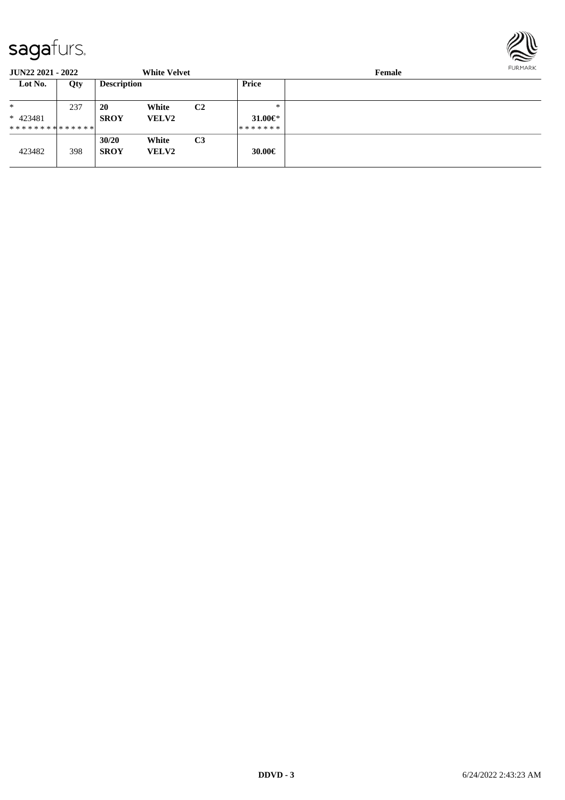

| <b>JUN22 2021 - 2022</b>      |     |                    | <b>White Velvet</b> |                |                       | Female |  |  |  |  |
|-------------------------------|-----|--------------------|---------------------|----------------|-----------------------|--------|--|--|--|--|
| Lot No.                       | Qty | <b>Description</b> |                     |                | Price                 |        |  |  |  |  |
| *                             | 237 | 20                 | White               | C <sub>2</sub> | $*$                   |        |  |  |  |  |
| $* 423481$                    |     | <b>SROY</b>        | <b>VELV2</b>        |                | 31.00 $\varepsilon$ * |        |  |  |  |  |
| * * * * * * * * * * * * * * * |     |                    |                     |                | *******               |        |  |  |  |  |
|                               |     | 30/20              | White               | C <sub>3</sub> |                       |        |  |  |  |  |
| 423482                        | 398 | <b>SROY</b>        | <b>VELV2</b>        |                | 30.00€                |        |  |  |  |  |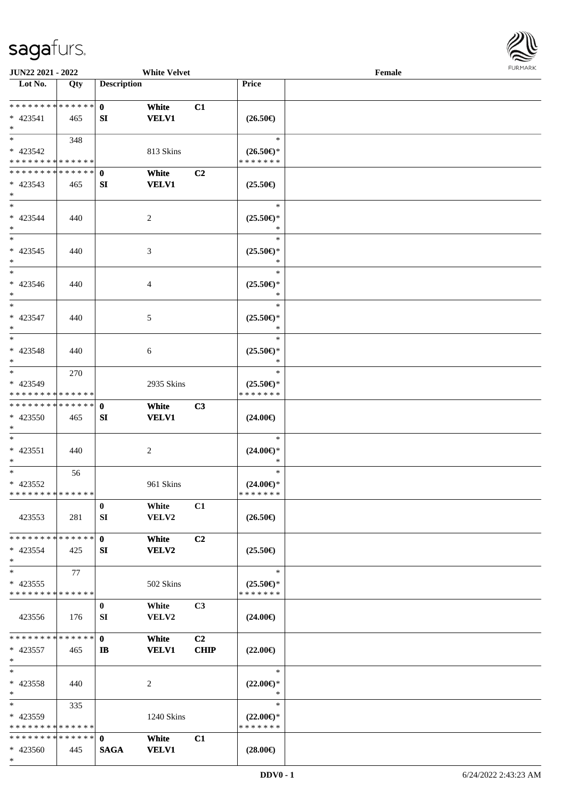

| JUN22 2021 - 2022                          |     |                    | <b>White Velvet</b> |                |                                      | Female |  |
|--------------------------------------------|-----|--------------------|---------------------|----------------|--------------------------------------|--------|--|
| Lot No.                                    | Qty | <b>Description</b> |                     |                | Price                                |        |  |
|                                            |     |                    |                     |                |                                      |        |  |
| ******** <mark>******</mark>               |     | $\mathbf{0}$       | White               | C1             |                                      |        |  |
| $* 423541$                                 | 465 | SI                 | <b>VELV1</b>        |                | $(26.50\epsilon)$                    |        |  |
| $*$                                        |     |                    |                     |                |                                      |        |  |
| $\overline{\ast}$                          | 348 |                    |                     |                | $\ast$                               |        |  |
|                                            |     |                    |                     |                |                                      |        |  |
| * 423542                                   |     |                    | 813 Skins           |                | $(26.50\epsilon)$ *                  |        |  |
| * * * * * * * * <mark>* * * * * * *</mark> |     |                    |                     |                | * * * * * * *                        |        |  |
| **************                             |     | $\mathbf 0$        | White               | C2             |                                      |        |  |
| $* 423543$                                 | 465 | SI                 | <b>VELV1</b>        |                | $(25.50\epsilon)$                    |        |  |
| $\ast$                                     |     |                    |                     |                |                                      |        |  |
| $\ast$                                     |     |                    |                     |                | $\ast$                               |        |  |
| $* 423544$                                 | 440 |                    | $\overline{c}$      |                | $(25.50\epsilon)$ *                  |        |  |
| $\ast$                                     |     |                    |                     |                | $\ast$                               |        |  |
| $\overline{\phantom{0}}$                   |     |                    |                     |                | $\ast$                               |        |  |
| $* 423545$                                 | 440 |                    | 3                   |                | $(25.50\epsilon)$ *                  |        |  |
| $\ast$                                     |     |                    |                     |                | $\ast$                               |        |  |
| $\overline{\phantom{1}}$                   |     |                    |                     |                | $\ast$                               |        |  |
| $* 423546$                                 | 440 |                    | 4                   |                | $(25.50\epsilon)$ *                  |        |  |
| $\ast$                                     |     |                    |                     |                | *                                    |        |  |
| $_{\ast}$                                  |     |                    |                     |                | $\ast$                               |        |  |
|                                            |     |                    |                     |                |                                      |        |  |
| * 423547                                   | 440 |                    | 5                   |                | $(25.50\epsilon)$ *                  |        |  |
| $\ast$                                     |     |                    |                     |                | $\ast$                               |        |  |
| $\ast$                                     |     |                    |                     |                | $\ast$                               |        |  |
| $* 423548$                                 | 440 |                    | 6                   |                | $(25.50\epsilon)$ *                  |        |  |
| $\ast$                                     |     |                    |                     |                | $\ast$                               |        |  |
| $\overline{\ast}$                          | 270 |                    |                     |                | $\ast$                               |        |  |
| * 423549                                   |     |                    | 2935 Skins          |                | $(25.50\epsilon)$ *                  |        |  |
| * * * * * * * * * * * * * *                |     |                    |                     |                | * * * * * * *                        |        |  |
| **************                             |     | $\mathbf{0}$       | White               | C3             |                                      |        |  |
| * 423550                                   | 465 | SI                 | <b>VELV1</b>        |                | $(24.00\epsilon)$                    |        |  |
| $*$                                        |     |                    |                     |                |                                      |        |  |
| $\ast$                                     |     |                    |                     |                | $\ast$                               |        |  |
| $* 423551$                                 | 440 |                    | $\overline{c}$      |                | $(24.00\epsilon)$ *                  |        |  |
| $*$                                        |     |                    |                     |                | *                                    |        |  |
| $\ast$                                     | 56  |                    |                     |                | $\ast$                               |        |  |
| * 423552                                   |     |                    | 961 Skins           |                |                                      |        |  |
| * * * * * * * * * * * * * *                |     |                    |                     |                | $(24.00\epsilon)$ *<br>* * * * * * * |        |  |
|                                            |     |                    |                     |                |                                      |        |  |
|                                            |     | $\bf{0}$           | White               | C1             |                                      |        |  |
| 423553                                     | 281 | SI                 | VELV2               |                | $(26.50\epsilon)$                    |        |  |
|                                            |     |                    |                     |                |                                      |        |  |
| * * * * * * * * * * * * * * *              |     | $\mathbf{0}$       | White               | C <sub>2</sub> |                                      |        |  |
| $* 423554$                                 | 425 | SI                 | <b>VELV2</b>        |                | $(25.50\epsilon)$                    |        |  |
| $*$                                        |     |                    |                     |                |                                      |        |  |
| $\ast$                                     | 77  |                    |                     |                | $\ast$                               |        |  |
| $* 423555$                                 |     |                    | 502 Skins           |                | $(25.50\epsilon)$ *                  |        |  |
| * * * * * * * * * * * * * *                |     |                    |                     |                | * * * * * * *                        |        |  |
|                                            |     | $\bf{0}$           | White               | C <sub>3</sub> |                                      |        |  |
| 423556                                     | 176 | SI                 | VELV2               |                | $(24.00\epsilon)$                    |        |  |
|                                            |     |                    |                     |                |                                      |        |  |
| * * * * * * * * * * * * * * *              |     | $\mathbf{0}$       | White               | C2             |                                      |        |  |
| $* 423557$                                 | 465 | $\mathbf{I}$       | <b>VELV1</b>        | <b>CHIP</b>    | $(22.00\epsilon)$                    |        |  |
| $\ast$                                     |     |                    |                     |                |                                      |        |  |
| $\ast$                                     |     |                    |                     |                | $\ast$                               |        |  |
|                                            |     |                    |                     |                |                                      |        |  |
| * 423558                                   | 440 |                    | 2                   |                | $(22.00\epsilon)$ *                  |        |  |
| $*$                                        |     |                    |                     |                | $\ast$                               |        |  |
| $*$                                        | 335 |                    |                     |                | $\ast$                               |        |  |
| $* 423559$                                 |     |                    | 1240 Skins          |                | $(22.00\epsilon)$ *                  |        |  |
| * * * * * * * * * * * * * *                |     |                    |                     |                | * * * * * * *                        |        |  |
| * * * * * * * * * * * * * * *              |     | $\mathbf{0}$       | White               | C1             |                                      |        |  |
| * 423560                                   | 445 | <b>SAGA</b>        | <b>VELV1</b>        |                | $(28.00\epsilon)$                    |        |  |
| $*$                                        |     |                    |                     |                |                                      |        |  |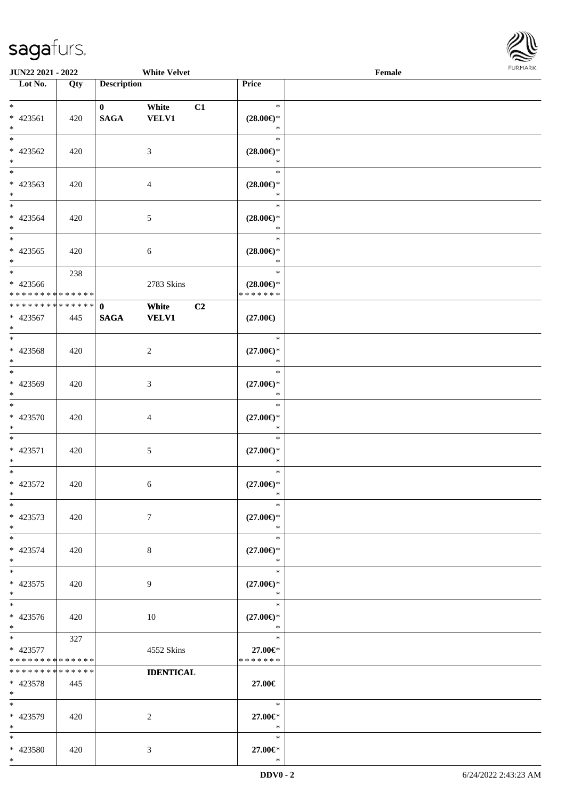

| JUN22 2021 - 2022                                   |     |                            | <b>White Velvet</b>   |                |                                                | Female | FURMARK |
|-----------------------------------------------------|-----|----------------------------|-----------------------|----------------|------------------------------------------------|--------|---------|
| $\overline{\phantom{1}}$ Lot No.                    | Qty | <b>Description</b>         |                       |                | Price                                          |        |         |
| $*$<br>$* 423561$<br>$\ast$                         | 420 | $\bf{0}$<br><b>SAGA</b>    | White<br><b>VELV1</b> | C1             | $\ast$<br>$(28.00\epsilon)$ *<br>$\ast$        |        |         |
| $*$<br>$* 423562$<br>$*$                            | 420 |                            | $\mathfrak{Z}$        |                | $\ast$<br>$(28.00\epsilon)$ *<br>$\ast$        |        |         |
| $\overline{\ast}$<br>* 423563<br>$*$                | 420 |                            | $\overline{4}$        |                | $\ast$<br>$(28.00\epsilon)$ *<br>$\ast$        |        |         |
| $*$<br>$* 423564$<br>$*$                            | 420 |                            | $\sqrt{5}$            |                | $\ast$<br>$(28.00\epsilon)$ *<br>$\ast$        |        |         |
| $\ast$<br>$* 423565$<br>$*$                         | 420 |                            | 6                     |                | $\ast$<br>$(28.00\epsilon)$ *<br>$\ast$        |        |         |
| $*$<br>* 423566<br>* * * * * * * * * * * * * *      | 238 |                            | 2783 Skins            |                | $\ast$<br>$(28.00\epsilon)$ *<br>* * * * * * * |        |         |
| * * * * * * * * * * * * * * *<br>* 423567<br>$\ast$ | 445 | $\mathbf 0$<br><b>SAGA</b> | White<br><b>VELV1</b> | C <sub>2</sub> | $(27.00\epsilon)$                              |        |         |
| $\overline{\phantom{0}}$<br>* 423568<br>$*$         | 420 |                            | $\overline{c}$        |                | $\ast$<br>$(27.00\epsilon)$ *<br>$\ast$        |        |         |
| $*$<br>* 423569<br>$*$                              | 420 |                            | $\mathfrak{Z}$        |                | $\ast$<br>$(27.00\in)\!\!^*$<br>$\ast$         |        |         |
| $*$<br>$* 423570$<br>$*$                            | 420 |                            | $\overline{4}$        |                | $\ast$<br>$(27.00\epsilon)$ *<br>$\ast$        |        |         |
| $\ast$<br>* 423571<br>$\ast$                        | 420 |                            | $5\,$                 |                | $\ast$<br>$(27.00\epsilon)$ *<br>$\ast$        |        |         |
| $*$<br>$* 423572$<br>$\ast$                         | 420 |                            | 6                     |                | $\ast$<br>$(27.00\epsilon)$ *<br>$\ast$        |        |         |
| $\ast$<br>* 423573<br>$*$                           | 420 |                            | $\tau$                |                | $\ast$<br>$(27.00\epsilon)$ *<br>$\ast$        |        |         |
| $*$<br>* 423574<br>$*$                              | 420 |                            | 8                     |                | $\ast$<br>$(27.00\epsilon)$ *<br>$\ast$        |        |         |
| $\overline{\ast}$<br>$* 423575$<br>$*$              | 420 |                            | 9                     |                | $\ast$<br>$(27.00\epsilon)$ *<br>$\ast$        |        |         |
| $\overline{\ast}$<br>* 423576<br>$*$                | 420 |                            | 10                    |                | $\ast$<br>$(27.00\epsilon)$ *<br>$\ast$        |        |         |
| $*$<br>* 423577<br>* * * * * * * * * * * * * *      | 327 |                            | 4552 Skins            |                | $\ast$<br>27.00€*<br>* * * * * * *             |        |         |
| * * * * * * * * * * * * * *<br>* 423578<br>$*$      | 445 |                            | <b>IDENTICAL</b>      |                | 27.00€                                         |        |         |
| $*$<br>* 423579<br>$*$                              | 420 |                            | 2                     |                | $\ast$<br>27.00€*<br>$\ast$                    |        |         |
| $*$<br>* 423580                                     | 420 |                            | 3                     |                | $\ast$<br>27.00€*                              |        |         |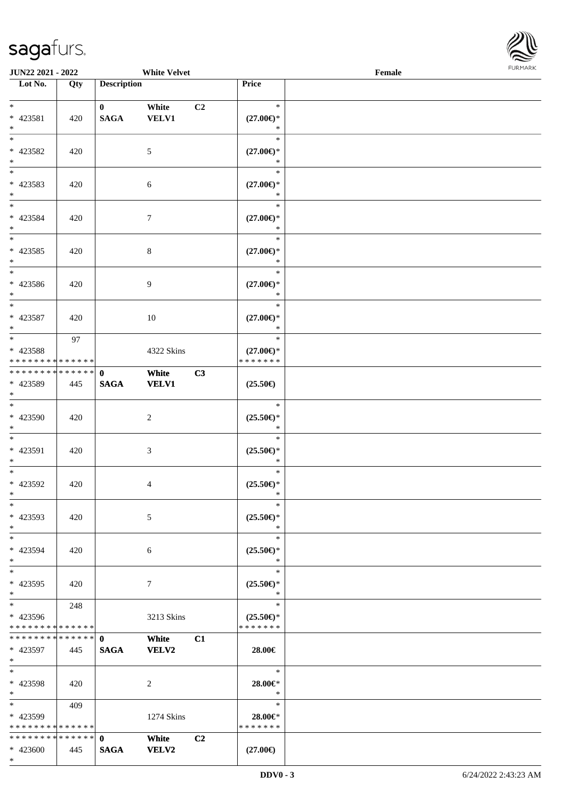

| <b>JUN22 2021 - 2022</b>                                      |     |                             | <b>White Velvet</b>                     |                                                | Female | <b>FURMARK</b> |
|---------------------------------------------------------------|-----|-----------------------------|-----------------------------------------|------------------------------------------------|--------|----------------|
| $\overline{\phantom{1}}$ Lot No.                              | Qty | <b>Description</b>          |                                         | Price                                          |        |                |
| $*$<br>* 423581<br>$*$                                        | 420 | $\mathbf{0}$<br><b>SAGA</b> | White<br>C <sub>2</sub><br><b>VELV1</b> | $\ast$<br>$(27.00\in)^\ast$<br>$\ast$          |        |                |
| * 423582<br>$*$                                               | 420 |                             | 5                                       | $\ast$<br>$(27.00\epsilon)$ *<br>$\ast$        |        |                |
| $*$<br>* 423583<br>$*$                                        | 420 |                             | 6                                       | $\ast$<br>$(27.00\epsilon)$ *<br>$\ast$        |        |                |
| $*$<br>* 423584<br>$*$                                        | 420 |                             | $\tau$                                  | $\ast$<br>$(27.00\epsilon)$ *<br>$\ast$        |        |                |
| $*$<br>* 423585<br>$*$                                        | 420 |                             | 8                                       | $\ast$<br>$(27.00\epsilon)$ *<br>$\ast$        |        |                |
| $*$<br>* 423586<br>$*$                                        | 420 |                             | 9                                       | $\ast$<br>$(27.00\epsilon)$ *<br>$\ast$        |        |                |
| $*$<br>* 423587<br>$*$                                        | 420 |                             | 10                                      | $\ast$<br>$(27.00\epsilon)$ *<br>$\ast$        |        |                |
| * 423588<br>* * * * * * * * * * * * * *                       | 97  |                             | 4322 Skins                              | $\ast$<br>$(27.00\epsilon)$ *<br>* * * * * * * |        |                |
| * * * * * * * * <mark>* * * * * * *</mark><br>* 423589<br>$*$ | 445 | $\mathbf{0}$<br><b>SAGA</b> | White<br>C3<br><b>VELV1</b>             | $(25.50\epsilon)$                              |        |                |
| $*$<br>* 423590<br>$*$                                        | 420 |                             | $\overline{c}$                          | $\ast$<br>$(25.50\epsilon)$ *<br>$\ast$        |        |                |
| $*$<br>* 423591<br>$*$                                        | 420 |                             | 3                                       | $\ast$<br>$(25.50\epsilon)$ *<br>$\ast$        |        |                |
| $*$<br>* 423592<br>$\ast$                                     | 420 |                             | 4                                       | $\ast$<br>$(25.50\epsilon)$ *<br>$\ast$        |        |                |
| $\ast$<br>* 423593<br>$*$                                     | 420 |                             | 5                                       | $\ast$<br>$(25.50\epsilon)$ *<br>$\ast$        |        |                |
| $*$<br>* 423594<br>$*$                                        | 420 |                             | 6                                       | $\ast$<br>$(25.50\epsilon)$ *<br>$\ast$        |        |                |
| $*$<br>* 423595<br>$*$                                        | 420 |                             | $\tau$                                  | $\ast$<br>$(25.50\epsilon)$ *<br>$\ast$        |        |                |
| $*$<br>* 423596<br>* * * * * * * * * * * * * *                | 248 |                             | 3213 Skins                              | $\ast$<br>$(25.50\epsilon)$ *<br>* * * * * * * |        |                |
| * * * * * * * * * * * * * * *<br>* 423597<br>$*$              | 445 | $\mathbf{0}$<br><b>SAGA</b> | White<br>C1<br>VELV2                    | 28.00€                                         |        |                |
| $*$<br>* 423598<br>$*$                                        | 420 |                             | 2                                       | $\ast$<br>28.00€*<br>$\ast$                    |        |                |
| $*$<br>* 423599<br>* * * * * * * * * * * * * *                | 409 |                             | 1274 Skins                              | $\ast$<br>28.00€*<br>* * * * * * *             |        |                |
| * * * * * * * * * * * * * * *<br>* 423600                     | 445 | $\mathbf 0$<br><b>SAGA</b>  | White<br>C <sub>2</sub><br>VELV2        | $(27.00\epsilon)$                              |        |                |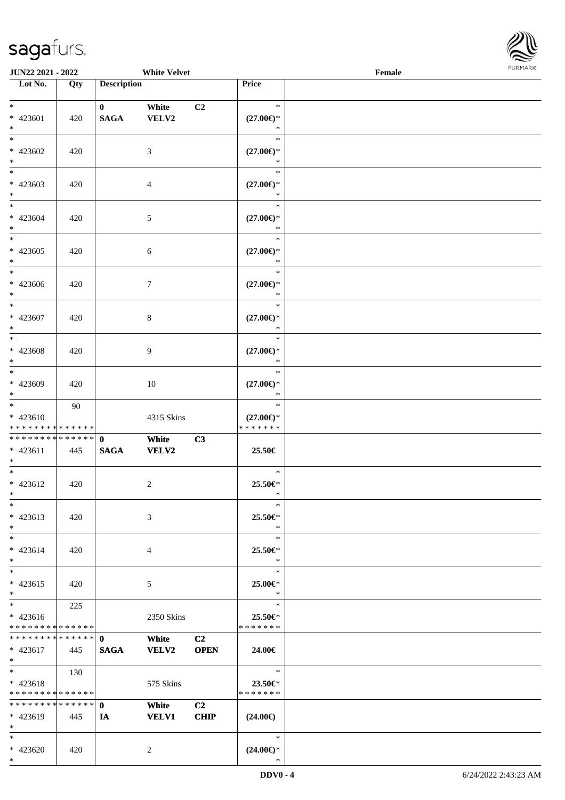

| JUN22 2021 - 2022                           |     |                    | <b>White Velvet</b> |                |                                      | Female | FURMARK |
|---------------------------------------------|-----|--------------------|---------------------|----------------|--------------------------------------|--------|---------|
| $\overline{\phantom{1}}$ Lot No.            | Qty | <b>Description</b> |                     |                | Price                                |        |         |
| $\ast$                                      |     | $\mathbf{0}$       | White               | C2             | $\ast$                               |        |         |
| * 423601                                    | 420 | <b>SAGA</b>        | VELV2               |                | $(27.00\epsilon)$ *                  |        |         |
| $\ast$                                      |     |                    |                     |                | $\ast$                               |        |         |
| $\overline{\phantom{0}}$                    |     |                    |                     |                | $\ast$                               |        |         |
| $* 423602$                                  | 420 |                    | $\mathfrak{Z}$      |                | $(27.00\epsilon)$ *                  |        |         |
| $*$<br>$_{\ast}^{-}$                        |     |                    |                     |                | $\ast$                               |        |         |
| $* 423603$                                  |     |                    |                     |                | $\ast$                               |        |         |
| $*$                                         | 420 |                    | $\overline{4}$      |                | $(27.00\epsilon)$ *<br>$\ast$        |        |         |
| $\ast$                                      |     |                    |                     |                | $\ast$                               |        |         |
| * 423604                                    | 420 |                    | $\sqrt{5}$          |                | $(27.00\epsilon)$ *                  |        |         |
| $*$                                         |     |                    |                     |                | $\ast$                               |        |         |
| $\frac{1}{*}$                               |     |                    |                     |                | $\ast$                               |        |         |
| $* 423605$                                  | 420 |                    | $\sqrt{6}$          |                | $(27.00\epsilon)$ *                  |        |         |
| $*$<br>$\overline{\phantom{a}^*}$           |     |                    |                     |                | $\ast$                               |        |         |
|                                             |     |                    |                     |                | $\ast$                               |        |         |
| * 423606<br>$\ast$                          | 420 |                    | $\tau$              |                | $(27.00\epsilon)$ *<br>$\ast$        |        |         |
| $\ast$                                      |     |                    |                     |                | $\ast$                               |        |         |
| * 423607                                    | 420 |                    | $\,8\,$             |                | $(27.00\epsilon)$ *                  |        |         |
| $\ast$                                      |     |                    |                     |                | $\ast$                               |        |         |
| $\frac{1}{*}$                               |     |                    |                     |                | $\ast$                               |        |         |
| * 423608                                    | 420 |                    | 9                   |                | $(27.00\epsilon)$ *                  |        |         |
| $\ast$                                      |     |                    |                     |                | $\ast$                               |        |         |
| $\overline{\ast}$                           |     |                    |                     |                | $\ast$                               |        |         |
| $* 423609$                                  | 420 |                    | $10\,$              |                | $(27.00\epsilon)$ *                  |        |         |
| $\ast$                                      |     |                    |                     |                | $\ast$                               |        |         |
| $\ast$                                      | 90  |                    |                     |                | $\ast$                               |        |         |
| $* 423610$<br>* * * * * * * * * * * * * * * |     |                    | 4315 Skins          |                | $(27.00\epsilon)$ *<br>* * * * * * * |        |         |
| ******** <mark>******</mark>                |     | $\mathbf{0}$       | White               | C3             |                                      |        |         |
| $* 423611$                                  | 445 | <b>SAGA</b>        | <b>VELV2</b>        |                | 25.50€                               |        |         |
| $*$                                         |     |                    |                     |                |                                      |        |         |
| $\ast$                                      |     |                    |                     |                | $\ast$                               |        |         |
| $* 423612$                                  | 420 |                    | $\sqrt{2}$          |                | 25.50€*                              |        |         |
| $\ast$                                      |     |                    |                     |                | $\ast$                               |        |         |
| $\ast$                                      |     |                    |                     |                | $\ast$                               |        |         |
| * 423613<br>$\ast$                          | 420 |                    | 3                   |                | 25.50€*<br>$\ast$                    |        |         |
| $\overline{\phantom{a}^*}$                  |     |                    |                     |                | $\ast$                               |        |         |
| $* 423614$                                  | 420 |                    | $\overline{4}$      |                | 25.50€*                              |        |         |
| $\ast$                                      |     |                    |                     |                | $\ast$                               |        |         |
| $_{\ast}^{-}$                               |     |                    |                     |                | $\ast$                               |        |         |
| $* 423615$                                  | 420 |                    | $\mathfrak{S}$      |                | 25.00€*                              |        |         |
| $\ast$                                      |     |                    |                     |                | $\ast$                               |        |         |
| $\ast$                                      | 225 |                    |                     |                | $\ast$                               |        |         |
| $* 423616$                                  |     |                    | 2350 Skins          |                | 25.50€*                              |        |         |
| * * * * * * * * * * * * * *                 |     |                    |                     |                | * * * * * * *                        |        |         |
| * * * * * * * * * * * * * *                 |     | $\mathbf{0}$       | White               | C <sub>2</sub> |                                      |        |         |
| $* 423617$<br>$*$                           | 445 | <b>SAGA</b>        | <b>VELV2</b>        | <b>OPEN</b>    | 24.00€                               |        |         |
| $\ast$                                      | 130 |                    |                     |                | $\ast$                               |        |         |
| $* 423618$                                  |     |                    | 575 Skins           |                | 23.50€*                              |        |         |
| * * * * * * * * * * * * * *                 |     |                    |                     |                | * * * * * * *                        |        |         |
| * * * * * * * * * * * * * * *               |     | $\mathbf{0}$       | White               | C2             |                                      |        |         |
| * 423619                                    | 445 | IA                 | <b>VELV1</b>        | CHIP           | $(24.00\epsilon)$                    |        |         |
| $\ast$                                      |     |                    |                     |                |                                      |        |         |
| $\ast$                                      |     |                    |                     |                | $\ast$                               |        |         |
| * 423620                                    | 420 |                    | $\overline{2}$      |                | $(24.00\epsilon)$ *                  |        |         |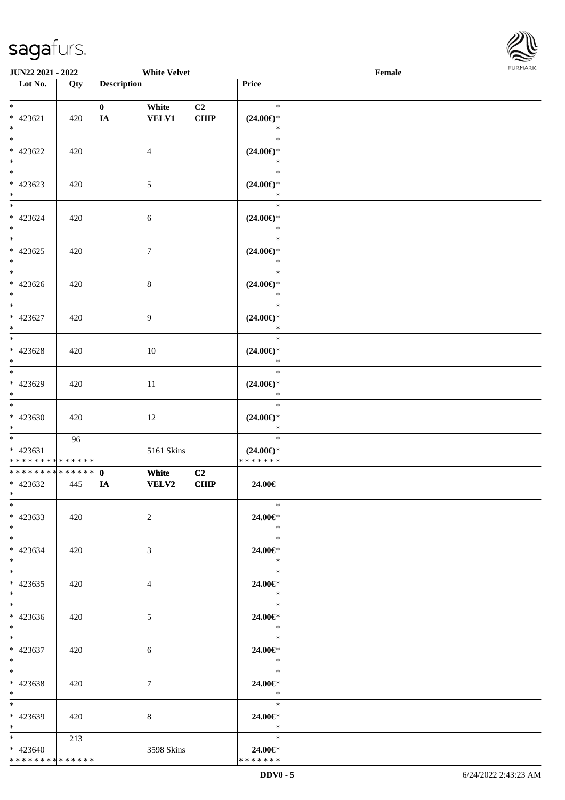\* \* \* \* \* \* \* \* \* \* \* \* \* \*



| <b>JUN22 2021 - 2022</b>                                            |     |                    | <b>White Velvet</b>   |                               |                                                | Female |  |
|---------------------------------------------------------------------|-----|--------------------|-----------------------|-------------------------------|------------------------------------------------|--------|--|
| Lot No.                                                             | Qty | <b>Description</b> |                       |                               | Price                                          |        |  |
| $*$<br>* 423621<br>$*$                                              | 420 | $\mathbf{0}$<br>IA | White<br><b>VELV1</b> | C <sub>2</sub><br><b>CHIP</b> | $\ast$<br>$(24.00\epsilon)$ *<br>$\ast$        |        |  |
| $*$<br>$* 423622$<br>$\ast$                                         | 420 |                    | $\overline{4}$        |                               | $\ast$<br>$(24.00\epsilon)$ *<br>$\ast$        |        |  |
| * 423623<br>$\ast$                                                  | 420 |                    | 5                     |                               | $\ast$<br>$(24.00\epsilon)$ *<br>$\ast$        |        |  |
| $\ddot{x}$<br>* 423624<br>$*$                                       | 420 |                    | $\boldsymbol{6}$      |                               | $\ast$<br>$(24.00\epsilon)$ *<br>$\ast$        |        |  |
| $\overline{\ast}$<br>$* 423625$<br>$\ast$<br>$\overline{\ }$        | 420 |                    | $7\phantom{.0}$       |                               | $\ast$<br>$(24.00\epsilon)$ *<br>$\ast$        |        |  |
| $* 423626$<br>$*$<br>$\overline{\ast}$                              | 420 |                    | 8                     |                               | $\ast$<br>$(24.00\epsilon)$ *<br>$\ast$        |        |  |
| $* 423627$<br>$*$<br>$*$                                            | 420 |                    | 9                     |                               | $\ast$<br>$(24.00\epsilon)$ *<br>$\ast$        |        |  |
| $* 423628$<br>$\ast$<br>$*$                                         | 420 |                    | 10                    |                               | $\ast$<br>$(24.00\epsilon)$ *<br>$\ast$        |        |  |
| * 423629<br>$*$                                                     | 420 |                    | 11                    |                               | $\ast$<br>$(24.00\epsilon)$ *<br>$\ast$        |        |  |
| $*$<br>$* 423630$<br>$*$<br>$\overline{\mathbf{r}}$                 | 420 |                    | 12                    |                               | $\ast$<br>$(24.00\epsilon)$ *<br>$\ast$        |        |  |
| $* 423631$<br>* * * * * * * * <mark>* * * * * * *</mark>            | 96  |                    | 5161 Skins            |                               | $\ast$<br>$(24.00\epsilon)$ *<br>* * * * * * * |        |  |
| * * * * * * * * <mark>* * * * * * *</mark><br>$* 423632$<br>$*$ $-$ | 445 | $\mathbf 0$<br>IA  | White<br><b>VELV2</b> | C2<br><b>CHIP</b>             | 24.00€                                         |        |  |
| $*$<br>* 423633<br>$*$                                              | 420 |                    | 2                     |                               | $\ast$<br>24.00€*<br>$\ast$                    |        |  |
| $*$ $-$<br>* 423634<br>$*$ $-$                                      | 420 |                    | 3                     |                               | $\ast$<br>24.00€*<br>$\ast$                    |        |  |
| $\ast$<br>$* 423635$<br>$*$ $-$                                     | 420 |                    | $\overline{4}$        |                               | $\ast$<br>24.00€*<br>$\ast$                    |        |  |
| $*$ $-$<br>$* 423636$<br>$*$ $\qquad$                               | 420 |                    | $5\overline{)}$       |                               | 24.00€*<br>$\overline{\mathbf{r}}$             |        |  |
| $\ast$<br>$* 423637$<br>$*$ $-$                                     | 420 |                    | 6                     |                               | 24.00€*<br>$\ast$                              |        |  |
| $*$<br>* 423638<br>$*$                                              | 420 |                    | $7\phantom{.0}$       |                               | 24.00€*<br>$\ast$                              |        |  |
| $*$<br>* 423639<br>$*$ $-$                                          | 420 |                    | 8                     |                               | $\ast$<br>24.00€*<br>$\ast$                    |        |  |
| $*$ and $*$<br>$* 423640$                                           | 213 |                    | 3598 Skins            |                               | $\ast$<br>24.00€*                              |        |  |

\* \* \* \* \* \* \*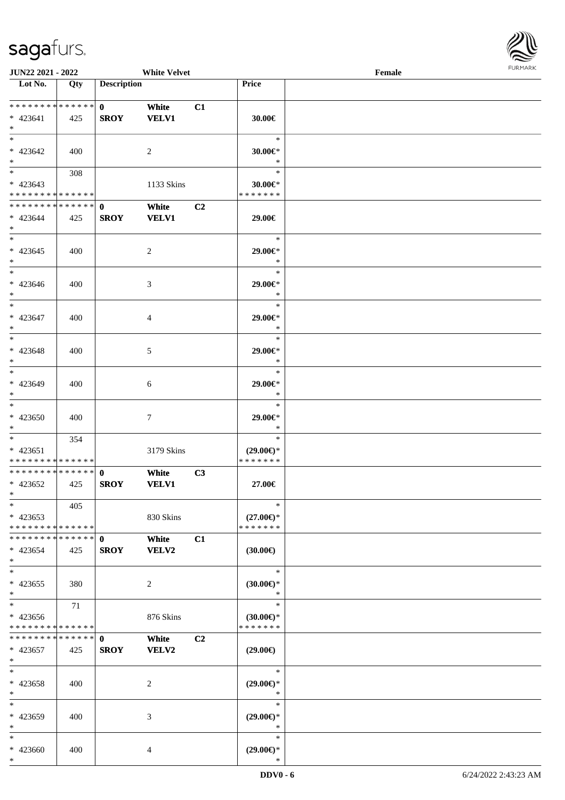

| <b>JUN22 2021 - 2022</b>                                                            |     |                             | <b>White Velvet</b>   |    |                                                | Female |  |
|-------------------------------------------------------------------------------------|-----|-----------------------------|-----------------------|----|------------------------------------------------|--------|--|
| Lot No.                                                                             | Qty | <b>Description</b>          |                       |    | Price                                          |        |  |
| ******** <mark>******</mark><br>$* 423641$<br>$*$                                   | 425 | $\mathbf{0}$<br><b>SROY</b> | White<br><b>VELV1</b> | C1 | 30.00€                                         |        |  |
| $*$<br>$* 423642$<br>$\ast$                                                         | 400 |                             | 2                     |    | $\ast$<br>30.00€*<br>$\ast$                    |        |  |
| $\overline{\mathbf{r}}$<br>$* 423643$<br>* * * * * * * * <mark>* * * * * * *</mark> | 308 |                             | 1133 Skins            |    | $\ast$<br>$30.00 \in$ *<br>* * * * * * *       |        |  |
| * * * * * * * * * * * * * * <mark>*</mark><br>$* 423644$<br>$*$                     | 425 | $\mathbf 0$<br><b>SROY</b>  | White<br><b>VELV1</b> | C2 | 29.00€                                         |        |  |
| $\overline{\ast}$<br>$* 423645$<br>$\ast$                                           | 400 |                             | $\overline{2}$        |    | $\ast$<br>29.00€*<br>$\ast$                    |        |  |
| $\ast$<br>$* 423646$<br>$\ast$                                                      | 400 |                             | 3                     |    | $\ast$<br>29.00€*<br>$\ast$                    |        |  |
| $* 423647$<br>$\ast$                                                                | 400 |                             | $\overline{4}$        |    | $\ast$<br>29.00€*<br>$\ast$                    |        |  |
| $*$<br>$* 423648$<br>$\ast$                                                         | 400 |                             | 5                     |    | $\ast$<br>29.00€*<br>$\ast$                    |        |  |
| $*$<br>* 423649<br>$\ast$                                                           | 400 |                             | 6                     |    | $\ast$<br>29.00€*<br>$\ast$                    |        |  |
| $*$<br>* 423650<br>$*$                                                              | 400 |                             | $\tau$                |    | $\ast$<br>29.00€*<br>$\ast$                    |        |  |
| $*$ $-$<br>$* 423651$<br>* * * * * * * * <mark>* * * * * * *</mark>                 | 354 |                             | 3179 Skins            |    | $\ast$<br>$(29.00\epsilon)$ *<br>* * * * * * * |        |  |
| * * * * * * * * <mark>* * * * * * *</mark><br>* 423652<br>$*$ $-$                   | 425 | $\mathbf{0}$<br><b>SROY</b> | White<br><b>VELV1</b> | C3 | 27.00€                                         |        |  |
| $\ast$<br>$* 423653$<br>* * * * * * * * <mark>* * * * * * *</mark>                  | 405 |                             | 830 Skins             |    | $\ast$<br>$(27.00\epsilon)$ *<br>* * * * * * * |        |  |
| * * * * * * * * * * * * * * <mark>*</mark><br>$* 423654$<br>$\ast$                  | 425 | $\mathbf 0$<br><b>SROY</b>  | White<br>VELV2        | C1 | $(30.00\epsilon)$                              |        |  |
| $*$<br>$* 423655$<br>$*$                                                            | 380 |                             | 2                     |    | $\ast$<br>$(30.00\epsilon)$ *<br>$\ast$        |        |  |
| $\ddot{x}$<br>$* 423656$<br>* * * * * * * * <mark>* * * * * *</mark>                | 71  |                             | 876 Skins             |    | $\ast$<br>$(30.00\epsilon)$ *<br>* * * * * * * |        |  |
| * * * * * * * * * * * * * * <mark>*</mark><br>* 423657<br>$\ast$                    | 425 | $\mathbf{0}$<br><b>SROY</b> | White<br><b>VELV2</b> | C2 | $(29.00\epsilon)$                              |        |  |
| $\ddot{x}$<br>* 423658<br>$\ast$                                                    | 400 |                             | 2                     |    | $\ast$<br>$(29.00\epsilon)$ *<br>$\ast$        |        |  |
| $\ast$<br>* 423659<br>$*$                                                           | 400 |                             | 3                     |    | $\ast$<br>$(29.00\epsilon)$ *<br>$\ast$        |        |  |
| $\ast$<br>* 423660                                                                  | 400 |                             | 4                     |    | $\ast$<br>$(29.00\epsilon)$ *                  |        |  |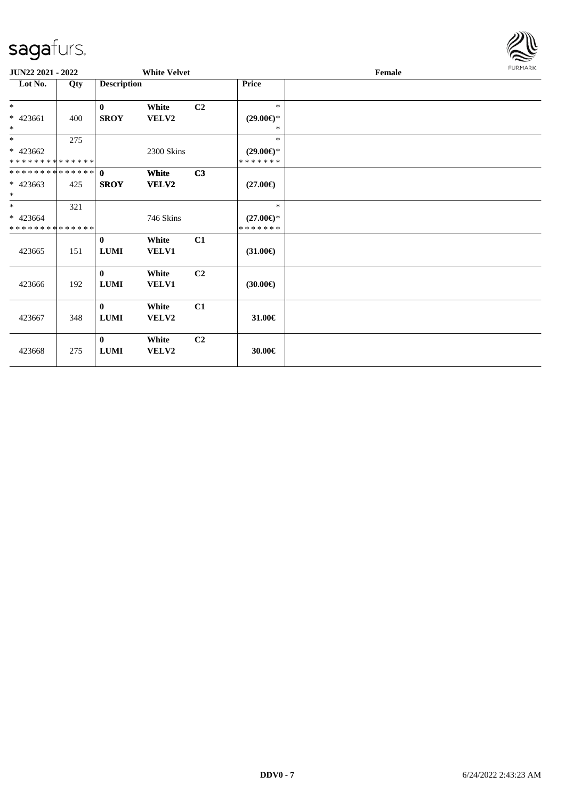

| JUN22 2021 - 2022                         |     |                              | <b>White Velvet</b>   |                |                                      | Female |  |  |  |
|-------------------------------------------|-----|------------------------------|-----------------------|----------------|--------------------------------------|--------|--|--|--|
| Lot No.                                   | Qty | <b>Description</b>           |                       |                | Price                                |        |  |  |  |
| $*$                                       |     | $\mathbf{0}$                 | White                 | C <sub>2</sub> | $\ast$                               |        |  |  |  |
| $* 423661$<br>$\ast$                      | 400 | <b>SROY</b>                  | VELV2                 |                | $(29.00\epsilon)$ *<br>*             |        |  |  |  |
| $*$                                       | 275 |                              |                       |                | $\ast$                               |        |  |  |  |
| $* 423662$<br>* * * * * * * * * * * * * * |     |                              | 2300 Skins            |                | $(29.00\epsilon)$ *<br>* * * * * * * |        |  |  |  |
| * * * * * * * * * * * * * * *             |     | $\theta$                     | <b>White</b>          | C3             |                                      |        |  |  |  |
| $* 423663$<br>$\ast$                      | 425 | <b>SROY</b>                  | <b>VELV2</b>          |                | $(27.00\epsilon)$                    |        |  |  |  |
| $*$                                       | 321 |                              |                       |                | $\ast$                               |        |  |  |  |
| $* 423664$<br>* * * * * * * * * * * * * * |     |                              | 746 Skins             |                | $(27.00\epsilon)$ *<br>* * * * * * * |        |  |  |  |
| 423665                                    | 151 | $\bf{0}$<br>${\bf LUMI}$     | White<br>VELV1        | C1             | $(31.00\epsilon)$                    |        |  |  |  |
| 423666                                    | 192 | $\bf{0}$<br>${\bf LUMI}$     | White<br>VELV1        | C2             | $(30.00\epsilon)$                    |        |  |  |  |
| 423667                                    | 348 | $\bf{0}$<br><b>LUMI</b>      | White<br><b>VELV2</b> | C1             | 31.00€                               |        |  |  |  |
| 423668                                    | 275 | $\mathbf{0}$<br>${\bf LUMI}$ | White<br>VELV2        | C <sub>2</sub> | 30.00€                               |        |  |  |  |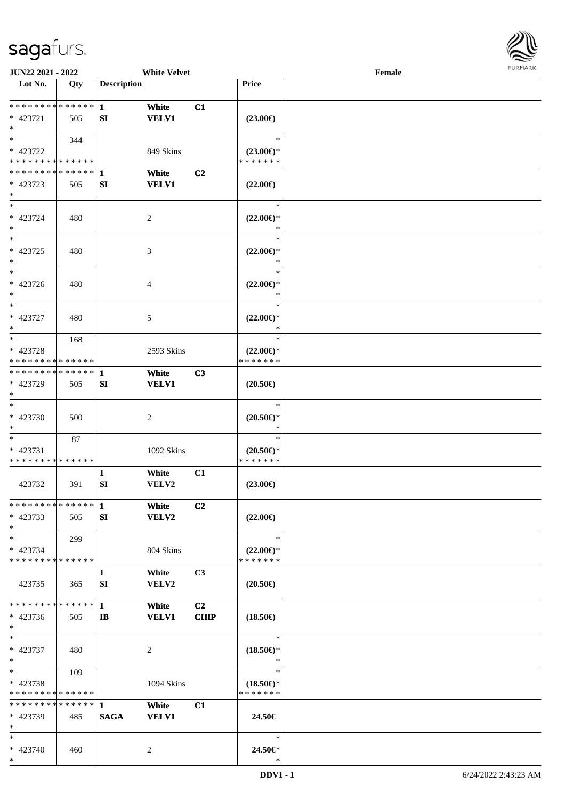

| JUN22 2021 - 2022             |     |                    | <b>White Velvet</b>         |                |                     | Female |  |
|-------------------------------|-----|--------------------|-----------------------------|----------------|---------------------|--------|--|
| Lot No.                       | Qty | <b>Description</b> |                             |                | Price               |        |  |
|                               |     |                    |                             |                |                     |        |  |
| ******** <mark>******</mark>  |     | $\mathbf{1}$       | White                       | C1             |                     |        |  |
| * 423721                      | 505 | SI                 | <b>VELV1</b>                |                | $(23.00\epsilon)$   |        |  |
| $\ast$                        |     |                    |                             |                |                     |        |  |
| $\ast$                        | 344 |                    |                             |                | $\ast$              |        |  |
| * 423722                      |     |                    | 849 Skins                   |                | $(23.00\epsilon)$ * |        |  |
| * * * * * * * * * * * * * *   |     |                    |                             |                | * * * * * * *       |        |  |
| ************** 1              |     |                    | White                       | C <sub>2</sub> |                     |        |  |
| $* 423723$                    | 505 | SI                 | <b>VELV1</b>                |                | $(22.00\epsilon)$   |        |  |
| $\ast$                        |     |                    |                             |                |                     |        |  |
| $\overline{\ }$               |     |                    |                             |                | $\ast$              |        |  |
| * 423724                      | 480 |                    | $\boldsymbol{2}$            |                | $(22.00\epsilon)$ * |        |  |
| $\ast$                        |     |                    |                             |                | $\ast$              |        |  |
| $\overline{\phantom{1}}$      |     |                    |                             |                | $\ast$              |        |  |
| $* 423725$                    | 480 |                    | $\ensuremath{\mathfrak{Z}}$ |                | $(22.00\epsilon)$ * |        |  |
| $\ast$                        |     |                    |                             |                | $\ast$              |        |  |
| $\overline{\phantom{a}^*}$    |     |                    |                             |                | $\ast$              |        |  |
| $* 423726$                    | 480 |                    | 4                           |                | $(22.00\epsilon)$ * |        |  |
| $\ast$                        |     |                    |                             |                | $\ast$              |        |  |
| $\overline{\phantom{a}^*}$    |     |                    |                             |                | $\ast$              |        |  |
| * 423727                      | 480 |                    | 5                           |                | $(22.00\epsilon)$ * |        |  |
| $\ast$                        |     |                    |                             |                | $\ast$              |        |  |
| $\ast$                        | 168 |                    |                             |                | $\ast$              |        |  |
| * 423728                      |     |                    | 2593 Skins                  |                | $(22.00\epsilon)$ * |        |  |
| * * * * * * * * * * * * * *   |     |                    |                             |                | * * * * * * *       |        |  |
| * * * * * * * * * * * * * * * |     | $\mathbf{1}$       | White                       | C3             |                     |        |  |
| * 423729                      | 505 | SI                 | <b>VELV1</b>                |                | $(20.50\epsilon)$   |        |  |
| $\ast$                        |     |                    |                             |                |                     |        |  |
| $\ast$                        |     |                    |                             |                | $\ast$              |        |  |
| * 423730                      | 500 |                    | $\overline{c}$              |                | $(20.50\epsilon)$ * |        |  |
| $\ast$                        |     |                    |                             |                | *                   |        |  |
| $\ast$                        | 87  |                    |                             |                | $\ast$              |        |  |
| $* 423731$                    |     |                    | 1092 Skins                  |                | $(20.50\epsilon)$ * |        |  |
| * * * * * * * * * * * * * *   |     |                    |                             |                | * * * * * * *       |        |  |
|                               |     | $\mathbf{1}$       | White                       | C1             |                     |        |  |
| 423732                        | 391 | SI                 | VELV2                       |                | $(23.00\epsilon)$   |        |  |
|                               |     |                    |                             |                |                     |        |  |
| * * * * * * * * * * * * * * * |     | $\mathbf{1}$       | White                       | C2             |                     |        |  |
| * 423733                      | 505 | SI                 | <b>VELV2</b>                |                | $(22.00\epsilon)$   |        |  |
| $*$                           |     |                    |                             |                |                     |        |  |
| $\ast$                        | 299 |                    |                             |                | $\ast$              |        |  |
| * 423734                      |     |                    | 804 Skins                   |                | $(22.00\epsilon)$ * |        |  |
| * * * * * * * * * * * * * *   |     |                    |                             |                | * * * * * * *       |        |  |
|                               |     | $\mathbf{1}$       | White                       | C3             |                     |        |  |
| 423735                        | 365 | SI                 | <b>VELV2</b>                |                | $(20.50\epsilon)$   |        |  |
|                               |     |                    |                             |                |                     |        |  |
| * * * * * * * * * * * * * *   |     | $\mathbf{1}$       | White                       | C <sub>2</sub> |                     |        |  |
| * 423736                      | 505 | $\mathbf{I}$       | <b>VELV1</b>                | <b>CHIP</b>    | $(18.50\epsilon)$   |        |  |
| $\ast$                        |     |                    |                             |                |                     |        |  |
| $\ast$                        |     |                    |                             |                | $\ast$              |        |  |
| * 423737                      | 480 |                    | $\overline{c}$              |                | $(18.50\epsilon)$ * |        |  |
| $\ast$                        |     |                    |                             |                | $\ast$              |        |  |
| $*$                           | 109 |                    |                             |                | $\ast$              |        |  |
| * 423738                      |     |                    | 1094 Skins                  |                | $(18.50\epsilon)$ * |        |  |
| * * * * * * * * * * * * * *   |     |                    |                             |                | * * * * * * *       |        |  |
| * * * * * * * * * * * * * *   |     | $\mathbf{1}$       | White                       | C1             |                     |        |  |
| * 423739                      | 485 | <b>SAGA</b>        | <b>VELV1</b>                |                | 24.50€              |        |  |
| $*$                           |     |                    |                             |                |                     |        |  |
| $*$                           |     |                    |                             |                | $\ast$              |        |  |
| * 423740                      | 460 |                    | 2                           |                | 24.50€*             |        |  |
| $*$                           |     |                    |                             |                | $\ast$              |        |  |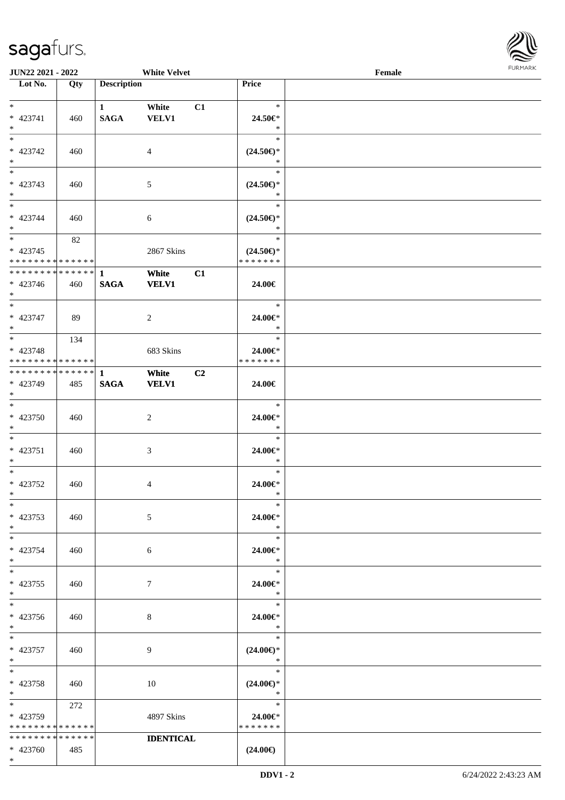

| <b>JUN22 2021 - 2022</b>                   |     |                    | <b>White Velvet</b> |    |                                                    | Female |  |
|--------------------------------------------|-----|--------------------|---------------------|----|----------------------------------------------------|--------|--|
| Lot No.                                    | Qty | <b>Description</b> |                     |    | Price                                              |        |  |
|                                            |     |                    |                     |    |                                                    |        |  |
| $*$                                        |     | $\mathbf{1}$       | White               | C1 | $\ast$                                             |        |  |
| * 423741                                   | 460 | <b>SAGA</b>        | VELV1               |    | 24.50€*                                            |        |  |
| $*$                                        |     |                    |                     |    | $\ast$                                             |        |  |
| $\overline{\ast}$                          |     |                    |                     |    | $\ast$                                             |        |  |
| * 423742                                   | 460 |                    | $\overline{4}$      |    | $(24.50\epsilon)$ *                                |        |  |
| $*$                                        |     |                    |                     |    | $\ast$                                             |        |  |
|                                            |     |                    |                     |    | $\ast$                                             |        |  |
| * 423743                                   | 460 |                    | 5                   |    | $(24.50\epsilon)$ *                                |        |  |
| $*$                                        |     |                    |                     |    | $\ast$                                             |        |  |
| $*$                                        |     |                    |                     |    | $\ast$                                             |        |  |
| * 423744                                   | 460 |                    | 6                   |    | $(24.50\mathnormal{\in}\mathcal{)^{\! \! \times}}$ |        |  |
| $*$                                        |     |                    |                     |    | $\ast$                                             |        |  |
|                                            | 82  |                    |                     |    | $\ast$                                             |        |  |
| $* 423745$                                 |     |                    | 2867 Skins          |    | $(24.50\epsilon)$ *                                |        |  |
| * * * * * * * * * * * * * *                |     |                    |                     |    | * * * * * * *                                      |        |  |
| * * * * * * * * <mark>* * * * * * *</mark> |     | $\mathbf{1}$       | White               | C1 |                                                    |        |  |
| $* 423746$                                 | 460 | <b>SAGA</b>        | <b>VELV1</b>        |    | 24.00€                                             |        |  |
| $*$                                        |     |                    |                     |    |                                                    |        |  |
|                                            |     |                    |                     |    | $\ast$                                             |        |  |
| * 423747                                   | 89  |                    | 2                   |    | 24.00€*                                            |        |  |
| $*$                                        |     |                    |                     |    | $\ast$                                             |        |  |
|                                            | 134 |                    |                     |    | $\ast$                                             |        |  |
| * 423748                                   |     |                    | 683 Skins           |    | 24.00€*                                            |        |  |
| * * * * * * * * * * * * * *                |     |                    |                     |    | * * * * * * *                                      |        |  |
|                                            |     |                    | White               | C2 |                                                    |        |  |
| * 423749                                   | 485 | <b>SAGA</b>        | <b>VELV1</b>        |    | 24.00€                                             |        |  |
| $*$                                        |     |                    |                     |    |                                                    |        |  |
| $*$                                        |     |                    |                     |    | $\ast$                                             |        |  |
| * 423750                                   | 460 |                    | 2                   |    | 24.00€*                                            |        |  |
| $*$<br>$*$                                 |     |                    |                     |    | $\ast$<br>$\ast$                                   |        |  |
|                                            |     |                    |                     |    |                                                    |        |  |
| * 423751                                   | 460 |                    | 3                   |    | 24.00€*<br>$\ast$                                  |        |  |
| $*$<br>$*$                                 |     |                    |                     |    | $\ast$                                             |        |  |
|                                            |     |                    |                     |    | 24.00€*                                            |        |  |
| * 423752<br>$*$ $*$                        | 460 |                    | 4                   |    | $\ast$                                             |        |  |
| $*$                                        |     |                    |                     |    | $\ast$                                             |        |  |
| * 423753                                   | 460 |                    | 5                   |    | 24.00€*                                            |        |  |
| $*$                                        |     |                    |                     |    | $\ast$                                             |        |  |
| $*$                                        |     |                    |                     |    | $\ast$                                             |        |  |
| * 423754                                   | 460 |                    | 6                   |    | 24.00€*                                            |        |  |
| $*$                                        |     |                    |                     |    | $\ast$                                             |        |  |
| $*$                                        |     |                    |                     |    | $\ast$                                             |        |  |
| $* 423755$                                 | 460 |                    | $7\phantom{.0}$     |    | 24.00€*                                            |        |  |
| $*$                                        |     |                    |                     |    | $*$                                                |        |  |
| $*$                                        |     |                    |                     |    | $\ast$                                             |        |  |
| * 423756                                   | 460 |                    | 8                   |    | 24.00€*                                            |        |  |
| $*$                                        |     |                    |                     |    | $\ast$                                             |        |  |
| $*$ $-$                                    |     |                    |                     |    | $\ast$                                             |        |  |
| * 423757                                   | 460 |                    | 9                   |    | $(24.00\epsilon)$ *                                |        |  |
| $*$                                        |     |                    |                     |    | $\ast$                                             |        |  |
| $*$                                        |     |                    |                     |    | $\ast$                                             |        |  |
| * 423758                                   | 460 |                    | 10                  |    | $(24.00\epsilon)$ *                                |        |  |
| $*$                                        |     |                    |                     |    | $\ast$                                             |        |  |
| $*$                                        | 272 |                    |                     |    | $\ast$                                             |        |  |
| * 423759                                   |     |                    | 4897 Skins          |    | 24.00€*                                            |        |  |
| * * * * * * * * * * * * * *                |     |                    |                     |    | * * * * * * *                                      |        |  |
| * * * * * * * * * * * * * *                |     |                    | <b>IDENTICAL</b>    |    |                                                    |        |  |
| $* 423760$                                 | 485 |                    |                     |    | $(24.00\epsilon)$                                  |        |  |
| $*$                                        |     |                    |                     |    |                                                    |        |  |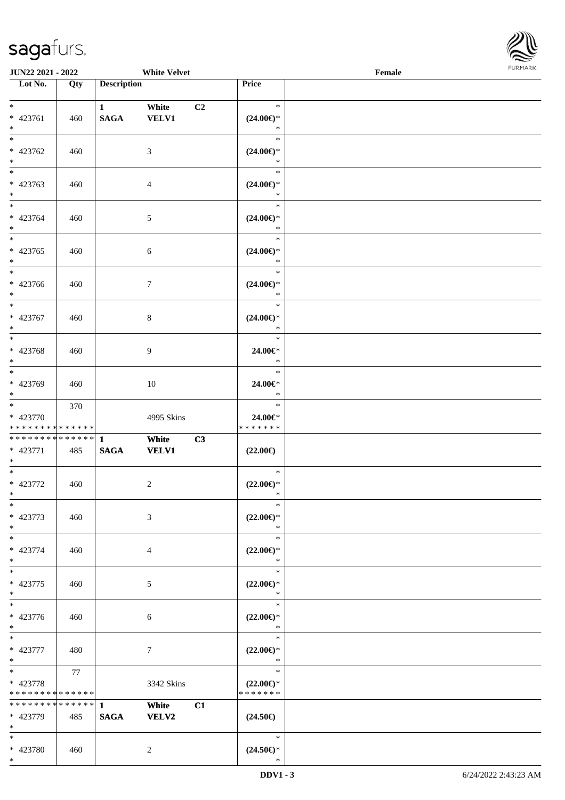

| <b>JUN22 2021 - 2022</b><br><b>White Velvet</b>                             |     |                             |                       |                                                | <b>FURMARK</b><br>$\ensuremath{\textnormal{\textbf{Female}}}$ |  |  |
|-----------------------------------------------------------------------------|-----|-----------------------------|-----------------------|------------------------------------------------|---------------------------------------------------------------|--|--|
| Lot No.                                                                     | Qty | <b>Description</b>          |                       | Price                                          |                                                               |  |  |
| $*$<br>* 423761<br>$*$                                                      | 460 | $\mathbf{1}$<br><b>SAGA</b> | White<br><b>VELV1</b> | $\ast$<br>C2<br>$(24.00\epsilon)$ *<br>$\ast$  |                                                               |  |  |
| * 423762<br>$*$                                                             | 460 |                             | 3                     | $\ast$<br>$(24.00\epsilon)$ *<br>$\ast$        |                                                               |  |  |
| $\overline{\phantom{0}}$<br>* 423763<br>$*$                                 | 460 |                             | 4                     | $\ast$<br>$(24.00\epsilon)$ *<br>$\ast$        |                                                               |  |  |
| $*$<br>* 423764<br>$*$                                                      | 460 |                             | 5                     | $\ast$<br>$(24.00\epsilon)$ *<br>$\ast$        |                                                               |  |  |
| $*$<br>* 423765<br>$*$                                                      | 460 |                             | 6                     | $\ast$<br>$(24.00\epsilon)$ *<br>$\ast$        |                                                               |  |  |
| $\ast$<br>* 423766<br>$*$                                                   | 460 |                             | 7                     | $\ast$<br>$(24.00\epsilon)$ *<br>$\ast$        |                                                               |  |  |
| $*$<br>* 423767<br>$*$                                                      | 460 |                             | 8                     | $\ast$<br>$(24.00\epsilon)$ *<br>$\ast$        |                                                               |  |  |
| $\overline{\ }$<br>* 423768<br>$*$                                          | 460 |                             | 9                     | $\ast$<br>24.00€*<br>$\ast$                    |                                                               |  |  |
| $\overline{\ast}$<br>* 423769<br>$*$                                        | 460 |                             | 10                    | $\ast$<br>24.00€*<br>$\ast$                    |                                                               |  |  |
| $\overline{\ast}$<br>* 423770<br>* * * * * * * * <mark>* * * * * * *</mark> | 370 |                             | 4995 Skins            | $\ast$<br>24.00€*<br>* * * * * * *             |                                                               |  |  |
| * * * * * * * * <mark>* * * * * * *</mark><br>* 423771<br>$*$               | 485 | $\mathbf{1}$<br><b>SAGA</b> | White<br><b>VELV1</b> | C3<br>$(22.00\epsilon)$                        |                                                               |  |  |
| * 423772<br>$\ast$                                                          | 460 |                             | $\overline{c}$        | $\ast$<br>$(22.00\epsilon)$ *<br>$\ast$        |                                                               |  |  |
| $\frac{1}{1}$<br>* 423773<br>$*$                                            | 460 |                             | 3                     | $\ast$<br>$(22.00\epsilon)$ *<br>$\ast$        |                                                               |  |  |
| $\overline{\phantom{0}}$<br>* 423774<br>$\ast$                              | 460 |                             | 4                     | $\ast$<br>$(22.00\epsilon)$ *<br>$\ast$        |                                                               |  |  |
| $\overline{\ast}$<br>* 423775<br>$*$                                        | 460 |                             | $\sqrt{5}$            | $\ast$<br>$(22.00\epsilon)$ *<br>$\ast$        |                                                               |  |  |
| $*$<br>* 423776<br>$*$                                                      | 460 |                             | 6                     | $\ast$<br>$(22.00\epsilon)$ *<br>$\ast$        |                                                               |  |  |
| $*$<br>* 423777<br>$*$                                                      | 480 |                             | $\tau$                | $\ast$<br>$(22.00\epsilon)$ *<br>$\ast$        |                                                               |  |  |
| $*$<br>* 423778<br>* * * * * * * * <mark>* * * * * *</mark>                 | 77  |                             | 3342 Skins            | $\ast$<br>$(22.00\epsilon)$ *<br>* * * * * * * |                                                               |  |  |
| * * * * * * * * <mark>* * * * * * *</mark><br>* 423779<br>$\ast$            | 485 | $\mathbf{1}$<br><b>SAGA</b> | White<br>VELV2        | C1<br>$(24.50\epsilon)$                        |                                                               |  |  |
| $*$<br>* 423780                                                             | 460 |                             | 2                     | $\ast$<br>$(24.50\epsilon)$ *                  |                                                               |  |  |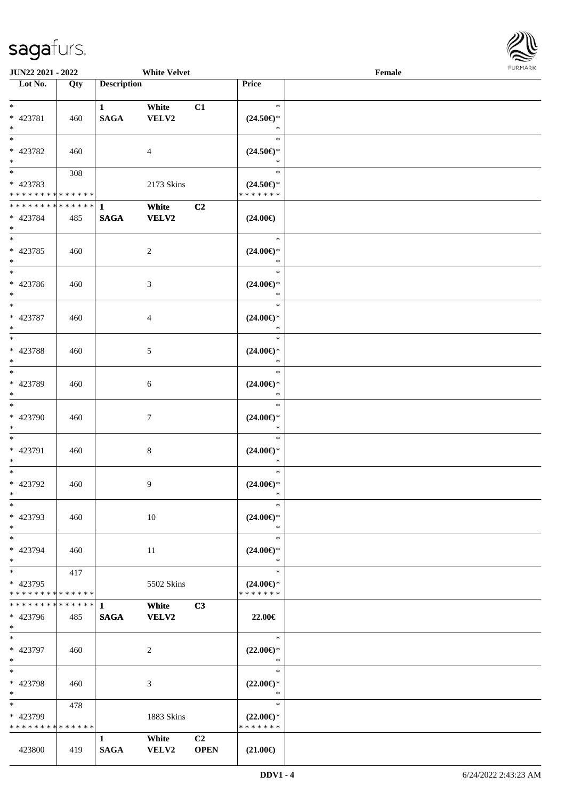

| <b>JUN22 2021 - 2022</b>                   |     |                    | <b>White Velvet</b> |             |                                      | Female |  |
|--------------------------------------------|-----|--------------------|---------------------|-------------|--------------------------------------|--------|--|
| Lot No.                                    | Qty | <b>Description</b> |                     |             | Price                                |        |  |
|                                            |     |                    |                     |             |                                      |        |  |
| $*$                                        |     | $\mathbf{1}$       | White               | C1          | $\ast$                               |        |  |
| * 423781                                   | 460 | <b>SAGA</b>        | VELV2               |             | $(24.50\epsilon)$ *                  |        |  |
| $*$                                        |     |                    |                     |             | $\ast$                               |        |  |
|                                            |     |                    |                     |             | $\ast$                               |        |  |
| * 423782                                   | 460 |                    | $\overline{4}$      |             | $(24.50\epsilon)$ *                  |        |  |
| $*$                                        |     |                    |                     |             | $\ast$                               |        |  |
|                                            | 308 |                    |                     |             | $\ast$                               |        |  |
| * 423783                                   |     |                    | 2173 Skins          |             | $(24.50\epsilon)$ *                  |        |  |
| * * * * * * * * <mark>* * * * * * *</mark> |     |                    |                     |             | * * * * * * *                        |        |  |
| * * * * * * * * <mark>* * * * * * *</mark> |     | $\mathbf{1}$       | White               | C2          |                                      |        |  |
| * 423784                                   |     | <b>SAGA</b>        | VELV2               |             | $(24.00\epsilon)$                    |        |  |
| $*$                                        | 485 |                    |                     |             |                                      |        |  |
|                                            |     |                    |                     |             | $\ast$                               |        |  |
|                                            |     |                    |                     |             |                                      |        |  |
| * 423785                                   | 460 |                    | $\overline{c}$      |             | $(24.00\epsilon)$ *                  |        |  |
| $*$                                        |     |                    |                     |             | $\ast$                               |        |  |
|                                            |     |                    |                     |             | $\ast$                               |        |  |
| * 423786                                   | 460 |                    | 3                   |             | $(24.00\epsilon)$ *                  |        |  |
| $*$                                        |     |                    |                     |             | $\ast$                               |        |  |
|                                            |     |                    |                     |             | $\ast$                               |        |  |
| * 423787                                   | 460 |                    | $\overline{4}$      |             | $(24.00\epsilon)$ *                  |        |  |
| $*$                                        |     |                    |                     |             | $\ast$                               |        |  |
|                                            |     |                    |                     |             | $\ast$                               |        |  |
| * 423788                                   | 460 |                    | 5                   |             | $(24.00\epsilon)$ *                  |        |  |
| $*$                                        |     |                    |                     |             | $\ast$                               |        |  |
| $*$                                        |     |                    |                     |             | $\ast$                               |        |  |
| * 423789                                   | 460 |                    | 6                   |             | $(24.00\epsilon)$ *                  |        |  |
| $*$                                        |     |                    |                     |             | $\ast$                               |        |  |
| $*$                                        |     |                    |                     |             | $\ast$                               |        |  |
| * 423790                                   | 460 |                    | $\tau$              |             | $(24.00\epsilon)$ *                  |        |  |
| $*$                                        |     |                    |                     |             | $\ast$                               |        |  |
| $*$                                        |     |                    |                     |             | $\ast$                               |        |  |
|                                            |     |                    |                     |             |                                      |        |  |
| * 423791                                   | 460 |                    | $\,8\,$             |             | $(24.00\epsilon)$ *<br>$\ast$        |        |  |
| $\ast$<br>$*$                              |     |                    |                     |             | $\ast$                               |        |  |
|                                            |     |                    |                     |             |                                      |        |  |
| * 423792                                   | 460 |                    | 9                   |             | $(24.00\epsilon)$ *                  |        |  |
| $*$ $-$                                    |     |                    |                     |             | $\ast$                               |        |  |
| $\ast$                                     |     |                    |                     |             | $\ast$                               |        |  |
| * 423793                                   | 460 |                    | 10                  |             | $(24.00\epsilon)$ *                  |        |  |
| $*$                                        |     |                    |                     |             | ∗                                    |        |  |
| $*$                                        |     |                    |                     |             | $\ast$                               |        |  |
| * 423794                                   | 460 |                    | 11                  |             | $(24.00\epsilon)$ *                  |        |  |
| $\ast$                                     |     |                    |                     |             | $\ast$                               |        |  |
| $*$                                        | 417 |                    |                     |             | $\ast$                               |        |  |
| * 423795                                   |     |                    | 5502 Skins          |             | $(24.00\epsilon)$ *                  |        |  |
| * * * * * * * * * * * * * *                |     |                    |                     |             | * * * * * * *                        |        |  |
| * * * * * * * * <mark>* * * * * *</mark> * |     | $\mathbf{1}$       | White               | C3          |                                      |        |  |
| * 423796                                   | 485 | <b>SAGA</b>        | VELV2               |             | 22.00€                               |        |  |
| $*$                                        |     |                    |                     |             |                                      |        |  |
| $*$                                        |     |                    |                     |             | $\ast$                               |        |  |
| * 423797                                   | 460 |                    | $\overline{2}$      |             | $(22.00\epsilon)$ *                  |        |  |
| $*$                                        |     |                    |                     |             | $\ast$                               |        |  |
| $*$                                        |     |                    |                     |             | $\ast$                               |        |  |
| * 423798                                   | 460 |                    | 3                   |             | $(22.00\epsilon)$ *                  |        |  |
| $*$                                        |     |                    |                     |             | $\ast$                               |        |  |
| $*$                                        | 478 |                    |                     |             | $\ast$                               |        |  |
| * 423799                                   |     |                    | 1883 Skins          |             |                                      |        |  |
| * * * * * * * * * * * * * *                |     |                    |                     |             | $(22.00\epsilon)$ *<br>* * * * * * * |        |  |
|                                            |     |                    |                     |             |                                      |        |  |
|                                            |     | $\mathbf{1}$       | White               | C2          |                                      |        |  |
| 423800                                     | 419 | <b>SAGA</b>        | VELV2               | <b>OPEN</b> | $(21.00\epsilon)$                    |        |  |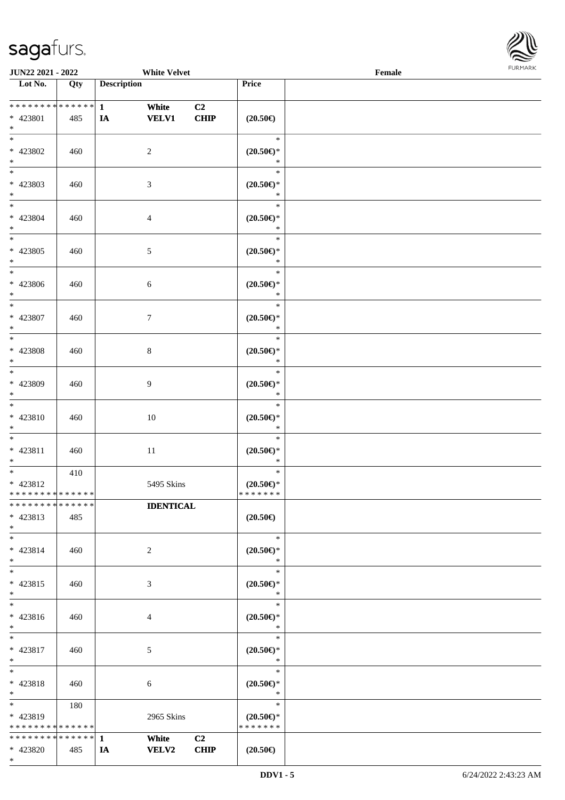

| JUN22 2021 - 2022                               |     |                    | <b>White Velvet</b>         |            |                                                    | FURMARK<br>Female |  |  |
|-------------------------------------------------|-----|--------------------|-----------------------------|------------|----------------------------------------------------|-------------------|--|--|
| $\overline{\phantom{1}}$ Lot No.                | Qty | <b>Description</b> |                             |            | Price                                              |                   |  |  |
| ******** <mark>******</mark><br>* 423801<br>$*$ | 485 | $\mathbf{1}$<br>IA | White<br><b>VELV1</b>       | C2<br>CHIP | $(20.50\epsilon)$                                  |                   |  |  |
| $*$<br>$* 423802$<br>$*$                        | 460 |                    | $\sqrt{2}$                  |            | $\ast$<br>$(20.50\epsilon)$ *<br>$\ast$            |                   |  |  |
| * 423803<br>$*$                                 | 460 |                    | $\mathfrak{Z}$              |            | $\ast$<br>$(20.50\epsilon)$ *<br>$\ast$            |                   |  |  |
| $*$<br>* 423804<br>$*$                          | 460 |                    | $\overline{4}$              |            | $\ast$<br>$(20.50\epsilon)$ *<br>$\ast$            |                   |  |  |
| $\overline{\ast}$<br>$* 423805$<br>$*$          | 460 |                    | $\mathfrak{S}$              |            | $\ast$<br>$(20.50 \in )^*$<br>$\ast$               |                   |  |  |
| $*$<br>$* 423806$<br>$\ast$                     | 460 |                    | $\sqrt{6}$                  |            | $\ast$<br>$(20.50 \in )^*$<br>$\ast$               |                   |  |  |
| $*$<br>* 423807<br>$*$                          | 460 |                    | $\tau$                      |            | $\ast$<br>$(20.50\mathnormal{\infty})^*$<br>$\ast$ |                   |  |  |
| $\overline{\phantom{0}}$<br>* 423808<br>$*$     | 460 |                    | $\,8\,$                     |            | $\ast$<br>$(20.50\mathnormal{\infty})^*$<br>$\ast$ |                   |  |  |
| $*$<br>* 423809<br>$*$                          | 460 |                    | 9                           |            | $\ast$<br>$(20.50\mathnormal{\infty})^*$<br>$\ast$ |                   |  |  |
| $\ast$<br>* 423810<br>$*$                       | 460 |                    | $10\,$                      |            | $\ast$<br>$(20.50\epsilon)$ *<br>$\ast$            |                   |  |  |
| $\ast$<br>* 423811<br>$*$                       | 460 |                    | 11                          |            | $\ast$<br>$(20.50\epsilon)$ *<br>$\ast$            |                   |  |  |
| $*$<br>* 423812<br>* * * * * * * * * * * * * *  | 410 |                    | 5495 Skins                  |            | $\ast$<br>$(20.50\epsilon)$ *<br>* * * * * * *     |                   |  |  |
| * * * * * * * * * * * * * *<br>* 423813<br>$*$  | 485 |                    | <b>IDENTICAL</b>            |            | $(20.50\epsilon)$                                  |                   |  |  |
| $*$<br>* 423814<br>$*$                          | 460 |                    | 2                           |            | $\ast$<br>$(20.50\epsilon)$ *<br>$\ast$            |                   |  |  |
| $*$<br>$* 423815$<br>$*$                        | 460 |                    | $\ensuremath{\mathfrak{Z}}$ |            | $\ast$<br>$(20.50\epsilon)$ *<br>$\ast$            |                   |  |  |
| $*$<br>$* 423816$<br>$*$                        | 460 |                    | $\overline{4}$              |            | $\ast$<br>$(20.50\epsilon)$ *<br>$\ast$            |                   |  |  |
| $*$<br>* 423817<br>$*$                          | 460 |                    | 5                           |            | $\ast$<br>$(20.50\epsilon)$ *<br>$\ast$            |                   |  |  |
| $*$<br>* 423818<br>$*$                          | 460 |                    | 6                           |            | $\ast$<br>$(20.50 \in )^*$<br>$\ast$               |                   |  |  |
| $*$<br>* 423819<br>* * * * * * * * * * * * * *  | 180 |                    | 2965 Skins                  |            | $\ast$<br>$(20.50\epsilon)$ *<br>* * * * * * *     |                   |  |  |
| * * * * * * * * * * * * * * *<br>* 423820       | 485 | -1<br>IA           | White<br><b>VELV2</b>       | C2<br>CHIP | $(20.50\epsilon)$                                  |                   |  |  |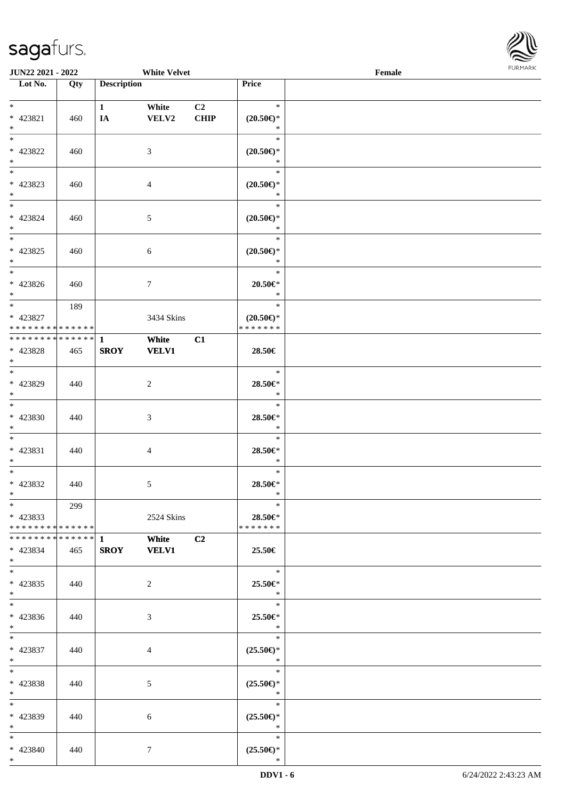

| <b>JUN22 2021 - 2022</b>                               |     |                    | <b>White Velvet</b> |                |                                      | Female |  |
|--------------------------------------------------------|-----|--------------------|---------------------|----------------|--------------------------------------|--------|--|
| Lot No.                                                | Qty | <b>Description</b> |                     |                | Price                                |        |  |
|                                                        |     |                    |                     |                |                                      |        |  |
| $*$                                                    |     | $\mathbf{1}$       | White               | C <sub>2</sub> | $\ast$                               |        |  |
| * 423821                                               | 460 | IA                 | VELV2               | <b>CHIP</b>    | $(20.50\epsilon)$ *                  |        |  |
| $*$                                                    |     |                    |                     |                | $\ast$                               |        |  |
| $*$                                                    |     |                    |                     |                | $\ast$                               |        |  |
| * 423822                                               | 460 |                    | 3                   |                | $(20.50\epsilon)$ *                  |        |  |
| $\ast$                                                 |     |                    |                     |                | $\ast$                               |        |  |
|                                                        |     |                    |                     |                | $\ast$                               |        |  |
| * 423823                                               | 460 |                    | $\overline{4}$      |                | $(20.50\epsilon)$ *                  |        |  |
| $\ast$                                                 |     |                    |                     |                | $\ast$                               |        |  |
| $\ddot{x}$                                             |     |                    |                     |                | $\ast$                               |        |  |
| * 423824                                               | 460 |                    | $\mathfrak{S}$      |                | $(20.50\epsilon)$ *                  |        |  |
| $*$                                                    |     |                    |                     |                | $\ast$                               |        |  |
| $\overline{\ast}$                                      |     |                    |                     |                | $\ast$                               |        |  |
| * 423825                                               | 460 |                    | 6                   |                | $(20.50\epsilon)$ *                  |        |  |
| $*$                                                    |     |                    |                     |                | $\ast$                               |        |  |
|                                                        |     |                    |                     |                | $\ast$                               |        |  |
| * 423826                                               |     |                    | $\tau$              |                | $20.50 \in$ *                        |        |  |
| $*$                                                    | 460 |                    |                     |                | $\ast$                               |        |  |
| $\overline{\phantom{0}}$                               |     |                    |                     |                | $\ast$                               |        |  |
|                                                        | 189 |                    |                     |                |                                      |        |  |
| * 423827<br>* * * * * * * * <mark>* * * * * * *</mark> |     |                    | 3434 Skins          |                | $(20.50\epsilon)$ *<br>* * * * * * * |        |  |
|                                                        |     |                    |                     |                |                                      |        |  |
|                                                        |     |                    | White               | C1             |                                      |        |  |
| * 423828                                               | 465 | <b>SROY</b>        | <b>VELV1</b>        |                | 28.50€                               |        |  |
| $*$<br>$*$                                             |     |                    |                     |                |                                      |        |  |
|                                                        |     |                    |                     |                | $\ast$                               |        |  |
| * 423829                                               | 440 |                    | 2                   |                | 28.50€*                              |        |  |
| $\ast$                                                 |     |                    |                     |                | $\ast$                               |        |  |
| $*$                                                    |     |                    |                     |                | $\ast$                               |        |  |
| * 423830                                               | 440 |                    | 3                   |                | 28.50€*                              |        |  |
| $*$                                                    |     |                    |                     |                | $\ast$                               |        |  |
| $\ddot{x}$                                             |     |                    |                     |                | $\ast$                               |        |  |
| $* 423831$                                             | 440 |                    | $\overline{4}$      |                | 28.50€*                              |        |  |
| $\ast$                                                 |     |                    |                     |                | $\ast$                               |        |  |
| $\ddot{x}$                                             |     |                    |                     |                | $\ast$                               |        |  |
| * 423832                                               | 440 |                    | $\mathfrak{S}$      |                | 28.50€*                              |        |  |
| $*$ $-$                                                |     |                    |                     |                | $\ast$                               |        |  |
| $*$                                                    | 299 |                    |                     |                | $\ast$                               |        |  |
| * 423833                                               |     |                    | 2524 Skins          |                | 28.50€*                              |        |  |
| * * * * * * * * <mark>* * * * * *</mark> *             |     |                    |                     |                | * * * * * * *                        |        |  |
|                                                        |     |                    | <b>White</b>        | C2             |                                      |        |  |
| * 423834                                               | 465 |                    | SROY VELV1          |                | 25.50€                               |        |  |
| $\ast$                                                 |     |                    |                     |                |                                      |        |  |
| $\ast$                                                 |     |                    |                     |                | $\ast$                               |        |  |
| $* 423835$                                             | 440 |                    | $\overline{2}$      |                | 25.50€*                              |        |  |
| $\ast$                                                 |     |                    |                     |                | $\ast$                               |        |  |
| $\ddot{x}$                                             |     |                    |                     |                | $\ast$                               |        |  |
| $* 423836$                                             | 440 |                    | 3                   |                | $25.50 \in$ *                        |        |  |
| $*$                                                    |     |                    |                     |                | $\mathbb{R}^2$                       |        |  |
| $*$ $-$                                                |     |                    |                     |                | $\ast$                               |        |  |
| $* 423837$                                             | 440 |                    |                     |                | $(25.50\epsilon)$ *                  |        |  |
| $*$ $-$                                                |     |                    | $\overline{4}$      |                | $\ast$                               |        |  |
| $*$ $-$                                                |     |                    |                     |                | $\ast$                               |        |  |
|                                                        |     |                    |                     |                |                                      |        |  |
| * 423838                                               | 440 |                    | 5                   |                | $(25.50\epsilon)$ *<br>$\ast$        |        |  |
| $*$                                                    |     |                    |                     |                |                                      |        |  |
| $\ddot{x}$                                             |     |                    |                     |                | $\ast$                               |        |  |
| * 423839                                               | 440 |                    | 6                   |                | $(25.50\epsilon)$ *                  |        |  |
| $*$ $-$                                                |     |                    |                     |                | $\ast$                               |        |  |
| $\ast$                                                 |     |                    |                     |                | $\ast$                               |        |  |
| * 423840                                               | 440 |                    | $\tau$              |                | $(25.50\epsilon)$ *                  |        |  |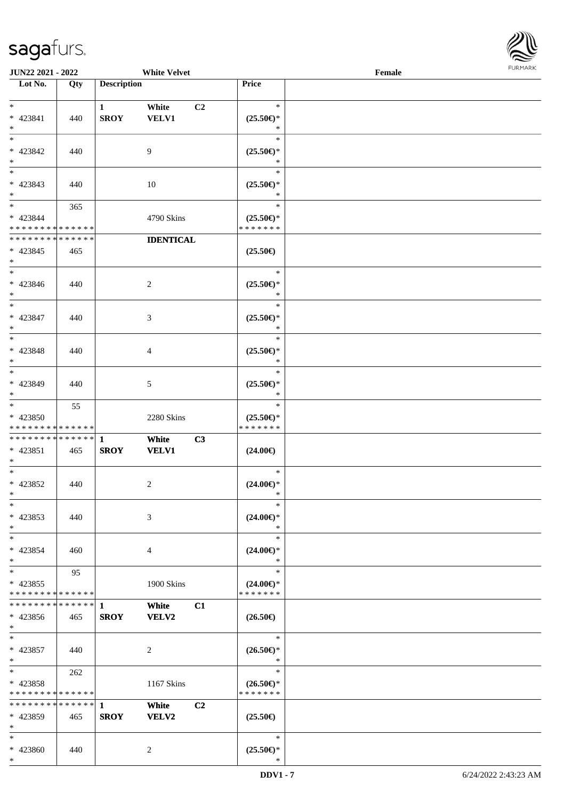

| <b>JUN22 2021 - 2022</b>                                             |                      |                             | <b>White Velvet</b>         |                                                | Female |  |
|----------------------------------------------------------------------|----------------------|-----------------------------|-----------------------------|------------------------------------------------|--------|--|
| Lot No.                                                              | Qty                  | <b>Description</b>          |                             | Price                                          |        |  |
| $*$                                                                  |                      | $\mathbf{1}$                | White<br>C <sub>2</sub>     | $\ast$                                         |        |  |
| * 423841<br>$*$<br>$*$                                               | 440                  | <b>SROY</b>                 | <b>VELV1</b>                | $(25.50\epsilon)$ *<br>∗<br>$\ast$             |        |  |
| * 423842<br>$\ast$                                                   | 440                  |                             | 9                           | $(25.50\epsilon)$ *<br>*                       |        |  |
| * 423843<br>$\ast$                                                   | 440                  |                             | 10                          | $\ast$<br>$(25.50\epsilon)$ *<br>$\ast$        |        |  |
| $\ddot{x}$<br>* 423844<br>* * * * * * * * <mark>* * * * * * *</mark> | 365                  |                             | 4790 Skins                  | $\ast$<br>$(25.50\epsilon)$ *<br>* * * * * * * |        |  |
| * * * * * * * *<br>$* 423845$<br>$\ast$                              | * * * * * *<br>465   |                             | <b>IDENTICAL</b>            | $(25.50\epsilon)$                              |        |  |
| $\ast$<br>* 423846<br>$\ast$                                         | 440                  |                             | 2                           | $\ast$<br>$(25.50 \in )^*$<br>$\ast$           |        |  |
| $*$<br>* 423847<br>$\ast$                                            | 440                  |                             | 3                           | $\ast$<br>$(25.50\epsilon)$ *<br>$\ast$        |        |  |
| $\ddot{x}$<br>* 423848<br>$\ast$                                     | 440                  |                             | 4                           | $\ast$<br>$(25.50\epsilon)$ *<br>∗             |        |  |
| $*$<br>* 423849<br>$\ast$                                            | 440                  |                             | 5                           | $\ast$<br>$(25.50\epsilon)$ *<br>$\ast$        |        |  |
| $*$<br>* 423850<br>* * * * * * * * <mark>* * * * * * *</mark>        | 55                   |                             | 2280 Skins                  | $\ast$<br>$(25.50\epsilon)$ *<br>* * * * * * * |        |  |
| $* 423851$<br>$\ast$                                                 | 465                  | <b>SROY</b>                 | C3<br>White<br><b>VELV1</b> | $(24.00\epsilon)$                              |        |  |
| $*$<br>* 423852<br>$*$ $-$                                           | 440                  |                             | 2                           | $\ast$<br>$(24.00\epsilon)$ *<br>$\ast$        |        |  |
| $\ast$<br>* 423853<br>$\ddot{\mathbf{x}}$                            | 440                  |                             | 3                           | $\ast$<br>$(24.00\epsilon)$ *<br>∗             |        |  |
| $*$ $-$<br>* 423854<br>$*$                                           | 460                  |                             | 4                           | $\ast$<br>$(24.00\epsilon)$ *<br>$\ast$        |        |  |
| $*$<br>* 423855<br>* * * * * * * * <mark>* * * * * *</mark>          | 95                   |                             | 1900 Skins                  | $\ast$<br>$(24.00\epsilon)$ *<br>* * * * * * * |        |  |
| * * * * * * * *<br>* 423856<br>$*$                                   | * * * * * *  <br>465 | $\mathbf{1}$<br><b>SROY</b> | White<br>C1<br><b>VELV2</b> | $(26.50\epsilon)$                              |        |  |
| $*$ $-$<br>* 423857<br>$\ast$                                        | 440                  |                             | 2                           | $\ast$<br>$(26.50\epsilon)$ *<br>$\ast$        |        |  |
| $*$ $*$<br>* 423858<br>* * * * * * * * <mark>* * * * * *</mark>      | 262                  |                             | 1167 Skins                  | $\ast$<br>$(26.50\epsilon)$ *<br>* * * * * * * |        |  |
| * * * * * * * * <mark>* * * * * * *</mark><br>* 423859<br>$\ast$     | 465                  | $\mathbf{1}$<br><b>SROY</b> | White<br>C2<br>VELV2        | $(25.50\epsilon)$                              |        |  |
| $\ast$<br>* 423860                                                   | 440                  |                             | 2                           | $\ast$<br>$(25.50\epsilon)$ *                  |        |  |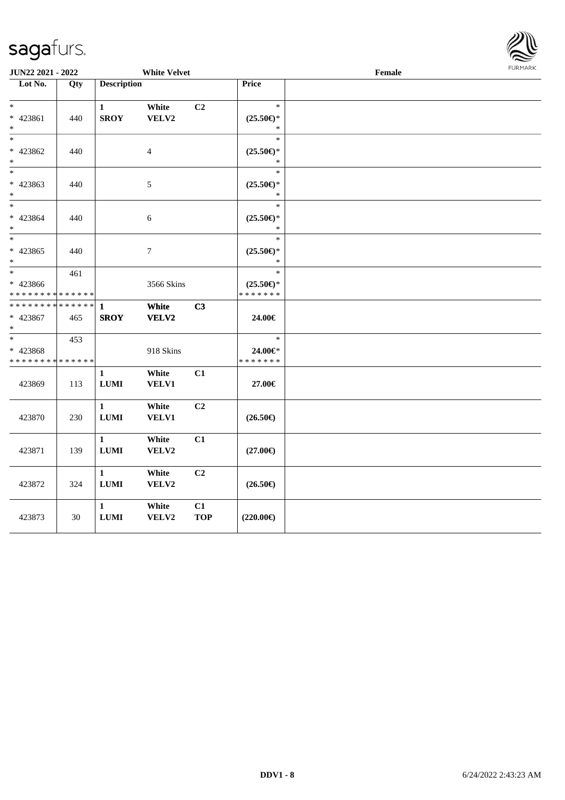

| <b>JUN22 2021 - 2022</b>                                      |                   | <b>White Velvet</b> |                  |            |                           | Female | 1011111111 |  |
|---------------------------------------------------------------|-------------------|---------------------|------------------|------------|---------------------------|--------|------------|--|
| Lot No.                                                       | $\overline{Q}$ ty | <b>Description</b>  |                  |            | Price                     |        |            |  |
|                                                               |                   |                     |                  |            |                           |        |            |  |
| $\ast$                                                        |                   | $\mathbf{1}$        | White            | C2         | $\ast$                    |        |            |  |
| * 423861                                                      | 440               | <b>SROY</b>         | VELV2            |            | $(25.50\epsilon)$ *       |        |            |  |
| $\ast$                                                        |                   |                     |                  |            | $\ast$                    |        |            |  |
| $\ast$                                                        |                   |                     |                  |            | $\ast$                    |        |            |  |
| * 423862                                                      | 440               |                     | $\overline{4}$   |            | $(25.50\epsilon)$ *       |        |            |  |
| $\ast$                                                        |                   |                     |                  |            | $\ast$                    |        |            |  |
| $\ast$                                                        |                   |                     |                  |            | $\ast$                    |        |            |  |
| * 423863                                                      | 440               |                     | 5                |            | $(25.50\epsilon)$ *       |        |            |  |
| $\ast$                                                        |                   |                     |                  |            | *                         |        |            |  |
| $\ast$                                                        |                   |                     |                  |            | $\ast$                    |        |            |  |
| * 423864                                                      | 440               |                     | $\sqrt{6}$       |            | $(25.50 \in )^*$          |        |            |  |
| $\ast$                                                        |                   |                     |                  |            | $\ast$                    |        |            |  |
| $\ast$                                                        |                   |                     |                  |            | $\ast$                    |        |            |  |
| * 423865                                                      | 440               |                     | $\boldsymbol{7}$ |            | $(25.50 \in )^*$          |        |            |  |
| $\ast$<br>$\overline{\phantom{0}}$                            |                   |                     |                  |            | $\ast$                    |        |            |  |
|                                                               | 461               |                     |                  |            | $\ast$                    |        |            |  |
| * 423866                                                      |                   |                     | 3566 Skins       |            | $(25.50\epsilon)$ *       |        |            |  |
| * * * * * * * * <mark>* * * * * * *</mark><br>* * * * * * * * | * * * * * *       |                     |                  |            | * * * * * * *             |        |            |  |
|                                                               |                   | $\mathbf{1}$        | White            | C3         |                           |        |            |  |
| * 423867<br>$\ast$                                            | 465               | <b>SROY</b>         | VELV2            |            | 24.00€                    |        |            |  |
| $\ast$                                                        | 453               |                     |                  |            | $\ast$                    |        |            |  |
|                                                               |                   |                     |                  |            |                           |        |            |  |
| * 423868<br>* * * * * * * *                                   | * * * * * *       |                     | 918 Skins        |            | 24.00€*<br>* * * * * * *  |        |            |  |
|                                                               |                   | $\mathbf{1}$        | White            | C1         |                           |        |            |  |
| 423869                                                        | 113               | <b>LUMI</b>         | VELV1            |            | 27.00€                    |        |            |  |
|                                                               |                   |                     |                  |            |                           |        |            |  |
|                                                               |                   | $\mathbf{1}$        | White            | C2         |                           |        |            |  |
| 423870                                                        | 230               | ${\bf LUMI}$        | <b>VELV1</b>     |            | $(26.50\epsilon)$         |        |            |  |
|                                                               |                   |                     |                  |            |                           |        |            |  |
|                                                               |                   | $\mathbf{1}$        | White            | C1         |                           |        |            |  |
| 423871                                                        | 139               | $\bf LUMI$          | VELV2            |            | $(27.00\epsilon)$         |        |            |  |
|                                                               |                   |                     |                  |            |                           |        |            |  |
|                                                               |                   | $\mathbf{1}$        | White            | C2         |                           |        |            |  |
| 423872                                                        | 324               | <b>LUMI</b>         | VELV2            |            | $(26.50\mathnormal{\in})$ |        |            |  |
|                                                               |                   |                     |                  |            |                           |        |            |  |
|                                                               |                   | $\mathbf{1}$        | White            | C1         |                           |        |            |  |
| 423873                                                        | 30                | ${\bf LUMI}$        | VELV2            | <b>TOP</b> | $(220.00\epsilon)$        |        |            |  |
|                                                               |                   |                     |                  |            |                           |        |            |  |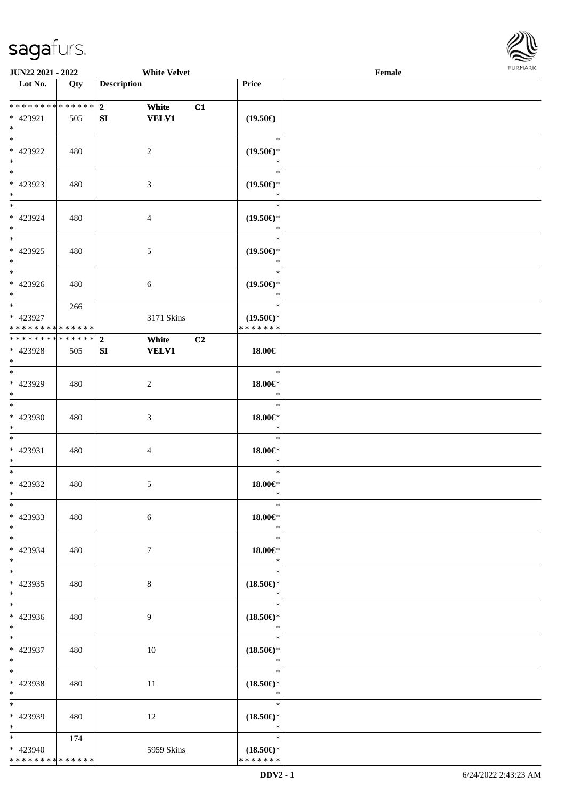\* \* \* \* \* \* \* \* \* \* \* \* \* \*



| <b>JUN22 2021 - 2022</b>                                      |     | <b>White Velvet</b>                                 |                                                   | Female |  |
|---------------------------------------------------------------|-----|-----------------------------------------------------|---------------------------------------------------|--------|--|
| Lot No.                                                       | Qty | <b>Description</b>                                  | Price                                             |        |  |
| * 423921<br>$*$                                               | 505 | $2^{\circ}$<br>White<br>C1<br><b>VELV1</b><br>SI    | $(19.50\epsilon)$                                 |        |  |
| $\overline{\ast}$<br>* 423922<br>$\ast$                       | 480 | 2                                                   | $\ast$<br>$(19.50\epsilon)$ *<br>$\ast$           |        |  |
| * 423923<br>$\ast$<br>$*$                                     | 480 | 3                                                   | $\ast$<br>$(19.50\epsilon)$ *<br>$\ast$           |        |  |
| * 423924<br>$*$<br>$*$                                        | 480 | $\overline{4}$                                      | $\ast$<br>$(19.50\epsilon)$ *<br>$\ast$<br>$\ast$ |        |  |
| * 423925<br>$*$                                               | 480 | $\mathfrak{S}$                                      | $(19.50\epsilon)$ *<br>$\ast$                     |        |  |
| * 423926<br>$*$<br>$\overline{\ast}$                          | 480 | 6                                                   | $\ast$<br>$(19.50\epsilon)$ *<br>$\ast$           |        |  |
| * 423927<br>* * * * * * * * <mark>* * * * * *</mark>          | 266 | 3171 Skins                                          | $\ast$<br>$(19.50\epsilon)$ *<br>* * * * * * *    |        |  |
| * * * * * * * * <mark>* * * * * * *</mark><br>* 423928<br>$*$ | 505 | $\overline{2}$<br>White<br>C2<br>SI<br><b>VELV1</b> | 18.00€                                            |        |  |
| $\overline{\phantom{0}}$<br>* 423929<br>$*$                   | 480 | 2                                                   | $\ast$<br>18.00€*<br>$\ast$                       |        |  |
| $*$<br>* 423930<br>$*$                                        | 480 | $\mathfrak{Z}$                                      | $\ast$<br>$18.00 \in$ *<br>$\ast$                 |        |  |
| $*$<br>* 423931<br>$\ast$                                     | 480 | $\overline{4}$                                      | $\ast$<br>18.00€*<br>$\ast$                       |        |  |
| $\ast$<br>* 423932<br>$*$                                     | 480 | 5                                                   | $\ast$<br>$18.00 \in$ *<br>$\ast$                 |        |  |
| $\ast$<br>* 423933<br>$*$                                     | 480 | 6                                                   | $\ast$<br>$18.00 \in$ *<br>$*$                    |        |  |
| $\overline{\mathbf{r}}$<br>* 423934<br>$*$                    | 480 | $7\phantom{.0}$                                     | $\ast$<br>18.00€*<br>$\ast$                       |        |  |
| $*$<br>* 423935<br>$*$                                        | 480 | $8\,$                                               | $\ast$<br>$(18.50\epsilon)$ *<br>$\ast$           |        |  |
| $\overline{\mathbf{r}}$<br>* 423936<br>$*$                    | 480 | 9                                                   | $\ast$<br>$(18.50\epsilon)$ *<br>$\ast$           |        |  |
| $\overline{\ast}$<br>* 423937<br>$*$                          | 480 | 10                                                  | $\ast$<br>$(18.50\epsilon)$ *<br>$\mathbb{R}^n$   |        |  |
| $\ddot{x}$<br>* 423938<br>$*$ $-$                             | 480 | 11                                                  | $\ast$<br>$(18.50\epsilon)$ *<br>$\ast$           |        |  |
| $*$<br>* 423939<br>$*$                                        | 480 | 12                                                  | $\ast$<br>$(18.50\epsilon)$ *<br>$\ast$           |        |  |
| $*$ $*$<br>* 423940                                           | 174 | 5959 Skins                                          | $\ast$<br>$(18.50\epsilon)$ *                     |        |  |

\* \* \* \* \* \* \*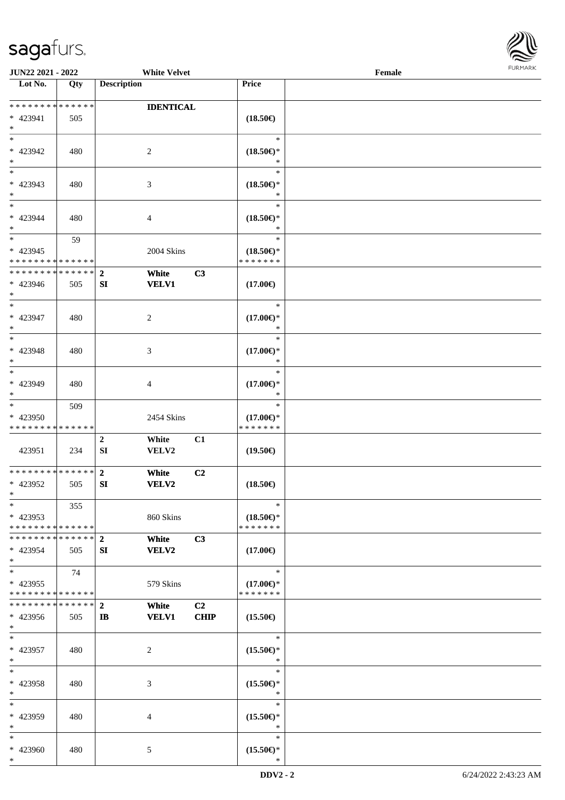

| <b>JUN22 2021 - 2022</b>                   |     | <b>White Velvet</b>          |                |                     | Female |  |
|--------------------------------------------|-----|------------------------------|----------------|---------------------|--------|--|
| Lot No.                                    | Qty | <b>Description</b>           |                | Price               |        |  |
|                                            |     |                              |                |                     |        |  |
| * * * * * * * * <mark>* * * * * * *</mark> |     | <b>IDENTICAL</b>             |                |                     |        |  |
| * 423941                                   | 505 |                              |                | $(18.50\epsilon)$   |        |  |
| $*$                                        |     |                              |                |                     |        |  |
|                                            |     |                              |                | $\ast$              |        |  |
| * 423942                                   | 480 | 2                            |                | $(18.50\epsilon)$ * |        |  |
| $*$                                        |     |                              |                | ∗                   |        |  |
|                                            |     |                              |                | $\ast$              |        |  |
| * 423943                                   | 480 | 3                            |                | $(18.50\epsilon)$ * |        |  |
| $*$                                        |     |                              |                | *                   |        |  |
| $*$                                        |     |                              |                | $\ast$              |        |  |
|                                            |     |                              |                |                     |        |  |
| * 423944                                   | 480 | 4                            |                | $(18.50\epsilon)$ * |        |  |
| $*$<br>$*$                                 |     |                              |                | $\ast$<br>$\ast$    |        |  |
|                                            | 59  |                              |                |                     |        |  |
| * 423945                                   |     | 2004 Skins                   |                | $(18.50\epsilon)$ * |        |  |
| * * * * * * * * * * * * * *                |     |                              |                | * * * * * * *       |        |  |
| * * * * * * * * * * * * * * *              |     | $\mathbf{2}$<br>White        | C3             |                     |        |  |
| * 423946                                   | 505 | <b>VELV1</b><br>SI           |                | $(17.00\epsilon)$   |        |  |
| $*$                                        |     |                              |                |                     |        |  |
| $\overline{\phantom{0}}$                   |     |                              |                | $\ast$              |        |  |
| * 423947                                   | 480 | 2                            |                | $(17.00\epsilon)$ * |        |  |
| $*$                                        |     |                              |                | ∗                   |        |  |
| $*$                                        |     |                              |                | $\ast$              |        |  |
| * 423948                                   | 480 | 3                            |                | $(17.00\epsilon)$ * |        |  |
| $*$                                        |     |                              |                | *                   |        |  |
| $\overline{\phantom{0}}$                   |     |                              |                | $\ast$              |        |  |
| * 423949                                   | 480 | 4                            |                | $(17.00\epsilon)$ * |        |  |
| $*$                                        |     |                              |                | $\ast$              |        |  |
| $*$                                        | 509 |                              |                | $\ast$              |        |  |
| * 423950                                   |     | 2454 Skins                   |                | $(17.00\epsilon)$ * |        |  |
| * * * * * * * * * * * * * *                |     |                              |                | * * * * * * *       |        |  |
|                                            |     |                              |                |                     |        |  |
|                                            |     | $\boldsymbol{2}$<br>White    | C1             |                     |        |  |
| 423951                                     | 234 | ${\bf SI}$<br>VELV2          |                | $(19.50\epsilon)$   |        |  |
|                                            |     |                              |                |                     |        |  |
| * * * * * * * * <mark>* * * * * *</mark>   |     | $\mathbf{2}$<br>White        | C2             |                     |        |  |
| * 423952                                   | 505 | SI<br>VELV2                  |                | $(18.50\epsilon)$   |        |  |
| $*$                                        |     |                              |                |                     |        |  |
| $*$                                        | 355 |                              |                | $\ast$              |        |  |
| $* 423953$                                 |     | 860 Skins                    |                | $(18.50\epsilon)$ * |        |  |
| * * * * * * * * <mark>* * * * * *</mark>   |     |                              |                | * * * * * * *       |        |  |
| * * * * * * * * * * * * * * *              |     | $\overline{2}$<br>White      | C3             |                     |        |  |
| * 423954                                   | 505 | <b>VELV2</b><br>SI           |                | $(17.00\epsilon)$   |        |  |
| $*$                                        |     |                              |                |                     |        |  |
| $*$                                        | 74  |                              |                | $\ast$              |        |  |
| * 423955                                   |     | 579 Skins                    |                | $(17.00\epsilon)$ * |        |  |
| * * * * * * * * * * * * * *                |     |                              |                | * * * * * * *       |        |  |
| * * * * * * * * * * * * * * *              |     | $\overline{2}$<br>White      | C <sub>2</sub> |                     |        |  |
| * 423956                                   | 505 | <b>VELV1</b><br>$\mathbf{I}$ | <b>CHIP</b>    | $(15.50\epsilon)$   |        |  |
| $*$                                        |     |                              |                |                     |        |  |
| $*$                                        |     |                              |                | $\ast$              |        |  |
| * 423957                                   | 480 | 2                            |                | $(15.50\epsilon)$ * |        |  |
| $*$                                        |     |                              |                | $\ast$              |        |  |
| $*$                                        |     |                              |                | $\ast$              |        |  |
| * 423958                                   | 480 | 3                            |                | $(15.50\epsilon)$ * |        |  |
| $*$                                        |     |                              |                | $\ast$              |        |  |
| $*$                                        |     |                              |                | $\ast$              |        |  |
|                                            |     |                              |                |                     |        |  |
| * 423959                                   | 480 | 4                            |                | $(15.50\epsilon)$ * |        |  |
| $*$                                        |     |                              |                | $\ast$              |        |  |
| $*$                                        |     |                              |                | $\ast$              |        |  |
| * 423960                                   | 480 | 5                            |                | $(15.50\epsilon)$ * |        |  |
| $*$                                        |     |                              |                | *                   |        |  |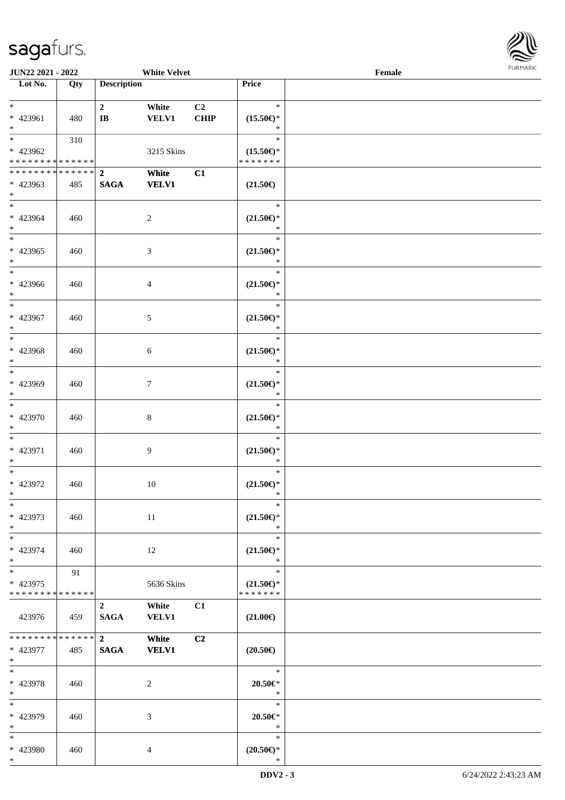

| <b>JUN22 2021 - 2022</b>                                                          |     |                                          | <b>White Velvet</b>   |                        |                                                | Female |  |
|-----------------------------------------------------------------------------------|-----|------------------------------------------|-----------------------|------------------------|------------------------------------------------|--------|--|
| Lot No.                                                                           | Qty | <b>Description</b>                       |                       |                        | Price                                          |        |  |
| $*$<br>* 423961                                                                   | 480 | $\overline{2}$<br>$\mathbf{I}\mathbf{B}$ | White<br><b>VELV1</b> | C <sub>2</sub><br>CHIP | $\ast$<br>$(15.50\epsilon)$ *                  |        |  |
| $*$                                                                               |     |                                          |                       |                        | $\ast$                                         |        |  |
| $\overline{\mathbf{r}}$<br>* 423962<br>* * * * * * * * <mark>* * * * * * *</mark> | 310 |                                          | 3215 Skins            |                        | $\ast$<br>$(15.50\epsilon)$ *<br>* * * * * * * |        |  |
|                                                                                   |     |                                          | White                 | C1                     |                                                |        |  |
| * 423963<br>$\ast$                                                                | 485 | <b>SAGA</b>                              | <b>VELV1</b>          |                        | $(21.50\epsilon)$                              |        |  |
| $*$<br>* 423964<br>$*$                                                            | 460 |                                          | $\overline{2}$        |                        | $\ast$<br>$(21.50\epsilon)$ *<br>$\ast$        |        |  |
| $\overline{\ast}$<br>* 423965<br>$*$                                              | 460 |                                          | $\mathfrak{Z}$        |                        | $\ast$<br>$(21.50\epsilon)$ *<br>$\ast$        |        |  |
| $*$<br>* 423966<br>$*$                                                            | 460 |                                          | $\overline{4}$        |                        | $\ast$<br>$(21.50\epsilon)$ *<br>$\ast$        |        |  |
| $\overline{\phantom{0}}$<br>* 423967<br>$*$                                       | 460 |                                          | 5                     |                        | $\ast$<br>$(21.50\epsilon)$ *<br>$\ast$        |        |  |
| $\overline{\mathbf{r}}$<br>* 423968<br>$\ast$                                     | 460 |                                          | $\sqrt{6}$            |                        | $\ast$<br>$(21.50\epsilon)$ *<br>$\ast$        |        |  |
| $\overline{\phantom{0}}$<br>* 423969<br>$\ast$                                    | 460 |                                          | $\tau$                |                        | $\ast$<br>$(21.50\epsilon)$ *<br>$\ast$        |        |  |
| $*$<br>* 423970<br>$\ast$                                                         | 460 |                                          | $\,8\,$               |                        | $\ast$<br>$(21.50\epsilon)$ *<br>$\ast$        |        |  |
| $*$<br>* 423971<br>$\ast$                                                         | 460 |                                          | 9                     |                        | $\ast$<br>$(21.50\epsilon)$ *<br>$\ast$        |        |  |
| $*$<br>* 423972<br>$*$                                                            | 460 |                                          | 10                    |                        | $\ast$<br>$(21.50\epsilon)$ *<br>$\ast$        |        |  |
| $\ast$<br>* 423973<br>$*$                                                         | 460 |                                          | 11                    |                        | $\ast$<br>$(21.50\epsilon)$ *<br>$\ast$        |        |  |
| * 423974<br>$*$                                                                   | 460 |                                          | 12                    |                        | $\ast$<br>$(21.50\epsilon)$ *<br>$\ast$        |        |  |
| $*$<br>* 423975<br>* * * * * * * * <mark>* * * * * *</mark> *                     | 91  |                                          | 5636 Skins            |                        | $\ast$<br>$(21.50\epsilon)$ *<br>* * * * * * * |        |  |
| 423976                                                                            | 459 | $\overline{2}$<br><b>SAGA</b>            | White<br><b>VELV1</b> | C1                     | $(21.00\epsilon)$                              |        |  |
| * * * * * * * * * * * * * * <mark>*</mark><br>* 423977<br>$*$                     | 485 | $\overline{\mathbf{2}}$<br><b>SAGA</b>   | White<br><b>VELV1</b> | C2                     | $(20.50\epsilon)$                              |        |  |
| $\ast$<br>* 423978<br>$*$                                                         | 460 |                                          | 2                     |                        | $*$<br>$20.50 \in$ *<br>$\ast$                 |        |  |
| $*$<br>* 423979<br>$*$                                                            | 460 |                                          | 3                     |                        | $\ast$<br>$20.50 \in$ *<br>$\ast$              |        |  |
| $\ast$<br>* 423980                                                                | 460 |                                          | $\overline{4}$        |                        | $\ast$<br>$(20.50\epsilon)$ *                  |        |  |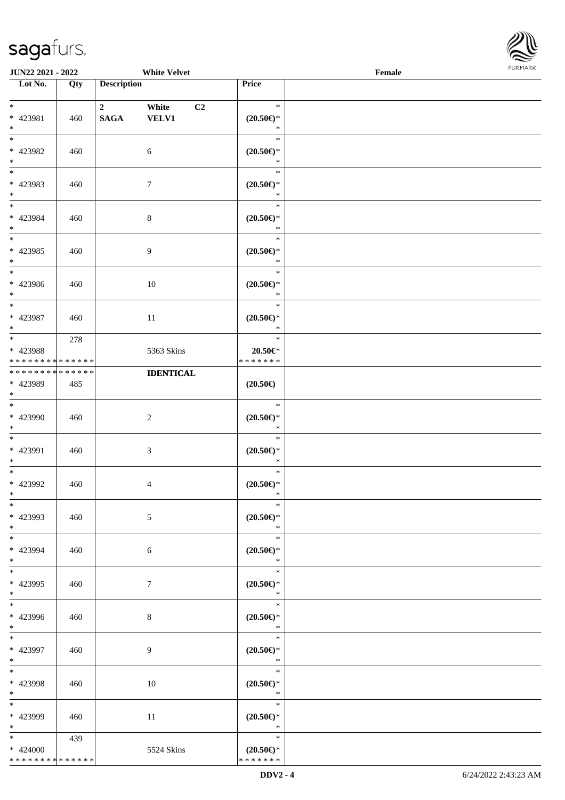\* \* \* \* \* \* \* \* \* \* \* \* \* \*



| JUN22 2021 - 2022                                                   |     |                                        | <b>White Velvet</b>         |                                                                        | Female | FURMARK |
|---------------------------------------------------------------------|-----|----------------------------------------|-----------------------------|------------------------------------------------------------------------|--------|---------|
| $\overline{\phantom{1}}$ Lot No.                                    | Qty | <b>Description</b>                     |                             | Price                                                                  |        |         |
| $\ast$<br>* 423981<br>$\ast$                                        | 460 | $\overline{\mathbf{2}}$<br><b>SAGA</b> | White<br>C2<br><b>VELV1</b> | $\ast$<br>$(20.50\epsilon)$ *<br>$\ast$                                |        |         |
| $\frac{1}{1}$<br>* 423982<br>$*$                                    | 460 |                                        | $\sqrt{6}$                  | $\ast$<br>$(20.50\epsilon)$ *<br>$\ast$                                |        |         |
| $_{\ast}^{-}$<br>* 423983<br>$*$                                    | 460 |                                        | $\boldsymbol{7}$            | $\ast$<br>$(20.50\epsilon)$ *<br>$\ast$                                |        |         |
| $\ast$<br>* 423984<br>$*$<br>$\frac{1}{*}$                          | 460 |                                        | $\,8\,$                     | $\ast$<br>$(20.50\epsilon)$ *<br>$\ast$                                |        |         |
| * 423985<br>$*$                                                     | 460 |                                        | $\overline{9}$              | $\ast$<br>$(20.50\epsilon)$ *<br>$\ast$                                |        |         |
| $\overline{\phantom{0}}$<br>* 423986<br>$\ast$                      | 460 |                                        | 10                          | $\ast$<br>$(20.50 \in )^*$<br>$\ast$                                   |        |         |
| $\overline{\phantom{0}}$<br>* 423987<br>$\ast$                      | 460 |                                        | 11                          | $\ast$<br>$(20.50\mathnormal{\in}\mathcal{)^{\! \! \times}}$<br>$\ast$ |        |         |
| $\overline{\phantom{0}}$<br>* 423988<br>* * * * * * * * * * * * * * | 278 |                                        | 5363 Skins                  | $\ast$<br>$20.50 \in$ *<br>* * * * * * *                               |        |         |
| * * * * * * * * * * * * * *<br>* 423989<br>$\ast$                   | 485 |                                        | <b>IDENTICAL</b>            | $(20.50\epsilon)$                                                      |        |         |
| $\ast$<br>* 423990<br>$\ast$                                        | 460 |                                        | $\sqrt{2}$                  | $\ast$<br>$(20.50\epsilon)$ *<br>$\ast$                                |        |         |
| $\overline{\phantom{a}^*}$<br>* 423991<br>$\ast$                    | 460 |                                        | $\mathfrak{Z}$              | $\ast$<br>$(20.50\epsilon)$ *<br>$\ast$                                |        |         |
| $\overline{\phantom{a}^*}$<br>* 423992<br>$*$                       | 460 |                                        | $\overline{4}$              | $\ast$<br>$(20.50\epsilon)$ *<br>∗                                     |        |         |
| $\ast$<br>* 423993<br>$\ast$                                        | 460 |                                        | $\mathfrak{S}$              | $\ast$<br>$(20.50\epsilon)$ *<br>$\ast$                                |        |         |
| $\overline{\phantom{a}^*}$<br>* 423994<br>$*$                       | 460 |                                        | 6                           | $\ast$<br>$(20.50\epsilon)$ *<br>$\ast$                                |        |         |
| $\overline{\phantom{a}^*}$<br>* 423995<br>$\ast$                    | 460 |                                        | $\boldsymbol{7}$            | $\ast$<br>$(20.50\epsilon)$ *<br>$\ast$                                |        |         |
| $\overline{\phantom{a}^*}$<br>* 423996<br>$*$                       | 460 |                                        | $8\,$                       | $\ast$<br>$(20.50\epsilon)$ *<br>$\ast$                                |        |         |
| $\overline{\phantom{0}}$<br>* 423997<br>$*$                         | 460 |                                        | 9                           | $\ast$<br>$(20.50\epsilon)$ *<br>$*$                                   |        |         |
| $_{\ast}^{-}$<br>* 423998<br>$\ast$                                 | 460 |                                        | 10                          | $\ast$<br>$(20.50\epsilon)$ *<br>$\ast$                                |        |         |
| $\overline{\phantom{a}^*}$<br>* 423999<br>$\ast$                    | 460 |                                        | 11                          | $\ast$<br>$(20.50\epsilon)$ *<br>$\ast$                                |        |         |
| $*$<br>$* 424000$                                                   | 439 |                                        | 5524 Skins                  | $\ast$<br>$(20.50\epsilon)$ *                                          |        |         |

\* \* \* \* \* \* \*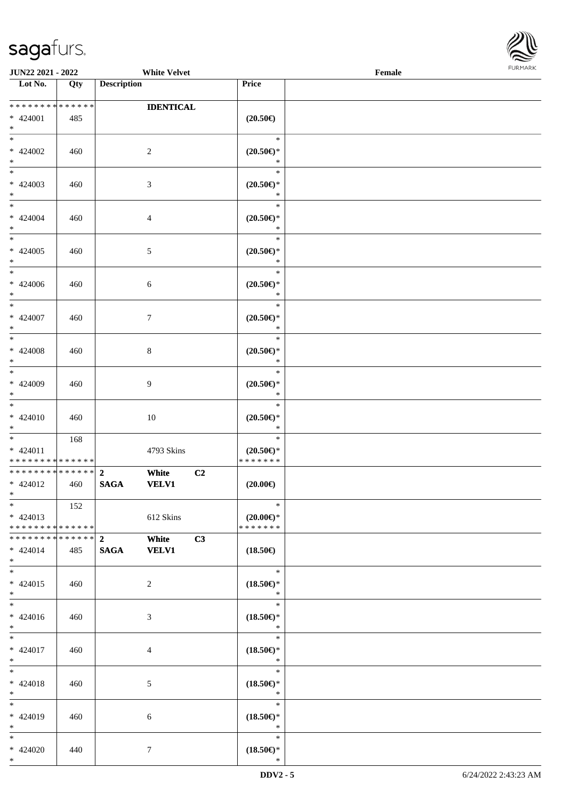

| JUN22 2021 - 2022                                               |     |                                 | <b>White Velvet</b>   |                |                                                                        | Female | <b>FURMARK</b> |
|-----------------------------------------------------------------|-----|---------------------------------|-----------------------|----------------|------------------------------------------------------------------------|--------|----------------|
| Lot No.                                                         | Qty | <b>Description</b>              |                       |                | Price                                                                  |        |                |
| * * * * * * * * * * * * * *<br>* 424001<br>$*$                  | 485 |                                 | <b>IDENTICAL</b>      |                | $(20.50\in)$                                                           |        |                |
| $*$<br>$* 424002$<br>$*$                                        | 460 |                                 | $\sqrt{2}$            |                | $\ast$<br>$(20.50\mathnormal{\in}\mathcal{)^{\! \! \times}}$<br>$\ast$ |        |                |
| $\overline{\phantom{0}}$<br>$* 424003$<br>$*$                   | 460 |                                 | $\mathfrak{Z}$        |                | $\ast$<br>$(20.50\mathnormal{\in}\mathcal{)^{\! \! \times}}$<br>$\ast$ |        |                |
| $*$<br>$* 424004$<br>$*$                                        | 460 |                                 | $\overline{4}$        |                | $\ast$<br>$(20.50\mathnormal{\in}\mathcal{)^{\! \! \times}}$<br>$\ast$ |        |                |
| $*$<br>$* 424005$<br>$\ast$                                     | 460 |                                 | $\sqrt{5}$            |                | $\ast$<br>$(20.50\epsilon)$ *<br>$\ast$                                |        |                |
| $\ast$<br>$* 424006$<br>$*$                                     | 460 |                                 | 6                     |                | $\ast$<br>$(20.50\epsilon)$ *<br>$\ast$                                |        |                |
| $*$<br>$* 424007$<br>$\ast$                                     | 460 |                                 | $\tau$                |                | $\ast$<br>$(20.50 \in )^*$<br>$\ast$                                   |        |                |
| $*$<br>$* 424008$<br>$\ast$<br>$\overline{\phantom{0}}$         | 460 |                                 | $\,8\,$               |                | $\ast$<br>$(20.50\epsilon)$ *<br>$\ast$                                |        |                |
| $* 424009$<br>$*$                                               | 460 |                                 | 9                     |                | $\ast$<br>$(20.50\epsilon)$ *<br>$\ast$                                |        |                |
| $*$<br>$* 424010$<br>$*$                                        | 460 |                                 | 10                    |                | $\ast$<br>$(20.50\mathnormal{\infty})^*$<br>$\ast$                     |        |                |
| $*$<br>$* 424011$<br>* * * * * * * * <mark>* * * * * * *</mark> | 168 |                                 | 4793 Skins            |                | $\ast$<br>$(20.50 \in )^*$<br>* * * * * * *                            |        |                |
| * * * * * * * * * * * * * *<br>* 424012<br>$\ast$               | 460 | $\mathbf{2}$<br><b>SAGA</b>     | White<br><b>VELV1</b> | C <sub>2</sub> | $(20.00\epsilon)$                                                      |        |                |
| $\ast$<br>$* 424013$<br>* * * * * * * * * * * * * *             | 152 |                                 | 612 Skins             |                | $\ast$<br>$(20.00\epsilon)$ *<br>* * * * * * *                         |        |                |
| * * * * * * * * * * * * * * *<br>* 424014<br>$*$                | 485 | $\boldsymbol{2}$<br><b>SAGA</b> | White<br><b>VELV1</b> | C3             | $(18.50\epsilon)$                                                      |        |                |
| $*$<br>$* 424015$<br>$*$                                        | 460 |                                 | $\overline{2}$        |                | $\ast$<br>$(18.50\epsilon)$ *<br>$\ast$                                |        |                |
| $\overline{\ast}$<br>$* 424016$<br>$*$                          | 460 |                                 | $\mathfrak{Z}$        |                | $\ast$<br>$(18.50\epsilon)$ *<br>$\ast$                                |        |                |
| $*$<br>$* 424017$<br>$*$                                        | 460 |                                 | 4                     |                | $\ast$<br>$(18.50\epsilon)$ *<br>$\ast$                                |        |                |
| $*$<br>* 424018<br>$*$                                          | 460 |                                 | 5                     |                | $\ast$<br>$(18.50\epsilon)$ *<br>$\ast$                                |        |                |
| $*$<br>$* 424019$<br>$*$                                        | 460 |                                 | 6                     |                | $\ast$<br>$(18.50\epsilon)$ *<br>$\ast$                                |        |                |
| $*$<br>$* 424020$<br>$*$                                        | 440 |                                 | $\tau$                |                | $\ast$<br>$(18.50\epsilon)$ *<br>$\ast$                                |        |                |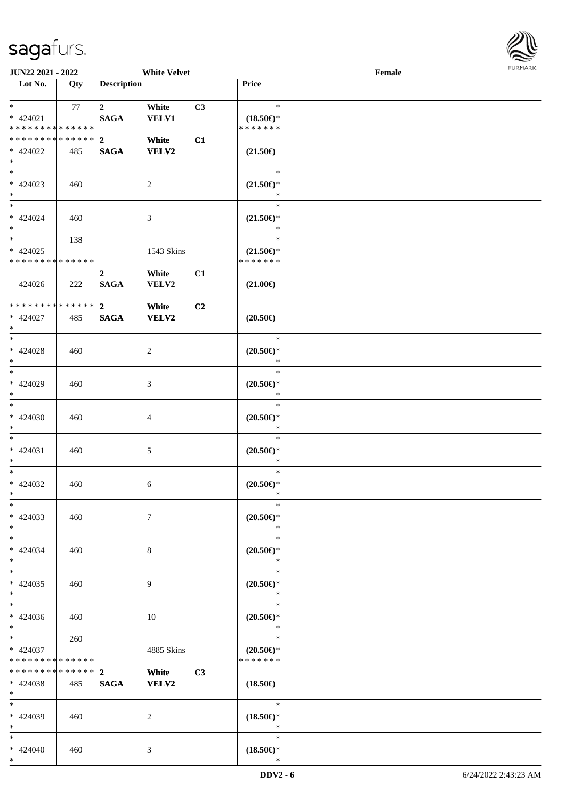

| <b>JUN22 2021 - 2022</b>                   |     |                    | <b>White Velvet</b> |                |                                                    | Female |  |
|--------------------------------------------|-----|--------------------|---------------------|----------------|----------------------------------------------------|--------|--|
| Lot No.                                    | Qty | <b>Description</b> |                     |                | Price                                              |        |  |
|                                            |     |                    |                     |                |                                                    |        |  |
| $*$                                        | 77  | $\overline{2}$     | White               | C3             | $\ast$                                             |        |  |
| $* 424021$                                 |     | <b>SAGA</b>        | <b>VELV1</b>        |                | $(18.50\epsilon)$ *                                |        |  |
| * * * * * * * * * * * * * *                |     |                    |                     |                | * * * * * * *                                      |        |  |
| * * * * * * * * * * * * * * *              |     | $\boldsymbol{2}$   | White               | C1             |                                                    |        |  |
| $* 424022$                                 | 485 | <b>SAGA</b>        | <b>VELV2</b>        |                | $(21.50\epsilon)$                                  |        |  |
| $*$                                        |     |                    |                     |                |                                                    |        |  |
|                                            |     |                    |                     |                | $\ast$                                             |        |  |
| $* 424023$                                 | 460 |                    | $\overline{c}$      |                | $(21.50\epsilon)$ *                                |        |  |
| $*$                                        |     |                    |                     |                | *                                                  |        |  |
| $*$                                        |     |                    |                     |                | $\ast$                                             |        |  |
| $* 424024$                                 | 460 |                    | 3                   |                | $(21.50\epsilon)$ *                                |        |  |
| $*$                                        |     |                    |                     |                | $\ast$                                             |        |  |
| $*$                                        | 138 |                    |                     |                | $\ast$                                             |        |  |
| $* 424025$                                 |     |                    | 1543 Skins          |                | $(21.50\epsilon)$ *                                |        |  |
| * * * * * * * * * * * * * *                |     |                    |                     |                | * * * * * * *                                      |        |  |
|                                            |     | $\overline{2}$     | White               | C1             |                                                    |        |  |
| 424026                                     | 222 | <b>SAGA</b>        | VELV2               |                | $(21.00\in)$                                       |        |  |
|                                            |     |                    |                     |                |                                                    |        |  |
| * * * * * * * * <mark>* * * * * * *</mark> |     | $\overline{2}$     | White               | C <sub>2</sub> |                                                    |        |  |
| $* 424027$                                 | 485 | <b>SAGA</b>        | <b>VELV2</b>        |                | $(20.50\epsilon)$                                  |        |  |
| $*$                                        |     |                    |                     |                |                                                    |        |  |
| $*$                                        |     |                    |                     |                | $\ast$                                             |        |  |
| $* 424028$                                 | 460 |                    | $\overline{c}$      |                | $(20.50\epsilon)$ *                                |        |  |
| $*$                                        |     |                    |                     |                | $\ast$                                             |        |  |
| $*$                                        |     |                    |                     |                | $\ast$                                             |        |  |
| * 424029                                   | 460 |                    | 3                   |                | $(20.50\mathnormal{\in}\mathcal{)^{\! \! \times}}$ |        |  |
| $*$                                        |     |                    |                     |                | *                                                  |        |  |
| $*$                                        |     |                    |                     |                | $\ast$                                             |        |  |
| $* 424030$                                 | 460 |                    | $\overline{4}$      |                | $(20.50\epsilon)$ *                                |        |  |
| $*$                                        |     |                    |                     |                | $\ast$                                             |        |  |
| $*$                                        |     |                    |                     |                | $\ast$                                             |        |  |
| $* 424031$                                 | 460 |                    | 5                   |                | $(20.50\epsilon)$ *                                |        |  |
| $*$                                        |     |                    |                     |                | $\ast$                                             |        |  |
| $*$                                        |     |                    |                     |                | $\ast$                                             |        |  |
| * 424032                                   | 460 |                    | 6                   |                | $(20.50 \in )^*$                                   |        |  |
| $*$                                        |     |                    |                     |                | $\ast$                                             |        |  |
| $*$                                        |     |                    |                     |                | $\ast$                                             |        |  |
| $* 424033$                                 | 460 |                    | $\tau$              |                | $(20.50\epsilon)$ *                                |        |  |
| $*$                                        |     |                    |                     |                | $\ast$                                             |        |  |
| $*$                                        |     |                    |                     |                | $\ast$                                             |        |  |
| $* 424034$                                 | 460 |                    | 8                   |                | $(20.50\epsilon)$ *                                |        |  |
| $*$                                        |     |                    |                     |                | $\ast$                                             |        |  |
| $*$                                        |     |                    |                     |                | $\ast$                                             |        |  |
| $* 424035$                                 | 460 |                    | 9                   |                | $(20.50 \in )^*$                                   |        |  |
| $*$                                        |     |                    |                     |                | $\ast$                                             |        |  |
| $*$                                        |     |                    |                     |                | $\ast$                                             |        |  |
| $* 424036$                                 | 460 |                    | 10                  |                | $(20.50\mathnormal{\in}\mathcal{)^{\! \! \times}}$ |        |  |
| $*$                                        |     |                    |                     |                | $\ast$                                             |        |  |
| $*$                                        | 260 |                    |                     |                | $\ast$                                             |        |  |
| $* 424037$                                 |     |                    | 4885 Skins          |                | $(20.50\epsilon)$ *                                |        |  |
| * * * * * * * * * * * * * *                |     |                    |                     |                | * * * * * * *                                      |        |  |
| * * * * * * * * * * * * * * *              |     | $\mathbf{2}$       | White               | C3             |                                                    |        |  |
| * 424038                                   | 485 | <b>SAGA</b>        | VELV2               |                | $(18.50\epsilon)$                                  |        |  |
| $*$                                        |     |                    |                     |                |                                                    |        |  |
| $*$                                        |     |                    |                     |                | $\ast$                                             |        |  |
| * 424039                                   | 460 |                    | 2                   |                | $(18.50\epsilon)$ *                                |        |  |
| $*$                                        |     |                    |                     |                | $\ast$                                             |        |  |
| $*$                                        |     |                    |                     |                | $\ast$                                             |        |  |
| $* 424040$                                 | 460 |                    | 3                   |                | $(18.50\epsilon)$ *                                |        |  |
| $*$                                        |     |                    |                     |                | $\ast$                                             |        |  |
|                                            |     |                    |                     |                |                                                    |        |  |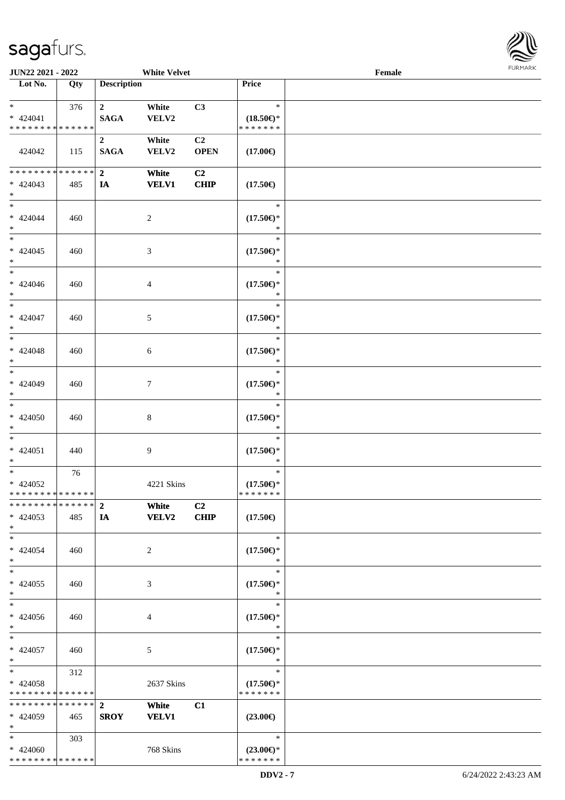

| JUN22 2021 - 2022                                                              |     |                                 | <b>White Velvet</b>   |                               |                                                | Female |  |
|--------------------------------------------------------------------------------|-----|---------------------------------|-----------------------|-------------------------------|------------------------------------------------|--------|--|
| Lot No.                                                                        | Qty | <b>Description</b>              |                       |                               | Price                                          |        |  |
| $*$<br>$* 424041$<br>* * * * * * * * <mark>* * * * * * *</mark>                | 376 | $\overline{2}$<br><b>SAGA</b>   | White<br>VELV2        | C3                            | $\ast$<br>$(18.50\epsilon)$ *<br>* * * * * * * |        |  |
| 424042                                                                         | 115 | $\boldsymbol{2}$<br><b>SAGA</b> | White<br>VELV2        | C <sub>2</sub><br><b>OPEN</b> | $(17.00\epsilon)$                              |        |  |
| ******** <mark>******</mark><br>$* 424043$<br>$\ast$                           | 485 | 2 <sup>1</sup><br>IA            | White<br><b>VELV1</b> | C <sub>2</sub><br><b>CHIP</b> | $(17.50\epsilon)$                              |        |  |
| $\overline{\ast}$<br>$* 424044$<br>$\ast$                                      | 460 |                                 | $\overline{c}$        |                               | $\ast$<br>$(17.50\epsilon)$ *<br>$\ast$        |        |  |
| $\overline{\phantom{0}}$<br>$* 424045$<br>$\ast$                               | 460 |                                 | $\mathfrak{Z}$        |                               | $\ast$<br>$(17.50\epsilon)$ *<br>$\ast$        |        |  |
| $\overline{\phantom{1}}$<br>$* 424046$<br>$\ast$<br>$\overline{\phantom{a}^*}$ | 460 |                                 | $\overline{4}$        |                               | $\ast$<br>$(17.50\epsilon)$ *<br>$\ast$        |        |  |
| $* 424047$<br>$\ast$                                                           | 460 |                                 | 5                     |                               | $\ast$<br>$(17.50\epsilon)$ *<br>$\ast$        |        |  |
| $\ast$<br>$* 424048$<br>$\ast$<br>$\overline{\ast}$                            | 460 |                                 | $\sqrt{6}$            |                               | $\ast$<br>$(17.50\epsilon)$ *<br>$\ast$        |        |  |
| * 424049<br>$\ast$<br>$\overline{\phantom{a}^*}$                               | 460 |                                 | $\tau$                |                               | $\ast$<br>$(17.50\epsilon)$ *<br>*             |        |  |
| $* 424050$<br>$*$                                                              | 460 |                                 | $\,8\,$               |                               | $\ast$<br>$(17.50\epsilon)$ *<br>$\ast$        |        |  |
| $\ast$<br>$* 424051$<br>$*$                                                    | 440 |                                 | 9                     |                               | $\ast$<br>$(17.50\epsilon)$ *<br>$\ast$        |        |  |
| $*$<br>$* 424052$<br>**************                                            | 76  |                                 | 4221 Skins            |                               | $\ast$<br>$(17.50\epsilon)$ *<br>* * * * * * * |        |  |
| ******** <mark>******</mark> 2<br>$* 424053$<br>$*$                            | 485 | IA                              | White<br><b>VELV2</b> | C <sub>2</sub><br><b>CHIP</b> | $(17.50\epsilon)$                              |        |  |
| $*$<br>$* 424054$<br>$*$                                                       | 460 |                                 | 2                     |                               | $\ast$<br>$(17.50\epsilon)$ *<br>∗             |        |  |
| $\ast$<br>$* 424055$<br>$*$<br>$\overline{\phantom{1}}$                        | 460 |                                 | 3                     |                               | $\ast$<br>$(17.50\epsilon)$ *<br>$\ast$        |        |  |
| $* 424056$<br>$*$                                                              | 460 |                                 | 4                     |                               | $\ast$<br>$(17.50\epsilon)$ *<br>$\ast$        |        |  |
| $*$<br>* 424057<br>$*$                                                         | 460 |                                 | $\mathfrak{S}$        |                               | $\ast$<br>$(17.50\epsilon)$ *<br>$\ast$        |        |  |
| $*$<br>$* 424058$<br>* * * * * * * * * * * * * *                               | 312 |                                 | 2637 Skins            |                               | $\ast$<br>$(17.50\epsilon)$ *<br>* * * * * * * |        |  |
| * * * * * * * * * * * * * * *<br>* 424059<br>$*$                               | 465 | $\overline{2}$<br><b>SROY</b>   | White<br><b>VELV1</b> | C1                            | $(23.00\epsilon)$                              |        |  |
| $*$<br>* 424060<br>* * * * * * * * * * * * * *                                 | 303 |                                 | 768 Skins             |                               | $\ast$<br>$(23.00\epsilon)$ *<br>* * * * * * * |        |  |